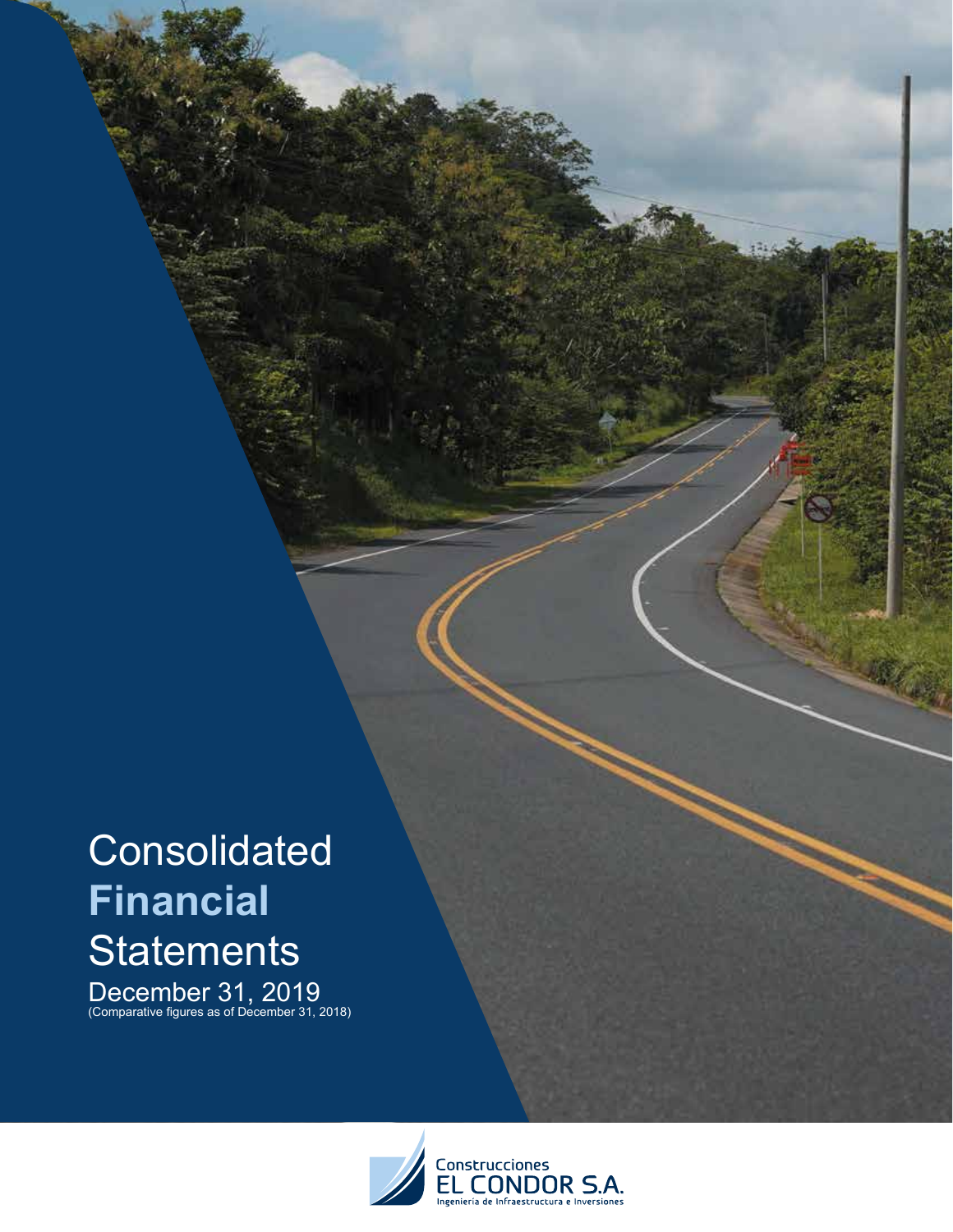# **Consolidated Financial Statements**

December 31, 2019 (Comparative figures as of December 31, 2018)

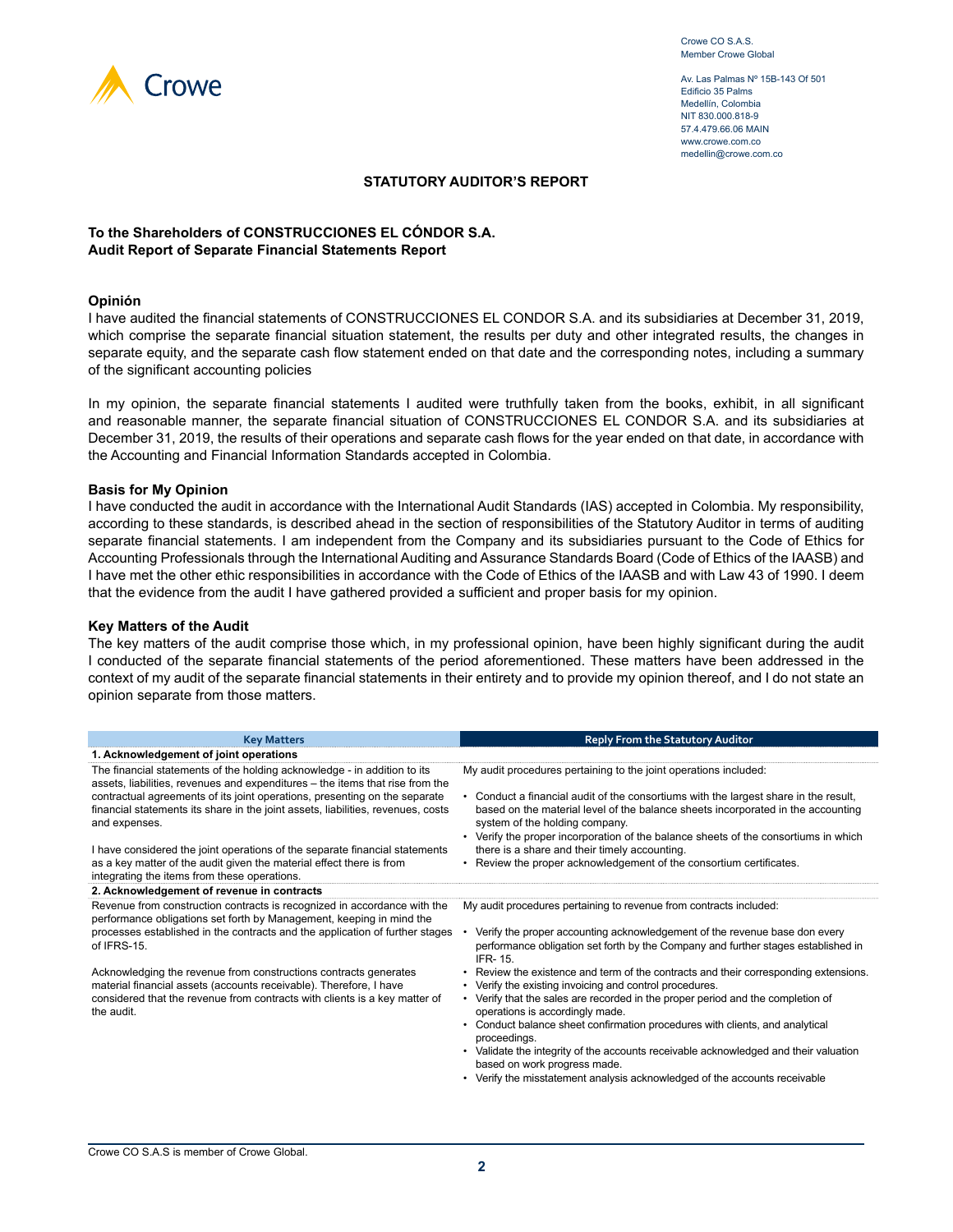

Av. Las Palmas Nº 15B-143 Of 501 Edificio 35 Palms Medellín, Colombia NIT 830.000.818-9 57.4.479.66.06 MAIN www.crowe.com.co medellin@crowe.com.co

#### **STATUTORY AUDITOR'S REPORT**

#### **To the Shareholders of CONSTRUCCIONES EL CÓNDOR S.A. Audit Report of Separate Financial Statements Report**

#### **Opinión**

I have audited the financial statements of CONSTRUCCIONES EL CONDOR S.A. and its subsidiaries at December 31, 2019, which comprise the separate financial situation statement, the results per duty and other integrated results, the changes in separate equity, and the separate cash flow statement ended on that date and the corresponding notes, including a summary of the significant accounting policies

In my opinion, the separate financial statements I audited were truthfully taken from the books, exhibit, in all significant and reasonable manner, the separate financial situation of CONSTRUCCIONES EL CONDOR S.A. and its subsidiaries at December 31, 2019, the results of their operations and separate cash flows for the year ended on that date, in accordance with the Accounting and Financial Information Standards accepted in Colombia.

#### **Basis for My Opinion**

I have conducted the audit in accordance with the International Audit Standards (IAS) accepted in Colombia. My responsibility, according to these standards, is described ahead in the section of responsibilities of the Statutory Auditor in terms of auditing separate financial statements. I am independent from the Company and its subsidiaries pursuant to the Code of Ethics for Accounting Professionals through the International Auditing and Assurance Standards Board (Code of Ethics of the IAASB) and I have met the other ethic responsibilities in accordance with the Code of Ethics of the IAASB and with Law 43 of 1990. I deem that the evidence from the audit I have gathered provided a sufficient and proper basis for my opinion.

#### **Key Matters of the Audit**

The key matters of the audit comprise those which, in my professional opinion, have been highly significant during the audit I conducted of the separate financial statements of the period aforementioned. These matters have been addressed in the context of my audit of the separate financial statements in their entirety and to provide my opinion thereof, and I do not state an opinion separate from those matters.

| <b>Key Matters</b>                                                                                                                                                              | <b>Reply From the Statutory Auditor</b>                                                                                                                                                                  |
|---------------------------------------------------------------------------------------------------------------------------------------------------------------------------------|----------------------------------------------------------------------------------------------------------------------------------------------------------------------------------------------------------|
| 1. Acknowledgement of joint operations                                                                                                                                          |                                                                                                                                                                                                          |
| The financial statements of the holding acknowledge - in addition to its<br>assets, liabilities, revenues and expenditures - the items that rise from the                       | My audit procedures pertaining to the joint operations included:                                                                                                                                         |
| contractual agreements of its joint operations, presenting on the separate<br>financial statements its share in the joint assets, liabilities, revenues, costs<br>and expenses. | Conduct a financial audit of the consortiums with the largest share in the result,<br>based on the material level of the balance sheets incorporated in the accounting<br>system of the holding company. |
|                                                                                                                                                                                 | • Verify the proper incorporation of the balance sheets of the consortiums in which                                                                                                                      |
| I have considered the joint operations of the separate financial statements                                                                                                     | there is a share and their timely accounting.                                                                                                                                                            |
| as a key matter of the audit given the material effect there is from<br>integrating the items from these operations.                                                            | Review the proper acknowledgement of the consortium certificates.                                                                                                                                        |
| 2. Acknowledgement of revenue in contracts                                                                                                                                      |                                                                                                                                                                                                          |
| Revenue from construction contracts is recognized in accordance with the<br>performance obligations set forth by Management, keeping in mind the                                | My audit procedures pertaining to revenue from contracts included:                                                                                                                                       |
| processes established in the contracts and the application of further stages<br>of IFRS-15.                                                                                     | Verify the proper accounting acknowledgement of the revenue base don every<br>performance obligation set forth by the Company and further stages established in<br><b>IFR-15.</b>                        |
| Acknowledging the revenue from constructions contracts generates<br>material financial assets (accounts receivable). Therefore, I have                                          | • Review the existence and term of the contracts and their corresponding extensions.<br>Verify the existing invoicing and control procedures.<br>٠                                                       |
| considered that the revenue from contracts with clients is a key matter of<br>the audit.                                                                                        | • Verify that the sales are recorded in the proper period and the completion of<br>operations is accordingly made.                                                                                       |
|                                                                                                                                                                                 | Conduct balance sheet confirmation procedures with clients, and analytical<br>proceedings.                                                                                                               |
|                                                                                                                                                                                 | Validate the integrity of the accounts receivable acknowledged and their valuation<br>based on work progress made.                                                                                       |

• Verify the misstatement analysis acknowledged of the accounts receivable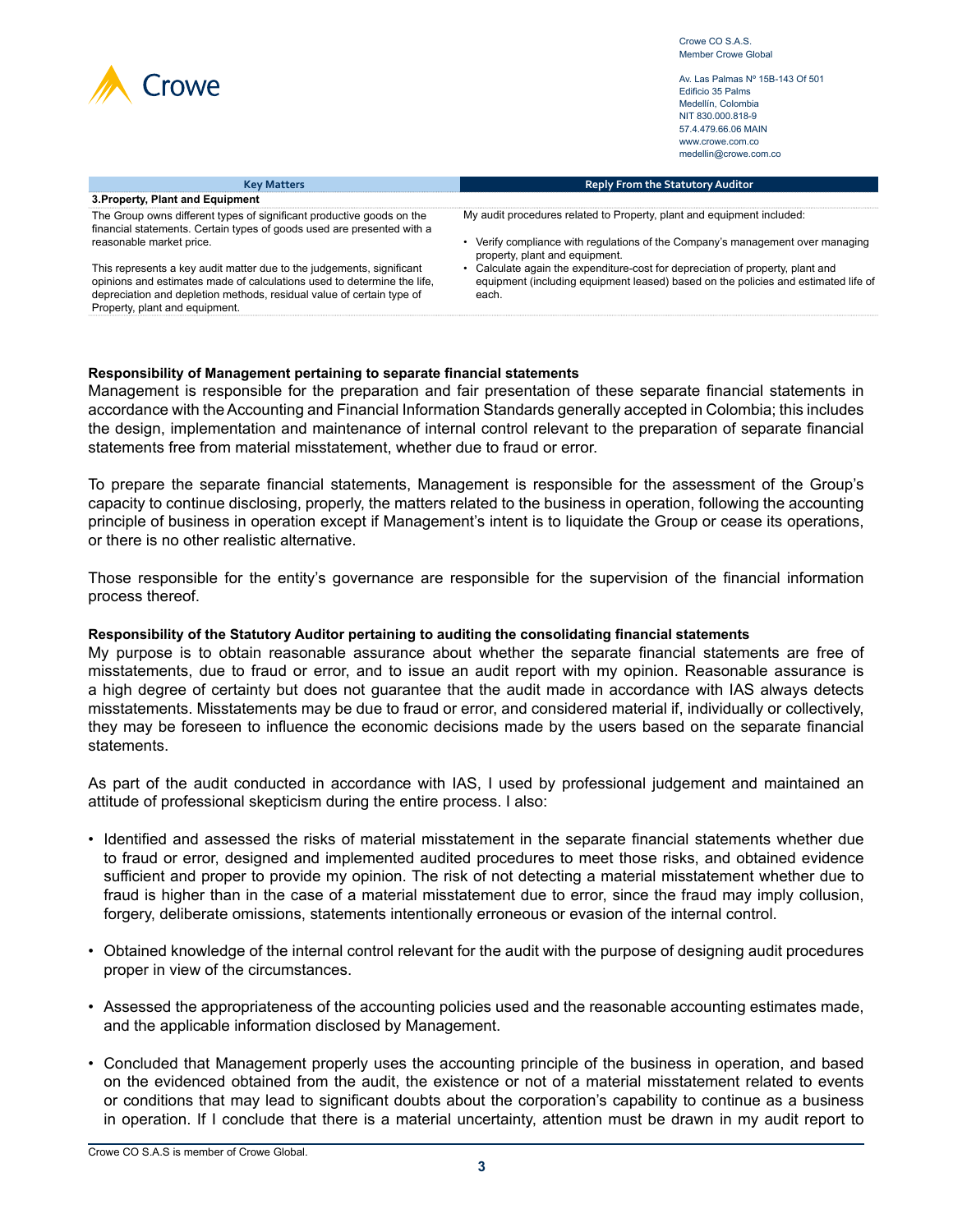|  | Crowe |
|--|-------|
|--|-------|

Av. Las Palmas Nº 15B-143 Of 501 Edificio 35 Palms Medellín, Colombia NIT 830.000.818-9 57.4.479.66.06 MAIN www.crowe.com.co medellin@crowe.com.co

| <b>Key Matters</b>                                                                                                                                                                                                                                          | <b>Reply From the Statutory Auditor</b>                                                                                                                                     |
|-------------------------------------------------------------------------------------------------------------------------------------------------------------------------------------------------------------------------------------------------------------|-----------------------------------------------------------------------------------------------------------------------------------------------------------------------------|
| 3. Property, Plant and Equipment                                                                                                                                                                                                                            |                                                                                                                                                                             |
| The Group owns different types of significant productive goods on the<br>financial statements. Certain types of goods used are presented with a                                                                                                             | My audit procedures related to Property, plant and equipment included:                                                                                                      |
| reasonable market price.                                                                                                                                                                                                                                    | • Verify compliance with regulations of the Company's management over managing<br>property, plant and equipment.                                                            |
| This represents a key audit matter due to the judgements, significant<br>opinions and estimates made of calculations used to determine the life,<br>depreciation and depletion methods, residual value of certain type of<br>Property, plant and equipment. | Calculate again the expenditure-cost for depreciation of property, plant and<br>equipment (including equipment leased) based on the policies and estimated life of<br>each. |

#### **Responsibility of Management pertaining to separate financial statements**

Management is responsible for the preparation and fair presentation of these separate financial statements in accordance with the Accounting and Financial Information Standards generally accepted in Colombia; this includes the design, implementation and maintenance of internal control relevant to the preparation of separate financial statements free from material misstatement, whether due to fraud or error.

To prepare the separate financial statements, Management is responsible for the assessment of the Group's capacity to continue disclosing, properly, the matters related to the business in operation, following the accounting principle of business in operation except if Management's intent is to liquidate the Group or cease its operations, or there is no other realistic alternative.

Those responsible for the entity's governance are responsible for the supervision of the financial information process thereof.

#### **Responsibility of the Statutory Auditor pertaining to auditing the consolidating financial statements**

My purpose is to obtain reasonable assurance about whether the separate financial statements are free of misstatements, due to fraud or error, and to issue an audit report with my opinion. Reasonable assurance is a high degree of certainty but does not guarantee that the audit made in accordance with IAS always detects misstatements. Misstatements may be due to fraud or error, and considered material if, individually or collectively, they may be foreseen to influence the economic decisions made by the users based on the separate financial statements.

As part of the audit conducted in accordance with IAS, I used by professional judgement and maintained an attitude of professional skepticism during the entire process. I also:

- Identified and assessed the risks of material misstatement in the separate financial statements whether due to fraud or error, designed and implemented audited procedures to meet those risks, and obtained evidence sufficient and proper to provide my opinion. The risk of not detecting a material misstatement whether due to fraud is higher than in the case of a material misstatement due to error, since the fraud may imply collusion, forgery, deliberate omissions, statements intentionally erroneous or evasion of the internal control.
- Obtained knowledge of the internal control relevant for the audit with the purpose of designing audit procedures proper in view of the circumstances.
- Assessed the appropriateness of the accounting policies used and the reasonable accounting estimates made, and the applicable information disclosed by Management.
- Concluded that Management properly uses the accounting principle of the business in operation, and based on the evidenced obtained from the audit, the existence or not of a material misstatement related to events or conditions that may lead to significant doubts about the corporation's capability to continue as a business in operation. If I conclude that there is a material uncertainty, attention must be drawn in my audit report to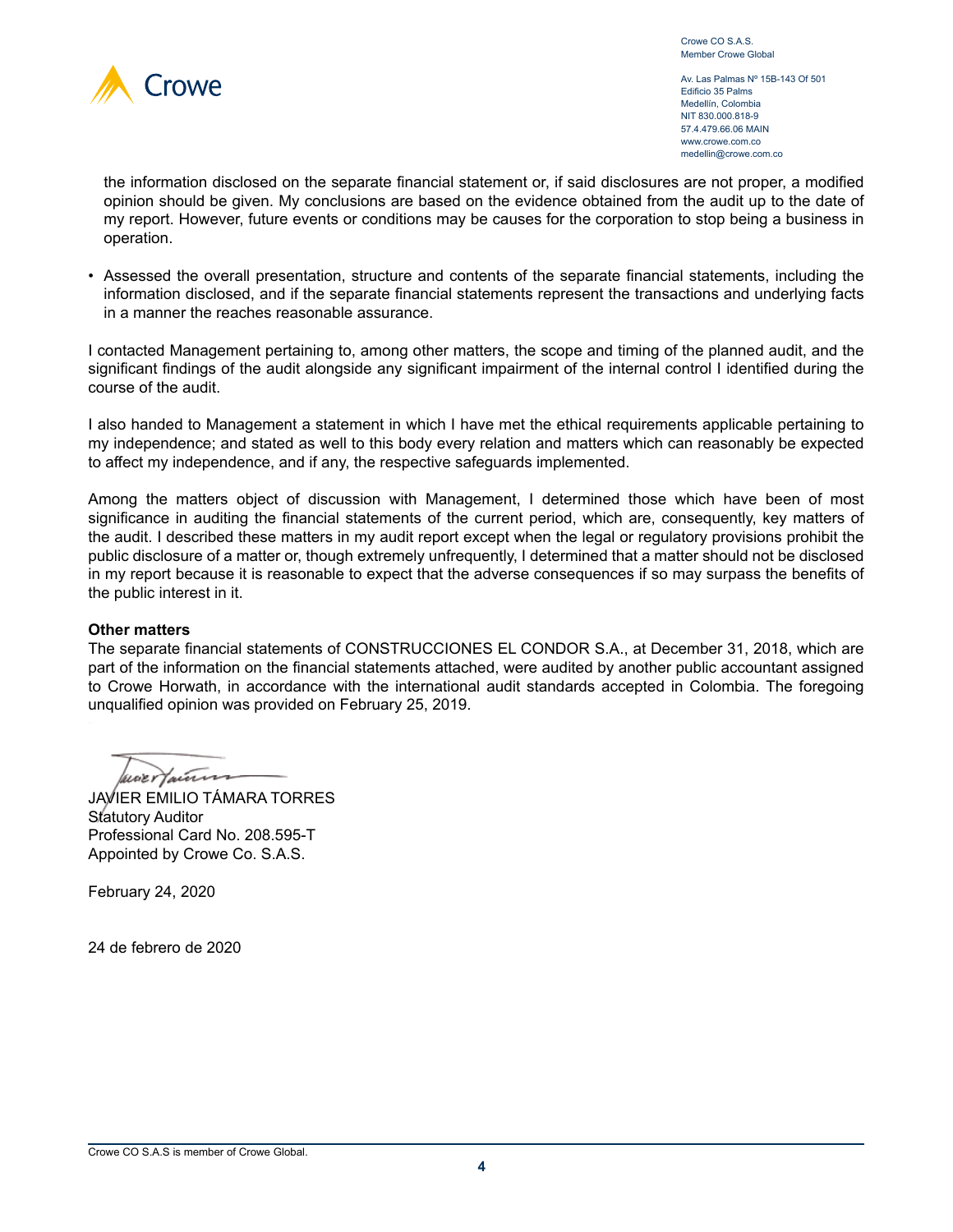

Crowe CO S.A.S. Member Crowe Global

Av. Las Palmas Nº 15B-143 Of 501 Edificio 35 Palms Medellín, Colombia NIT 830.000.818-9 57.4.479.66.06 MAIN www.crowe.com.co medellin@crowe.com.co

the information disclosed on the separate financial statement or, if said disclosures are not proper, a modified opinion should be given. My conclusions are based on the evidence obtained from the audit up to the date of my report. However, future events or conditions may be causes for the corporation to stop being a business in operation.

• Assessed the overall presentation, structure and contents of the separate financial statements, including the information disclosed, and if the separate financial statements represent the transactions and underlying facts in a manner the reaches reasonable assurance.

I contacted Management pertaining to, among other matters, the scope and timing of the planned audit, and the significant findings of the audit alongside any significant impairment of the internal control I identified during the course of the audit.

I also handed to Management a statement in which I have met the ethical requirements applicable pertaining to my independence; and stated as well to this body every relation and matters which can reasonably be expected to affect my independence, and if any, the respective safeguards implemented.

Among the matters object of discussion with Management, I determined those which have been of most significance in auditing the financial statements of the current period, which are, consequently, key matters of the audit. I described these matters in my audit report except when the legal or regulatory provisions prohibit the public disclosure of a matter or, though extremely unfrequently, I determined that a matter should not be disclosed in my report because it is reasonable to expect that the adverse consequences if so may surpass the benefits of the public interest in it.

#### **Other matters**

The separate financial statements of CONSTRUCCIONES EL CONDOR S.A., at December 31, 2018, which are part of the information on the financial statements attached, were audited by another public accountant assigned to Crowe Horwath, in accordance with the international audit standards accepted in Colombia. The foregoing unqualified opinion was provided on February 25, 2019.

benertains

JAVIER EMILIO TÁMARA TORRES Statutory Auditor Professional Card No. 208.595-T Appointed by Crowe Co. S.A.S.

February 24, 2020

24 de febrero de 2020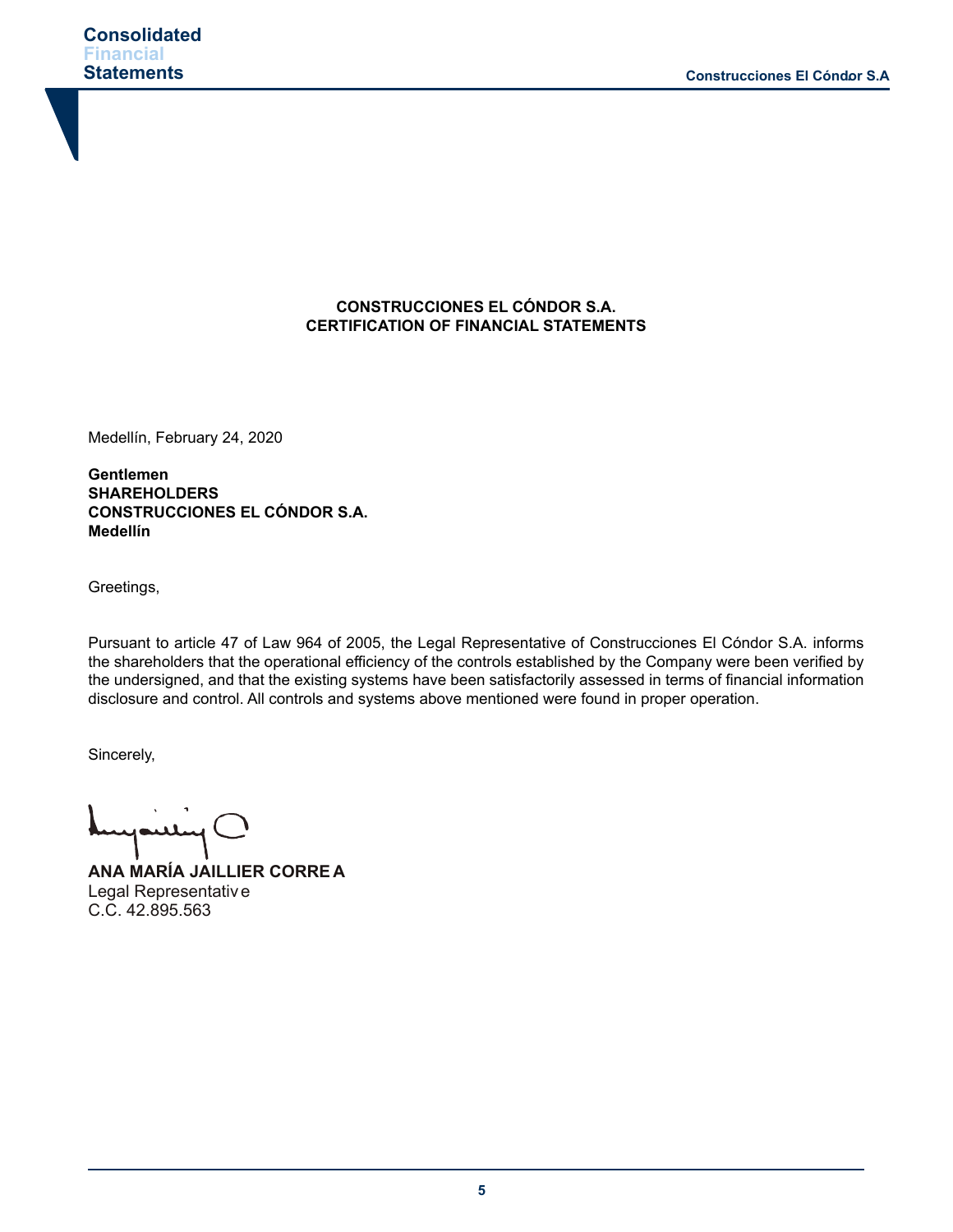# **CONSTRUCCIONES EL CÓNDOR S.A. CERTIFICATION OF FINANCIAL STATEMENTS**

Medellín, February 24, 2020

**Gentlemen SHAREHOLDERS CONSTRUCCIONES EL CÓNDOR S.A. Medellín**

Greetings,

Pursuant to article 47 of Law 964 of 2005, the Legal Representative of Construcciones El Cóndor S.A. informs the shareholders that the operational efficiency of the controls established by the Company were been verified by the undersigned, and that the existing systems have been satisfactorily assessed in terms of financial information disclosure and control. All controls and systems above mentioned were found in proper operation.

Sincerely,

Janley (

**ANA MARÍA JAILLIER CORRE A** Legal Representative C.C. 42.895.563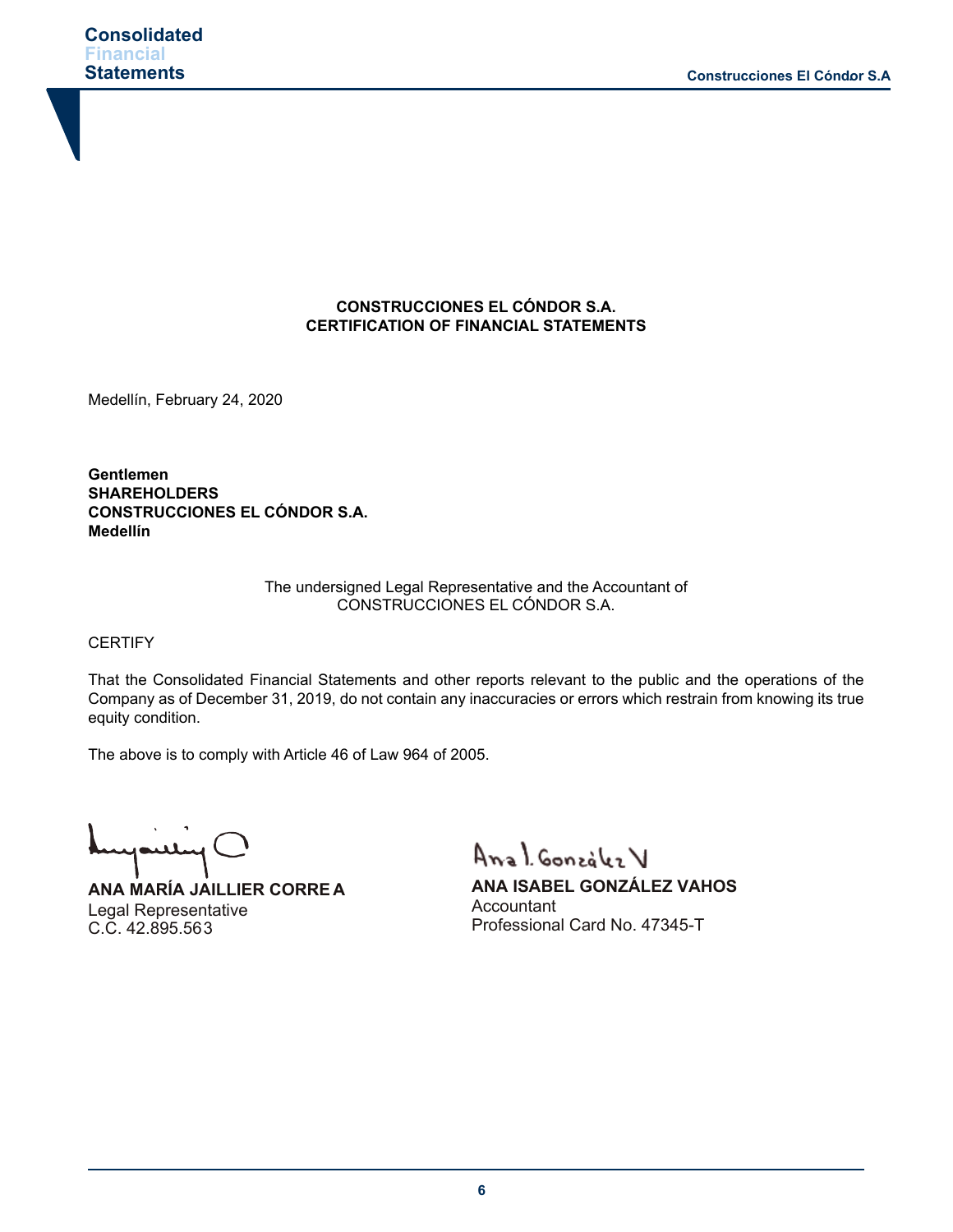# **CONSTRUCCIONES EL CÓNDOR S.A. CERTIFICATION OF FINANCIAL STATEMENTS**

Medellín, February 24, 2020

**Gentlemen SHAREHOLDERS CONSTRUCCIONES EL CÓNDOR S.A. Medellín**

#### The undersigned Legal Representative and the Accountant of CONSTRUCCIONES EL CÓNDOR S.A.

**CERTIFY** 

That the Consolidated Financial Statements and other reports relevant to the public and the operations of the Company as of December 31, 2019, do not contain any inaccuracies or errors which restrain from knowing its true equity condition.

The above is to comply with Article 46 of Law 964 of 2005.

mpuling

**ANA MARÍA JAILLIER CORRE A** Legal Representative C.C. 42.895.563

Anal González V

**ANA ISABEL GONZÁLEZ VAHOS Accountant** Professional Card No. 47345-T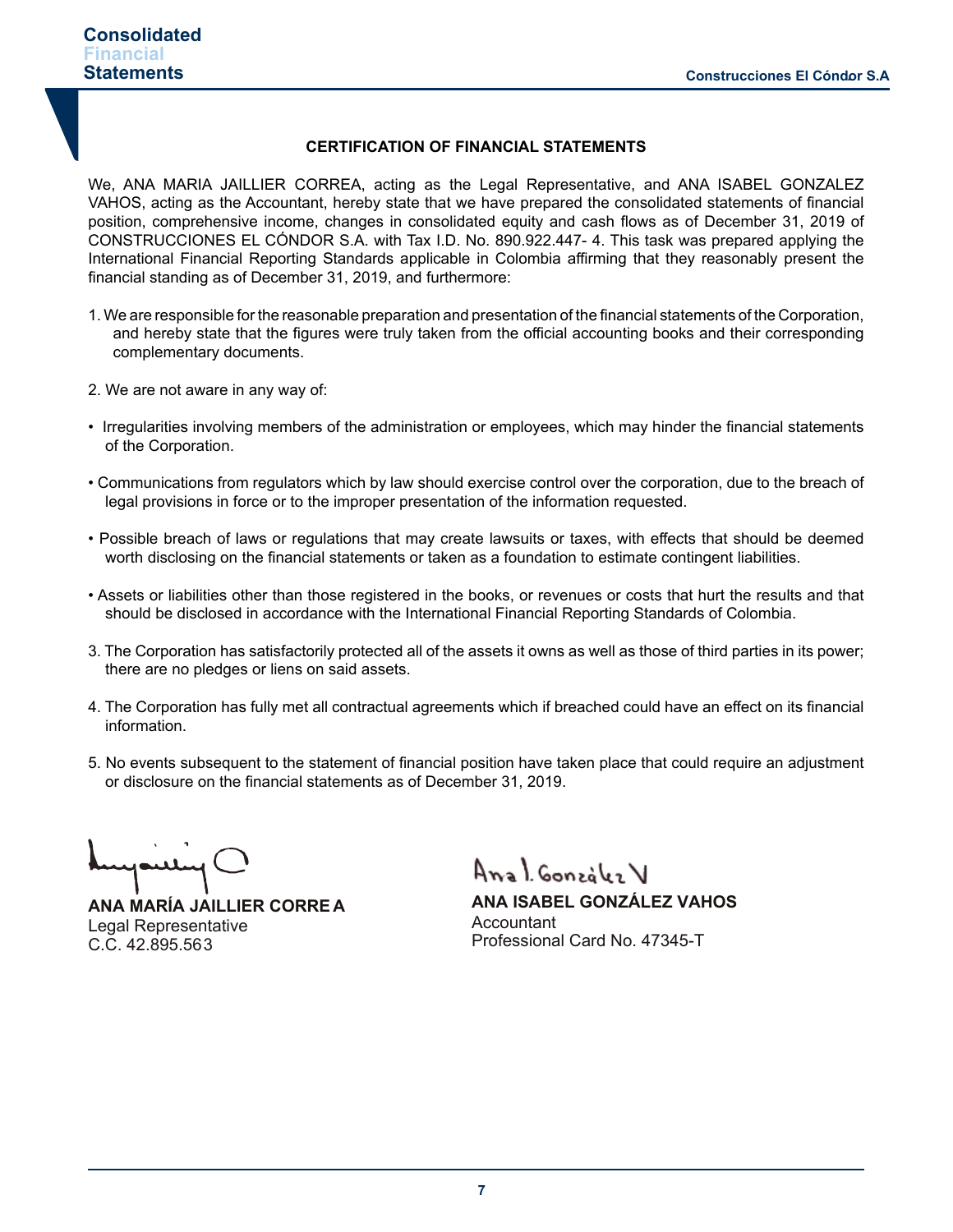#### **CERTIFICATION OF FINANCIAL STATEMENTS**

We, ANA MARIA JAILLIER CORREA, acting as the Legal Representative, and ANA ISABEL GONZALEZ VAHOS, acting as the Accountant, hereby state that we have prepared the consolidated statements of financial position, comprehensive income, changes in consolidated equity and cash flows as of December 31, 2019 of CONSTRUCCIONES EL CÓNDOR S.A. with Tax I.D. No. 890.922.447- 4. This task was prepared applying the International Financial Reporting Standards applicable in Colombia affirming that they reasonably present the financial standing as of December 31, 2019, and furthermore:

- 1. We are responsible for the reasonable preparation and presentation of the financial statements of the Corporation, and hereby state that the figures were truly taken from the official accounting books and their corresponding complementary documents.
- 2. We are not aware in any way of:
- Irregularities involving members of the administration or employees, which may hinder the financial statements of the Corporation.
- Communications from regulators which by law should exercise control over the corporation, due to the breach of legal provisions in force or to the improper presentation of the information requested.
- Possible breach of laws or regulations that may create lawsuits or taxes, with effects that should be deemed worth disclosing on the financial statements or taken as a foundation to estimate contingent liabilities.
- Assets or liabilities other than those registered in the books, or revenues or costs that hurt the results and that should be disclosed in accordance with the International Financial Reporting Standards of Colombia.
- 3. The Corporation has satisfactorily protected all of the assets it owns as well as those of third parties in its power; there are no pledges or liens on said assets.
- 4. The Corporation has fully met all contractual agreements which if breached could have an effect on its financial information.
- 5. No events subsequent to the statement of financial position have taken place that could require an adjustment or disclosure on the financial statements as of December 31, 2019.

**ANA MARÍA JAILLIER CORRE A** Legal Representative C.C. 42.895.563

Anal González V

**ANA ISABEL GONZÁLEZ VAHOS Accountant** Professional Card No. 47345-T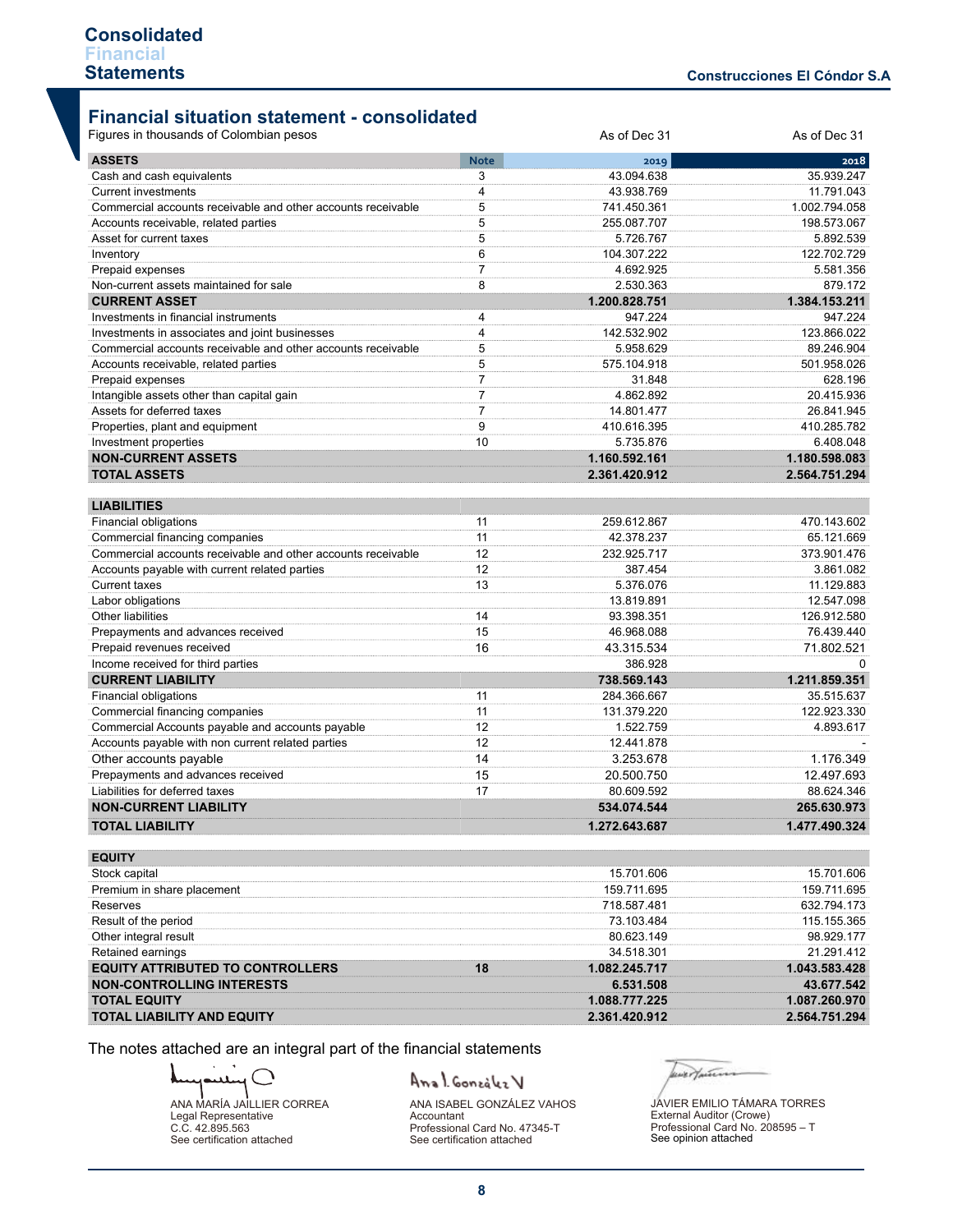# **Financial situation statement - consolidated**

| <b>ASSETS</b><br><b>Note</b><br>2019<br>2018<br>35.939.247<br>3<br>43.094.638<br>Cash and cash equivalents<br><b>Current investments</b><br>4<br>43.938.769<br>11.791.043<br>Commercial accounts receivable and other accounts receivable<br>5<br>741.450.361<br>1.002.794.058<br>5<br>255.087.707<br>198.573.067<br>Accounts receivable, related parties<br>5<br>5.892.539<br>Asset for current taxes<br>5.726.767<br>6<br>104.307.222<br>122.702.729<br>Inventory<br>$\overline{7}$<br>4.692.925<br>5.581.356<br>Prepaid expenses<br>Non-current assets maintained for sale<br>8<br>2.530.363<br>879.172<br><b>CURRENT ASSET</b><br>1.384.153.211<br>1.200.828.751<br>Investments in financial instruments<br>4<br>947.224<br>947.224<br>Investments in associates and joint businesses<br>4<br>142.532.902<br>123.866.022<br>Commercial accounts receivable and other accounts receivable<br>5<br>5.958.629<br>89.246.904<br>5<br>575.104.918<br>501.958.026<br>Accounts receivable, related parties<br>$\overline{7}$<br>628.196<br>Prepaid expenses<br>31.848<br>$\overline{7}$<br>Intangible assets other than capital gain<br>20.415.936<br>4.862.892<br>$\overline{7}$<br>Assets for deferred taxes<br>14.801.477<br>26.841.945<br>9<br>410.616.395<br>410.285.782<br>Properties, plant and equipment<br>10<br>6.408.048<br>Investment properties<br>5.735.876<br><b>NON-CURRENT ASSETS</b><br>1.160.592.161<br>1.180.598.083<br><b>TOTAL ASSETS</b><br>2.361.420.912<br>2.564.751.294<br><b>LIABILITIES</b><br>11<br>470.143.602<br>Financial obligations<br>259.612.867<br>Commercial financing companies<br>11<br>65.121.669<br>42.378.237<br>12<br>Commercial accounts receivable and other accounts receivable<br>232.925.717<br>373.901.476<br>12<br>387.454<br>3.861.082<br>Accounts payable with current related parties<br><b>Current taxes</b><br>13<br>5.376.076<br>11.129.883<br>12.547.098<br>Labor obligations<br>13.819.891<br>Other liabilities<br>14<br>93.398.351<br>126.912.580<br>Prepayments and advances received<br>15<br>46.968.088<br>76.439.440<br>Prepaid revenues received<br>16<br>71.802.521<br>43.315.534<br>Income received for third parties<br>386.928<br>$\Omega$<br><b>CURRENT LIABILITY</b><br>1.211.859.351<br>738.569.143<br>Financial obligations<br>35.515.637<br>11<br>284.366.667<br>Commercial financing companies<br>11<br>131.379.220<br>122.923.330<br>Commercial Accounts payable and accounts payable<br>12<br>1.522.759<br>4.893.617<br>Accounts payable with non current related parties<br>12<br>12.441.878<br>Other accounts payable<br>14<br>1.176.349<br>3.253.678<br>15<br>Prepayments and advances received<br>20.500.750<br>12.497.693<br>Liabilities for deferred taxes<br>80.609.592<br>88.624.346<br>17<br><b>NON-CURRENT LIABILITY</b><br>534.074.544<br>265.630.973<br><b>TOTAL LIABILITY</b><br>1.477.490.324<br>1.272.643.687<br><b>EQUITY</b><br>Stock capital<br>15.701.606<br>15.701.606<br>Premium in share placement<br>159.711.695<br>159.711.695<br>Reserves<br>718.587.481<br>632.794.173<br>Result of the period<br>73.103.484<br>115.155.365<br>Other integral result<br>80.623.149<br>98.929.177<br>Retained earnings<br>21.291.412<br>34.518.301<br><b>EQUITY ATTRIBUTED TO CONTROLLERS</b><br>18<br>1.082.245.717<br>1.043.583.428<br><b>NON-CONTROLLING INTERESTS</b><br>6.531.508<br>43.677.542<br><b>TOTAL EQUITY</b><br>1.088.777.225<br>1.087.260.970<br><b>TOTAL LIABILITY AND EQUITY</b><br>2.361.420.912<br>2.564.751.294 | Figures in thousands of Colombian pesos | As of Dec 31 | As of Dec 31 |
|-------------------------------------------------------------------------------------------------------------------------------------------------------------------------------------------------------------------------------------------------------------------------------------------------------------------------------------------------------------------------------------------------------------------------------------------------------------------------------------------------------------------------------------------------------------------------------------------------------------------------------------------------------------------------------------------------------------------------------------------------------------------------------------------------------------------------------------------------------------------------------------------------------------------------------------------------------------------------------------------------------------------------------------------------------------------------------------------------------------------------------------------------------------------------------------------------------------------------------------------------------------------------------------------------------------------------------------------------------------------------------------------------------------------------------------------------------------------------------------------------------------------------------------------------------------------------------------------------------------------------------------------------------------------------------------------------------------------------------------------------------------------------------------------------------------------------------------------------------------------------------------------------------------------------------------------------------------------------------------------------------------------------------------------------------------------------------------------------------------------------------------------------------------------------------------------------------------------------------------------------------------------------------------------------------------------------------------------------------------------------------------------------------------------------------------------------------------------------------------------------------------------------------------------------------------------------------------------------------------------------------------------------------------------------------------------------------------------------------------------------------------------------------------------------------------------------------------------------------------------------------------------------------------------------------------------------------------------------------------------------------------------------------------------------------------------------------------------------------------------------------------------------------------------------------------------------------------------------------------------------------------------------------------------------------------------------------------------------------------------------------------------------------------------------------------------------------------------------------------------------------------------------|-----------------------------------------|--------------|--------------|
|                                                                                                                                                                                                                                                                                                                                                                                                                                                                                                                                                                                                                                                                                                                                                                                                                                                                                                                                                                                                                                                                                                                                                                                                                                                                                                                                                                                                                                                                                                                                                                                                                                                                                                                                                                                                                                                                                                                                                                                                                                                                                                                                                                                                                                                                                                                                                                                                                                                                                                                                                                                                                                                                                                                                                                                                                                                                                                                                                                                                                                                                                                                                                                                                                                                                                                                                                                                                                                                                                                                         |                                         |              |              |
|                                                                                                                                                                                                                                                                                                                                                                                                                                                                                                                                                                                                                                                                                                                                                                                                                                                                                                                                                                                                                                                                                                                                                                                                                                                                                                                                                                                                                                                                                                                                                                                                                                                                                                                                                                                                                                                                                                                                                                                                                                                                                                                                                                                                                                                                                                                                                                                                                                                                                                                                                                                                                                                                                                                                                                                                                                                                                                                                                                                                                                                                                                                                                                                                                                                                                                                                                                                                                                                                                                                         |                                         |              |              |
|                                                                                                                                                                                                                                                                                                                                                                                                                                                                                                                                                                                                                                                                                                                                                                                                                                                                                                                                                                                                                                                                                                                                                                                                                                                                                                                                                                                                                                                                                                                                                                                                                                                                                                                                                                                                                                                                                                                                                                                                                                                                                                                                                                                                                                                                                                                                                                                                                                                                                                                                                                                                                                                                                                                                                                                                                                                                                                                                                                                                                                                                                                                                                                                                                                                                                                                                                                                                                                                                                                                         |                                         |              |              |
|                                                                                                                                                                                                                                                                                                                                                                                                                                                                                                                                                                                                                                                                                                                                                                                                                                                                                                                                                                                                                                                                                                                                                                                                                                                                                                                                                                                                                                                                                                                                                                                                                                                                                                                                                                                                                                                                                                                                                                                                                                                                                                                                                                                                                                                                                                                                                                                                                                                                                                                                                                                                                                                                                                                                                                                                                                                                                                                                                                                                                                                                                                                                                                                                                                                                                                                                                                                                                                                                                                                         |                                         |              |              |
|                                                                                                                                                                                                                                                                                                                                                                                                                                                                                                                                                                                                                                                                                                                                                                                                                                                                                                                                                                                                                                                                                                                                                                                                                                                                                                                                                                                                                                                                                                                                                                                                                                                                                                                                                                                                                                                                                                                                                                                                                                                                                                                                                                                                                                                                                                                                                                                                                                                                                                                                                                                                                                                                                                                                                                                                                                                                                                                                                                                                                                                                                                                                                                                                                                                                                                                                                                                                                                                                                                                         |                                         |              |              |
|                                                                                                                                                                                                                                                                                                                                                                                                                                                                                                                                                                                                                                                                                                                                                                                                                                                                                                                                                                                                                                                                                                                                                                                                                                                                                                                                                                                                                                                                                                                                                                                                                                                                                                                                                                                                                                                                                                                                                                                                                                                                                                                                                                                                                                                                                                                                                                                                                                                                                                                                                                                                                                                                                                                                                                                                                                                                                                                                                                                                                                                                                                                                                                                                                                                                                                                                                                                                                                                                                                                         |                                         |              |              |
|                                                                                                                                                                                                                                                                                                                                                                                                                                                                                                                                                                                                                                                                                                                                                                                                                                                                                                                                                                                                                                                                                                                                                                                                                                                                                                                                                                                                                                                                                                                                                                                                                                                                                                                                                                                                                                                                                                                                                                                                                                                                                                                                                                                                                                                                                                                                                                                                                                                                                                                                                                                                                                                                                                                                                                                                                                                                                                                                                                                                                                                                                                                                                                                                                                                                                                                                                                                                                                                                                                                         |                                         |              |              |
|                                                                                                                                                                                                                                                                                                                                                                                                                                                                                                                                                                                                                                                                                                                                                                                                                                                                                                                                                                                                                                                                                                                                                                                                                                                                                                                                                                                                                                                                                                                                                                                                                                                                                                                                                                                                                                                                                                                                                                                                                                                                                                                                                                                                                                                                                                                                                                                                                                                                                                                                                                                                                                                                                                                                                                                                                                                                                                                                                                                                                                                                                                                                                                                                                                                                                                                                                                                                                                                                                                                         |                                         |              |              |
|                                                                                                                                                                                                                                                                                                                                                                                                                                                                                                                                                                                                                                                                                                                                                                                                                                                                                                                                                                                                                                                                                                                                                                                                                                                                                                                                                                                                                                                                                                                                                                                                                                                                                                                                                                                                                                                                                                                                                                                                                                                                                                                                                                                                                                                                                                                                                                                                                                                                                                                                                                                                                                                                                                                                                                                                                                                                                                                                                                                                                                                                                                                                                                                                                                                                                                                                                                                                                                                                                                                         |                                         |              |              |
|                                                                                                                                                                                                                                                                                                                                                                                                                                                                                                                                                                                                                                                                                                                                                                                                                                                                                                                                                                                                                                                                                                                                                                                                                                                                                                                                                                                                                                                                                                                                                                                                                                                                                                                                                                                                                                                                                                                                                                                                                                                                                                                                                                                                                                                                                                                                                                                                                                                                                                                                                                                                                                                                                                                                                                                                                                                                                                                                                                                                                                                                                                                                                                                                                                                                                                                                                                                                                                                                                                                         |                                         |              |              |
|                                                                                                                                                                                                                                                                                                                                                                                                                                                                                                                                                                                                                                                                                                                                                                                                                                                                                                                                                                                                                                                                                                                                                                                                                                                                                                                                                                                                                                                                                                                                                                                                                                                                                                                                                                                                                                                                                                                                                                                                                                                                                                                                                                                                                                                                                                                                                                                                                                                                                                                                                                                                                                                                                                                                                                                                                                                                                                                                                                                                                                                                                                                                                                                                                                                                                                                                                                                                                                                                                                                         |                                         |              |              |
|                                                                                                                                                                                                                                                                                                                                                                                                                                                                                                                                                                                                                                                                                                                                                                                                                                                                                                                                                                                                                                                                                                                                                                                                                                                                                                                                                                                                                                                                                                                                                                                                                                                                                                                                                                                                                                                                                                                                                                                                                                                                                                                                                                                                                                                                                                                                                                                                                                                                                                                                                                                                                                                                                                                                                                                                                                                                                                                                                                                                                                                                                                                                                                                                                                                                                                                                                                                                                                                                                                                         |                                         |              |              |
|                                                                                                                                                                                                                                                                                                                                                                                                                                                                                                                                                                                                                                                                                                                                                                                                                                                                                                                                                                                                                                                                                                                                                                                                                                                                                                                                                                                                                                                                                                                                                                                                                                                                                                                                                                                                                                                                                                                                                                                                                                                                                                                                                                                                                                                                                                                                                                                                                                                                                                                                                                                                                                                                                                                                                                                                                                                                                                                                                                                                                                                                                                                                                                                                                                                                                                                                                                                                                                                                                                                         |                                         |              |              |
|                                                                                                                                                                                                                                                                                                                                                                                                                                                                                                                                                                                                                                                                                                                                                                                                                                                                                                                                                                                                                                                                                                                                                                                                                                                                                                                                                                                                                                                                                                                                                                                                                                                                                                                                                                                                                                                                                                                                                                                                                                                                                                                                                                                                                                                                                                                                                                                                                                                                                                                                                                                                                                                                                                                                                                                                                                                                                                                                                                                                                                                                                                                                                                                                                                                                                                                                                                                                                                                                                                                         |                                         |              |              |
|                                                                                                                                                                                                                                                                                                                                                                                                                                                                                                                                                                                                                                                                                                                                                                                                                                                                                                                                                                                                                                                                                                                                                                                                                                                                                                                                                                                                                                                                                                                                                                                                                                                                                                                                                                                                                                                                                                                                                                                                                                                                                                                                                                                                                                                                                                                                                                                                                                                                                                                                                                                                                                                                                                                                                                                                                                                                                                                                                                                                                                                                                                                                                                                                                                                                                                                                                                                                                                                                                                                         |                                         |              |              |
|                                                                                                                                                                                                                                                                                                                                                                                                                                                                                                                                                                                                                                                                                                                                                                                                                                                                                                                                                                                                                                                                                                                                                                                                                                                                                                                                                                                                                                                                                                                                                                                                                                                                                                                                                                                                                                                                                                                                                                                                                                                                                                                                                                                                                                                                                                                                                                                                                                                                                                                                                                                                                                                                                                                                                                                                                                                                                                                                                                                                                                                                                                                                                                                                                                                                                                                                                                                                                                                                                                                         |                                         |              |              |
|                                                                                                                                                                                                                                                                                                                                                                                                                                                                                                                                                                                                                                                                                                                                                                                                                                                                                                                                                                                                                                                                                                                                                                                                                                                                                                                                                                                                                                                                                                                                                                                                                                                                                                                                                                                                                                                                                                                                                                                                                                                                                                                                                                                                                                                                                                                                                                                                                                                                                                                                                                                                                                                                                                                                                                                                                                                                                                                                                                                                                                                                                                                                                                                                                                                                                                                                                                                                                                                                                                                         |                                         |              |              |
|                                                                                                                                                                                                                                                                                                                                                                                                                                                                                                                                                                                                                                                                                                                                                                                                                                                                                                                                                                                                                                                                                                                                                                                                                                                                                                                                                                                                                                                                                                                                                                                                                                                                                                                                                                                                                                                                                                                                                                                                                                                                                                                                                                                                                                                                                                                                                                                                                                                                                                                                                                                                                                                                                                                                                                                                                                                                                                                                                                                                                                                                                                                                                                                                                                                                                                                                                                                                                                                                                                                         |                                         |              |              |
|                                                                                                                                                                                                                                                                                                                                                                                                                                                                                                                                                                                                                                                                                                                                                                                                                                                                                                                                                                                                                                                                                                                                                                                                                                                                                                                                                                                                                                                                                                                                                                                                                                                                                                                                                                                                                                                                                                                                                                                                                                                                                                                                                                                                                                                                                                                                                                                                                                                                                                                                                                                                                                                                                                                                                                                                                                                                                                                                                                                                                                                                                                                                                                                                                                                                                                                                                                                                                                                                                                                         |                                         |              |              |
|                                                                                                                                                                                                                                                                                                                                                                                                                                                                                                                                                                                                                                                                                                                                                                                                                                                                                                                                                                                                                                                                                                                                                                                                                                                                                                                                                                                                                                                                                                                                                                                                                                                                                                                                                                                                                                                                                                                                                                                                                                                                                                                                                                                                                                                                                                                                                                                                                                                                                                                                                                                                                                                                                                                                                                                                                                                                                                                                                                                                                                                                                                                                                                                                                                                                                                                                                                                                                                                                                                                         |                                         |              |              |
|                                                                                                                                                                                                                                                                                                                                                                                                                                                                                                                                                                                                                                                                                                                                                                                                                                                                                                                                                                                                                                                                                                                                                                                                                                                                                                                                                                                                                                                                                                                                                                                                                                                                                                                                                                                                                                                                                                                                                                                                                                                                                                                                                                                                                                                                                                                                                                                                                                                                                                                                                                                                                                                                                                                                                                                                                                                                                                                                                                                                                                                                                                                                                                                                                                                                                                                                                                                                                                                                                                                         |                                         |              |              |
|                                                                                                                                                                                                                                                                                                                                                                                                                                                                                                                                                                                                                                                                                                                                                                                                                                                                                                                                                                                                                                                                                                                                                                                                                                                                                                                                                                                                                                                                                                                                                                                                                                                                                                                                                                                                                                                                                                                                                                                                                                                                                                                                                                                                                                                                                                                                                                                                                                                                                                                                                                                                                                                                                                                                                                                                                                                                                                                                                                                                                                                                                                                                                                                                                                                                                                                                                                                                                                                                                                                         |                                         |              |              |
|                                                                                                                                                                                                                                                                                                                                                                                                                                                                                                                                                                                                                                                                                                                                                                                                                                                                                                                                                                                                                                                                                                                                                                                                                                                                                                                                                                                                                                                                                                                                                                                                                                                                                                                                                                                                                                                                                                                                                                                                                                                                                                                                                                                                                                                                                                                                                                                                                                                                                                                                                                                                                                                                                                                                                                                                                                                                                                                                                                                                                                                                                                                                                                                                                                                                                                                                                                                                                                                                                                                         |                                         |              |              |
|                                                                                                                                                                                                                                                                                                                                                                                                                                                                                                                                                                                                                                                                                                                                                                                                                                                                                                                                                                                                                                                                                                                                                                                                                                                                                                                                                                                                                                                                                                                                                                                                                                                                                                                                                                                                                                                                                                                                                                                                                                                                                                                                                                                                                                                                                                                                                                                                                                                                                                                                                                                                                                                                                                                                                                                                                                                                                                                                                                                                                                                                                                                                                                                                                                                                                                                                                                                                                                                                                                                         |                                         |              |              |
|                                                                                                                                                                                                                                                                                                                                                                                                                                                                                                                                                                                                                                                                                                                                                                                                                                                                                                                                                                                                                                                                                                                                                                                                                                                                                                                                                                                                                                                                                                                                                                                                                                                                                                                                                                                                                                                                                                                                                                                                                                                                                                                                                                                                                                                                                                                                                                                                                                                                                                                                                                                                                                                                                                                                                                                                                                                                                                                                                                                                                                                                                                                                                                                                                                                                                                                                                                                                                                                                                                                         |                                         |              |              |
|                                                                                                                                                                                                                                                                                                                                                                                                                                                                                                                                                                                                                                                                                                                                                                                                                                                                                                                                                                                                                                                                                                                                                                                                                                                                                                                                                                                                                                                                                                                                                                                                                                                                                                                                                                                                                                                                                                                                                                                                                                                                                                                                                                                                                                                                                                                                                                                                                                                                                                                                                                                                                                                                                                                                                                                                                                                                                                                                                                                                                                                                                                                                                                                                                                                                                                                                                                                                                                                                                                                         |                                         |              |              |
|                                                                                                                                                                                                                                                                                                                                                                                                                                                                                                                                                                                                                                                                                                                                                                                                                                                                                                                                                                                                                                                                                                                                                                                                                                                                                                                                                                                                                                                                                                                                                                                                                                                                                                                                                                                                                                                                                                                                                                                                                                                                                                                                                                                                                                                                                                                                                                                                                                                                                                                                                                                                                                                                                                                                                                                                                                                                                                                                                                                                                                                                                                                                                                                                                                                                                                                                                                                                                                                                                                                         |                                         |              |              |
|                                                                                                                                                                                                                                                                                                                                                                                                                                                                                                                                                                                                                                                                                                                                                                                                                                                                                                                                                                                                                                                                                                                                                                                                                                                                                                                                                                                                                                                                                                                                                                                                                                                                                                                                                                                                                                                                                                                                                                                                                                                                                                                                                                                                                                                                                                                                                                                                                                                                                                                                                                                                                                                                                                                                                                                                                                                                                                                                                                                                                                                                                                                                                                                                                                                                                                                                                                                                                                                                                                                         |                                         |              |              |
|                                                                                                                                                                                                                                                                                                                                                                                                                                                                                                                                                                                                                                                                                                                                                                                                                                                                                                                                                                                                                                                                                                                                                                                                                                                                                                                                                                                                                                                                                                                                                                                                                                                                                                                                                                                                                                                                                                                                                                                                                                                                                                                                                                                                                                                                                                                                                                                                                                                                                                                                                                                                                                                                                                                                                                                                                                                                                                                                                                                                                                                                                                                                                                                                                                                                                                                                                                                                                                                                                                                         |                                         |              |              |
|                                                                                                                                                                                                                                                                                                                                                                                                                                                                                                                                                                                                                                                                                                                                                                                                                                                                                                                                                                                                                                                                                                                                                                                                                                                                                                                                                                                                                                                                                                                                                                                                                                                                                                                                                                                                                                                                                                                                                                                                                                                                                                                                                                                                                                                                                                                                                                                                                                                                                                                                                                                                                                                                                                                                                                                                                                                                                                                                                                                                                                                                                                                                                                                                                                                                                                                                                                                                                                                                                                                         |                                         |              |              |
|                                                                                                                                                                                                                                                                                                                                                                                                                                                                                                                                                                                                                                                                                                                                                                                                                                                                                                                                                                                                                                                                                                                                                                                                                                                                                                                                                                                                                                                                                                                                                                                                                                                                                                                                                                                                                                                                                                                                                                                                                                                                                                                                                                                                                                                                                                                                                                                                                                                                                                                                                                                                                                                                                                                                                                                                                                                                                                                                                                                                                                                                                                                                                                                                                                                                                                                                                                                                                                                                                                                         |                                         |              |              |
|                                                                                                                                                                                                                                                                                                                                                                                                                                                                                                                                                                                                                                                                                                                                                                                                                                                                                                                                                                                                                                                                                                                                                                                                                                                                                                                                                                                                                                                                                                                                                                                                                                                                                                                                                                                                                                                                                                                                                                                                                                                                                                                                                                                                                                                                                                                                                                                                                                                                                                                                                                                                                                                                                                                                                                                                                                                                                                                                                                                                                                                                                                                                                                                                                                                                                                                                                                                                                                                                                                                         |                                         |              |              |
|                                                                                                                                                                                                                                                                                                                                                                                                                                                                                                                                                                                                                                                                                                                                                                                                                                                                                                                                                                                                                                                                                                                                                                                                                                                                                                                                                                                                                                                                                                                                                                                                                                                                                                                                                                                                                                                                                                                                                                                                                                                                                                                                                                                                                                                                                                                                                                                                                                                                                                                                                                                                                                                                                                                                                                                                                                                                                                                                                                                                                                                                                                                                                                                                                                                                                                                                                                                                                                                                                                                         |                                         |              |              |
|                                                                                                                                                                                                                                                                                                                                                                                                                                                                                                                                                                                                                                                                                                                                                                                                                                                                                                                                                                                                                                                                                                                                                                                                                                                                                                                                                                                                                                                                                                                                                                                                                                                                                                                                                                                                                                                                                                                                                                                                                                                                                                                                                                                                                                                                                                                                                                                                                                                                                                                                                                                                                                                                                                                                                                                                                                                                                                                                                                                                                                                                                                                                                                                                                                                                                                                                                                                                                                                                                                                         |                                         |              |              |
|                                                                                                                                                                                                                                                                                                                                                                                                                                                                                                                                                                                                                                                                                                                                                                                                                                                                                                                                                                                                                                                                                                                                                                                                                                                                                                                                                                                                                                                                                                                                                                                                                                                                                                                                                                                                                                                                                                                                                                                                                                                                                                                                                                                                                                                                                                                                                                                                                                                                                                                                                                                                                                                                                                                                                                                                                                                                                                                                                                                                                                                                                                                                                                                                                                                                                                                                                                                                                                                                                                                         |                                         |              |              |
|                                                                                                                                                                                                                                                                                                                                                                                                                                                                                                                                                                                                                                                                                                                                                                                                                                                                                                                                                                                                                                                                                                                                                                                                                                                                                                                                                                                                                                                                                                                                                                                                                                                                                                                                                                                                                                                                                                                                                                                                                                                                                                                                                                                                                                                                                                                                                                                                                                                                                                                                                                                                                                                                                                                                                                                                                                                                                                                                                                                                                                                                                                                                                                                                                                                                                                                                                                                                                                                                                                                         |                                         |              |              |
|                                                                                                                                                                                                                                                                                                                                                                                                                                                                                                                                                                                                                                                                                                                                                                                                                                                                                                                                                                                                                                                                                                                                                                                                                                                                                                                                                                                                                                                                                                                                                                                                                                                                                                                                                                                                                                                                                                                                                                                                                                                                                                                                                                                                                                                                                                                                                                                                                                                                                                                                                                                                                                                                                                                                                                                                                                                                                                                                                                                                                                                                                                                                                                                                                                                                                                                                                                                                                                                                                                                         |                                         |              |              |
|                                                                                                                                                                                                                                                                                                                                                                                                                                                                                                                                                                                                                                                                                                                                                                                                                                                                                                                                                                                                                                                                                                                                                                                                                                                                                                                                                                                                                                                                                                                                                                                                                                                                                                                                                                                                                                                                                                                                                                                                                                                                                                                                                                                                                                                                                                                                                                                                                                                                                                                                                                                                                                                                                                                                                                                                                                                                                                                                                                                                                                                                                                                                                                                                                                                                                                                                                                                                                                                                                                                         |                                         |              |              |
|                                                                                                                                                                                                                                                                                                                                                                                                                                                                                                                                                                                                                                                                                                                                                                                                                                                                                                                                                                                                                                                                                                                                                                                                                                                                                                                                                                                                                                                                                                                                                                                                                                                                                                                                                                                                                                                                                                                                                                                                                                                                                                                                                                                                                                                                                                                                                                                                                                                                                                                                                                                                                                                                                                                                                                                                                                                                                                                                                                                                                                                                                                                                                                                                                                                                                                                                                                                                                                                                                                                         |                                         |              |              |
|                                                                                                                                                                                                                                                                                                                                                                                                                                                                                                                                                                                                                                                                                                                                                                                                                                                                                                                                                                                                                                                                                                                                                                                                                                                                                                                                                                                                                                                                                                                                                                                                                                                                                                                                                                                                                                                                                                                                                                                                                                                                                                                                                                                                                                                                                                                                                                                                                                                                                                                                                                                                                                                                                                                                                                                                                                                                                                                                                                                                                                                                                                                                                                                                                                                                                                                                                                                                                                                                                                                         |                                         |              |              |
|                                                                                                                                                                                                                                                                                                                                                                                                                                                                                                                                                                                                                                                                                                                                                                                                                                                                                                                                                                                                                                                                                                                                                                                                                                                                                                                                                                                                                                                                                                                                                                                                                                                                                                                                                                                                                                                                                                                                                                                                                                                                                                                                                                                                                                                                                                                                                                                                                                                                                                                                                                                                                                                                                                                                                                                                                                                                                                                                                                                                                                                                                                                                                                                                                                                                                                                                                                                                                                                                                                                         |                                         |              |              |
|                                                                                                                                                                                                                                                                                                                                                                                                                                                                                                                                                                                                                                                                                                                                                                                                                                                                                                                                                                                                                                                                                                                                                                                                                                                                                                                                                                                                                                                                                                                                                                                                                                                                                                                                                                                                                                                                                                                                                                                                                                                                                                                                                                                                                                                                                                                                                                                                                                                                                                                                                                                                                                                                                                                                                                                                                                                                                                                                                                                                                                                                                                                                                                                                                                                                                                                                                                                                                                                                                                                         |                                         |              |              |
|                                                                                                                                                                                                                                                                                                                                                                                                                                                                                                                                                                                                                                                                                                                                                                                                                                                                                                                                                                                                                                                                                                                                                                                                                                                                                                                                                                                                                                                                                                                                                                                                                                                                                                                                                                                                                                                                                                                                                                                                                                                                                                                                                                                                                                                                                                                                                                                                                                                                                                                                                                                                                                                                                                                                                                                                                                                                                                                                                                                                                                                                                                                                                                                                                                                                                                                                                                                                                                                                                                                         |                                         |              |              |
|                                                                                                                                                                                                                                                                                                                                                                                                                                                                                                                                                                                                                                                                                                                                                                                                                                                                                                                                                                                                                                                                                                                                                                                                                                                                                                                                                                                                                                                                                                                                                                                                                                                                                                                                                                                                                                                                                                                                                                                                                                                                                                                                                                                                                                                                                                                                                                                                                                                                                                                                                                                                                                                                                                                                                                                                                                                                                                                                                                                                                                                                                                                                                                                                                                                                                                                                                                                                                                                                                                                         |                                         |              |              |
|                                                                                                                                                                                                                                                                                                                                                                                                                                                                                                                                                                                                                                                                                                                                                                                                                                                                                                                                                                                                                                                                                                                                                                                                                                                                                                                                                                                                                                                                                                                                                                                                                                                                                                                                                                                                                                                                                                                                                                                                                                                                                                                                                                                                                                                                                                                                                                                                                                                                                                                                                                                                                                                                                                                                                                                                                                                                                                                                                                                                                                                                                                                                                                                                                                                                                                                                                                                                                                                                                                                         |                                         |              |              |
|                                                                                                                                                                                                                                                                                                                                                                                                                                                                                                                                                                                                                                                                                                                                                                                                                                                                                                                                                                                                                                                                                                                                                                                                                                                                                                                                                                                                                                                                                                                                                                                                                                                                                                                                                                                                                                                                                                                                                                                                                                                                                                                                                                                                                                                                                                                                                                                                                                                                                                                                                                                                                                                                                                                                                                                                                                                                                                                                                                                                                                                                                                                                                                                                                                                                                                                                                                                                                                                                                                                         |                                         |              |              |
|                                                                                                                                                                                                                                                                                                                                                                                                                                                                                                                                                                                                                                                                                                                                                                                                                                                                                                                                                                                                                                                                                                                                                                                                                                                                                                                                                                                                                                                                                                                                                                                                                                                                                                                                                                                                                                                                                                                                                                                                                                                                                                                                                                                                                                                                                                                                                                                                                                                                                                                                                                                                                                                                                                                                                                                                                                                                                                                                                                                                                                                                                                                                                                                                                                                                                                                                                                                                                                                                                                                         |                                         |              |              |
|                                                                                                                                                                                                                                                                                                                                                                                                                                                                                                                                                                                                                                                                                                                                                                                                                                                                                                                                                                                                                                                                                                                                                                                                                                                                                                                                                                                                                                                                                                                                                                                                                                                                                                                                                                                                                                                                                                                                                                                                                                                                                                                                                                                                                                                                                                                                                                                                                                                                                                                                                                                                                                                                                                                                                                                                                                                                                                                                                                                                                                                                                                                                                                                                                                                                                                                                                                                                                                                                                                                         |                                         |              |              |
|                                                                                                                                                                                                                                                                                                                                                                                                                                                                                                                                                                                                                                                                                                                                                                                                                                                                                                                                                                                                                                                                                                                                                                                                                                                                                                                                                                                                                                                                                                                                                                                                                                                                                                                                                                                                                                                                                                                                                                                                                                                                                                                                                                                                                                                                                                                                                                                                                                                                                                                                                                                                                                                                                                                                                                                                                                                                                                                                                                                                                                                                                                                                                                                                                                                                                                                                                                                                                                                                                                                         |                                         |              |              |
|                                                                                                                                                                                                                                                                                                                                                                                                                                                                                                                                                                                                                                                                                                                                                                                                                                                                                                                                                                                                                                                                                                                                                                                                                                                                                                                                                                                                                                                                                                                                                                                                                                                                                                                                                                                                                                                                                                                                                                                                                                                                                                                                                                                                                                                                                                                                                                                                                                                                                                                                                                                                                                                                                                                                                                                                                                                                                                                                                                                                                                                                                                                                                                                                                                                                                                                                                                                                                                                                                                                         |                                         |              |              |
|                                                                                                                                                                                                                                                                                                                                                                                                                                                                                                                                                                                                                                                                                                                                                                                                                                                                                                                                                                                                                                                                                                                                                                                                                                                                                                                                                                                                                                                                                                                                                                                                                                                                                                                                                                                                                                                                                                                                                                                                                                                                                                                                                                                                                                                                                                                                                                                                                                                                                                                                                                                                                                                                                                                                                                                                                                                                                                                                                                                                                                                                                                                                                                                                                                                                                                                                                                                                                                                                                                                         |                                         |              |              |
|                                                                                                                                                                                                                                                                                                                                                                                                                                                                                                                                                                                                                                                                                                                                                                                                                                                                                                                                                                                                                                                                                                                                                                                                                                                                                                                                                                                                                                                                                                                                                                                                                                                                                                                                                                                                                                                                                                                                                                                                                                                                                                                                                                                                                                                                                                                                                                                                                                                                                                                                                                                                                                                                                                                                                                                                                                                                                                                                                                                                                                                                                                                                                                                                                                                                                                                                                                                                                                                                                                                         |                                         |              |              |
|                                                                                                                                                                                                                                                                                                                                                                                                                                                                                                                                                                                                                                                                                                                                                                                                                                                                                                                                                                                                                                                                                                                                                                                                                                                                                                                                                                                                                                                                                                                                                                                                                                                                                                                                                                                                                                                                                                                                                                                                                                                                                                                                                                                                                                                                                                                                                                                                                                                                                                                                                                                                                                                                                                                                                                                                                                                                                                                                                                                                                                                                                                                                                                                                                                                                                                                                                                                                                                                                                                                         |                                         |              |              |
|                                                                                                                                                                                                                                                                                                                                                                                                                                                                                                                                                                                                                                                                                                                                                                                                                                                                                                                                                                                                                                                                                                                                                                                                                                                                                                                                                                                                                                                                                                                                                                                                                                                                                                                                                                                                                                                                                                                                                                                                                                                                                                                                                                                                                                                                                                                                                                                                                                                                                                                                                                                                                                                                                                                                                                                                                                                                                                                                                                                                                                                                                                                                                                                                                                                                                                                                                                                                                                                                                                                         |                                         |              |              |

The notes attached are an integral part of the financial statements

ANA MARÍA JAILLIER CORREA Legal Representative C.C. 42.895.563 See certification attached

ý

 $\mathcal{A}$ 

# Anal Goneauz V

ANA ISABEL GONZÁLEZ VAHOS Accountant Professional Card No. 47345-T See certification attached



See opinion attached JAVIER EMILIO TÁMARA TORRES External Auditor (Crowe) Professional Card No. 208595 – T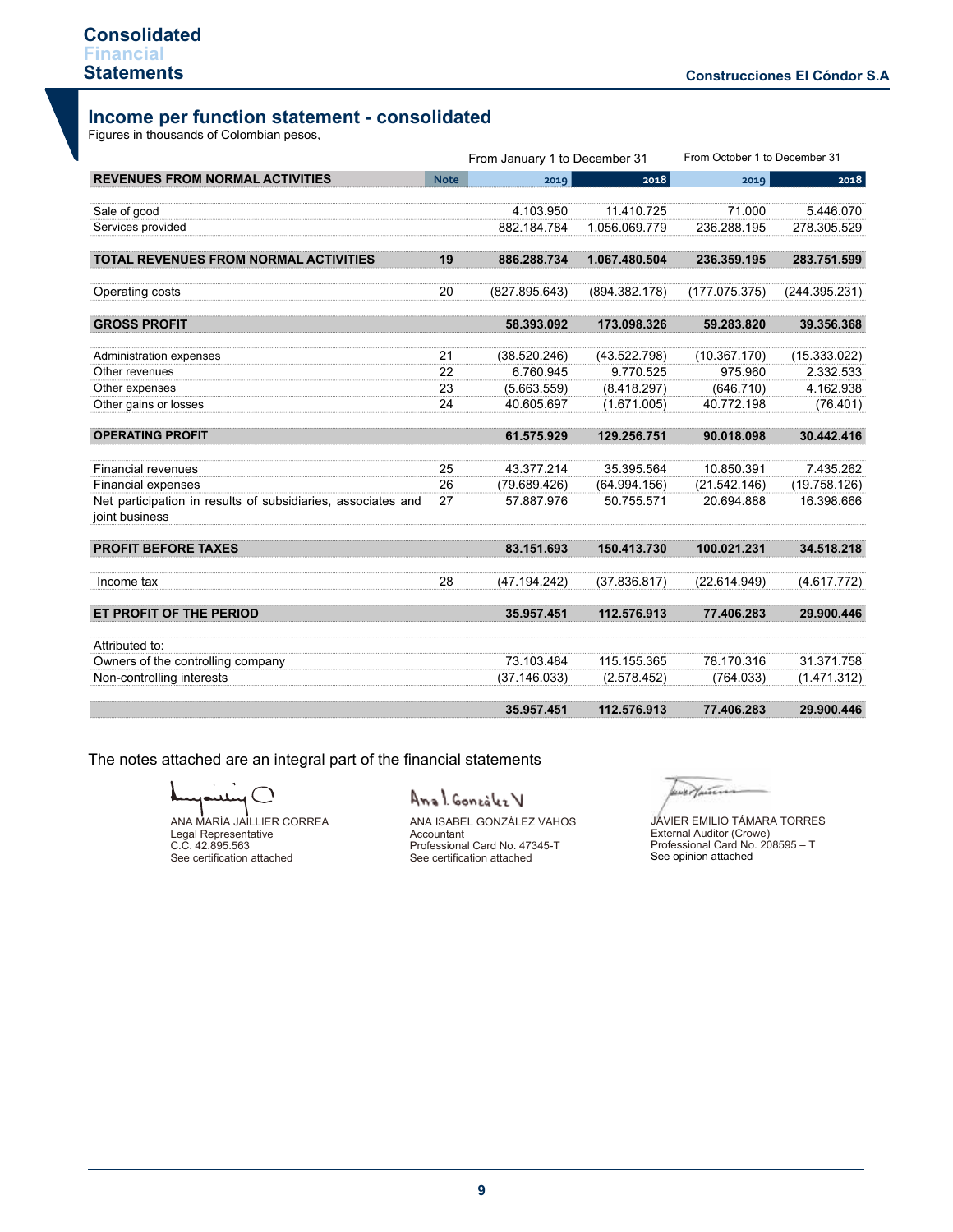# **Income per function statement - consolidated**

Figures in thousands of Colombian pesos,

|                                                                                |             |               | From January 1 to December 31 |               | From October 1 to December 31 |  |  |
|--------------------------------------------------------------------------------|-------------|---------------|-------------------------------|---------------|-------------------------------|--|--|
| <b>REVENUES FROM NORMAL ACTIVITIES</b>                                         | <b>Note</b> | 2019          | 2018                          | 2019          | 2018                          |  |  |
| Sale of good                                                                   |             | 4.103.950     | 11.410.725                    | 71.000        | 5.446.070                     |  |  |
| Services provided                                                              |             | 882.184.784   | 1.056.069.779                 | 236.288.195   | 278.305.529                   |  |  |
| <b>TOTAL REVENUES FROM NORMAL ACTIVITIES</b>                                   | 19          | 886.288.734   | 1.067.480.504                 | 236.359.195   | 283.751.599                   |  |  |
| Operating costs                                                                | 20          | (827.895.643) | (894.382.178)                 | (177.075.375) | (244.395.231)                 |  |  |
| <b>GROSS PROFIT</b>                                                            |             | 58.393.092    | 173.098.326                   | 59.283.820    | 39.356.368                    |  |  |
| Administration expenses                                                        | 21          | (38.520.246)  | (43.522.798)                  | (10.367.170)  | (15.333.022)                  |  |  |
| Other revenues                                                                 | 22          | 6.760.945     | 9.770.525                     | 975.960       | 2.332.533                     |  |  |
| Other expenses                                                                 | 23          | (5.663.559)   | (8.418.297)                   | (646.710)     | 4.162.938                     |  |  |
| Other gains or losses                                                          | 24          | 40.605.697    | (1.671.005)                   | 40.772.198    | (76.401)                      |  |  |
| <b>OPERATING PROFIT</b>                                                        |             | 61.575.929    | 129.256.751                   | 90.018.098    | 30.442.416                    |  |  |
| <b>Financial revenues</b>                                                      | 25          | 43.377.214    | 35.395.564                    | 10.850.391    | 7.435.262                     |  |  |
| <b>Financial expenses</b>                                                      | 26          | (79.689.426)  | (64.994.156)                  | (21.542.146)  | (19.758.126)                  |  |  |
| Net participation in results of subsidiaries, associates and<br>joint business | 27          | 57.887.976    | 50.755.571                    | 20.694.888    | 16.398.666                    |  |  |
| <b>PROFIT BEFORE TAXES</b>                                                     |             | 83.151.693    | 150.413.730                   | 100.021.231   | 34.518.218                    |  |  |
| Income tax                                                                     | 28          | (47.194.242)  | (37.836.817)                  | (22.614.949)  | (4.617.772)                   |  |  |
| ET PROFIT OF THE PERIOD                                                        |             | 35.957.451    | 112.576.913                   | 77.406.283    | 29.900.446                    |  |  |
| Attributed to:                                                                 |             |               |                               |               |                               |  |  |
| Owners of the controlling company                                              |             | 73.103.484    | 115.155.365                   | 78.170.316    | 31.371.758                    |  |  |
| Non-controlling interests                                                      |             | (37.146.033)  | (2.578.452)                   | (764.033)     | (1.471.312)                   |  |  |
|                                                                                |             | 35.957.451    | 112.576.913                   | 77.406.283    | 29.900.446                    |  |  |

The notes attached are an integral part of the financial statements

C

ANA MARÍA JAILLIER CORREA Legal Representative C.C. 42.895.563 See certification attached

# Anal Gonzalez V

ANA ISABEL GONZÁLEZ VAHOS Accountant Professional Card No. 47345-T See certification attached

lever putin

Professional Card No. 208595 – T<br>See opinion attached JAVIER EMILIO TÁMARA TORRES External Auditor (Crowe)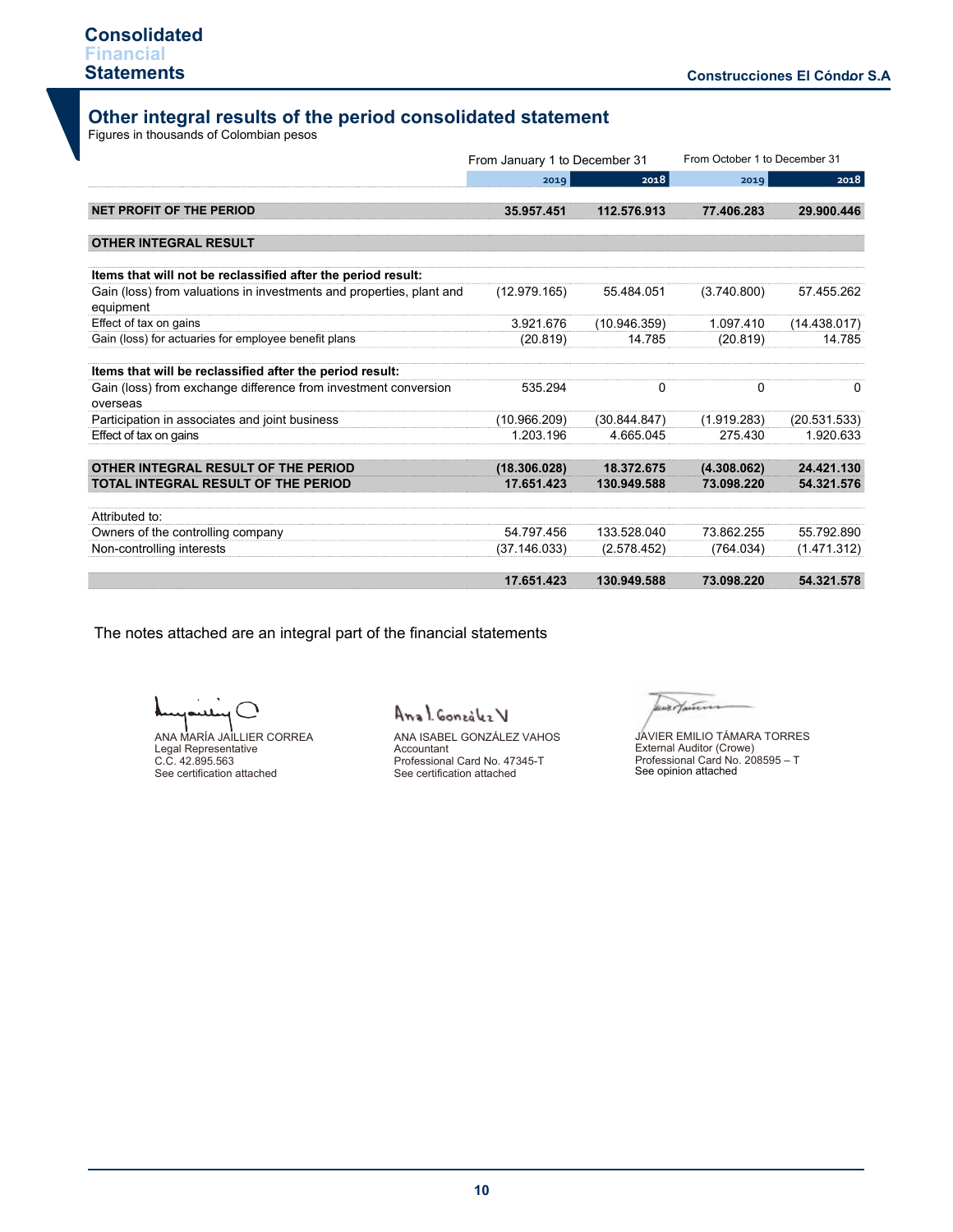# **Other integral results of the period consolidated statement**

Figures in thousands of Colombian pesos

|                                                                                   |              | From January 1 to December 31 |             | From October 1 to December 31 |
|-----------------------------------------------------------------------------------|--------------|-------------------------------|-------------|-------------------------------|
|                                                                                   | 2019         | 2018                          | 2019        | 2018                          |
| NET PROFIT OF THE PERIOD                                                          | 35.957.451   | 112.576.913                   | 77.406.283  | 29.900.446                    |
| <b>OTHER INTEGRAL RESULT</b>                                                      |              |                               |             |                               |
| Items that will not be reclassified after the period result:                      |              |                               |             |                               |
| Gain (loss) from valuations in investments and properties, plant and<br>equipment | (12.979.165) | 55.484.051                    | (3.740.800) | 57.455.262                    |
| Effect of tax on gains                                                            | 3.921.676    | (10.946.359)                  | 1.097.410   | (14.438.017)                  |
| Gain (loss) for actuaries for employee benefit plans                              | (20.819)     | 14.785                        | (20.819)    | 14.785                        |
| Items that will be reclassified after the period result:                          |              |                               |             |                               |
| Gain (loss) from exchange difference from investment conversion<br>overseas       | 535.294      | 0                             | 0           | 0                             |
| Participation in associates and joint business                                    | (10.966.209) | (30.844.847)                  | (1.919.283) | (20.531.533)                  |
| Effect of tax on gains                                                            | 1.203.196    | 4.665.045                     | 275.430     | 1.920.633                     |
| OTHER INTEGRAL RESULT OF THE PERIOD                                               | (18.306.028) | 18.372.675                    | (4.308.062) | 24.421.130                    |
| TOTAL INTEGRAL RESULT OF THE PERIOD                                               | 17.651.423   | 130.949.588                   | 73.098.220  | 54.321.576                    |
| Attributed to:                                                                    |              |                               |             |                               |
| Owners of the controlling company                                                 | 54.797.456   | 133.528.040                   | 73.862.255  | 55.792.890                    |
| Non-controlling interests                                                         | (37.146.033) | (2.578.452)                   | (764.034)   | (1.471.312)                   |
|                                                                                   | 17.651.423   | 130.949.588                   | 73.098.220  | 54.321.578                    |

The notes attached are an integral part of the financial statements

℩ ANA MARÍA JAILLIER CORREA

Legal Representative C.C. 42.895.563 See certification attached

Anal González V

ANA ISABEL GONZÁLEZ VAHOS Accountant Professional Card No. 47345-T See certification attached

wertann

See opinion attached JAVIER EMILIO TÁMARA TORRES External Auditor (Crowe) Professional Card No. 208595 – T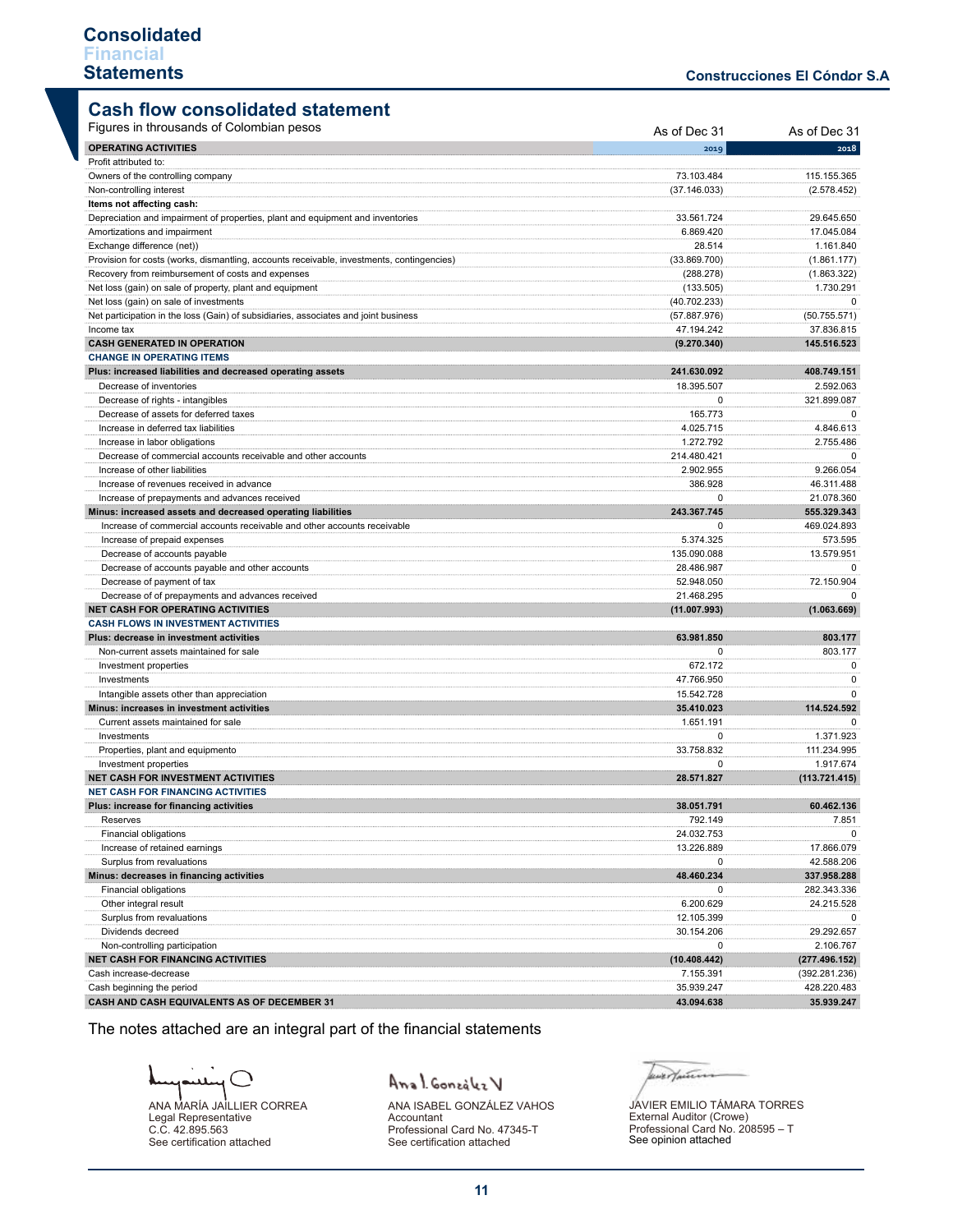# **Cash flow consolidated statement**

| <b>OPERATING ACTIVITIES</b><br>2018<br>2019<br>Profit attributed to:<br>73.103.484<br>115.155.365<br>Owners of the controlling company<br>Non-controlling interest<br>(37.146.033)<br>(2.578.452)<br>Items not affecting cash:<br>29.645.650<br>Depreciation and impairment of properties, plant and equipment and inventories<br>33.561.724<br>17.045.084<br>Amortizations and impairment<br>6.869.420<br>Exchange difference (net))<br>28.514<br>1.161.840<br>Provision for costs (works, dismantling, accounts receivable, investments, contingencies)<br>(33.869.700)<br>(1.861.177)<br>Recovery from reimbursement of costs and expenses<br>(288.278)<br>(1.863.322)<br>Net loss (gain) on sale of property, plant and equipment<br>(133.505)<br>1.730.291<br>Net loss (gain) on sale of investments<br>(40.702.233)<br>0<br>(50.755.571)<br>Net participation in the loss (Gain) of subsidiaries, associates and joint business<br>(57.887.976)<br>Income tax<br>47.194.242<br>37.836.815<br><b>CASH GENERATED IN OPERATION</b><br>(9.270.340)<br>145.516.523<br><b>CHANGE IN OPERATING ITEMS</b><br>241.630.092<br>408.749.151<br>Plus: increased liabilities and decreased operating assets<br>Decrease of inventories<br>18.395.507<br>2.592.063<br>Decrease of rights - intangibles<br>$\Omega$<br>321.899.087<br>Decrease of assets for deferred taxes<br>165.773<br>$\mathbf 0$<br>Increase in deferred tax liabilities<br>4.846.613<br>4.025.715<br>Increase in labor obligations<br>1.272.792<br>2.755.486<br>Decrease of commercial accounts receivable and other accounts<br>214.480.421<br>0<br>Increase of other liabilities<br>9.266.054<br>2.902.955<br>Increase of revenues received in advance<br>386.928<br>46.311.488<br>Increase of prepayments and advances received<br>$\mathbf 0$<br>21.078.360<br>Minus: increased assets and decreased operating liabilities<br>243.367.745<br>555.329.343<br>Increase of commercial accounts receivable and other accounts receivable<br>469.024.893<br>0<br>Increase of prepaid expenses<br>5.374.325<br>573.595<br>Decrease of accounts payable<br>135.090.088<br>13.579.951<br>Decrease of accounts payable and other accounts<br>28.486.987<br>$\Omega$<br>72.150.904<br>Decrease of payment of tax<br>52.948.050<br>Decrease of of prepayments and advances received<br>21.468.295<br>0<br><b>NET CASH FOR OPERATING ACTIVITIES</b><br>(1.063.669)<br>(11.007.993)<br><b>CASH FLOWS IN INVESTMENT ACTIVITIES</b><br>803.177<br>Plus: decrease in investment activities<br>63.981.850<br>Non-current assets maintained for sale<br>$\mathbf 0$<br>803.177<br>Investment properties<br>672.172<br>0<br>47.766.950<br>Investments<br>0<br>Intangible assets other than appreciation<br>15.542.728<br>$\Omega$<br>Minus: increases in investment activities<br>114.524.592<br>35.410.023<br>Current assets maintained for sale<br>1.651.191<br>0<br>Investments<br>0<br>1.371.923<br>Properties, plant and equipmento<br>33.758.832<br>111.234.995<br>$\mathbf 0$<br>1.917.674<br>Investment properties<br>NET CASH FOR INVESTMENT ACTIVITIES<br>28.571.827<br>(113.721.415)<br><b>NET CASH FOR FINANCING ACTIVITIES</b><br>60.462.136<br>Plus: increase for financing activities<br>38.051.791<br>792 149<br>7.851<br>Reserves<br>Financial obligations<br>24.032.753<br>0<br>Increase of retained earnings<br>13.226.889<br>17.866.079<br>Surplus from revaluations<br>42.588.206<br>0<br>48.460.234<br>Minus: decreases in financing activities<br>337.958.288<br>Financial obligations<br>282.343.336<br>0<br>Other integral result<br>6.200.629<br>24.215.528<br>Surplus from revaluations<br>12.105.399<br>0<br>29.292.657<br>Dividends decreed<br>30.154.206<br>Non-controlling participation<br>0<br>2.106.767<br><b>NET CASH FOR FINANCING ACTIVITIES</b><br>(10.408.442)<br>(277.496.152)<br>Cash increase-decrease<br>7.155.391<br>(392.281.236)<br>428.220.483<br>Cash beginning the period<br>35.939.247<br>CASH AND CASH EQUIVALENTS AS OF DECEMBER 31<br>35.939.247<br>43.094.638 | Figures in throusands of Colombian pesos | As of Dec 31 | As of Dec 31 |
|------------------------------------------------------------------------------------------------------------------------------------------------------------------------------------------------------------------------------------------------------------------------------------------------------------------------------------------------------------------------------------------------------------------------------------------------------------------------------------------------------------------------------------------------------------------------------------------------------------------------------------------------------------------------------------------------------------------------------------------------------------------------------------------------------------------------------------------------------------------------------------------------------------------------------------------------------------------------------------------------------------------------------------------------------------------------------------------------------------------------------------------------------------------------------------------------------------------------------------------------------------------------------------------------------------------------------------------------------------------------------------------------------------------------------------------------------------------------------------------------------------------------------------------------------------------------------------------------------------------------------------------------------------------------------------------------------------------------------------------------------------------------------------------------------------------------------------------------------------------------------------------------------------------------------------------------------------------------------------------------------------------------------------------------------------------------------------------------------------------------------------------------------------------------------------------------------------------------------------------------------------------------------------------------------------------------------------------------------------------------------------------------------------------------------------------------------------------------------------------------------------------------------------------------------------------------------------------------------------------------------------------------------------------------------------------------------------------------------------------------------------------------------------------------------------------------------------------------------------------------------------------------------------------------------------------------------------------------------------------------------------------------------------------------------------------------------------------------------------------------------------------------------------------------------------------------------------------------------------------------------------------------------------------------------------------------------------------------------------------------------------------------------------------------------------------------------------------------------------------------------------------------------------------------------------------------------------------------------------------------------------------------------------------------------------------------------------------------------------------------------------------------------------------------------------------------------------------------------------------------------------------------------------------------------------------------------------------------------------------------------------------------------------------------------------------|------------------------------------------|--------------|--------------|
|                                                                                                                                                                                                                                                                                                                                                                                                                                                                                                                                                                                                                                                                                                                                                                                                                                                                                                                                                                                                                                                                                                                                                                                                                                                                                                                                                                                                                                                                                                                                                                                                                                                                                                                                                                                                                                                                                                                                                                                                                                                                                                                                                                                                                                                                                                                                                                                                                                                                                                                                                                                                                                                                                                                                                                                                                                                                                                                                                                                                                                                                                                                                                                                                                                                                                                                                                                                                                                                                                                                                                                                                                                                                                                                                                                                                                                                                                                                                                                                                                                                                  |                                          |              |              |
|                                                                                                                                                                                                                                                                                                                                                                                                                                                                                                                                                                                                                                                                                                                                                                                                                                                                                                                                                                                                                                                                                                                                                                                                                                                                                                                                                                                                                                                                                                                                                                                                                                                                                                                                                                                                                                                                                                                                                                                                                                                                                                                                                                                                                                                                                                                                                                                                                                                                                                                                                                                                                                                                                                                                                                                                                                                                                                                                                                                                                                                                                                                                                                                                                                                                                                                                                                                                                                                                                                                                                                                                                                                                                                                                                                                                                                                                                                                                                                                                                                                                  |                                          |              |              |
|                                                                                                                                                                                                                                                                                                                                                                                                                                                                                                                                                                                                                                                                                                                                                                                                                                                                                                                                                                                                                                                                                                                                                                                                                                                                                                                                                                                                                                                                                                                                                                                                                                                                                                                                                                                                                                                                                                                                                                                                                                                                                                                                                                                                                                                                                                                                                                                                                                                                                                                                                                                                                                                                                                                                                                                                                                                                                                                                                                                                                                                                                                                                                                                                                                                                                                                                                                                                                                                                                                                                                                                                                                                                                                                                                                                                                                                                                                                                                                                                                                                                  |                                          |              |              |
|                                                                                                                                                                                                                                                                                                                                                                                                                                                                                                                                                                                                                                                                                                                                                                                                                                                                                                                                                                                                                                                                                                                                                                                                                                                                                                                                                                                                                                                                                                                                                                                                                                                                                                                                                                                                                                                                                                                                                                                                                                                                                                                                                                                                                                                                                                                                                                                                                                                                                                                                                                                                                                                                                                                                                                                                                                                                                                                                                                                                                                                                                                                                                                                                                                                                                                                                                                                                                                                                                                                                                                                                                                                                                                                                                                                                                                                                                                                                                                                                                                                                  |                                          |              |              |
|                                                                                                                                                                                                                                                                                                                                                                                                                                                                                                                                                                                                                                                                                                                                                                                                                                                                                                                                                                                                                                                                                                                                                                                                                                                                                                                                                                                                                                                                                                                                                                                                                                                                                                                                                                                                                                                                                                                                                                                                                                                                                                                                                                                                                                                                                                                                                                                                                                                                                                                                                                                                                                                                                                                                                                                                                                                                                                                                                                                                                                                                                                                                                                                                                                                                                                                                                                                                                                                                                                                                                                                                                                                                                                                                                                                                                                                                                                                                                                                                                                                                  |                                          |              |              |
|                                                                                                                                                                                                                                                                                                                                                                                                                                                                                                                                                                                                                                                                                                                                                                                                                                                                                                                                                                                                                                                                                                                                                                                                                                                                                                                                                                                                                                                                                                                                                                                                                                                                                                                                                                                                                                                                                                                                                                                                                                                                                                                                                                                                                                                                                                                                                                                                                                                                                                                                                                                                                                                                                                                                                                                                                                                                                                                                                                                                                                                                                                                                                                                                                                                                                                                                                                                                                                                                                                                                                                                                                                                                                                                                                                                                                                                                                                                                                                                                                                                                  |                                          |              |              |
|                                                                                                                                                                                                                                                                                                                                                                                                                                                                                                                                                                                                                                                                                                                                                                                                                                                                                                                                                                                                                                                                                                                                                                                                                                                                                                                                                                                                                                                                                                                                                                                                                                                                                                                                                                                                                                                                                                                                                                                                                                                                                                                                                                                                                                                                                                                                                                                                                                                                                                                                                                                                                                                                                                                                                                                                                                                                                                                                                                                                                                                                                                                                                                                                                                                                                                                                                                                                                                                                                                                                                                                                                                                                                                                                                                                                                                                                                                                                                                                                                                                                  |                                          |              |              |
|                                                                                                                                                                                                                                                                                                                                                                                                                                                                                                                                                                                                                                                                                                                                                                                                                                                                                                                                                                                                                                                                                                                                                                                                                                                                                                                                                                                                                                                                                                                                                                                                                                                                                                                                                                                                                                                                                                                                                                                                                                                                                                                                                                                                                                                                                                                                                                                                                                                                                                                                                                                                                                                                                                                                                                                                                                                                                                                                                                                                                                                                                                                                                                                                                                                                                                                                                                                                                                                                                                                                                                                                                                                                                                                                                                                                                                                                                                                                                                                                                                                                  |                                          |              |              |
|                                                                                                                                                                                                                                                                                                                                                                                                                                                                                                                                                                                                                                                                                                                                                                                                                                                                                                                                                                                                                                                                                                                                                                                                                                                                                                                                                                                                                                                                                                                                                                                                                                                                                                                                                                                                                                                                                                                                                                                                                                                                                                                                                                                                                                                                                                                                                                                                                                                                                                                                                                                                                                                                                                                                                                                                                                                                                                                                                                                                                                                                                                                                                                                                                                                                                                                                                                                                                                                                                                                                                                                                                                                                                                                                                                                                                                                                                                                                                                                                                                                                  |                                          |              |              |
|                                                                                                                                                                                                                                                                                                                                                                                                                                                                                                                                                                                                                                                                                                                                                                                                                                                                                                                                                                                                                                                                                                                                                                                                                                                                                                                                                                                                                                                                                                                                                                                                                                                                                                                                                                                                                                                                                                                                                                                                                                                                                                                                                                                                                                                                                                                                                                                                                                                                                                                                                                                                                                                                                                                                                                                                                                                                                                                                                                                                                                                                                                                                                                                                                                                                                                                                                                                                                                                                                                                                                                                                                                                                                                                                                                                                                                                                                                                                                                                                                                                                  |                                          |              |              |
|                                                                                                                                                                                                                                                                                                                                                                                                                                                                                                                                                                                                                                                                                                                                                                                                                                                                                                                                                                                                                                                                                                                                                                                                                                                                                                                                                                                                                                                                                                                                                                                                                                                                                                                                                                                                                                                                                                                                                                                                                                                                                                                                                                                                                                                                                                                                                                                                                                                                                                                                                                                                                                                                                                                                                                                                                                                                                                                                                                                                                                                                                                                                                                                                                                                                                                                                                                                                                                                                                                                                                                                                                                                                                                                                                                                                                                                                                                                                                                                                                                                                  |                                          |              |              |
|                                                                                                                                                                                                                                                                                                                                                                                                                                                                                                                                                                                                                                                                                                                                                                                                                                                                                                                                                                                                                                                                                                                                                                                                                                                                                                                                                                                                                                                                                                                                                                                                                                                                                                                                                                                                                                                                                                                                                                                                                                                                                                                                                                                                                                                                                                                                                                                                                                                                                                                                                                                                                                                                                                                                                                                                                                                                                                                                                                                                                                                                                                                                                                                                                                                                                                                                                                                                                                                                                                                                                                                                                                                                                                                                                                                                                                                                                                                                                                                                                                                                  |                                          |              |              |
|                                                                                                                                                                                                                                                                                                                                                                                                                                                                                                                                                                                                                                                                                                                                                                                                                                                                                                                                                                                                                                                                                                                                                                                                                                                                                                                                                                                                                                                                                                                                                                                                                                                                                                                                                                                                                                                                                                                                                                                                                                                                                                                                                                                                                                                                                                                                                                                                                                                                                                                                                                                                                                                                                                                                                                                                                                                                                                                                                                                                                                                                                                                                                                                                                                                                                                                                                                                                                                                                                                                                                                                                                                                                                                                                                                                                                                                                                                                                                                                                                                                                  |                                          |              |              |
|                                                                                                                                                                                                                                                                                                                                                                                                                                                                                                                                                                                                                                                                                                                                                                                                                                                                                                                                                                                                                                                                                                                                                                                                                                                                                                                                                                                                                                                                                                                                                                                                                                                                                                                                                                                                                                                                                                                                                                                                                                                                                                                                                                                                                                                                                                                                                                                                                                                                                                                                                                                                                                                                                                                                                                                                                                                                                                                                                                                                                                                                                                                                                                                                                                                                                                                                                                                                                                                                                                                                                                                                                                                                                                                                                                                                                                                                                                                                                                                                                                                                  |                                          |              |              |
|                                                                                                                                                                                                                                                                                                                                                                                                                                                                                                                                                                                                                                                                                                                                                                                                                                                                                                                                                                                                                                                                                                                                                                                                                                                                                                                                                                                                                                                                                                                                                                                                                                                                                                                                                                                                                                                                                                                                                                                                                                                                                                                                                                                                                                                                                                                                                                                                                                                                                                                                                                                                                                                                                                                                                                                                                                                                                                                                                                                                                                                                                                                                                                                                                                                                                                                                                                                                                                                                                                                                                                                                                                                                                                                                                                                                                                                                                                                                                                                                                                                                  |                                          |              |              |
|                                                                                                                                                                                                                                                                                                                                                                                                                                                                                                                                                                                                                                                                                                                                                                                                                                                                                                                                                                                                                                                                                                                                                                                                                                                                                                                                                                                                                                                                                                                                                                                                                                                                                                                                                                                                                                                                                                                                                                                                                                                                                                                                                                                                                                                                                                                                                                                                                                                                                                                                                                                                                                                                                                                                                                                                                                                                                                                                                                                                                                                                                                                                                                                                                                                                                                                                                                                                                                                                                                                                                                                                                                                                                                                                                                                                                                                                                                                                                                                                                                                                  |                                          |              |              |
|                                                                                                                                                                                                                                                                                                                                                                                                                                                                                                                                                                                                                                                                                                                                                                                                                                                                                                                                                                                                                                                                                                                                                                                                                                                                                                                                                                                                                                                                                                                                                                                                                                                                                                                                                                                                                                                                                                                                                                                                                                                                                                                                                                                                                                                                                                                                                                                                                                                                                                                                                                                                                                                                                                                                                                                                                                                                                                                                                                                                                                                                                                                                                                                                                                                                                                                                                                                                                                                                                                                                                                                                                                                                                                                                                                                                                                                                                                                                                                                                                                                                  |                                          |              |              |
|                                                                                                                                                                                                                                                                                                                                                                                                                                                                                                                                                                                                                                                                                                                                                                                                                                                                                                                                                                                                                                                                                                                                                                                                                                                                                                                                                                                                                                                                                                                                                                                                                                                                                                                                                                                                                                                                                                                                                                                                                                                                                                                                                                                                                                                                                                                                                                                                                                                                                                                                                                                                                                                                                                                                                                                                                                                                                                                                                                                                                                                                                                                                                                                                                                                                                                                                                                                                                                                                                                                                                                                                                                                                                                                                                                                                                                                                                                                                                                                                                                                                  |                                          |              |              |
|                                                                                                                                                                                                                                                                                                                                                                                                                                                                                                                                                                                                                                                                                                                                                                                                                                                                                                                                                                                                                                                                                                                                                                                                                                                                                                                                                                                                                                                                                                                                                                                                                                                                                                                                                                                                                                                                                                                                                                                                                                                                                                                                                                                                                                                                                                                                                                                                                                                                                                                                                                                                                                                                                                                                                                                                                                                                                                                                                                                                                                                                                                                                                                                                                                                                                                                                                                                                                                                                                                                                                                                                                                                                                                                                                                                                                                                                                                                                                                                                                                                                  |                                          |              |              |
|                                                                                                                                                                                                                                                                                                                                                                                                                                                                                                                                                                                                                                                                                                                                                                                                                                                                                                                                                                                                                                                                                                                                                                                                                                                                                                                                                                                                                                                                                                                                                                                                                                                                                                                                                                                                                                                                                                                                                                                                                                                                                                                                                                                                                                                                                                                                                                                                                                                                                                                                                                                                                                                                                                                                                                                                                                                                                                                                                                                                                                                                                                                                                                                                                                                                                                                                                                                                                                                                                                                                                                                                                                                                                                                                                                                                                                                                                                                                                                                                                                                                  |                                          |              |              |
|                                                                                                                                                                                                                                                                                                                                                                                                                                                                                                                                                                                                                                                                                                                                                                                                                                                                                                                                                                                                                                                                                                                                                                                                                                                                                                                                                                                                                                                                                                                                                                                                                                                                                                                                                                                                                                                                                                                                                                                                                                                                                                                                                                                                                                                                                                                                                                                                                                                                                                                                                                                                                                                                                                                                                                                                                                                                                                                                                                                                                                                                                                                                                                                                                                                                                                                                                                                                                                                                                                                                                                                                                                                                                                                                                                                                                                                                                                                                                                                                                                                                  |                                          |              |              |
|                                                                                                                                                                                                                                                                                                                                                                                                                                                                                                                                                                                                                                                                                                                                                                                                                                                                                                                                                                                                                                                                                                                                                                                                                                                                                                                                                                                                                                                                                                                                                                                                                                                                                                                                                                                                                                                                                                                                                                                                                                                                                                                                                                                                                                                                                                                                                                                                                                                                                                                                                                                                                                                                                                                                                                                                                                                                                                                                                                                                                                                                                                                                                                                                                                                                                                                                                                                                                                                                                                                                                                                                                                                                                                                                                                                                                                                                                                                                                                                                                                                                  |                                          |              |              |
|                                                                                                                                                                                                                                                                                                                                                                                                                                                                                                                                                                                                                                                                                                                                                                                                                                                                                                                                                                                                                                                                                                                                                                                                                                                                                                                                                                                                                                                                                                                                                                                                                                                                                                                                                                                                                                                                                                                                                                                                                                                                                                                                                                                                                                                                                                                                                                                                                                                                                                                                                                                                                                                                                                                                                                                                                                                                                                                                                                                                                                                                                                                                                                                                                                                                                                                                                                                                                                                                                                                                                                                                                                                                                                                                                                                                                                                                                                                                                                                                                                                                  |                                          |              |              |
|                                                                                                                                                                                                                                                                                                                                                                                                                                                                                                                                                                                                                                                                                                                                                                                                                                                                                                                                                                                                                                                                                                                                                                                                                                                                                                                                                                                                                                                                                                                                                                                                                                                                                                                                                                                                                                                                                                                                                                                                                                                                                                                                                                                                                                                                                                                                                                                                                                                                                                                                                                                                                                                                                                                                                                                                                                                                                                                                                                                                                                                                                                                                                                                                                                                                                                                                                                                                                                                                                                                                                                                                                                                                                                                                                                                                                                                                                                                                                                                                                                                                  |                                          |              |              |
|                                                                                                                                                                                                                                                                                                                                                                                                                                                                                                                                                                                                                                                                                                                                                                                                                                                                                                                                                                                                                                                                                                                                                                                                                                                                                                                                                                                                                                                                                                                                                                                                                                                                                                                                                                                                                                                                                                                                                                                                                                                                                                                                                                                                                                                                                                                                                                                                                                                                                                                                                                                                                                                                                                                                                                                                                                                                                                                                                                                                                                                                                                                                                                                                                                                                                                                                                                                                                                                                                                                                                                                                                                                                                                                                                                                                                                                                                                                                                                                                                                                                  |                                          |              |              |
|                                                                                                                                                                                                                                                                                                                                                                                                                                                                                                                                                                                                                                                                                                                                                                                                                                                                                                                                                                                                                                                                                                                                                                                                                                                                                                                                                                                                                                                                                                                                                                                                                                                                                                                                                                                                                                                                                                                                                                                                                                                                                                                                                                                                                                                                                                                                                                                                                                                                                                                                                                                                                                                                                                                                                                                                                                                                                                                                                                                                                                                                                                                                                                                                                                                                                                                                                                                                                                                                                                                                                                                                                                                                                                                                                                                                                                                                                                                                                                                                                                                                  |                                          |              |              |
|                                                                                                                                                                                                                                                                                                                                                                                                                                                                                                                                                                                                                                                                                                                                                                                                                                                                                                                                                                                                                                                                                                                                                                                                                                                                                                                                                                                                                                                                                                                                                                                                                                                                                                                                                                                                                                                                                                                                                                                                                                                                                                                                                                                                                                                                                                                                                                                                                                                                                                                                                                                                                                                                                                                                                                                                                                                                                                                                                                                                                                                                                                                                                                                                                                                                                                                                                                                                                                                                                                                                                                                                                                                                                                                                                                                                                                                                                                                                                                                                                                                                  |                                          |              |              |
|                                                                                                                                                                                                                                                                                                                                                                                                                                                                                                                                                                                                                                                                                                                                                                                                                                                                                                                                                                                                                                                                                                                                                                                                                                                                                                                                                                                                                                                                                                                                                                                                                                                                                                                                                                                                                                                                                                                                                                                                                                                                                                                                                                                                                                                                                                                                                                                                                                                                                                                                                                                                                                                                                                                                                                                                                                                                                                                                                                                                                                                                                                                                                                                                                                                                                                                                                                                                                                                                                                                                                                                                                                                                                                                                                                                                                                                                                                                                                                                                                                                                  |                                          |              |              |
|                                                                                                                                                                                                                                                                                                                                                                                                                                                                                                                                                                                                                                                                                                                                                                                                                                                                                                                                                                                                                                                                                                                                                                                                                                                                                                                                                                                                                                                                                                                                                                                                                                                                                                                                                                                                                                                                                                                                                                                                                                                                                                                                                                                                                                                                                                                                                                                                                                                                                                                                                                                                                                                                                                                                                                                                                                                                                                                                                                                                                                                                                                                                                                                                                                                                                                                                                                                                                                                                                                                                                                                                                                                                                                                                                                                                                                                                                                                                                                                                                                                                  |                                          |              |              |
|                                                                                                                                                                                                                                                                                                                                                                                                                                                                                                                                                                                                                                                                                                                                                                                                                                                                                                                                                                                                                                                                                                                                                                                                                                                                                                                                                                                                                                                                                                                                                                                                                                                                                                                                                                                                                                                                                                                                                                                                                                                                                                                                                                                                                                                                                                                                                                                                                                                                                                                                                                                                                                                                                                                                                                                                                                                                                                                                                                                                                                                                                                                                                                                                                                                                                                                                                                                                                                                                                                                                                                                                                                                                                                                                                                                                                                                                                                                                                                                                                                                                  |                                          |              |              |
|                                                                                                                                                                                                                                                                                                                                                                                                                                                                                                                                                                                                                                                                                                                                                                                                                                                                                                                                                                                                                                                                                                                                                                                                                                                                                                                                                                                                                                                                                                                                                                                                                                                                                                                                                                                                                                                                                                                                                                                                                                                                                                                                                                                                                                                                                                                                                                                                                                                                                                                                                                                                                                                                                                                                                                                                                                                                                                                                                                                                                                                                                                                                                                                                                                                                                                                                                                                                                                                                                                                                                                                                                                                                                                                                                                                                                                                                                                                                                                                                                                                                  |                                          |              |              |
|                                                                                                                                                                                                                                                                                                                                                                                                                                                                                                                                                                                                                                                                                                                                                                                                                                                                                                                                                                                                                                                                                                                                                                                                                                                                                                                                                                                                                                                                                                                                                                                                                                                                                                                                                                                                                                                                                                                                                                                                                                                                                                                                                                                                                                                                                                                                                                                                                                                                                                                                                                                                                                                                                                                                                                                                                                                                                                                                                                                                                                                                                                                                                                                                                                                                                                                                                                                                                                                                                                                                                                                                                                                                                                                                                                                                                                                                                                                                                                                                                                                                  |                                          |              |              |
|                                                                                                                                                                                                                                                                                                                                                                                                                                                                                                                                                                                                                                                                                                                                                                                                                                                                                                                                                                                                                                                                                                                                                                                                                                                                                                                                                                                                                                                                                                                                                                                                                                                                                                                                                                                                                                                                                                                                                                                                                                                                                                                                                                                                                                                                                                                                                                                                                                                                                                                                                                                                                                                                                                                                                                                                                                                                                                                                                                                                                                                                                                                                                                                                                                                                                                                                                                                                                                                                                                                                                                                                                                                                                                                                                                                                                                                                                                                                                                                                                                                                  |                                          |              |              |
|                                                                                                                                                                                                                                                                                                                                                                                                                                                                                                                                                                                                                                                                                                                                                                                                                                                                                                                                                                                                                                                                                                                                                                                                                                                                                                                                                                                                                                                                                                                                                                                                                                                                                                                                                                                                                                                                                                                                                                                                                                                                                                                                                                                                                                                                                                                                                                                                                                                                                                                                                                                                                                                                                                                                                                                                                                                                                                                                                                                                                                                                                                                                                                                                                                                                                                                                                                                                                                                                                                                                                                                                                                                                                                                                                                                                                                                                                                                                                                                                                                                                  |                                          |              |              |
|                                                                                                                                                                                                                                                                                                                                                                                                                                                                                                                                                                                                                                                                                                                                                                                                                                                                                                                                                                                                                                                                                                                                                                                                                                                                                                                                                                                                                                                                                                                                                                                                                                                                                                                                                                                                                                                                                                                                                                                                                                                                                                                                                                                                                                                                                                                                                                                                                                                                                                                                                                                                                                                                                                                                                                                                                                                                                                                                                                                                                                                                                                                                                                                                                                                                                                                                                                                                                                                                                                                                                                                                                                                                                                                                                                                                                                                                                                                                                                                                                                                                  |                                          |              |              |
|                                                                                                                                                                                                                                                                                                                                                                                                                                                                                                                                                                                                                                                                                                                                                                                                                                                                                                                                                                                                                                                                                                                                                                                                                                                                                                                                                                                                                                                                                                                                                                                                                                                                                                                                                                                                                                                                                                                                                                                                                                                                                                                                                                                                                                                                                                                                                                                                                                                                                                                                                                                                                                                                                                                                                                                                                                                                                                                                                                                                                                                                                                                                                                                                                                                                                                                                                                                                                                                                                                                                                                                                                                                                                                                                                                                                                                                                                                                                                                                                                                                                  |                                          |              |              |
|                                                                                                                                                                                                                                                                                                                                                                                                                                                                                                                                                                                                                                                                                                                                                                                                                                                                                                                                                                                                                                                                                                                                                                                                                                                                                                                                                                                                                                                                                                                                                                                                                                                                                                                                                                                                                                                                                                                                                                                                                                                                                                                                                                                                                                                                                                                                                                                                                                                                                                                                                                                                                                                                                                                                                                                                                                                                                                                                                                                                                                                                                                                                                                                                                                                                                                                                                                                                                                                                                                                                                                                                                                                                                                                                                                                                                                                                                                                                                                                                                                                                  |                                          |              |              |
|                                                                                                                                                                                                                                                                                                                                                                                                                                                                                                                                                                                                                                                                                                                                                                                                                                                                                                                                                                                                                                                                                                                                                                                                                                                                                                                                                                                                                                                                                                                                                                                                                                                                                                                                                                                                                                                                                                                                                                                                                                                                                                                                                                                                                                                                                                                                                                                                                                                                                                                                                                                                                                                                                                                                                                                                                                                                                                                                                                                                                                                                                                                                                                                                                                                                                                                                                                                                                                                                                                                                                                                                                                                                                                                                                                                                                                                                                                                                                                                                                                                                  |                                          |              |              |
|                                                                                                                                                                                                                                                                                                                                                                                                                                                                                                                                                                                                                                                                                                                                                                                                                                                                                                                                                                                                                                                                                                                                                                                                                                                                                                                                                                                                                                                                                                                                                                                                                                                                                                                                                                                                                                                                                                                                                                                                                                                                                                                                                                                                                                                                                                                                                                                                                                                                                                                                                                                                                                                                                                                                                                                                                                                                                                                                                                                                                                                                                                                                                                                                                                                                                                                                                                                                                                                                                                                                                                                                                                                                                                                                                                                                                                                                                                                                                                                                                                                                  |                                          |              |              |
|                                                                                                                                                                                                                                                                                                                                                                                                                                                                                                                                                                                                                                                                                                                                                                                                                                                                                                                                                                                                                                                                                                                                                                                                                                                                                                                                                                                                                                                                                                                                                                                                                                                                                                                                                                                                                                                                                                                                                                                                                                                                                                                                                                                                                                                                                                                                                                                                                                                                                                                                                                                                                                                                                                                                                                                                                                                                                                                                                                                                                                                                                                                                                                                                                                                                                                                                                                                                                                                                                                                                                                                                                                                                                                                                                                                                                                                                                                                                                                                                                                                                  |                                          |              |              |
|                                                                                                                                                                                                                                                                                                                                                                                                                                                                                                                                                                                                                                                                                                                                                                                                                                                                                                                                                                                                                                                                                                                                                                                                                                                                                                                                                                                                                                                                                                                                                                                                                                                                                                                                                                                                                                                                                                                                                                                                                                                                                                                                                                                                                                                                                                                                                                                                                                                                                                                                                                                                                                                                                                                                                                                                                                                                                                                                                                                                                                                                                                                                                                                                                                                                                                                                                                                                                                                                                                                                                                                                                                                                                                                                                                                                                                                                                                                                                                                                                                                                  |                                          |              |              |
|                                                                                                                                                                                                                                                                                                                                                                                                                                                                                                                                                                                                                                                                                                                                                                                                                                                                                                                                                                                                                                                                                                                                                                                                                                                                                                                                                                                                                                                                                                                                                                                                                                                                                                                                                                                                                                                                                                                                                                                                                                                                                                                                                                                                                                                                                                                                                                                                                                                                                                                                                                                                                                                                                                                                                                                                                                                                                                                                                                                                                                                                                                                                                                                                                                                                                                                                                                                                                                                                                                                                                                                                                                                                                                                                                                                                                                                                                                                                                                                                                                                                  |                                          |              |              |
|                                                                                                                                                                                                                                                                                                                                                                                                                                                                                                                                                                                                                                                                                                                                                                                                                                                                                                                                                                                                                                                                                                                                                                                                                                                                                                                                                                                                                                                                                                                                                                                                                                                                                                                                                                                                                                                                                                                                                                                                                                                                                                                                                                                                                                                                                                                                                                                                                                                                                                                                                                                                                                                                                                                                                                                                                                                                                                                                                                                                                                                                                                                                                                                                                                                                                                                                                                                                                                                                                                                                                                                                                                                                                                                                                                                                                                                                                                                                                                                                                                                                  |                                          |              |              |
|                                                                                                                                                                                                                                                                                                                                                                                                                                                                                                                                                                                                                                                                                                                                                                                                                                                                                                                                                                                                                                                                                                                                                                                                                                                                                                                                                                                                                                                                                                                                                                                                                                                                                                                                                                                                                                                                                                                                                                                                                                                                                                                                                                                                                                                                                                                                                                                                                                                                                                                                                                                                                                                                                                                                                                                                                                                                                                                                                                                                                                                                                                                                                                                                                                                                                                                                                                                                                                                                                                                                                                                                                                                                                                                                                                                                                                                                                                                                                                                                                                                                  |                                          |              |              |
|                                                                                                                                                                                                                                                                                                                                                                                                                                                                                                                                                                                                                                                                                                                                                                                                                                                                                                                                                                                                                                                                                                                                                                                                                                                                                                                                                                                                                                                                                                                                                                                                                                                                                                                                                                                                                                                                                                                                                                                                                                                                                                                                                                                                                                                                                                                                                                                                                                                                                                                                                                                                                                                                                                                                                                                                                                                                                                                                                                                                                                                                                                                                                                                                                                                                                                                                                                                                                                                                                                                                                                                                                                                                                                                                                                                                                                                                                                                                                                                                                                                                  |                                          |              |              |
|                                                                                                                                                                                                                                                                                                                                                                                                                                                                                                                                                                                                                                                                                                                                                                                                                                                                                                                                                                                                                                                                                                                                                                                                                                                                                                                                                                                                                                                                                                                                                                                                                                                                                                                                                                                                                                                                                                                                                                                                                                                                                                                                                                                                                                                                                                                                                                                                                                                                                                                                                                                                                                                                                                                                                                                                                                                                                                                                                                                                                                                                                                                                                                                                                                                                                                                                                                                                                                                                                                                                                                                                                                                                                                                                                                                                                                                                                                                                                                                                                                                                  |                                          |              |              |
|                                                                                                                                                                                                                                                                                                                                                                                                                                                                                                                                                                                                                                                                                                                                                                                                                                                                                                                                                                                                                                                                                                                                                                                                                                                                                                                                                                                                                                                                                                                                                                                                                                                                                                                                                                                                                                                                                                                                                                                                                                                                                                                                                                                                                                                                                                                                                                                                                                                                                                                                                                                                                                                                                                                                                                                                                                                                                                                                                                                                                                                                                                                                                                                                                                                                                                                                                                                                                                                                                                                                                                                                                                                                                                                                                                                                                                                                                                                                                                                                                                                                  |                                          |              |              |
|                                                                                                                                                                                                                                                                                                                                                                                                                                                                                                                                                                                                                                                                                                                                                                                                                                                                                                                                                                                                                                                                                                                                                                                                                                                                                                                                                                                                                                                                                                                                                                                                                                                                                                                                                                                                                                                                                                                                                                                                                                                                                                                                                                                                                                                                                                                                                                                                                                                                                                                                                                                                                                                                                                                                                                                                                                                                                                                                                                                                                                                                                                                                                                                                                                                                                                                                                                                                                                                                                                                                                                                                                                                                                                                                                                                                                                                                                                                                                                                                                                                                  |                                          |              |              |
|                                                                                                                                                                                                                                                                                                                                                                                                                                                                                                                                                                                                                                                                                                                                                                                                                                                                                                                                                                                                                                                                                                                                                                                                                                                                                                                                                                                                                                                                                                                                                                                                                                                                                                                                                                                                                                                                                                                                                                                                                                                                                                                                                                                                                                                                                                                                                                                                                                                                                                                                                                                                                                                                                                                                                                                                                                                                                                                                                                                                                                                                                                                                                                                                                                                                                                                                                                                                                                                                                                                                                                                                                                                                                                                                                                                                                                                                                                                                                                                                                                                                  |                                          |              |              |
|                                                                                                                                                                                                                                                                                                                                                                                                                                                                                                                                                                                                                                                                                                                                                                                                                                                                                                                                                                                                                                                                                                                                                                                                                                                                                                                                                                                                                                                                                                                                                                                                                                                                                                                                                                                                                                                                                                                                                                                                                                                                                                                                                                                                                                                                                                                                                                                                                                                                                                                                                                                                                                                                                                                                                                                                                                                                                                                                                                                                                                                                                                                                                                                                                                                                                                                                                                                                                                                                                                                                                                                                                                                                                                                                                                                                                                                                                                                                                                                                                                                                  |                                          |              |              |
|                                                                                                                                                                                                                                                                                                                                                                                                                                                                                                                                                                                                                                                                                                                                                                                                                                                                                                                                                                                                                                                                                                                                                                                                                                                                                                                                                                                                                                                                                                                                                                                                                                                                                                                                                                                                                                                                                                                                                                                                                                                                                                                                                                                                                                                                                                                                                                                                                                                                                                                                                                                                                                                                                                                                                                                                                                                                                                                                                                                                                                                                                                                                                                                                                                                                                                                                                                                                                                                                                                                                                                                                                                                                                                                                                                                                                                                                                                                                                                                                                                                                  |                                          |              |              |
|                                                                                                                                                                                                                                                                                                                                                                                                                                                                                                                                                                                                                                                                                                                                                                                                                                                                                                                                                                                                                                                                                                                                                                                                                                                                                                                                                                                                                                                                                                                                                                                                                                                                                                                                                                                                                                                                                                                                                                                                                                                                                                                                                                                                                                                                                                                                                                                                                                                                                                                                                                                                                                                                                                                                                                                                                                                                                                                                                                                                                                                                                                                                                                                                                                                                                                                                                                                                                                                                                                                                                                                                                                                                                                                                                                                                                                                                                                                                                                                                                                                                  |                                          |              |              |
|                                                                                                                                                                                                                                                                                                                                                                                                                                                                                                                                                                                                                                                                                                                                                                                                                                                                                                                                                                                                                                                                                                                                                                                                                                                                                                                                                                                                                                                                                                                                                                                                                                                                                                                                                                                                                                                                                                                                                                                                                                                                                                                                                                                                                                                                                                                                                                                                                                                                                                                                                                                                                                                                                                                                                                                                                                                                                                                                                                                                                                                                                                                                                                                                                                                                                                                                                                                                                                                                                                                                                                                                                                                                                                                                                                                                                                                                                                                                                                                                                                                                  |                                          |              |              |
|                                                                                                                                                                                                                                                                                                                                                                                                                                                                                                                                                                                                                                                                                                                                                                                                                                                                                                                                                                                                                                                                                                                                                                                                                                                                                                                                                                                                                                                                                                                                                                                                                                                                                                                                                                                                                                                                                                                                                                                                                                                                                                                                                                                                                                                                                                                                                                                                                                                                                                                                                                                                                                                                                                                                                                                                                                                                                                                                                                                                                                                                                                                                                                                                                                                                                                                                                                                                                                                                                                                                                                                                                                                                                                                                                                                                                                                                                                                                                                                                                                                                  |                                          |              |              |
|                                                                                                                                                                                                                                                                                                                                                                                                                                                                                                                                                                                                                                                                                                                                                                                                                                                                                                                                                                                                                                                                                                                                                                                                                                                                                                                                                                                                                                                                                                                                                                                                                                                                                                                                                                                                                                                                                                                                                                                                                                                                                                                                                                                                                                                                                                                                                                                                                                                                                                                                                                                                                                                                                                                                                                                                                                                                                                                                                                                                                                                                                                                                                                                                                                                                                                                                                                                                                                                                                                                                                                                                                                                                                                                                                                                                                                                                                                                                                                                                                                                                  |                                          |              |              |
|                                                                                                                                                                                                                                                                                                                                                                                                                                                                                                                                                                                                                                                                                                                                                                                                                                                                                                                                                                                                                                                                                                                                                                                                                                                                                                                                                                                                                                                                                                                                                                                                                                                                                                                                                                                                                                                                                                                                                                                                                                                                                                                                                                                                                                                                                                                                                                                                                                                                                                                                                                                                                                                                                                                                                                                                                                                                                                                                                                                                                                                                                                                                                                                                                                                                                                                                                                                                                                                                                                                                                                                                                                                                                                                                                                                                                                                                                                                                                                                                                                                                  |                                          |              |              |
|                                                                                                                                                                                                                                                                                                                                                                                                                                                                                                                                                                                                                                                                                                                                                                                                                                                                                                                                                                                                                                                                                                                                                                                                                                                                                                                                                                                                                                                                                                                                                                                                                                                                                                                                                                                                                                                                                                                                                                                                                                                                                                                                                                                                                                                                                                                                                                                                                                                                                                                                                                                                                                                                                                                                                                                                                                                                                                                                                                                                                                                                                                                                                                                                                                                                                                                                                                                                                                                                                                                                                                                                                                                                                                                                                                                                                                                                                                                                                                                                                                                                  |                                          |              |              |
|                                                                                                                                                                                                                                                                                                                                                                                                                                                                                                                                                                                                                                                                                                                                                                                                                                                                                                                                                                                                                                                                                                                                                                                                                                                                                                                                                                                                                                                                                                                                                                                                                                                                                                                                                                                                                                                                                                                                                                                                                                                                                                                                                                                                                                                                                                                                                                                                                                                                                                                                                                                                                                                                                                                                                                                                                                                                                                                                                                                                                                                                                                                                                                                                                                                                                                                                                                                                                                                                                                                                                                                                                                                                                                                                                                                                                                                                                                                                                                                                                                                                  |                                          |              |              |
|                                                                                                                                                                                                                                                                                                                                                                                                                                                                                                                                                                                                                                                                                                                                                                                                                                                                                                                                                                                                                                                                                                                                                                                                                                                                                                                                                                                                                                                                                                                                                                                                                                                                                                                                                                                                                                                                                                                                                                                                                                                                                                                                                                                                                                                                                                                                                                                                                                                                                                                                                                                                                                                                                                                                                                                                                                                                                                                                                                                                                                                                                                                                                                                                                                                                                                                                                                                                                                                                                                                                                                                                                                                                                                                                                                                                                                                                                                                                                                                                                                                                  |                                          |              |              |

The notes attached are an integral part of the financial statements

J لفند ANA MARÍA JAILLIER CORREA

Legal Representative C.C. 42.895.563 See certification attached

Anal González V

ANA ISABEL GONZÁLEZ VAHOS Accountant Professional Card No. 47345-T See certification attached

aux faires

See opinion attached JAVIER EMILIO TÁMARA TORRES External Auditor (Crowe) Professional Card No. 208595 – T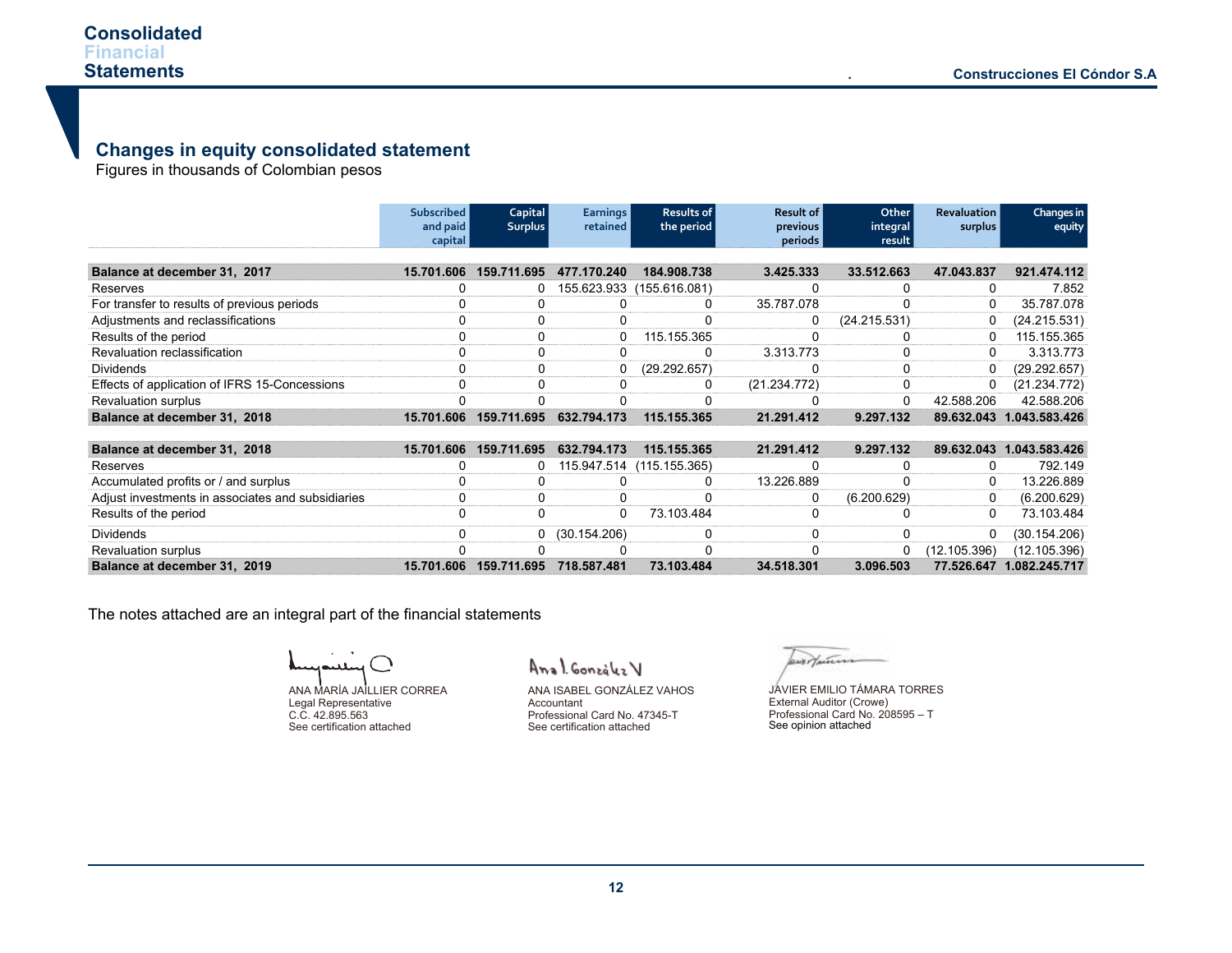# **Changes in equity consolidated statement**

Figures in thousands of Colombian pesos

|                                                   | Subscribed<br>and paid<br>capital | Capital<br><b>Surplus</b> | <b>Earnings</b><br>retained | Results of<br>the period | Result of<br>previous<br>periods | Other<br>integral<br>result | <b>Revaluation</b><br>surplus | Changes in<br>equity |
|---------------------------------------------------|-----------------------------------|---------------------------|-----------------------------|--------------------------|----------------------------------|-----------------------------|-------------------------------|----------------------|
| Balance at december 31, 2017                      | 15.701.606                        | 159.711.695               | 477.170.240                 | 184.908.738              | 3.425.333                        | 33.512.663                  | 47.043.837                    | 921.474.112          |
| Reserves                                          |                                   |                           | 155.623.933                 | (155.616.081)            |                                  |                             | 0                             | 7.852                |
| For transfer to results of previous periods       |                                   |                           |                             | 0                        | 35.787.078                       |                             | 0                             | 35.787.078           |
| Adjustments and reclassifications                 |                                   |                           |                             |                          | 0                                | (24.215.531)                | 0                             | (24.215.531)         |
| Results of the period                             |                                   |                           |                             | 115.155.365              |                                  |                             | 0                             | 115.155.365          |
| Revaluation reclassification                      |                                   |                           |                             | $\Omega$                 | 3.313.773                        |                             | 0                             | 3.313.773            |
| <b>Dividends</b>                                  |                                   |                           |                             | (29.292.657)             | O                                |                             | 0                             | (29.292.657)         |
| Effects of application of IFRS 15-Concessions     |                                   |                           |                             | 0                        | (21.234.772)                     |                             | 0                             | (21.234.772)         |
| <b>Revaluation surplus</b>                        |                                   |                           |                             |                          |                                  |                             | 42.588.206                    | 42.588.206           |
| Balance at december 31, 2018                      | 15.701.606                        | 159.711.695               | 632.794.173                 | 115.155.365              | 21.291.412                       | 9.297.132                   | 89.632.043                    | 1.043.583.426        |
|                                                   |                                   |                           |                             |                          |                                  |                             |                               |                      |
| Balance at december 31, 2018                      | 15.701.606                        | 159.711.695               | 632.794.173                 | 115.155.365              | 21.291.412                       | 9.297.132                   | 89.632.043                    | 1.043.583.426        |
| Reserves                                          |                                   |                           | 115.947.514                 | (115.155.365)            |                                  |                             | 0                             | 792.149              |
| Accumulated profits or / and surplus              |                                   |                           |                             | <sup>0</sup>             | 13.226.889                       |                             | 0                             | 13.226.889           |
| Adjust investments in associates and subsidiaries |                                   | 0                         |                             |                          | 0                                | (6.200.629)                 | 0                             | (6.200.629)          |
| Results of the period                             |                                   | 0                         |                             | 73.103.484               | 0                                |                             | $\Omega$                      | 73.103.484           |
| <b>Dividends</b>                                  |                                   | 0                         | (30.154.206)                | 0                        | 0                                |                             | 0                             | (30.154.206)         |
| <b>Revaluation surplus</b>                        |                                   |                           |                             |                          |                                  |                             | (12.105.396)                  | (12.105.396)         |

**Balance at december 31, 2019 15.701.606 159.711.695 718.587.481 73.103.484 34.518.301 3.096.503 77.526.647 1.082.245.717**

The notes attached are an integral part of the financial statements

ANA MARÍA JAILLIER CORREA Legal Representative C.C. 42.895.563

See certification attached

Anal González V

ANA ISABEL GONZÁLEZ VAHOS Accountant Professional Card No. 47345-T See certification attached

wertan

See opinion attached JAVIER EMILIO TÁMARA TORRES External Auditor (Crowe) Professional Card No. 208595 – T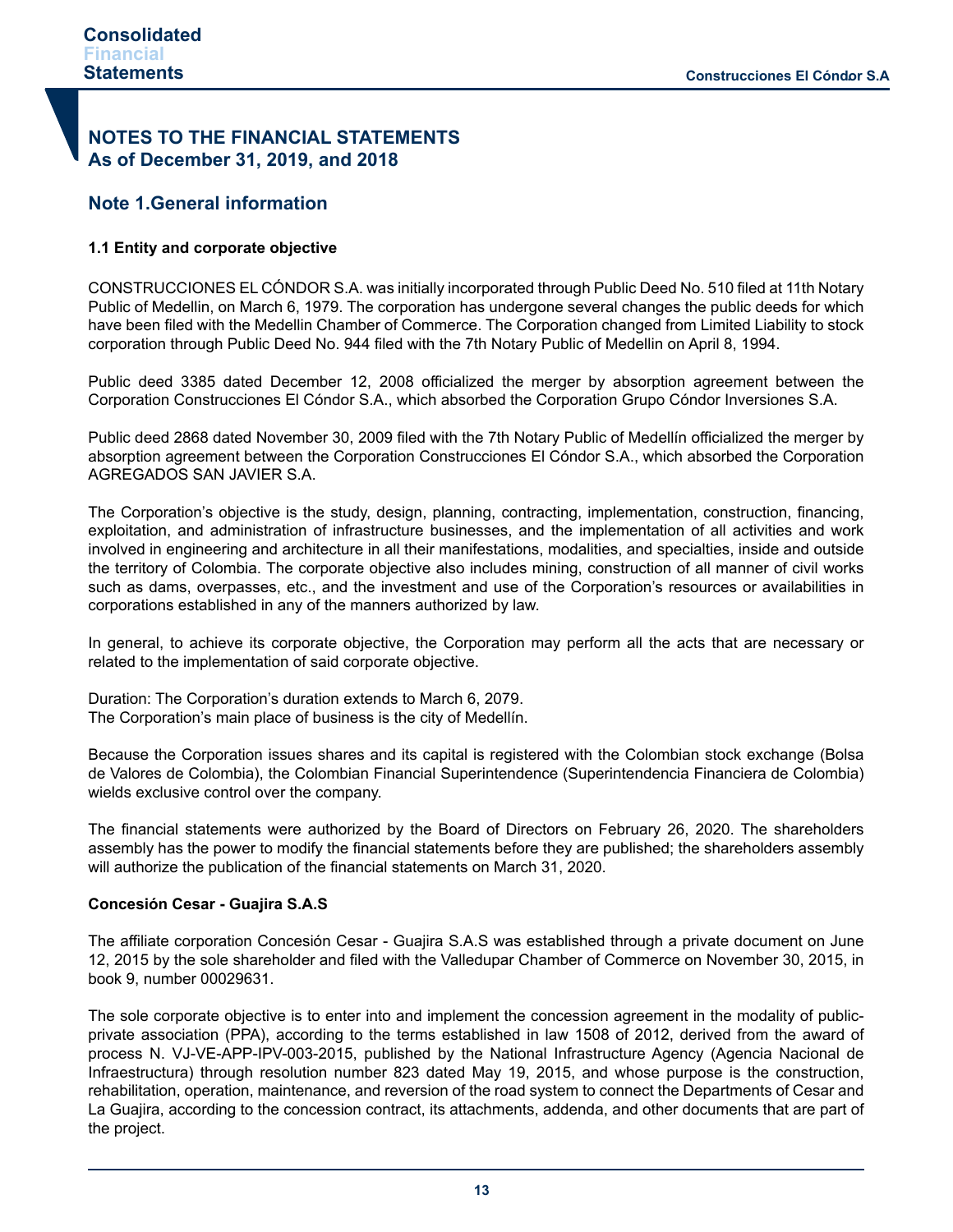# **NOTES TO THE FINANCIAL STATEMENTS As of December 31, 2019, and 2018**

# **Note 1.General information**

# **1.1 Entity and corporate objective**

CONSTRUCCIONES EL CÓNDOR S.A. was initially incorporated through Public Deed No. 510 filed at 11th Notary Public of Medellin, on March 6, 1979. The corporation has undergone several changes the public deeds for which have been filed with the Medellin Chamber of Commerce. The Corporation changed from Limited Liability to stock corporation through Public Deed No. 944 filed with the 7th Notary Public of Medellin on April 8, 1994.

Public deed 3385 dated December 12, 2008 officialized the merger by absorption agreement between the Corporation Construcciones El Cóndor S.A., which absorbed the Corporation Grupo Cóndor Inversiones S.A.

Public deed 2868 dated November 30, 2009 filed with the 7th Notary Public of Medellín officialized the merger by absorption agreement between the Corporation Construcciones El Cóndor S.A., which absorbed the Corporation AGREGADOS SAN JAVIER S.A.

The Corporation's objective is the study, design, planning, contracting, implementation, construction, financing, exploitation, and administration of infrastructure businesses, and the implementation of all activities and work involved in engineering and architecture in all their manifestations, modalities, and specialties, inside and outside the territory of Colombia. The corporate objective also includes mining, construction of all manner of civil works such as dams, overpasses, etc., and the investment and use of the Corporation's resources or availabilities in corporations established in any of the manners authorized by law.

In general, to achieve its corporate objective, the Corporation may perform all the acts that are necessary or related to the implementation of said corporate objective.

Duration: The Corporation's duration extends to March 6, 2079. The Corporation's main place of business is the city of Medellín.

Because the Corporation issues shares and its capital is registered with the Colombian stock exchange (Bolsa de Valores de Colombia), the Colombian Financial Superintendence (Superintendencia Financiera de Colombia) wields exclusive control over the company.

The financial statements were authorized by the Board of Directors on February 26, 2020. The shareholders assembly has the power to modify the financial statements before they are published; the shareholders assembly will authorize the publication of the financial statements on March 31, 2020.

#### **Concesión Cesar - Guajira S.A.S**

The affiliate corporation Concesión Cesar - Guajira S.A.S was established through a private document on June 12, 2015 by the sole shareholder and filed with the Valledupar Chamber of Commerce on November 30, 2015, in book 9, number 00029631.

The sole corporate objective is to enter into and implement the concession agreement in the modality of publicprivate association (PPA), according to the terms established in law 1508 of 2012, derived from the award of process N. VJ-VE-APP-IPV-003-2015, published by the National Infrastructure Agency (Agencia Nacional de Infraestructura) through resolution number 823 dated May 19, 2015, and whose purpose is the construction, rehabilitation, operation, maintenance, and reversion of the road system to connect the Departments of Cesar and La Guajira, according to the concession contract, its attachments, addenda, and other documents that are part of the project.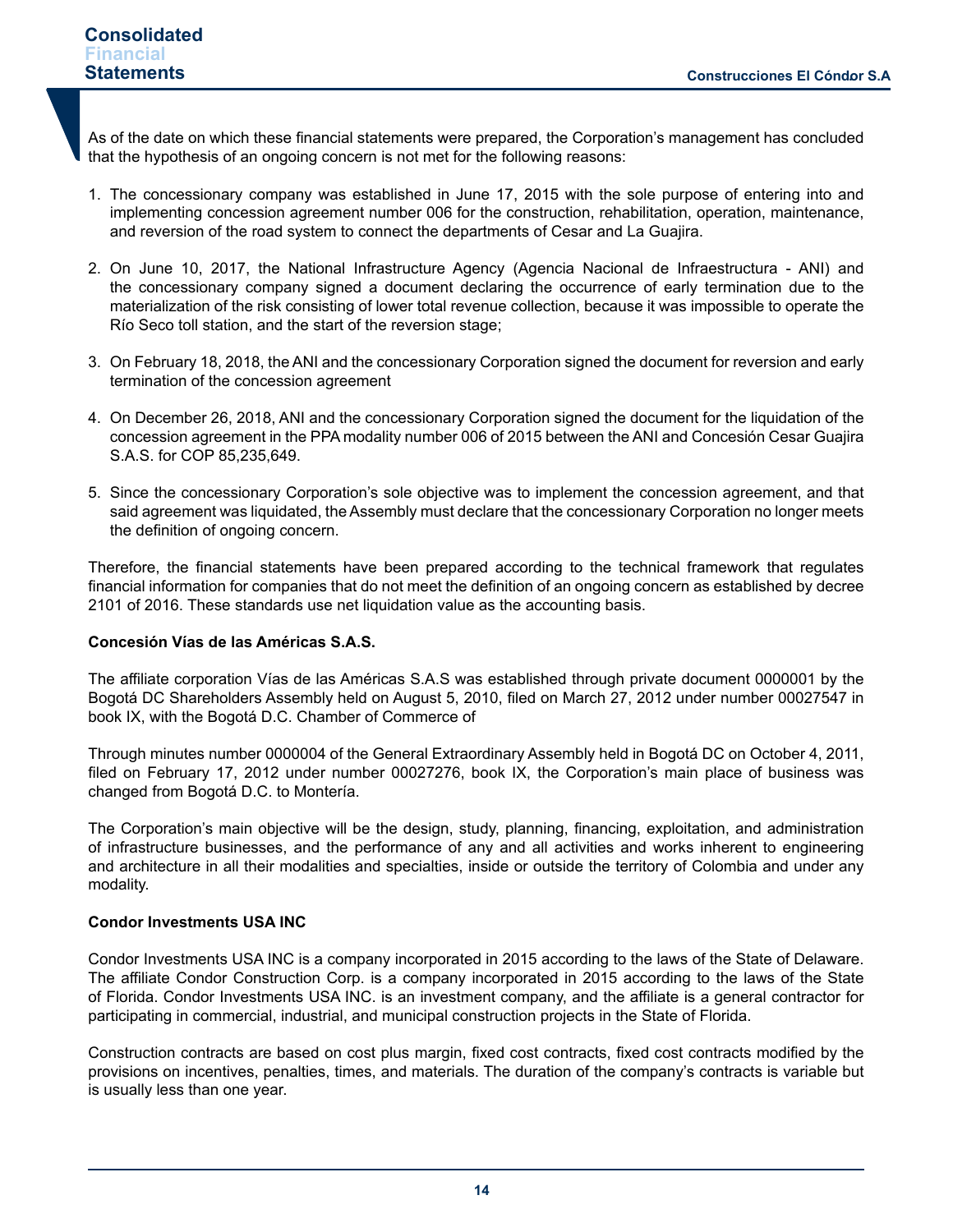As of the date on which these financial statements were prepared, the Corporation's management has concluded that the hypothesis of an ongoing concern is not met for the following reasons:

- 1. The concessionary company was established in June 17, 2015 with the sole purpose of entering into and implementing concession agreement number 006 for the construction, rehabilitation, operation, maintenance, and reversion of the road system to connect the departments of Cesar and La Guajira.
- 2. On June 10, 2017, the National Infrastructure Agency (Agencia Nacional de Infraestructura ANI) and the concessionary company signed a document declaring the occurrence of early termination due to the materialization of the risk consisting of lower total revenue collection, because it was impossible to operate the Río Seco toll station, and the start of the reversion stage;
- 3. On February 18, 2018, the ANI and the concessionary Corporation signed the document for reversion and early termination of the concession agreement
- 4. On December 26, 2018, ANI and the concessionary Corporation signed the document for the liquidation of the concession agreement in the PPA modality number 006 of 2015 between the ANI and Concesión Cesar Guajira S.A.S. for COP 85,235,649.
- 5. Since the concessionary Corporation's sole objective was to implement the concession agreement, and that said agreement was liquidated, the Assembly must declare that the concessionary Corporation no longer meets the definition of ongoing concern.

Therefore, the financial statements have been prepared according to the technical framework that regulates financial information for companies that do not meet the definition of an ongoing concern as established by decree 2101 of 2016. These standards use net liquidation value as the accounting basis.

## **Concesión Vías de las Américas S.A.S.**

The affiliate corporation Vías de las Américas S.A.S was established through private document 0000001 by the Bogotá DC Shareholders Assembly held on August 5, 2010, filed on March 27, 2012 under number 00027547 in book IX, with the Bogotá D.C. Chamber of Commerce of

Through minutes number 0000004 of the General Extraordinary Assembly held in Bogotá DC on October 4, 2011, filed on February 17, 2012 under number 00027276, book IX, the Corporation's main place of business was changed from Bogotá D.C. to Montería.

The Corporation's main objective will be the design, study, planning, financing, exploitation, and administration of infrastructure businesses, and the performance of any and all activities and works inherent to engineering and architecture in all their modalities and specialties, inside or outside the territory of Colombia and under any modality.

#### **Condor Investments USA INC**

Condor Investments USA INC is a company incorporated in 2015 according to the laws of the State of Delaware. The affiliate Condor Construction Corp. is a company incorporated in 2015 according to the laws of the State of Florida. Condor Investments USA INC. is an investment company, and the affiliate is a general contractor for participating in commercial, industrial, and municipal construction projects in the State of Florida.

Construction contracts are based on cost plus margin, fixed cost contracts, fixed cost contracts modified by the provisions on incentives, penalties, times, and materials. The duration of the company's contracts is variable but is usually less than one year.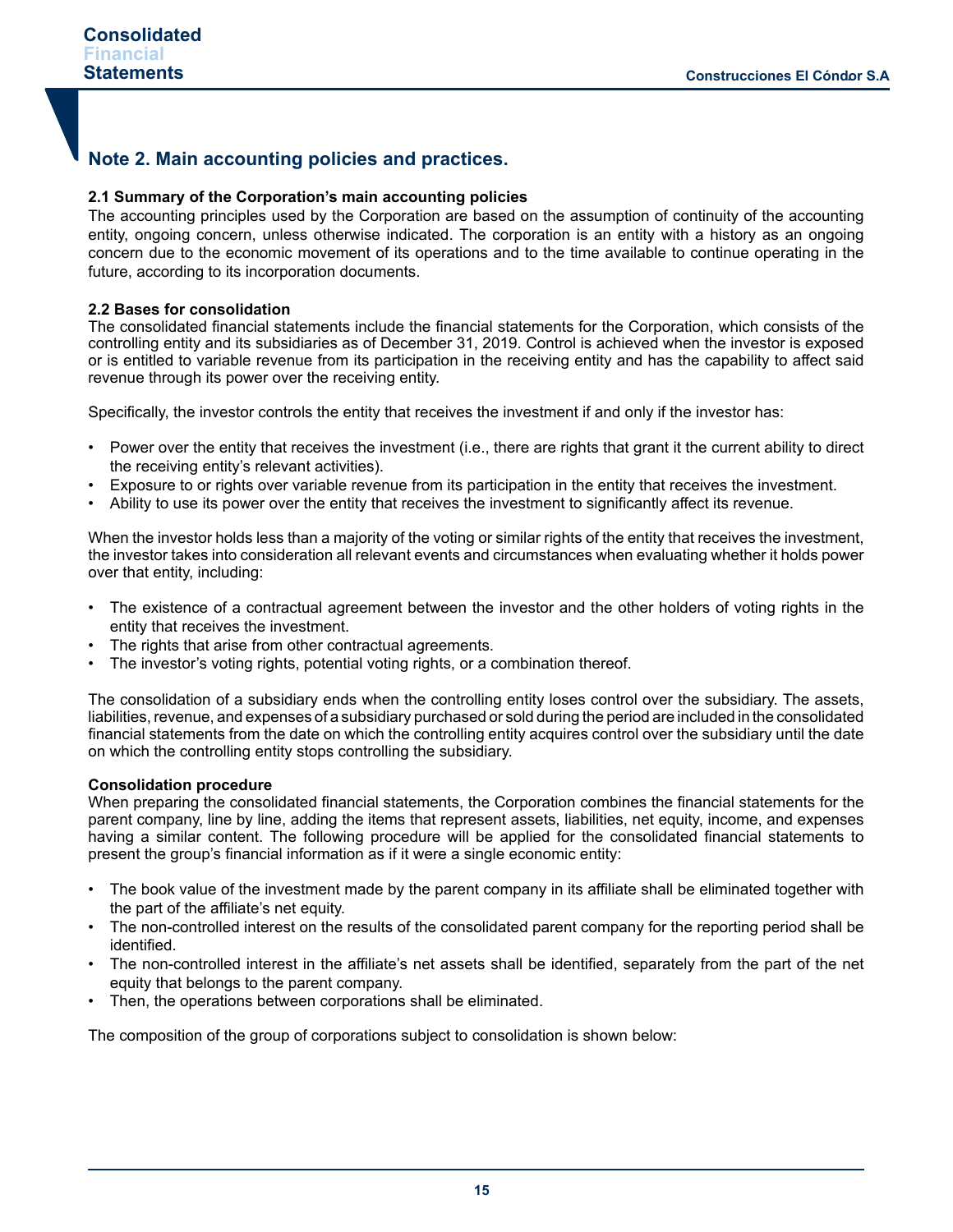# **Note 2. Main accounting policies and practices.**

## **2.1 Summary of the Corporation's main accounting policies**

The accounting principles used by the Corporation are based on the assumption of continuity of the accounting entity, ongoing concern, unless otherwise indicated. The corporation is an entity with a history as an ongoing concern due to the economic movement of its operations and to the time available to continue operating in the future, according to its incorporation documents.

#### **2.2 Bases for consolidation**

The consolidated financial statements include the financial statements for the Corporation, which consists of the controlling entity and its subsidiaries as of December 31, 2019. Control is achieved when the investor is exposed or is entitled to variable revenue from its participation in the receiving entity and has the capability to affect said revenue through its power over the receiving entity.

Specifically, the investor controls the entity that receives the investment if and only if the investor has:

- Power over the entity that receives the investment (i.e., there are rights that grant it the current ability to direct the receiving entity's relevant activities).
- Exposure to or rights over variable revenue from its participation in the entity that receives the investment.
- Ability to use its power over the entity that receives the investment to significantly affect its revenue.

When the investor holds less than a majority of the voting or similar rights of the entity that receives the investment, the investor takes into consideration all relevant events and circumstances when evaluating whether it holds power over that entity, including:

- The existence of a contractual agreement between the investor and the other holders of voting rights in the entity that receives the investment.
- The rights that arise from other contractual agreements.
- The investor's voting rights, potential voting rights, or a combination thereof.

The consolidation of a subsidiary ends when the controlling entity loses control over the subsidiary. The assets, liabilities, revenue, and expenses of a subsidiary purchased or sold during the period are included in the consolidated financial statements from the date on which the controlling entity acquires control over the subsidiary until the date on which the controlling entity stops controlling the subsidiary.

#### **Consolidation procedure**

When preparing the consolidated financial statements, the Corporation combines the financial statements for the parent company, line by line, adding the items that represent assets, liabilities, net equity, income, and expenses having a similar content. The following procedure will be applied for the consolidated financial statements to present the group's financial information as if it were a single economic entity:

- The book value of the investment made by the parent company in its affiliate shall be eliminated together with the part of the affiliate's net equity.
- The non-controlled interest on the results of the consolidated parent company for the reporting period shall be identified.
- The non-controlled interest in the affiliate's net assets shall be identified, separately from the part of the net equity that belongs to the parent company.
- Then, the operations between corporations shall be eliminated.

The composition of the group of corporations subject to consolidation is shown below: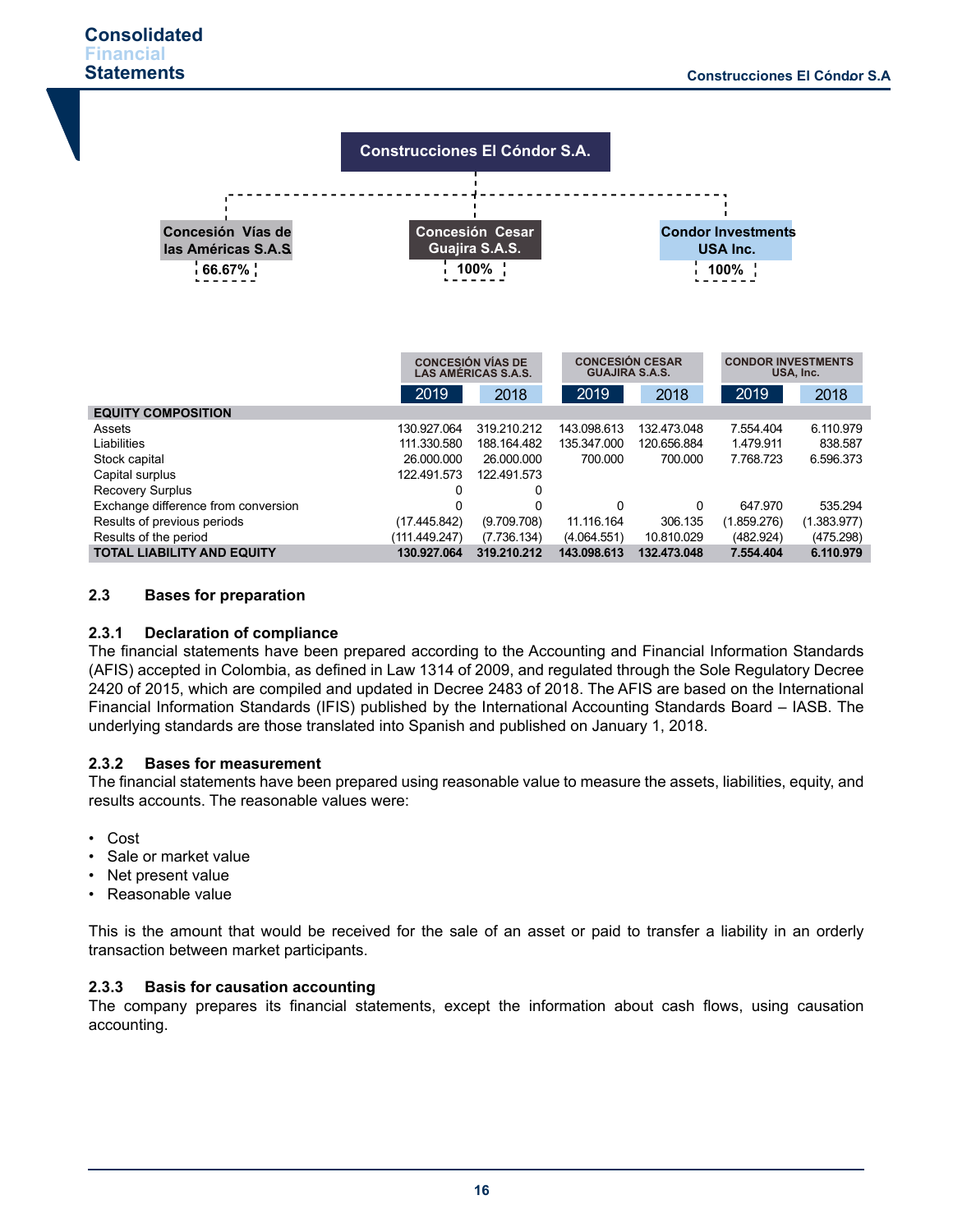

## **2.3 Bases for preparation**

# **2.3.1 Declaration of compliance**

The financial statements have been prepared according to the Accounting and Financial Information Standards (AFIS) accepted in Colombia, as defined in Law 1314 of 2009, and regulated through the Sole Regulatory Decree 2420 of 2015, which are compiled and updated in Decree 2483 of 2018. The AFIS are based on the International Financial Information Standards (IFIS) published by the International Accounting Standards Board – IASB. The underlying standards are those translated into Spanish and published on January 1, 2018.

# **2.3.2 Bases for measurement**

The financial statements have been prepared using reasonable value to measure the assets, liabilities, equity, and results accounts. The reasonable values were:

- Cost
- Sale or market value
- Net present value
- Reasonable value

This is the amount that would be received for the sale of an asset or paid to transfer a liability in an orderly transaction between market participants.

# **2.3.3 Basis for causation accounting**

The company prepares its financial statements, except the information about cash flows, using causation accounting.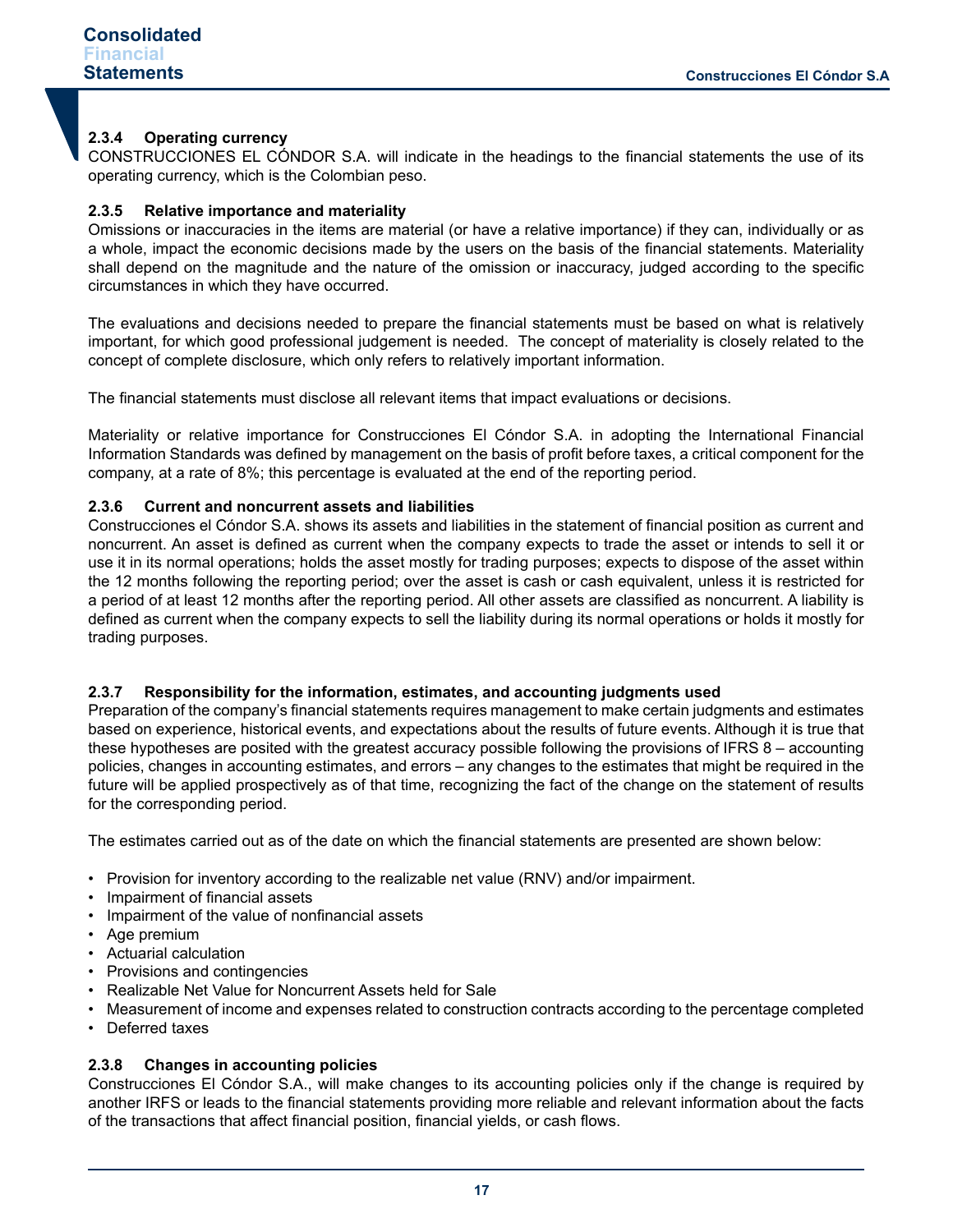## **2.3.4 Operating currency**

CONSTRUCCIONES EL CÓNDOR S.A. will indicate in the headings to the financial statements the use of its operating currency, which is the Colombian peso.

#### **2.3.5 Relative importance and materiality**

Omissions or inaccuracies in the items are material (or have a relative importance) if they can, individually or as a whole, impact the economic decisions made by the users on the basis of the financial statements. Materiality shall depend on the magnitude and the nature of the omission or inaccuracy, judged according to the specific circumstances in which they have occurred.

The evaluations and decisions needed to prepare the financial statements must be based on what is relatively important, for which good professional judgement is needed. The concept of materiality is closely related to the concept of complete disclosure, which only refers to relatively important information.

The financial statements must disclose all relevant items that impact evaluations or decisions.

Materiality or relative importance for Construcciones El Cóndor S.A. in adopting the International Financial Information Standards was defined by management on the basis of profit before taxes, a critical component for the company, at a rate of 8%; this percentage is evaluated at the end of the reporting period.

#### **2.3.6 Current and noncurrent assets and liabilities**

Construcciones el Cóndor S.A. shows its assets and liabilities in the statement of financial position as current and noncurrent. An asset is defined as current when the company expects to trade the asset or intends to sell it or use it in its normal operations; holds the asset mostly for trading purposes; expects to dispose of the asset within the 12 months following the reporting period; over the asset is cash or cash equivalent, unless it is restricted for a period of at least 12 months after the reporting period. All other assets are classified as noncurrent. A liability is defined as current when the company expects to sell the liability during its normal operations or holds it mostly for trading purposes.

#### **2.3.7 Responsibility for the information, estimates, and accounting judgments used**

Preparation of the company's financial statements requires management to make certain judgments and estimates based on experience, historical events, and expectations about the results of future events. Although it is true that these hypotheses are posited with the greatest accuracy possible following the provisions of IFRS 8 – accounting policies, changes in accounting estimates, and errors – any changes to the estimates that might be required in the future will be applied prospectively as of that time, recognizing the fact of the change on the statement of results for the corresponding period.

The estimates carried out as of the date on which the financial statements are presented are shown below:

- Provision for inventory according to the realizable net value (RNV) and/or impairment.
- Impairment of financial assets
- Impairment of the value of nonfinancial assets
- Age premium
- Actuarial calculation
- Provisions and contingencies
- Realizable Net Value for Noncurrent Assets held for Sale
- Measurement of income and expenses related to construction contracts according to the percentage completed
- Deferred taxes

#### **2.3.8 Changes in accounting policies**

Construcciones El Cóndor S.A., will make changes to its accounting policies only if the change is required by another IRFS or leads to the financial statements providing more reliable and relevant information about the facts of the transactions that affect financial position, financial yields, or cash flows.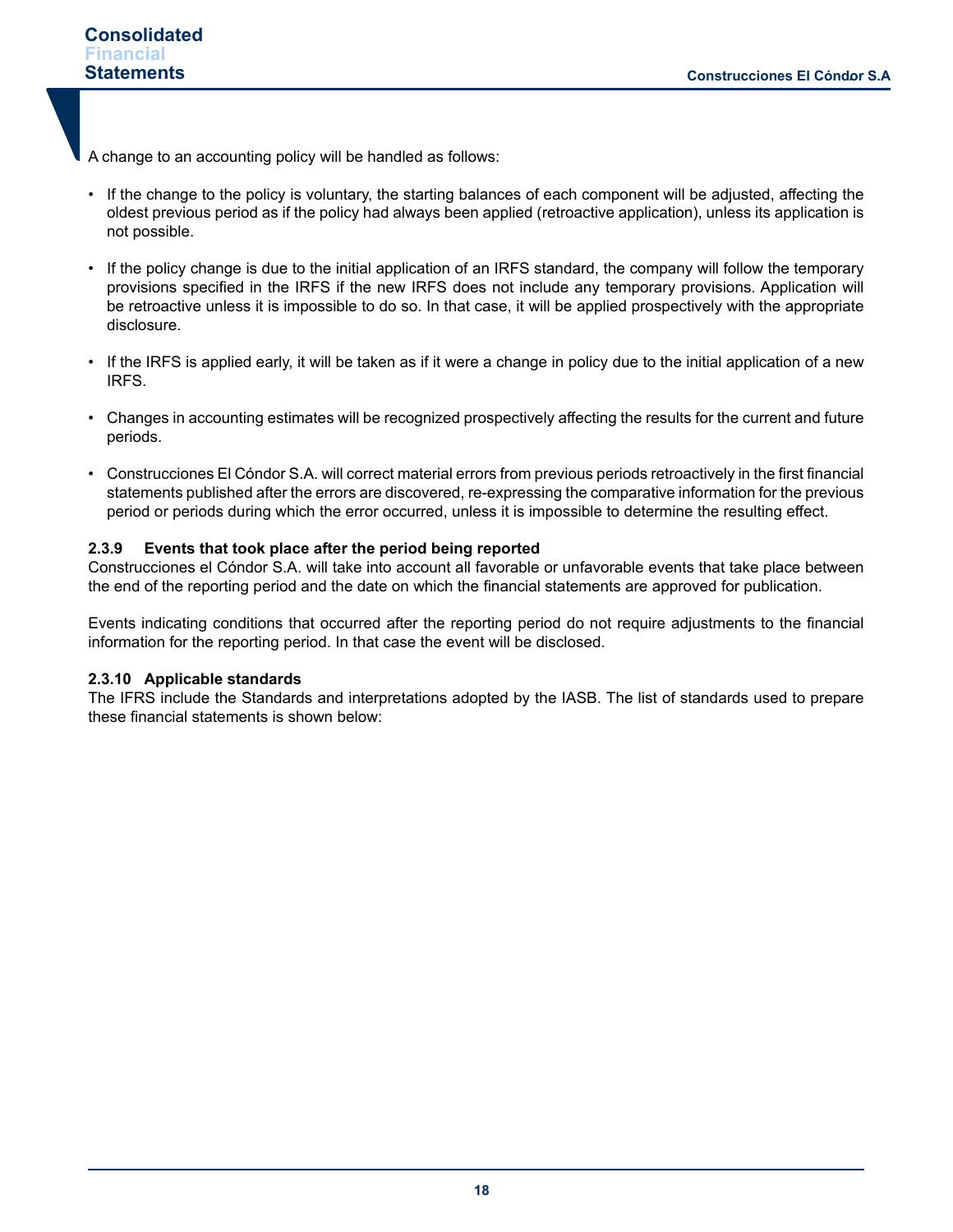A change to an accounting policy will be handled as follows:

- If the change to the policy is voluntary, the starting balances of each component will be adjusted, affecting the oldest previous period as if the policy had always been applied (retroactive application), unless its application is not possible.
- If the policy change is due to the initial application of an IRFS standard, the company will follow the temporary provisions specified in the IRFS if the new IRFS does not include any temporary provisions. Application will be retroactive unless it is impossible to do so. In that case, it will be applied prospectively with the appropriate disclosure.
- If the IRFS is applied early, it will be taken as if it were a change in policy due to the initial application of a new IRFS.
- Changes in accounting estimates will be recognized prospectively affecting the results for the current and future periods.
- Construcciones El Cóndor S.A. will correct material errors from previous periods retroactively in the first financial statements published after the errors are discovered, re-expressing the comparative information for the previous period or periods during which the error occurred, unless it is impossible to determine the resulting effect.

# **2.3.9 Events that took place after the period being reported**

Construcciones el Cóndor S.A. will take into account all favorable or unfavorable events that take place between the end of the reporting period and the date on which the financial statements are approved for publication.

Events indicating conditions that occurred after the reporting period do not require adjustments to the financial information for the reporting period. In that case the event will be disclosed.

#### **2.3.10 Applicable standards**

The IFRS include the Standards and interpretations adopted by the IASB. The list of standards used to prepare these financial statements is shown below: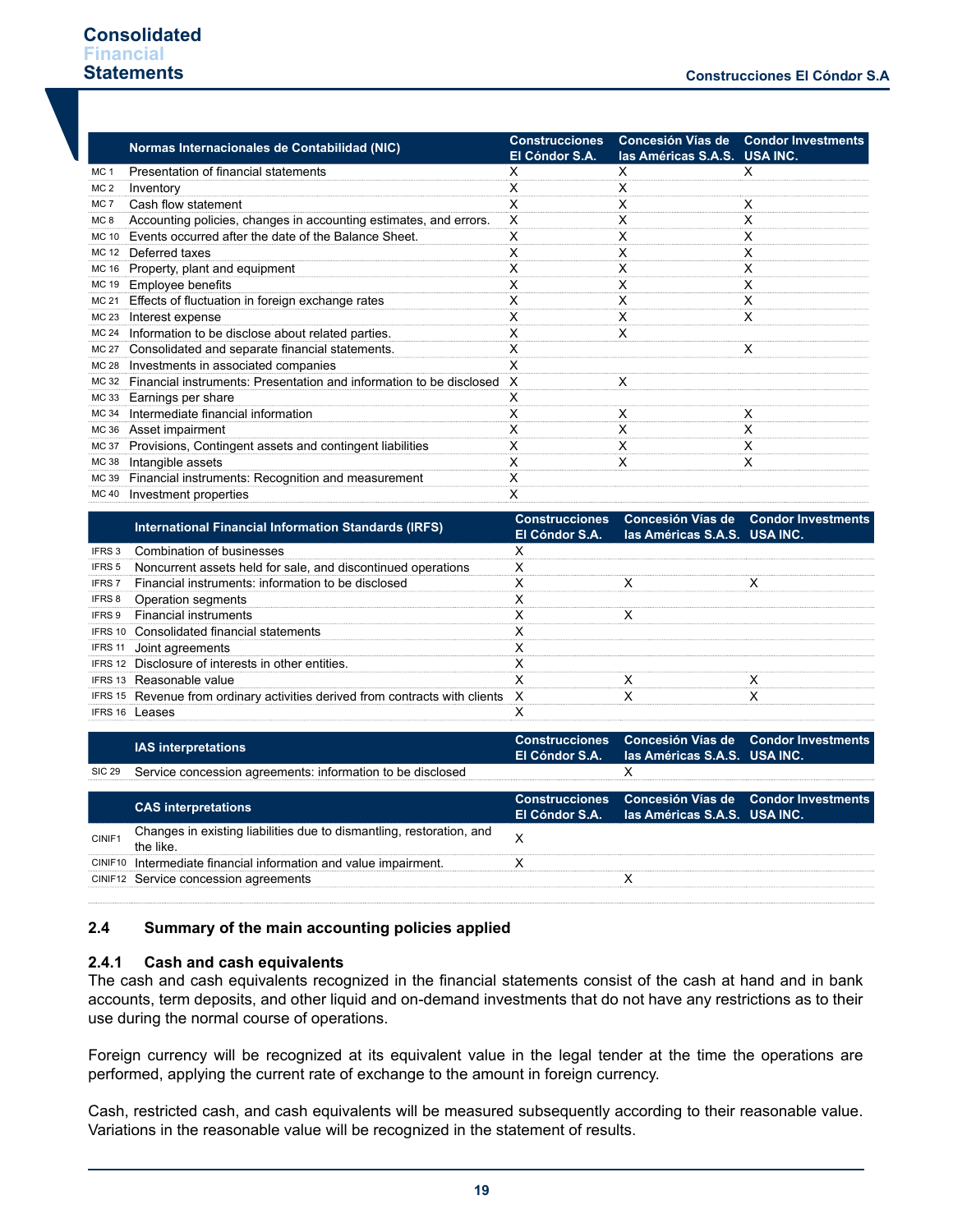|                 | Normas Internacionales de Contabilidad (NIC)                        | <b>Construcciones</b><br>El Cóndor S.A. | las Américas S.A.S. USA INC. | Concesión Vías de Condor Investments |
|-----------------|---------------------------------------------------------------------|-----------------------------------------|------------------------------|--------------------------------------|
| MC 1            | Presentation of financial statements                                | x                                       | x                            | x                                    |
| MC <sub>2</sub> | Inventory                                                           |                                         |                              |                                      |
| MC <sub>7</sub> | Cash flow statement                                                 |                                         | х                            | х                                    |
| MC <sub>8</sub> | Accounting policies, changes in accounting estimates, and errors.   | X                                       | x                            | х                                    |
| MC 10           | Events occurred after the date of the Balance Sheet.                | х                                       | х                            | х                                    |
| <b>MC 12</b>    | Deferred taxes                                                      | x                                       | х                            | х                                    |
| <b>MC 16</b>    | Property, plant and equipment                                       | х                                       | х                            | х                                    |
| MC 19           | Employee benefits                                                   | x                                       | x                            | x                                    |
| MC 21           | Effects of fluctuation in foreign exchange rates                    | x                                       | х                            | х                                    |
| MC 23           | Interest expense                                                    |                                         | х                            | х                                    |
|                 | MC 24 Information to be disclose about related parties.             |                                         | х                            |                                      |
| MC 27           | Consolidated and separate financial statements.                     | x                                       |                              | x                                    |
|                 | MC 28 Investments in associated companies                           |                                         |                              |                                      |
| MC 32           | Financial instruments: Presentation and information to be disclosed | X                                       | x                            |                                      |
| MC 33           | Earnings per share                                                  |                                         |                              |                                      |
| MC 34           | Intermediate financial information                                  | х                                       | х                            | х                                    |
|                 | MC 36 Asset impairment                                              | X                                       | x                            | х                                    |
| <b>MC 37</b>    | Provisions, Contingent assets and contingent liabilities            | х                                       | х                            | х                                    |
| MC 38           | Intangible assets                                                   |                                         | x                            | x                                    |
|                 | MC 39 Financial instruments: Recognition and measurement            | X                                       |                              |                                      |
|                 | MC 40 Investment properties                                         | х                                       |                              |                                      |

|        | <b>International Financial Information Standards (IRFS)</b>                    | El Cóndor S.A. las Américas S.A.S. USA INC. | Construcciones Concesión Vías de Condor Investments |
|--------|--------------------------------------------------------------------------------|---------------------------------------------|-----------------------------------------------------|
|        | <b>IFRS 3</b> Combination of businesses                                        |                                             |                                                     |
|        | <b>IFRS 5</b> Noncurrent assets held for sale, and discontinued operations     |                                             |                                                     |
| IFRS 7 | Financial instruments: information to be disclosed                             |                                             |                                                     |
|        | <b>IFRS 8</b> Operation segments                                               |                                             |                                                     |
|        | <b>IFRS 9</b> Financial instruments                                            |                                             |                                                     |
|        | <b>IFRS 10 Consolidated financial statements</b>                               |                                             |                                                     |
|        | <b>IFRS 11</b> Joint agreements                                                |                                             |                                                     |
|        | IFRS 12 Disclosure of interests in other entities.                             |                                             |                                                     |
|        | <b>IFRS 13 Reasonable value</b>                                                |                                             |                                                     |
|        | IFRS 15 Revenue from ordinary activities derived from contracts with clients X |                                             |                                                     |
|        | IFRS 16 Leases                                                                 |                                             |                                                     |

|        | <b>IAS interpretations</b>                                                       | El Cóndor S.A. las Américas S.A.S. USA INC. | Construcciones Concesión Vías de Condor Investments |
|--------|----------------------------------------------------------------------------------|---------------------------------------------|-----------------------------------------------------|
|        | SIC 29 Service concession agreements: information to be disclosed                |                                             |                                                     |
|        | <b>CAS interpretations</b>                                                       | El Cóndor S.A. las Américas S.A.S. USA INC. | Construcciones Concesión Vías de Condor Investments |
| CINIF1 | Changes in existing liabilities due to dismantling, restoration, and<br>the like |                                             |                                                     |
|        | CINIF10 Intermediate financial information and value impairment.                 |                                             |                                                     |
|        | CINIF12 Service concession agreements                                            |                                             |                                                     |

#### **2.4 Summary of the main accounting policies applied**

#### **2.4.1 Cash and cash equivalents**

The cash and cash equivalents recognized in the financial statements consist of the cash at hand and in bank accounts, term deposits, and other liquid and on-demand investments that do not have any restrictions as to their use during the normal course of operations.

Foreign currency will be recognized at its equivalent value in the legal tender at the time the operations are performed, applying the current rate of exchange to the amount in foreign currency.

Cash, restricted cash, and cash equivalents will be measured subsequently according to their reasonable value. Variations in the reasonable value will be recognized in the statement of results.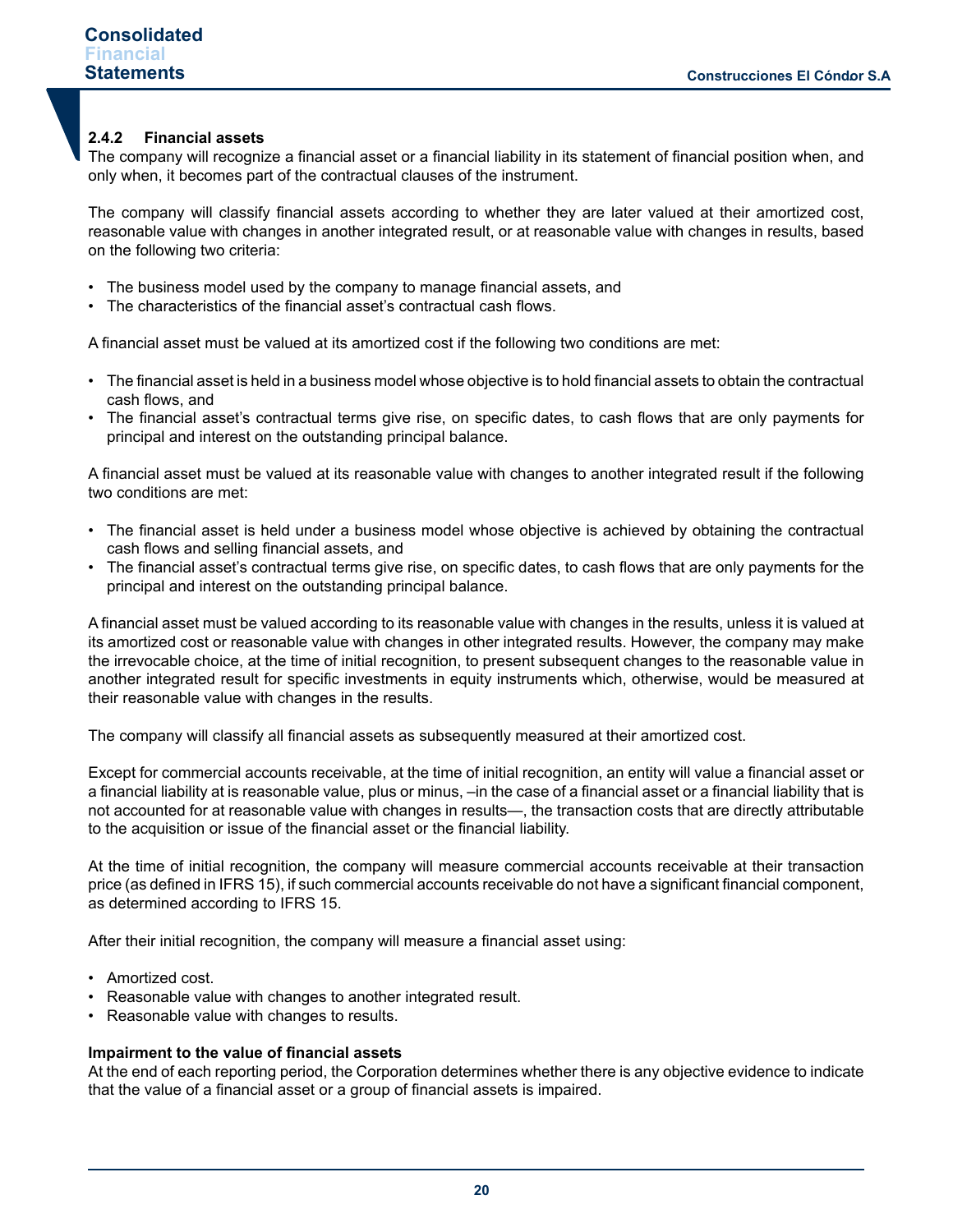## **2.4.2 Financial assets**

The company will recognize a financial asset or a financial liability in its statement of financial position when, and only when, it becomes part of the contractual clauses of the instrument.

The company will classify financial assets according to whether they are later valued at their amortized cost, reasonable value with changes in another integrated result, or at reasonable value with changes in results, based on the following two criteria:

- The business model used by the company to manage financial assets, and
- The characteristics of the financial asset's contractual cash flows.

A financial asset must be valued at its amortized cost if the following two conditions are met:

- The financial asset is held in a business model whose objective is to hold financial assets to obtain the contractual cash flows, and
- The financial asset's contractual terms give rise, on specific dates, to cash flows that are only payments for principal and interest on the outstanding principal balance.

A financial asset must be valued at its reasonable value with changes to another integrated result if the following two conditions are met:

- The financial asset is held under a business model whose objective is achieved by obtaining the contractual cash flows and selling financial assets, and
- The financial asset's contractual terms give rise, on specific dates, to cash flows that are only payments for the principal and interest on the outstanding principal balance.

A financial asset must be valued according to its reasonable value with changes in the results, unless it is valued at its amortized cost or reasonable value with changes in other integrated results. However, the company may make the irrevocable choice, at the time of initial recognition, to present subsequent changes to the reasonable value in another integrated result for specific investments in equity instruments which, otherwise, would be measured at their reasonable value with changes in the results.

The company will classify all financial assets as subsequently measured at their amortized cost.

Except for commercial accounts receivable, at the time of initial recognition, an entity will value a financial asset or a financial liability at is reasonable value, plus or minus, –in the case of a financial asset or a financial liability that is not accounted for at reasonable value with changes in results—, the transaction costs that are directly attributable to the acquisition or issue of the financial asset or the financial liability.

At the time of initial recognition, the company will measure commercial accounts receivable at their transaction price (as defined in IFRS 15), if such commercial accounts receivable do not have a significant financial component, as determined according to IFRS 15.

After their initial recognition, the company will measure a financial asset using:

- Amortized cost.
- Reasonable value with changes to another integrated result.
- Reasonable value with changes to results.

#### **Impairment to the value of financial assets**

At the end of each reporting period, the Corporation determines whether there is any objective evidence to indicate that the value of a financial asset or a group of financial assets is impaired.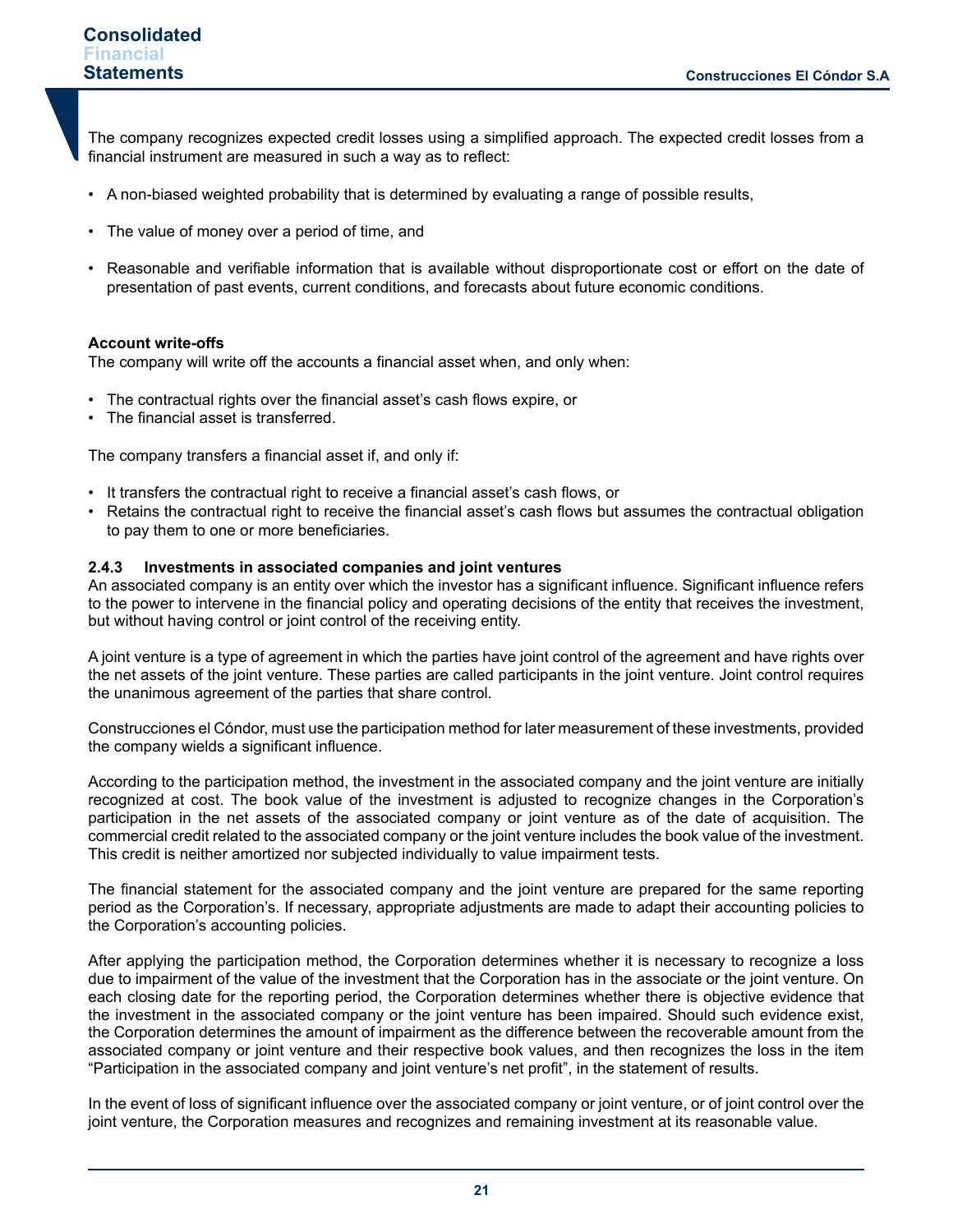The company recognizes expected credit losses using a simplified approach. The expected credit losses from a financial instrument are measured in such a way as to reflect:

- A non-biased weighted probability that is determined by evaluating a range of possible results,
- The value of money over a period of time, and
- Reasonable and verifiable information that is available without disproportionate cost or effort on the date of presentation of past events, current conditions, and forecasts about future economic conditions.

#### **Account write-offs**

The company will write off the accounts a financial asset when, and only when:

- The contractual rights over the financial asset's cash flows expire, or
- The financial asset is transferred.

The company transfers a financial asset if, and only if:

- It transfers the contractual right to receive a financial asset's cash flows, or
- Retains the contractual right to receive the financial asset's cash flows but assumes the contractual obligation to pay them to one or more beneficiaries.

#### **2.4.3 Investments in associated companies and joint ventures**

An associated company is an entity over which the investor has a significant influence. Significant influence refers to the power to intervene in the financial policy and operating decisions of the entity that receives the investment, but without having control or joint control of the receiving entity.

A joint venture is a type of agreement in which the parties have joint control of the agreement and have rights over the net assets of the joint venture. These parties are called participants in the joint venture. Joint control requires the unanimous agreement of the parties that share control.

Construcciones el Cóndor, must use the participation method for later measurement of these investments, provided the company wields a significant influence.

According to the participation method, the investment in the associated company and the joint venture are initially recognized at cost. The book value of the investment is adjusted to recognize changes in the Corporation's participation in the net assets of the associated company or joint venture as of the date of acquisition. The commercial credit related to the associated company or the joint venture includes the book value of the investment. This credit is neither amortized nor subjected individually to value impairment tests.

The financial statement for the associated company and the joint venture are prepared for the same reporting period as the Corporation's. If necessary, appropriate adjustments are made to adapt their accounting policies to the Corporation's accounting policies.

After applying the participation method, the Corporation determines whether it is necessary to recognize a loss due to impairment of the value of the investment that the Corporation has in the associate or the joint venture. On each closing date for the reporting period, the Corporation determines whether there is objective evidence that the investment in the associated company or the joint venture has been impaired. Should such evidence exist, the Corporation determines the amount of impairment as the difference between the recoverable amount from the associated company or joint venture and their respective book values, and then recognizes the loss in the item "Participation in the associated company and joint venture's net profit", in the statement of results.

In the event of loss of significant influence over the associated company or joint venture, or of joint control over the joint venture, the Corporation measures and recognizes and remaining investment at its reasonable value.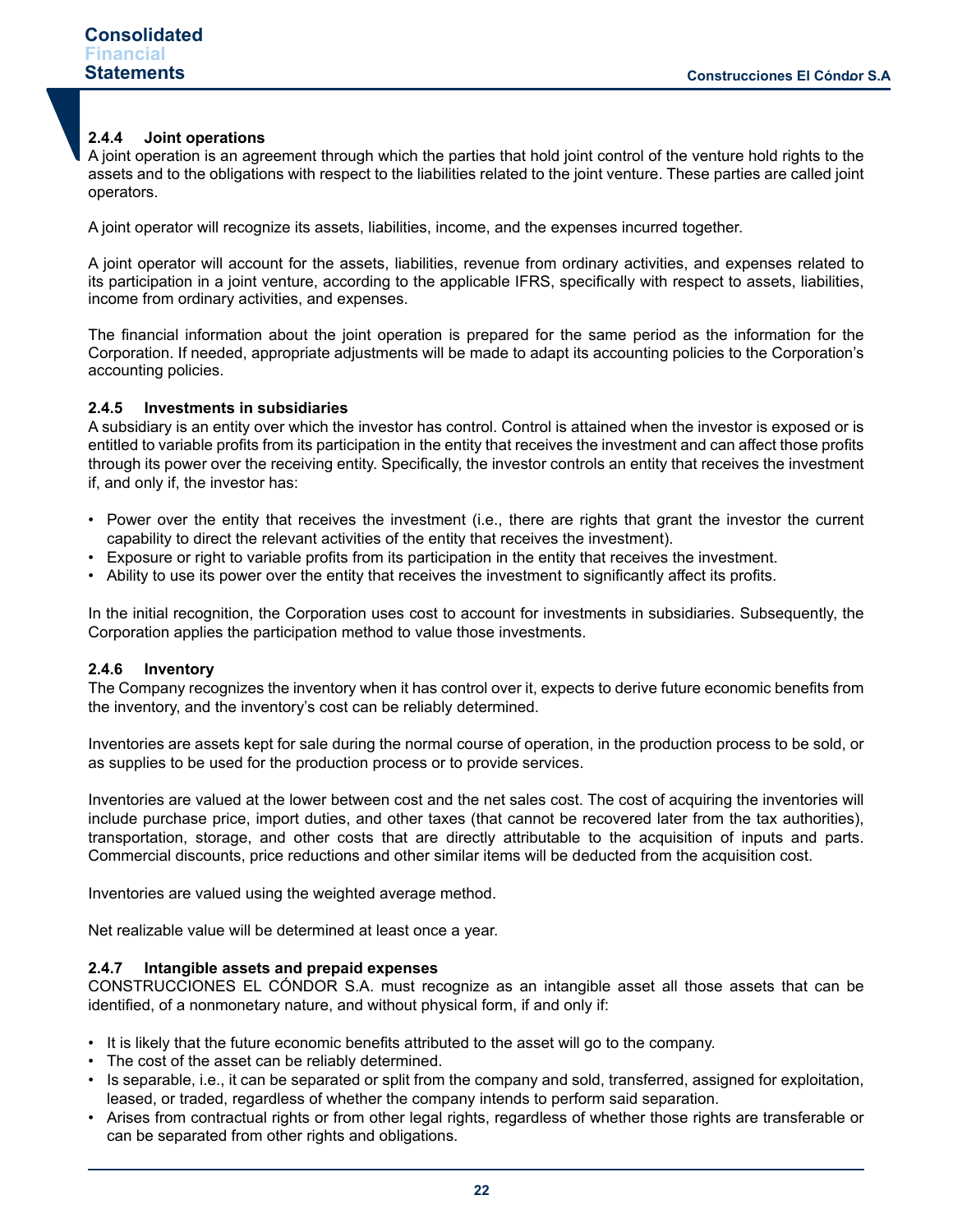# **2.4.4 Joint operations**

A joint operation is an agreement through which the parties that hold joint control of the venture hold rights to the assets and to the obligations with respect to the liabilities related to the joint venture. These parties are called joint operators.

A joint operator will recognize its assets, liabilities, income, and the expenses incurred together.

A joint operator will account for the assets, liabilities, revenue from ordinary activities, and expenses related to its participation in a joint venture, according to the applicable IFRS, specifically with respect to assets, liabilities, income from ordinary activities, and expenses.

The financial information about the joint operation is prepared for the same period as the information for the Corporation. If needed, appropriate adjustments will be made to adapt its accounting policies to the Corporation's accounting policies.

## **2.4.5 Investments in subsidiaries**

A subsidiary is an entity over which the investor has control. Control is attained when the investor is exposed or is entitled to variable profits from its participation in the entity that receives the investment and can affect those profits through its power over the receiving entity. Specifically, the investor controls an entity that receives the investment if, and only if, the investor has:

- Power over the entity that receives the investment (i.e., there are rights that grant the investor the current capability to direct the relevant activities of the entity that receives the investment).
- Exposure or right to variable profits from its participation in the entity that receives the investment.
- Ability to use its power over the entity that receives the investment to significantly affect its profits.

In the initial recognition, the Corporation uses cost to account for investments in subsidiaries. Subsequently, the Corporation applies the participation method to value those investments.

#### **2.4.6 Inventory**

The Company recognizes the inventory when it has control over it, expects to derive future economic benefits from the inventory, and the inventory's cost can be reliably determined.

Inventories are assets kept for sale during the normal course of operation, in the production process to be sold, or as supplies to be used for the production process or to provide services.

Inventories are valued at the lower between cost and the net sales cost. The cost of acquiring the inventories will include purchase price, import duties, and other taxes (that cannot be recovered later from the tax authorities), transportation, storage, and other costs that are directly attributable to the acquisition of inputs and parts. Commercial discounts, price reductions and other similar items will be deducted from the acquisition cost.

Inventories are valued using the weighted average method.

Net realizable value will be determined at least once a year.

#### **2.4.7 Intangible assets and prepaid expenses**

CONSTRUCCIONES EL CÓNDOR S.A. must recognize as an intangible asset all those assets that can be identified, of a nonmonetary nature, and without physical form, if and only if:

- It is likely that the future economic benefits attributed to the asset will go to the company.
- The cost of the asset can be reliably determined.
- Is separable, i.e., it can be separated or split from the company and sold, transferred, assigned for exploitation, leased, or traded, regardless of whether the company intends to perform said separation.
- Arises from contractual rights or from other legal rights, regardless of whether those rights are transferable or can be separated from other rights and obligations.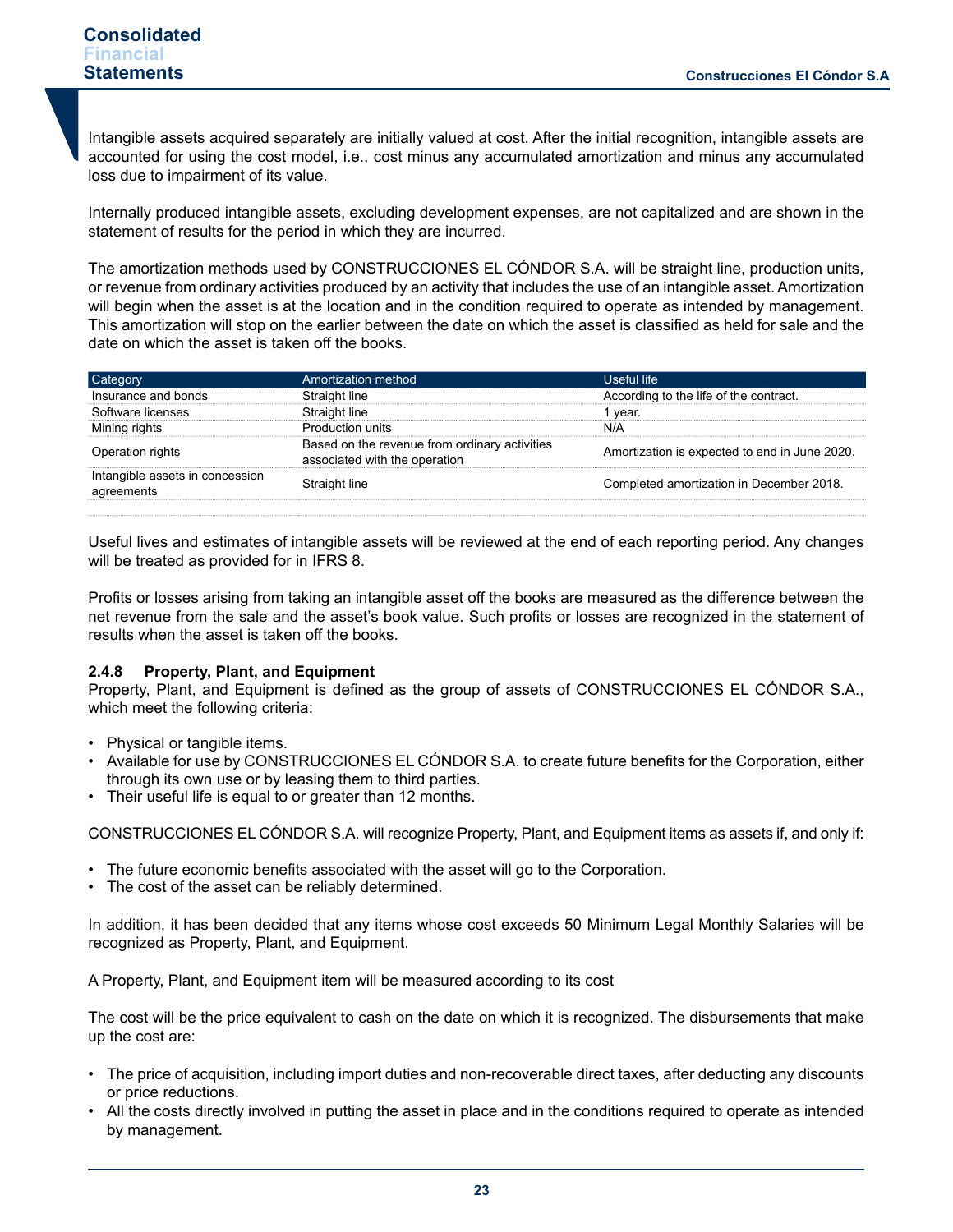Intangible assets acquired separately are initially valued at cost. After the initial recognition, intangible assets are accounted for using the cost model, i.e., cost minus any accumulated amortization and minus any accumulated loss due to impairment of its value.

Internally produced intangible assets, excluding development expenses, are not capitalized and are shown in the statement of results for the period in which they are incurred.

The amortization methods used by CONSTRUCCIONES EL CÓNDOR S.A. will be straight line, production units, or revenue from ordinary activities produced by an activity that includes the use of an intangible asset. Amortization will begin when the asset is at the location and in the condition required to operate as intended by management. This amortization will stop on the earlier between the date on which the asset is classified as held for sale and the date on which the asset is taken off the books.

| شategory                                      | Amortization method                                                            | Useful life.                                  |
|-----------------------------------------------|--------------------------------------------------------------------------------|-----------------------------------------------|
| Insurance and bonds                           | Straight line                                                                  | According to the life of the contract.        |
| Software licenses                             | Straight line                                                                  | vear.                                         |
| Mining rights                                 | Production units                                                               | N/A                                           |
| Operation rights                              | Based on the revenue from ordinary activities<br>associated with the operation | Amortization is expected to end in June 2020. |
| Intangible assets in concession<br>agreements | Straight line                                                                  | Completed amortization in December 2018.      |
|                                               |                                                                                |                                               |

Useful lives and estimates of intangible assets will be reviewed at the end of each reporting period. Any changes will be treated as provided for in IFRS 8.

Profits or losses arising from taking an intangible asset off the books are measured as the difference between the net revenue from the sale and the asset's book value. Such profits or losses are recognized in the statement of results when the asset is taken off the books.

#### **2.4.8 Property, Plant, and Equipment**

Property, Plant, and Equipment is defined as the group of assets of CONSTRUCCIONES EL CÓNDOR S.A., which meet the following criteria:

- Physical or tangible items.
- Available for use by CONSTRUCCIONES EL CÓNDOR S.A. to create future benefits for the Corporation, either through its own use or by leasing them to third parties.
- Their useful life is equal to or greater than 12 months.

CONSTRUCCIONES EL CÓNDOR S.A. will recognize Property, Plant, and Equipment items as assets if, and only if:

- The future economic benefits associated with the asset will go to the Corporation.
- The cost of the asset can be reliably determined.

In addition, it has been decided that any items whose cost exceeds 50 Minimum Legal Monthly Salaries will be recognized as Property, Plant, and Equipment.

A Property, Plant, and Equipment item will be measured according to its cost

The cost will be the price equivalent to cash on the date on which it is recognized. The disbursements that make up the cost are:

- The price of acquisition, including import duties and non-recoverable direct taxes, after deducting any discounts or price reductions.
- All the costs directly involved in putting the asset in place and in the conditions required to operate as intended by management.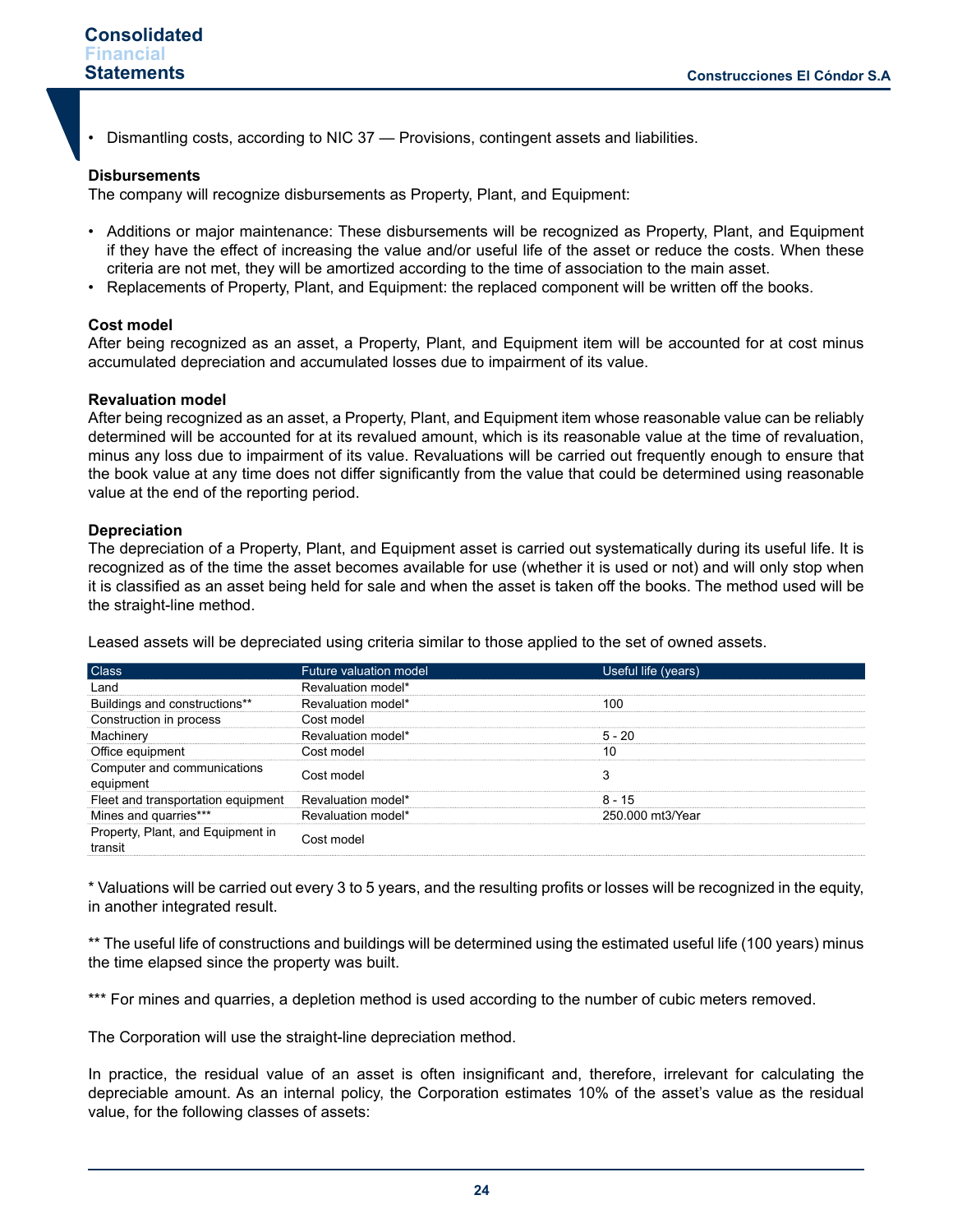• Dismantling costs, according to NIC 37 — Provisions, contingent assets and liabilities.

#### **Disbursements**

The company will recognize disbursements as Property, Plant, and Equipment:

- Additions or major maintenance: These disbursements will be recognized as Property, Plant, and Equipment if they have the effect of increasing the value and/or useful life of the asset or reduce the costs. When these criteria are not met, they will be amortized according to the time of association to the main asset.
- Replacements of Property, Plant, and Equipment: the replaced component will be written off the books.

## **Cost model**

After being recognized as an asset, a Property, Plant, and Equipment item will be accounted for at cost minus accumulated depreciation and accumulated losses due to impairment of its value.

#### **Revaluation model**

After being recognized as an asset, a Property, Plant, and Equipment item whose reasonable value can be reliably determined will be accounted for at its revalued amount, which is its reasonable value at the time of revaluation, minus any loss due to impairment of its value. Revaluations will be carried out frequently enough to ensure that the book value at any time does not differ significantly from the value that could be determined using reasonable value at the end of the reporting period.

#### **Depreciation**

The depreciation of a Property, Plant, and Equipment asset is carried out systematically during its useful life. It is recognized as of the time the asset becomes available for use (whether it is used or not) and will only stop when it is classified as an asset being held for sale and when the asset is taken off the books. The method used will be the straight-line method.

Leased assets will be depreciated using criteria similar to those applied to the set of owned assets.

| <b>Class</b>                                 | Future valuation model | Useful life (years) |  |
|----------------------------------------------|------------------------|---------------------|--|
| Land                                         | Revaluation model*     |                     |  |
| Buildings and constructions**                | Revaluation model*     | 100                 |  |
| Construction in process                      | Cost model             |                     |  |
| Machinery                                    | Revaluation model*     | $5 - 20$            |  |
| Office equipment                             | Cost model             | 10                  |  |
| Computer and communications<br>equipment     | Cost model             |                     |  |
| Fleet and transportation equipment           | Revaluation model*     | $8 - 15$            |  |
| Mines and quarries***                        | Revaluation model*     | 250.000 mt3/Year    |  |
| Property, Plant, and Equipment in<br>transit | Cost model             |                     |  |

\* Valuations will be carried out every 3 to 5 years, and the resulting profits or losses will be recognized in the equity, in another integrated result.

\*\* The useful life of constructions and buildings will be determined using the estimated useful life (100 years) minus the time elapsed since the property was built.

\*\*\* For mines and quarries, a depletion method is used according to the number of cubic meters removed.

The Corporation will use the straight-line depreciation method.

In practice, the residual value of an asset is often insignificant and, therefore, irrelevant for calculating the depreciable amount. As an internal policy, the Corporation estimates 10% of the asset's value as the residual value, for the following classes of assets: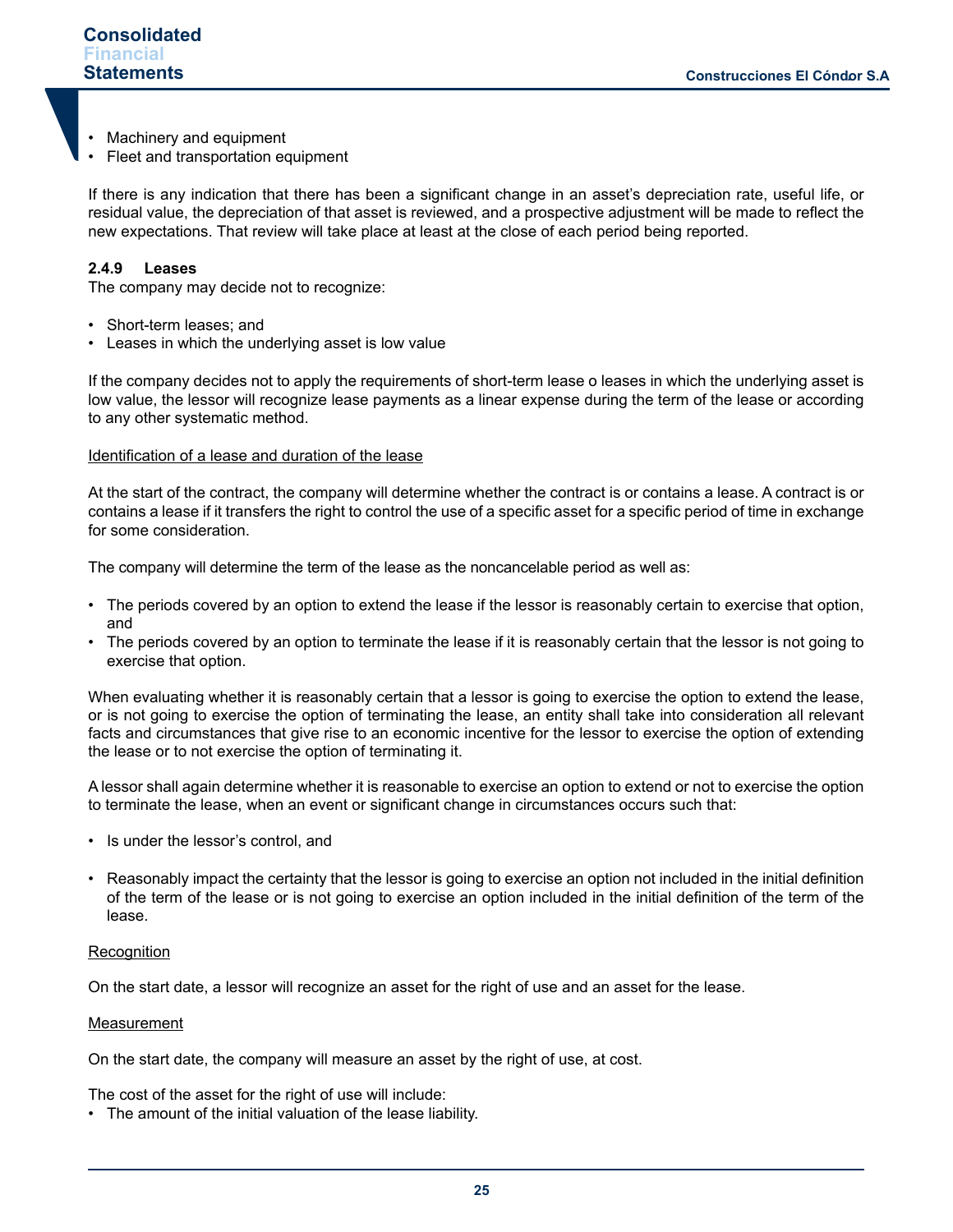- Machinery and equipment
- Fleet and transportation equipment

If there is any indication that there has been a significant change in an asset's depreciation rate, useful life, or residual value, the depreciation of that asset is reviewed, and a prospective adjustment will be made to reflect the new expectations. That review will take place at least at the close of each period being reported.

## **2.4.9 Leases**

The company may decide not to recognize:

- Short-term leases; and
- Leases in which the underlying asset is low value

If the company decides not to apply the requirements of short-term lease o leases in which the underlying asset is low value, the lessor will recognize lease payments as a linear expense during the term of the lease or according to any other systematic method.

#### Identification of a lease and duration of the lease

At the start of the contract, the company will determine whether the contract is or contains a lease. A contract is or contains a lease if it transfers the right to control the use of a specific asset for a specific period of time in exchange for some consideration.

The company will determine the term of the lease as the noncancelable period as well as:

- The periods covered by an option to extend the lease if the lessor is reasonably certain to exercise that option, and
- The periods covered by an option to terminate the lease if it is reasonably certain that the lessor is not going to exercise that option.

When evaluating whether it is reasonably certain that a lessor is going to exercise the option to extend the lease, or is not going to exercise the option of terminating the lease, an entity shall take into consideration all relevant facts and circumstances that give rise to an economic incentive for the lessor to exercise the option of extending the lease or to not exercise the option of terminating it.

A lessor shall again determine whether it is reasonable to exercise an option to extend or not to exercise the option to terminate the lease, when an event or significant change in circumstances occurs such that:

- Is under the lessor's control, and
- Reasonably impact the certainty that the lessor is going to exercise an option not included in the initial definition of the term of the lease or is not going to exercise an option included in the initial definition of the term of the lease.

#### **Recognition**

On the start date, a lessor will recognize an asset for the right of use and an asset for the lease.

#### **Measurement**

On the start date, the company will measure an asset by the right of use, at cost.

The cost of the asset for the right of use will include:

• The amount of the initial valuation of the lease liability.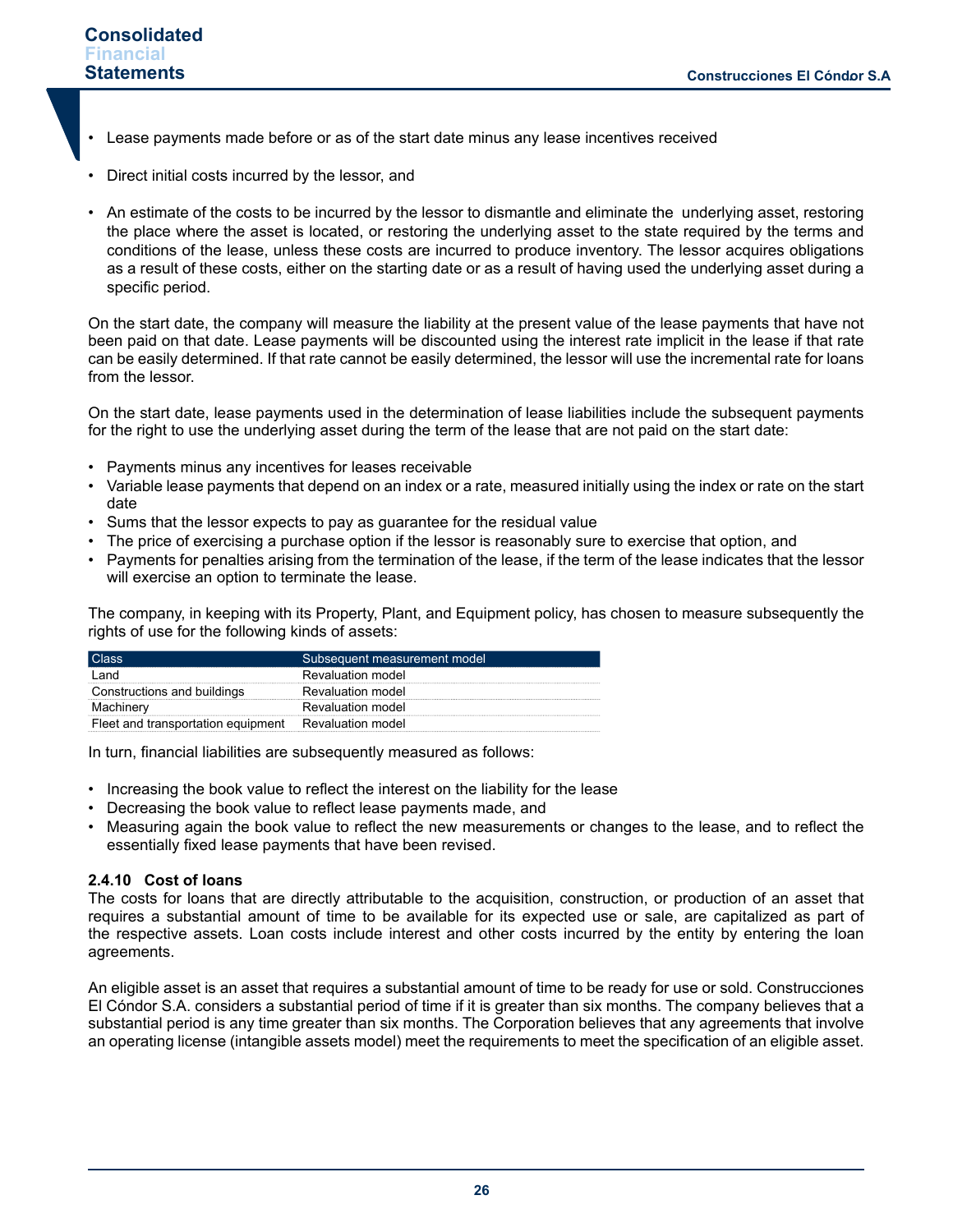- Lease payments made before or as of the start date minus any lease incentives received
- Direct initial costs incurred by the lessor, and
- An estimate of the costs to be incurred by the lessor to dismantle and eliminate the underlying asset, restoring the place where the asset is located, or restoring the underlying asset to the state required by the terms and conditions of the lease, unless these costs are incurred to produce inventory. The lessor acquires obligations as a result of these costs, either on the starting date or as a result of having used the underlying asset during a specific period.

On the start date, the company will measure the liability at the present value of the lease payments that have not been paid on that date. Lease payments will be discounted using the interest rate implicit in the lease if that rate can be easily determined. If that rate cannot be easily determined, the lessor will use the incremental rate for loans from the lessor.

On the start date, lease payments used in the determination of lease liabilities include the subsequent payments for the right to use the underlying asset during the term of the lease that are not paid on the start date:

- Payments minus any incentives for leases receivable
- Variable lease payments that depend on an index or a rate, measured initially using the index or rate on the start date
- Sums that the lessor expects to pay as guarantee for the residual value
- The price of exercising a purchase option if the lessor is reasonably sure to exercise that option, and
- Payments for penalties arising from the termination of the lease, if the term of the lease indicates that the lessor will exercise an option to terminate the lease.

The company, in keeping with its Property, Plant, and Equipment policy, has chosen to measure subsequently the rights of use for the following kinds of assets:

| l Class                            | Subsequent measurement model |
|------------------------------------|------------------------------|
| l and                              | Revaluation model            |
| Constructions and buildings        | Revaluation model            |
| Machinery                          | Revaluation model            |
| Fleet and transportation equipment | Revaluation model            |

In turn, financial liabilities are subsequently measured as follows:

- Increasing the book value to reflect the interest on the liability for the lease
- Decreasing the book value to reflect lease payments made, and
- Measuring again the book value to reflect the new measurements or changes to the lease, and to reflect the essentially fixed lease payments that have been revised.

#### **2.4.10 Cost of loans**

The costs for loans that are directly attributable to the acquisition, construction, or production of an asset that requires a substantial amount of time to be available for its expected use or sale, are capitalized as part of the respective assets. Loan costs include interest and other costs incurred by the entity by entering the loan agreements.

An eligible asset is an asset that requires a substantial amount of time to be ready for use or sold. Construcciones El Cóndor S.A. considers a substantial period of time if it is greater than six months. The company believes that a substantial period is any time greater than six months. The Corporation believes that any agreements that involve an operating license (intangible assets model) meet the requirements to meet the specification of an eligible asset.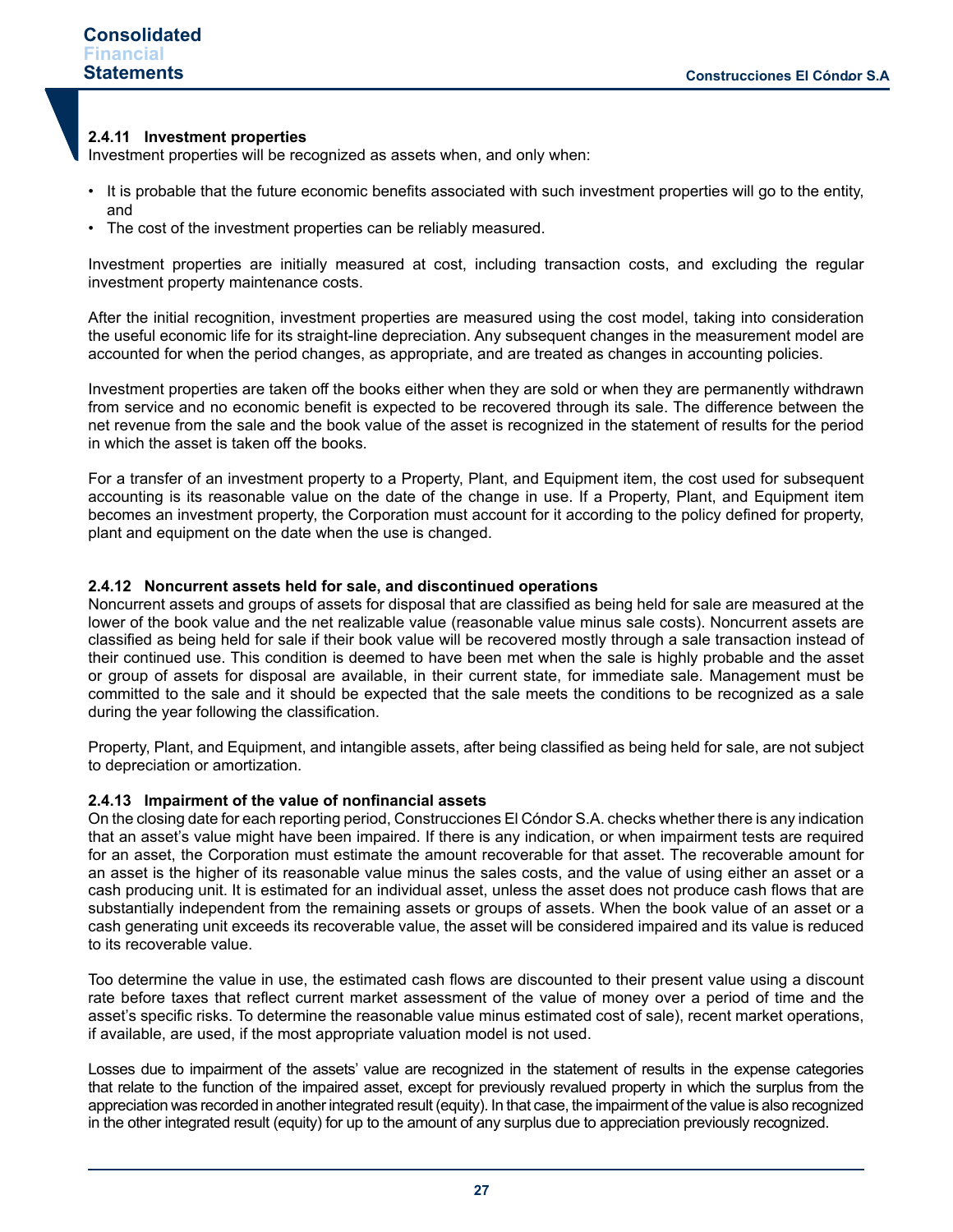### **2.4.11 Investment properties**

Investment properties will be recognized as assets when, and only when:

- It is probable that the future economic benefits associated with such investment properties will go to the entity, and
- The cost of the investment properties can be reliably measured.

Investment properties are initially measured at cost, including transaction costs, and excluding the regular investment property maintenance costs.

After the initial recognition, investment properties are measured using the cost model, taking into consideration the useful economic life for its straight-line depreciation. Any subsequent changes in the measurement model are accounted for when the period changes, as appropriate, and are treated as changes in accounting policies.

Investment properties are taken off the books either when they are sold or when they are permanently withdrawn from service and no economic benefit is expected to be recovered through its sale. The difference between the net revenue from the sale and the book value of the asset is recognized in the statement of results for the period in which the asset is taken off the books.

For a transfer of an investment property to a Property, Plant, and Equipment item, the cost used for subsequent accounting is its reasonable value on the date of the change in use. If a Property, Plant, and Equipment item becomes an investment property, the Corporation must account for it according to the policy defined for property, plant and equipment on the date when the use is changed.

#### **2.4.12 Noncurrent assets held for sale, and discontinued operations**

Noncurrent assets and groups of assets for disposal that are classified as being held for sale are measured at the lower of the book value and the net realizable value (reasonable value minus sale costs). Noncurrent assets are classified as being held for sale if their book value will be recovered mostly through a sale transaction instead of their continued use. This condition is deemed to have been met when the sale is highly probable and the asset or group of assets for disposal are available, in their current state, for immediate sale. Management must be committed to the sale and it should be expected that the sale meets the conditions to be recognized as a sale during the year following the classification.

Property, Plant, and Equipment, and intangible assets, after being classified as being held for sale, are not subject to depreciation or amortization.

#### **2.4.13 Impairment of the value of nonfinancial assets**

On the closing date for each reporting period, Construcciones El Cóndor S.A. checks whether there is any indication that an asset's value might have been impaired. If there is any indication, or when impairment tests are required for an asset, the Corporation must estimate the amount recoverable for that asset. The recoverable amount for an asset is the higher of its reasonable value minus the sales costs, and the value of using either an asset or a cash producing unit. It is estimated for an individual asset, unless the asset does not produce cash flows that are substantially independent from the remaining assets or groups of assets. When the book value of an asset or a cash generating unit exceeds its recoverable value, the asset will be considered impaired and its value is reduced to its recoverable value.

Too determine the value in use, the estimated cash flows are discounted to their present value using a discount rate before taxes that reflect current market assessment of the value of money over a period of time and the asset's specific risks. To determine the reasonable value minus estimated cost of sale), recent market operations, if available, are used, if the most appropriate valuation model is not used.

Losses due to impairment of the assets' value are recognized in the statement of results in the expense categories that relate to the function of the impaired asset, except for previously revalued property in which the surplus from the appreciation was recorded in another integrated result (equity). In that case, the impairment of the value is also recognized in the other integrated result (equity) for up to the amount of any surplus due to appreciation previously recognized.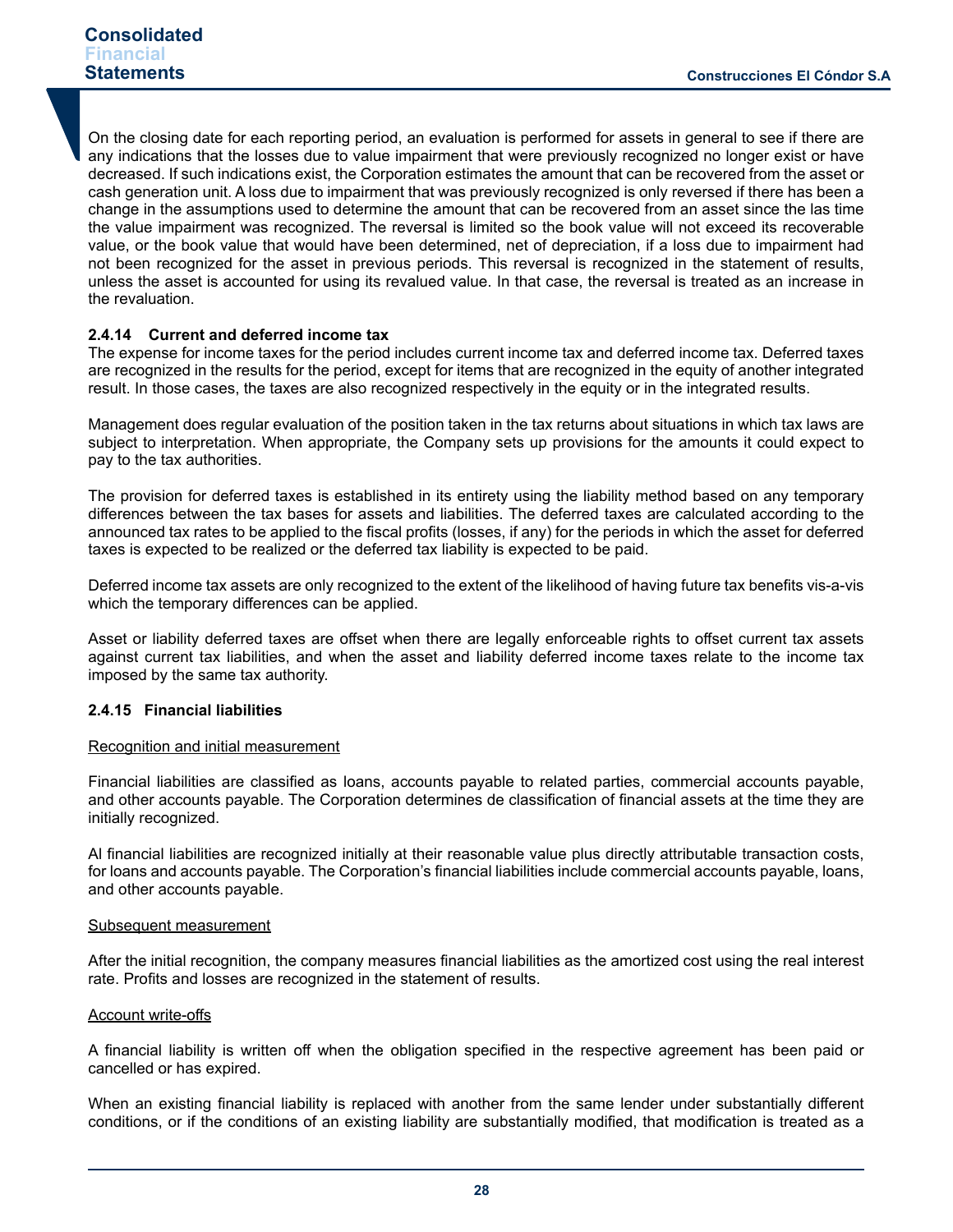On the closing date for each reporting period, an evaluation is performed for assets in general to see if there are any indications that the losses due to value impairment that were previously recognized no longer exist or have decreased. If such indications exist, the Corporation estimates the amount that can be recovered from the asset or cash generation unit. A loss due to impairment that was previously recognized is only reversed if there has been a change in the assumptions used to determine the amount that can be recovered from an asset since the las time the value impairment was recognized. The reversal is limited so the book value will not exceed its recoverable value, or the book value that would have been determined, net of depreciation, if a loss due to impairment had not been recognized for the asset in previous periods. This reversal is recognized in the statement of results, unless the asset is accounted for using its revalued value. In that case, the reversal is treated as an increase in the revaluation.

#### **2.4.14 Current and deferred income tax**

The expense for income taxes for the period includes current income tax and deferred income tax. Deferred taxes are recognized in the results for the period, except for items that are recognized in the equity of another integrated result. In those cases, the taxes are also recognized respectively in the equity or in the integrated results.

Management does regular evaluation of the position taken in the tax returns about situations in which tax laws are subject to interpretation. When appropriate, the Company sets up provisions for the amounts it could expect to pay to the tax authorities.

The provision for deferred taxes is established in its entirety using the liability method based on any temporary differences between the tax bases for assets and liabilities. The deferred taxes are calculated according to the announced tax rates to be applied to the fiscal profits (losses, if any) for the periods in which the asset for deferred taxes is expected to be realized or the deferred tax liability is expected to be paid.

Deferred income tax assets are only recognized to the extent of the likelihood of having future tax benefits vis-a-vis which the temporary differences can be applied.

Asset or liability deferred taxes are offset when there are legally enforceable rights to offset current tax assets against current tax liabilities, and when the asset and liability deferred income taxes relate to the income tax imposed by the same tax authority.

#### **2.4.15 Financial liabilities**

#### Recognition and initial measurement

Financial liabilities are classified as loans, accounts payable to related parties, commercial accounts payable, and other accounts payable. The Corporation determines de classification of financial assets at the time they are initially recognized.

Al financial liabilities are recognized initially at their reasonable value plus directly attributable transaction costs, for loans and accounts payable. The Corporation's financial liabilities include commercial accounts payable, loans, and other accounts payable.

#### Subsequent measurement

After the initial recognition, the company measures financial liabilities as the amortized cost using the real interest rate. Profits and losses are recognized in the statement of results.

#### Account write-offs

A financial liability is written off when the obligation specified in the respective agreement has been paid or cancelled or has expired.

When an existing financial liability is replaced with another from the same lender under substantially different conditions, or if the conditions of an existing liability are substantially modified, that modification is treated as a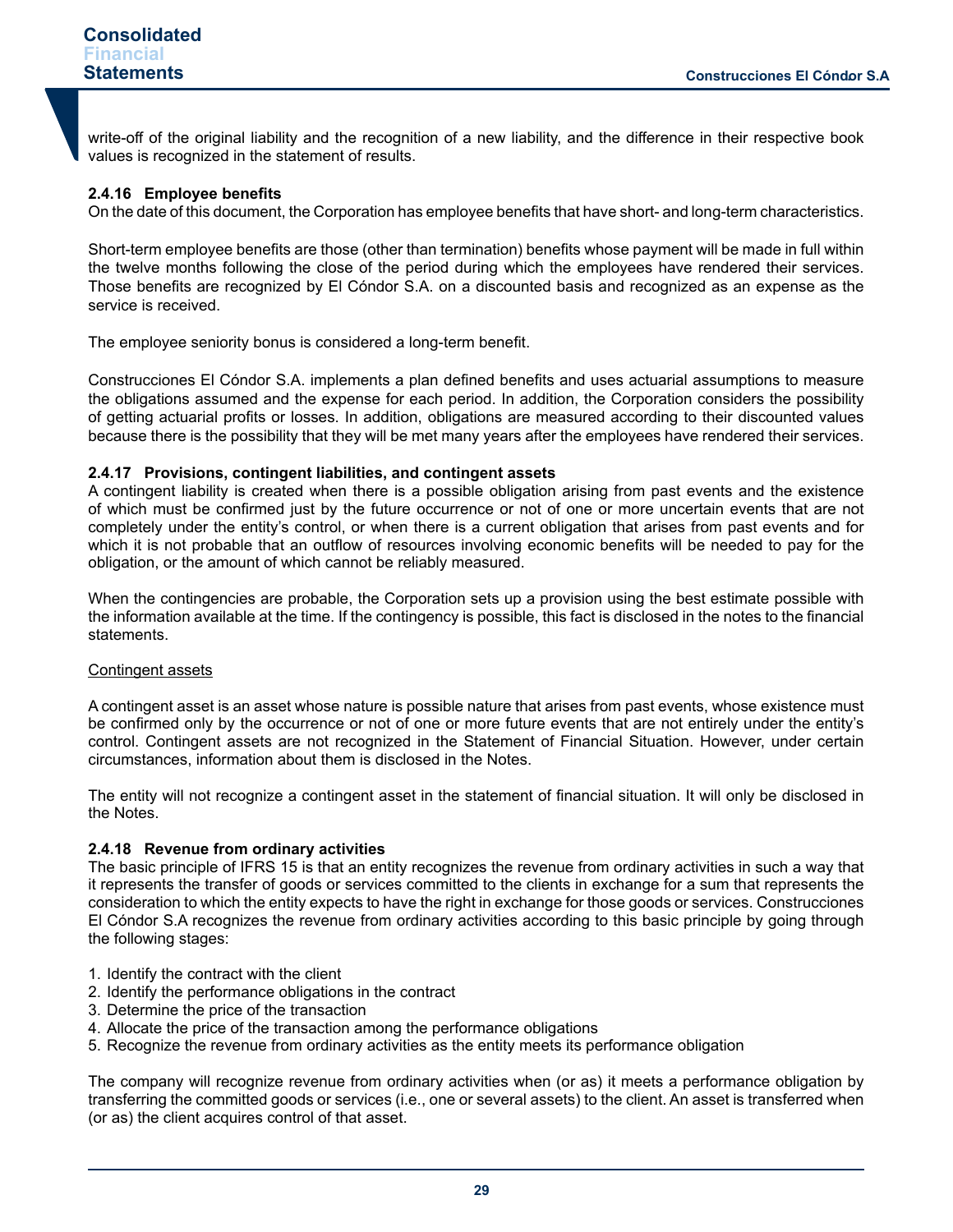write-off of the original liability and the recognition of a new liability, and the difference in their respective book values is recognized in the statement of results.

## **2.4.16 Employee benefits**

On the date of this document, the Corporation has employee benefits that have short- and long-term characteristics.

Short-term employee benefits are those (other than termination) benefits whose payment will be made in full within the twelve months following the close of the period during which the employees have rendered their services. Those benefits are recognized by El Cóndor S.A. on a discounted basis and recognized as an expense as the service is received.

The employee seniority bonus is considered a long-term benefit.

Construcciones El Cóndor S.A. implements a plan defined benefits and uses actuarial assumptions to measure the obligations assumed and the expense for each period. In addition, the Corporation considers the possibility of getting actuarial profits or losses. In addition, obligations are measured according to their discounted values because there is the possibility that they will be met many years after the employees have rendered their services.

## **2.4.17 Provisions, contingent liabilities, and contingent assets**

A contingent liability is created when there is a possible obligation arising from past events and the existence of which must be confirmed just by the future occurrence or not of one or more uncertain events that are not completely under the entity's control, or when there is a current obligation that arises from past events and for which it is not probable that an outflow of resources involving economic benefits will be needed to pay for the obligation, or the amount of which cannot be reliably measured.

When the contingencies are probable, the Corporation sets up a provision using the best estimate possible with the information available at the time. If the contingency is possible, this fact is disclosed in the notes to the financial statements.

#### Contingent assets

A contingent asset is an asset whose nature is possible nature that arises from past events, whose existence must be confirmed only by the occurrence or not of one or more future events that are not entirely under the entity's control. Contingent assets are not recognized in the Statement of Financial Situation. However, under certain circumstances, information about them is disclosed in the Notes.

The entity will not recognize a contingent asset in the statement of financial situation. It will only be disclosed in the Notes.

#### **2.4.18 Revenue from ordinary activities**

The basic principle of IFRS 15 is that an entity recognizes the revenue from ordinary activities in such a way that it represents the transfer of goods or services committed to the clients in exchange for a sum that represents the consideration to which the entity expects to have the right in exchange for those goods or services. Construcciones El Cóndor S.A recognizes the revenue from ordinary activities according to this basic principle by going through the following stages:

- 1. Identify the contract with the client
- 2. Identify the performance obligations in the contract
- 3. Determine the price of the transaction
- 4. Allocate the price of the transaction among the performance obligations
- 5. Recognize the revenue from ordinary activities as the entity meets its performance obligation

The company will recognize revenue from ordinary activities when (or as) it meets a performance obligation by transferring the committed goods or services (i.e., one or several assets) to the client. An asset is transferred when (or as) the client acquires control of that asset.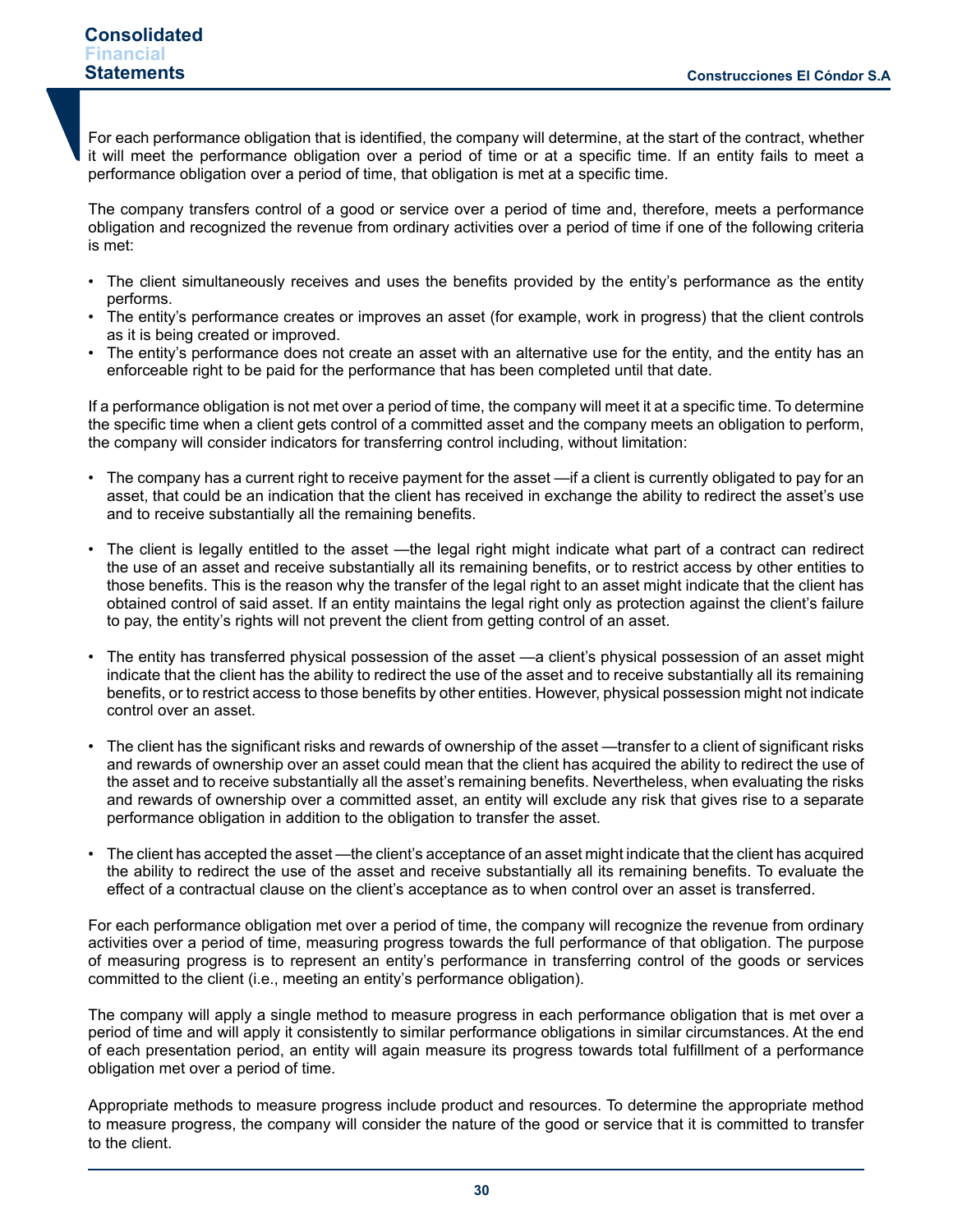For each performance obligation that is identified, the company will determine, at the start of the contract, whether it will meet the performance obligation over a period of time or at a specific time. If an entity fails to meet a performance obligation over a period of time, that obligation is met at a specific time.

The company transfers control of a good or service over a period of time and, therefore, meets a performance obligation and recognized the revenue from ordinary activities over a period of time if one of the following criteria is met:

- The client simultaneously receives and uses the benefits provided by the entity's performance as the entity performs.
- The entity's performance creates or improves an asset (for example, work in progress) that the client controls as it is being created or improved.
- The entity's performance does not create an asset with an alternative use for the entity, and the entity has an enforceable right to be paid for the performance that has been completed until that date.

If a performance obligation is not met over a period of time, the company will meet it at a specific time. To determine the specific time when a client gets control of a committed asset and the company meets an obligation to perform, the company will consider indicators for transferring control including, without limitation:

- The company has a current right to receive payment for the asset —if a client is currently obligated to pay for an asset, that could be an indication that the client has received in exchange the ability to redirect the asset's use and to receive substantially all the remaining benefits.
- The client is legally entitled to the asset —the legal right might indicate what part of a contract can redirect the use of an asset and receive substantially all its remaining benefits, or to restrict access by other entities to those benefits. This is the reason why the transfer of the legal right to an asset might indicate that the client has obtained control of said asset. If an entity maintains the legal right only as protection against the client's failure to pay, the entity's rights will not prevent the client from getting control of an asset.
- The entity has transferred physical possession of the asset —a client's physical possession of an asset might indicate that the client has the ability to redirect the use of the asset and to receive substantially all its remaining benefits, or to restrict access to those benefits by other entities. However, physical possession might not indicate control over an asset.
- The client has the significant risks and rewards of ownership of the asset —transfer to a client of significant risks and rewards of ownership over an asset could mean that the client has acquired the ability to redirect the use of the asset and to receive substantially all the asset's remaining benefits. Nevertheless, when evaluating the risks and rewards of ownership over a committed asset, an entity will exclude any risk that gives rise to a separate performance obligation in addition to the obligation to transfer the asset.
- The client has accepted the asset —the client's acceptance of an asset might indicate that the client has acquired the ability to redirect the use of the asset and receive substantially all its remaining benefits. To evaluate the effect of a contractual clause on the client's acceptance as to when control over an asset is transferred.

For each performance obligation met over a period of time, the company will recognize the revenue from ordinary activities over a period of time, measuring progress towards the full performance of that obligation. The purpose of measuring progress is to represent an entity's performance in transferring control of the goods or services committed to the client (i.e., meeting an entity's performance obligation).

The company will apply a single method to measure progress in each performance obligation that is met over a period of time and will apply it consistently to similar performance obligations in similar circumstances. At the end of each presentation period, an entity will again measure its progress towards total fulfillment of a performance obligation met over a period of time.

Appropriate methods to measure progress include product and resources. To determine the appropriate method to measure progress, the company will consider the nature of the good or service that it is committed to transfer to the client.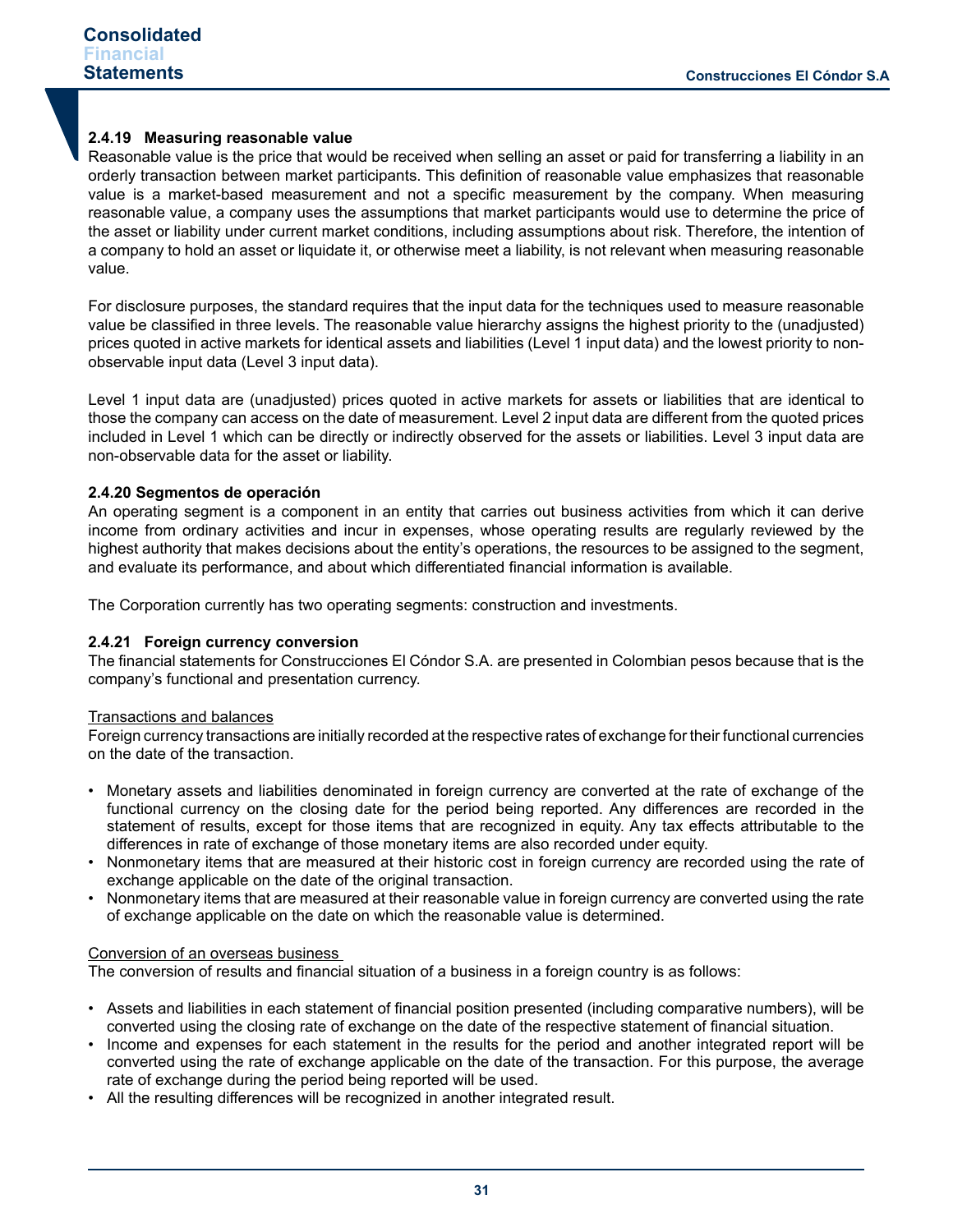## **2.4.19 Measuring reasonable value**

Reasonable value is the price that would be received when selling an asset or paid for transferring a liability in an orderly transaction between market participants. This definition of reasonable value emphasizes that reasonable value is a market-based measurement and not a specific measurement by the company. When measuring reasonable value, a company uses the assumptions that market participants would use to determine the price of the asset or liability under current market conditions, including assumptions about risk. Therefore, the intention of a company to hold an asset or liquidate it, or otherwise meet a liability, is not relevant when measuring reasonable value.

For disclosure purposes, the standard requires that the input data for the techniques used to measure reasonable value be classified in three levels. The reasonable value hierarchy assigns the highest priority to the (unadjusted) prices quoted in active markets for identical assets and liabilities (Level 1 input data) and the lowest priority to nonobservable input data (Level 3 input data).

Level 1 input data are (unadjusted) prices quoted in active markets for assets or liabilities that are identical to those the company can access on the date of measurement. Level 2 input data are different from the quoted prices included in Level 1 which can be directly or indirectly observed for the assets or liabilities. Level 3 input data are non-observable data for the asset or liability.

## **2.4.20 Segmentos de operación**

An operating segment is a component in an entity that carries out business activities from which it can derive income from ordinary activities and incur in expenses, whose operating results are regularly reviewed by the highest authority that makes decisions about the entity's operations, the resources to be assigned to the segment, and evaluate its performance, and about which differentiated financial information is available.

The Corporation currently has two operating segments: construction and investments.

#### **2.4.21 Foreign currency conversion**

The financial statements for Construcciones El Cóndor S.A. are presented in Colombian pesos because that is the company's functional and presentation currency.

#### Transactions and balances

Foreign currency transactions are initially recorded at the respective rates of exchange for their functional currencies on the date of the transaction.

- Monetary assets and liabilities denominated in foreign currency are converted at the rate of exchange of the functional currency on the closing date for the period being reported. Any differences are recorded in the statement of results, except for those items that are recognized in equity. Any tax effects attributable to the differences in rate of exchange of those monetary items are also recorded under equity.
- Nonmonetary items that are measured at their historic cost in foreign currency are recorded using the rate of exchange applicable on the date of the original transaction.
- Nonmonetary items that are measured at their reasonable value in foreign currency are converted using the rate of exchange applicable on the date on which the reasonable value is determined.

#### Conversion of an overseas business

The conversion of results and financial situation of a business in a foreign country is as follows:

- Assets and liabilities in each statement of financial position presented (including comparative numbers), will be converted using the closing rate of exchange on the date of the respective statement of financial situation.
- Income and expenses for each statement in the results for the period and another integrated report will be converted using the rate of exchange applicable on the date of the transaction. For this purpose, the average rate of exchange during the period being reported will be used.
- All the resulting differences will be recognized in another integrated result.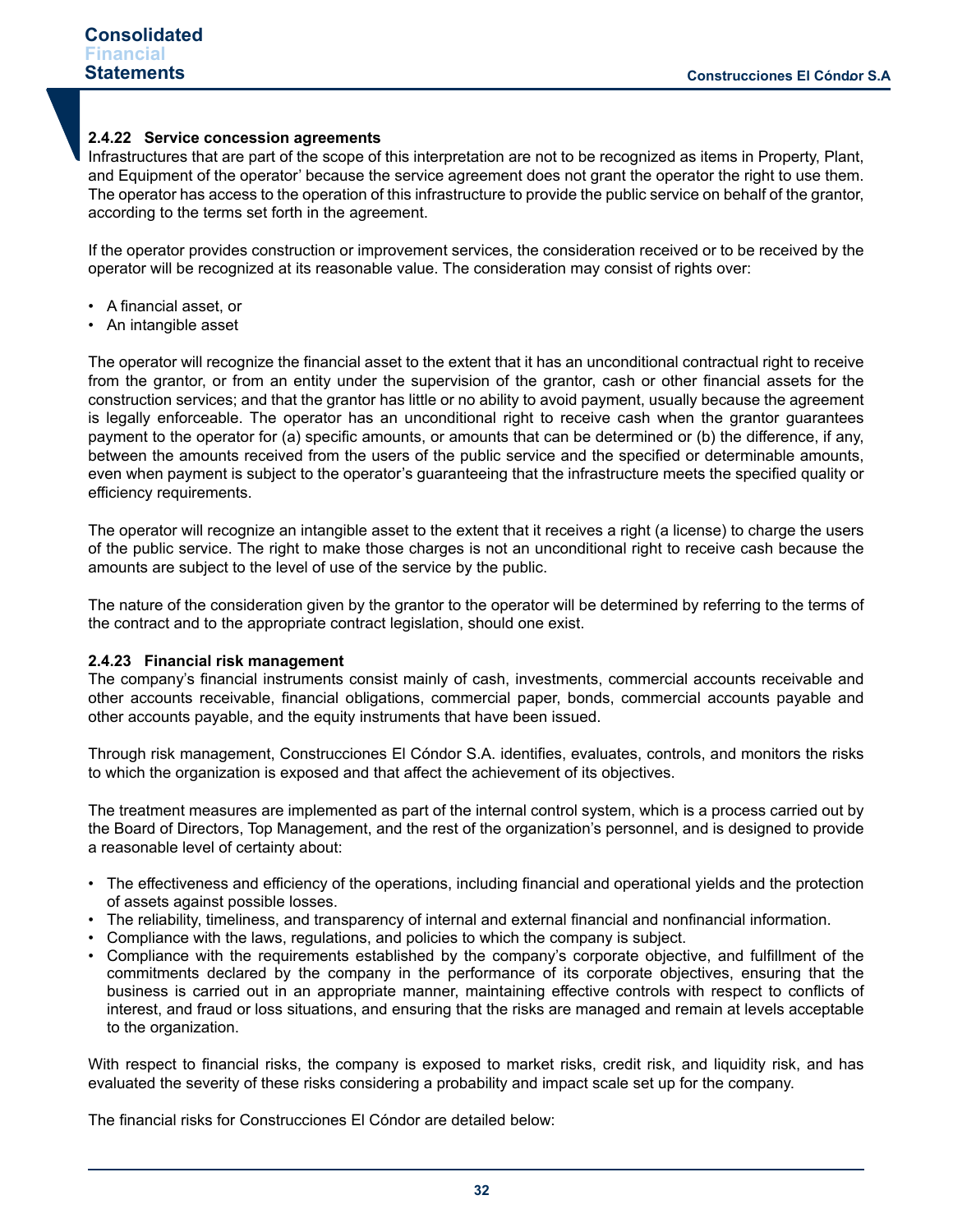#### **2.4.22 Service concession agreements**

Infrastructures that are part of the scope of this interpretation are not to be recognized as items in Property, Plant, and Equipment of the operator' because the service agreement does not grant the operator the right to use them. The operator has access to the operation of this infrastructure to provide the public service on behalf of the grantor, according to the terms set forth in the agreement.

If the operator provides construction or improvement services, the consideration received or to be received by the operator will be recognized at its reasonable value. The consideration may consist of rights over:

- A financial asset, or
- An intangible asset

The operator will recognize the financial asset to the extent that it has an unconditional contractual right to receive from the grantor, or from an entity under the supervision of the grantor, cash or other financial assets for the construction services; and that the grantor has little or no ability to avoid payment, usually because the agreement is legally enforceable. The operator has an unconditional right to receive cash when the grantor guarantees payment to the operator for (a) specific amounts, or amounts that can be determined or (b) the difference, if any, between the amounts received from the users of the public service and the specified or determinable amounts, even when payment is subject to the operator's guaranteeing that the infrastructure meets the specified quality or efficiency requirements.

The operator will recognize an intangible asset to the extent that it receives a right (a license) to charge the users of the public service. The right to make those charges is not an unconditional right to receive cash because the amounts are subject to the level of use of the service by the public.

The nature of the consideration given by the grantor to the operator will be determined by referring to the terms of the contract and to the appropriate contract legislation, should one exist.

#### **2.4.23 Financial risk management**

The company's financial instruments consist mainly of cash, investments, commercial accounts receivable and other accounts receivable, financial obligations, commercial paper, bonds, commercial accounts payable and other accounts payable, and the equity instruments that have been issued.

Through risk management, Construcciones El Cóndor S.A. identifies, evaluates, controls, and monitors the risks to which the organization is exposed and that affect the achievement of its objectives.

The treatment measures are implemented as part of the internal control system, which is a process carried out by the Board of Directors, Top Management, and the rest of the organization's personnel, and is designed to provide a reasonable level of certainty about:

- The effectiveness and efficiency of the operations, including financial and operational yields and the protection of assets against possible losses.
- The reliability, timeliness, and transparency of internal and external financial and nonfinancial information.
- Compliance with the laws, regulations, and policies to which the company is subject.
- Compliance with the requirements established by the company's corporate objective, and fulfillment of the commitments declared by the company in the performance of its corporate objectives, ensuring that the business is carried out in an appropriate manner, maintaining effective controls with respect to conflicts of interest, and fraud or loss situations, and ensuring that the risks are managed and remain at levels acceptable to the organization.

With respect to financial risks, the company is exposed to market risks, credit risk, and liquidity risk, and has evaluated the severity of these risks considering a probability and impact scale set up for the company.

The financial risks for Construcciones El Cóndor are detailed below: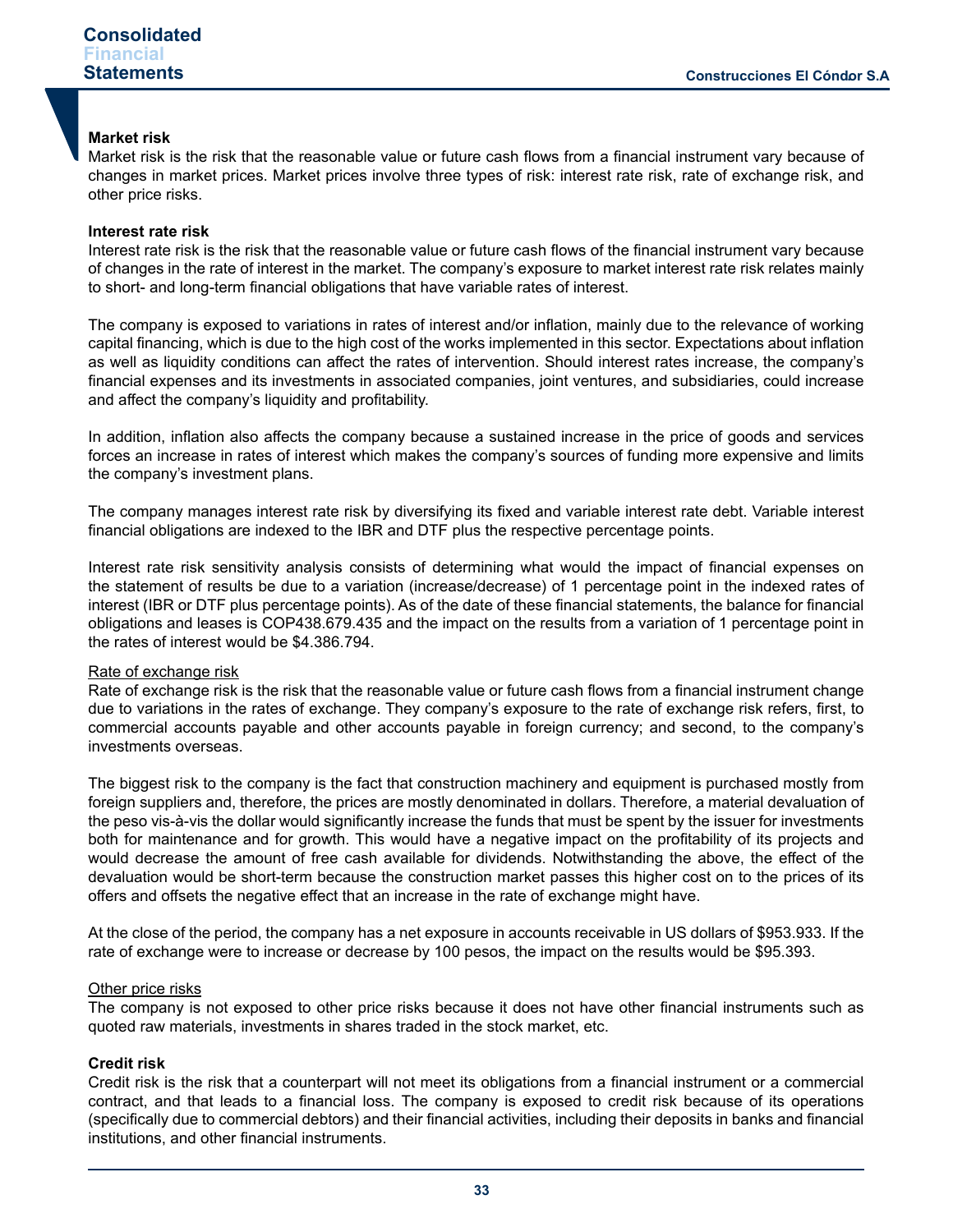#### **Market risk**

Market risk is the risk that the reasonable value or future cash flows from a financial instrument vary because of changes in market prices. Market prices involve three types of risk: interest rate risk, rate of exchange risk, and other price risks.

## **Interest rate risk**

Interest rate risk is the risk that the reasonable value or future cash flows of the financial instrument vary because of changes in the rate of interest in the market. The company's exposure to market interest rate risk relates mainly to short- and long-term financial obligations that have variable rates of interest.

The company is exposed to variations in rates of interest and/or inflation, mainly due to the relevance of working capital financing, which is due to the high cost of the works implemented in this sector. Expectations about inflation as well as liquidity conditions can affect the rates of intervention. Should interest rates increase, the company's financial expenses and its investments in associated companies, joint ventures, and subsidiaries, could increase and affect the company's liquidity and profitability.

In addition, inflation also affects the company because a sustained increase in the price of goods and services forces an increase in rates of interest which makes the company's sources of funding more expensive and limits the company's investment plans.

The company manages interest rate risk by diversifying its fixed and variable interest rate debt. Variable interest financial obligations are indexed to the IBR and DTF plus the respective percentage points.

Interest rate risk sensitivity analysis consists of determining what would the impact of financial expenses on the statement of results be due to a variation (increase/decrease) of 1 percentage point in the indexed rates of interest (IBR or DTF plus percentage points). As of the date of these financial statements, the balance for financial obligations and leases is COP438.679.435 and the impact on the results from a variation of 1 percentage point in the rates of interest would be \$4.386.794.

#### Rate of exchange risk

Rate of exchange risk is the risk that the reasonable value or future cash flows from a financial instrument change due to variations in the rates of exchange. They company's exposure to the rate of exchange risk refers, first, to commercial accounts payable and other accounts payable in foreign currency; and second, to the company's investments overseas.

The biggest risk to the company is the fact that construction machinery and equipment is purchased mostly from foreign suppliers and, therefore, the prices are mostly denominated in dollars. Therefore, a material devaluation of the peso vis-à-vis the dollar would significantly increase the funds that must be spent by the issuer for investments both for maintenance and for growth. This would have a negative impact on the profitability of its projects and would decrease the amount of free cash available for dividends. Notwithstanding the above, the effect of the devaluation would be short-term because the construction market passes this higher cost on to the prices of its offers and offsets the negative effect that an increase in the rate of exchange might have.

At the close of the period, the company has a net exposure in accounts receivable in US dollars of \$953.933. If the rate of exchange were to increase or decrease by 100 pesos, the impact on the results would be \$95.393.

#### Other price risks

The company is not exposed to other price risks because it does not have other financial instruments such as quoted raw materials, investments in shares traded in the stock market, etc.

#### **Credit risk**

Credit risk is the risk that a counterpart will not meet its obligations from a financial instrument or a commercial contract, and that leads to a financial loss. The company is exposed to credit risk because of its operations (specifically due to commercial debtors) and their financial activities, including their deposits in banks and financial institutions, and other financial instruments.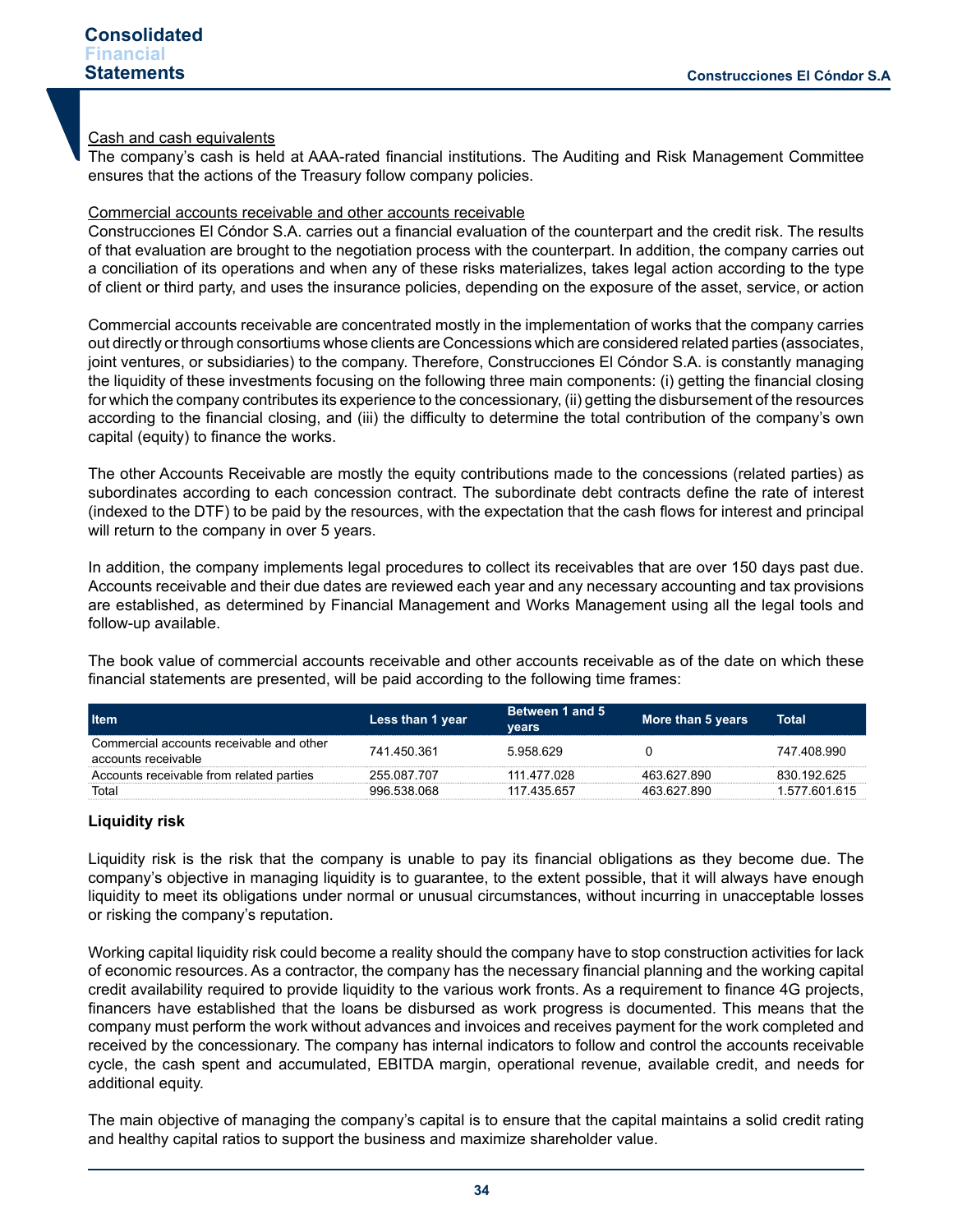#### Cash and cash equivalents

The company's cash is held at AAA-rated financial institutions. The Auditing and Risk Management Committee ensures that the actions of the Treasury follow company policies.

#### Commercial accounts receivable and other accounts receivable

Construcciones El Cóndor S.A. carries out a financial evaluation of the counterpart and the credit risk. The results of that evaluation are brought to the negotiation process with the counterpart. In addition, the company carries out a conciliation of its operations and when any of these risks materializes, takes legal action according to the type of client or third party, and uses the insurance policies, depending on the exposure of the asset, service, or action

Commercial accounts receivable are concentrated mostly in the implementation of works that the company carries out directly or through consortiums whose clients are Concessions which are considered related parties (associates, joint ventures, or subsidiaries) to the company. Therefore, Construcciones El Cóndor S.A. is constantly managing the liquidity of these investments focusing on the following three main components: (i) getting the financial closing for which the company contributes its experience to the concessionary, (ii) getting the disbursement of the resources according to the financial closing, and (iii) the difficulty to determine the total contribution of the company's own capital (equity) to finance the works.

The other Accounts Receivable are mostly the equity contributions made to the concessions (related parties) as subordinates according to each concession contract. The subordinate debt contracts define the rate of interest (indexed to the DTF) to be paid by the resources, with the expectation that the cash flows for interest and principal will return to the company in over 5 years.

In addition, the company implements legal procedures to collect its receivables that are over 150 days past due. Accounts receivable and their due dates are reviewed each year and any necessary accounting and tax provisions are established, as determined by Financial Management and Works Management using all the legal tools and follow-up available.

The book value of commercial accounts receivable and other accounts receivable as of the date on which these financial statements are presented, will be paid according to the following time frames:

| <b>∐tem</b>                                                     | Less than 1 year | Between 1 and 5<br>vears | More than 5 years | Total         |
|-----------------------------------------------------------------|------------------|--------------------------|-------------------|---------------|
| Commercial accounts receivable and other<br>accounts receivable | 741 450 361      | 5958629                  |                   | 747 408 990   |
| Accounts receivable from related parties                        | 255.087.707      | 111 477 028              | 463.627.890       | 830 192 625   |
| Total                                                           | 996 538 068      | 117 435 657              | 463.627.890       | 1.577.601.615 |

#### **Liquidity risk**

Liquidity risk is the risk that the company is unable to pay its financial obligations as they become due. The company's objective in managing liquidity is to guarantee, to the extent possible, that it will always have enough liquidity to meet its obligations under normal or unusual circumstances, without incurring in unacceptable losses or risking the company's reputation.

Working capital liquidity risk could become a reality should the company have to stop construction activities for lack of economic resources. As a contractor, the company has the necessary financial planning and the working capital credit availability required to provide liquidity to the various work fronts. As a requirement to finance 4G projects, financers have established that the loans be disbursed as work progress is documented. This means that the company must perform the work without advances and invoices and receives payment for the work completed and received by the concessionary. The company has internal indicators to follow and control the accounts receivable cycle, the cash spent and accumulated, EBITDA margin, operational revenue, available credit, and needs for additional equity.

The main objective of managing the company's capital is to ensure that the capital maintains a solid credit rating and healthy capital ratios to support the business and maximize shareholder value.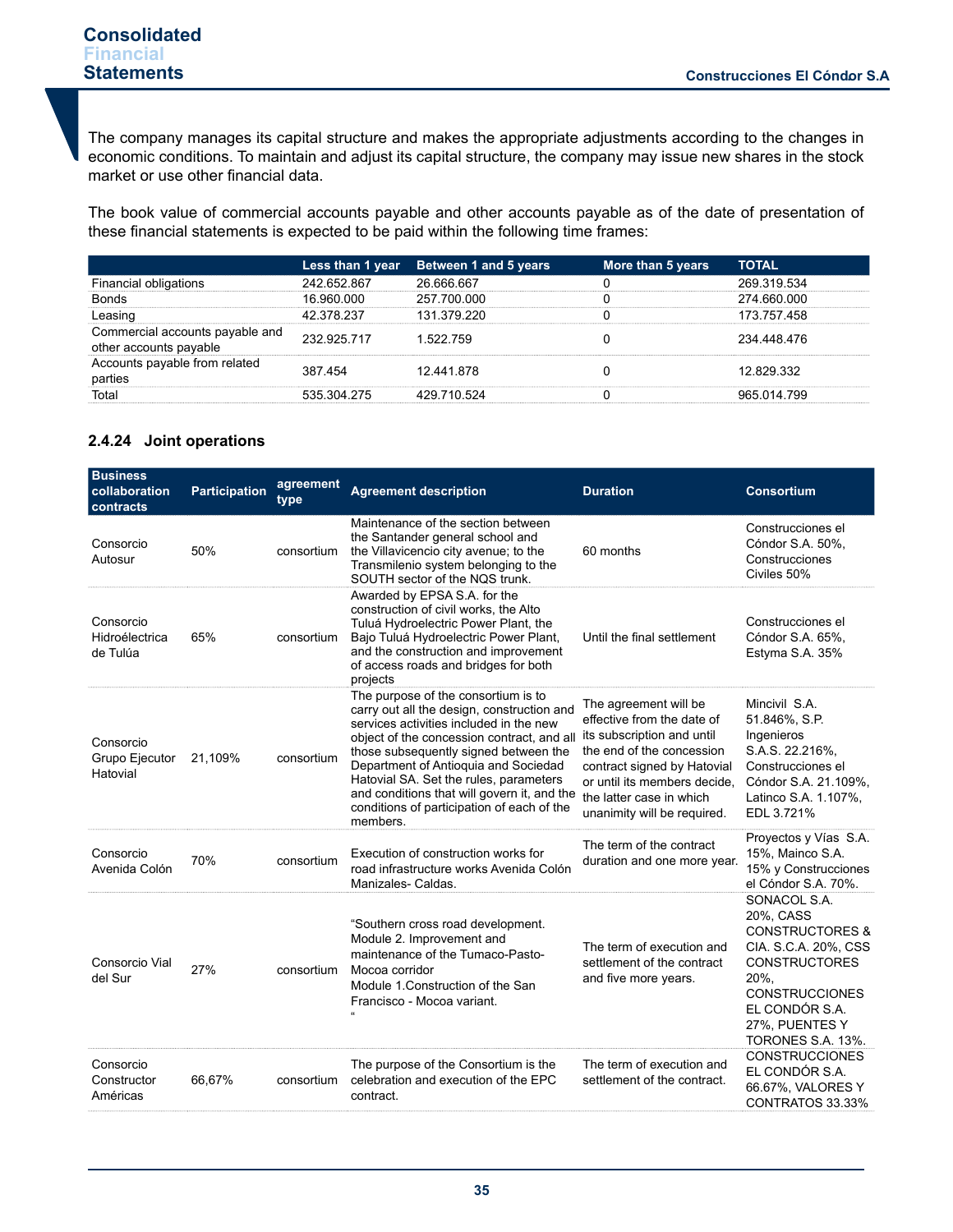The company manages its capital structure and makes the appropriate adjustments according to the changes in economic conditions. To maintain and adjust its capital structure, the company may issue new shares in the stock market or use other financial data.

The book value of commercial accounts payable and other accounts payable as of the date of presentation of these financial statements is expected to be paid within the following time frames:

|                                                           |             | Less than 1 year Between 1 and 5 years | More than 5 years | <b>TOTAL</b> |
|-----------------------------------------------------------|-------------|----------------------------------------|-------------------|--------------|
| Financial obligations                                     | 242 652 867 | 26 666 667                             |                   | 269 319 534  |
| <b>Bonds</b>                                              | 16.960.000  | 257.700.000                            |                   | 274 660 000  |
| Leasing                                                   | 42 378 237  | 131 379 220                            |                   | 173 757 458  |
| Commercial accounts payable and<br>other accounts pavable | 232 925 717 | 1 522 759                              |                   | 234 448 476  |
| Accounts payable from related<br>parties                  | 387 454     | 12 441 878                             |                   | 12 829 332   |
| Total                                                     | 535 304 275 | 429 710 524                            |                   | 965 014 799  |

## **2.4.24 Joint operations**

| <b>Business</b><br>collaboration<br>contracts | <b>Participation</b> | agreement<br>type | <b>Agreement description</b>                                                                                                                                                                                                                                                                                                                                                                                   | <b>Duration</b>                                                                                                                                                                                                                          | <b>Consortium</b>                                                                                                                                                                                 |
|-----------------------------------------------|----------------------|-------------------|----------------------------------------------------------------------------------------------------------------------------------------------------------------------------------------------------------------------------------------------------------------------------------------------------------------------------------------------------------------------------------------------------------------|------------------------------------------------------------------------------------------------------------------------------------------------------------------------------------------------------------------------------------------|---------------------------------------------------------------------------------------------------------------------------------------------------------------------------------------------------|
| Consorcio<br>Autosur                          | 50%                  | consortium        | Maintenance of the section between<br>the Santander general school and<br>the Villavicencio city avenue; to the<br>Transmilenio system belonging to the<br>SOUTH sector of the NQS trunk.                                                                                                                                                                                                                      | 60 months                                                                                                                                                                                                                                | Construcciones el<br>Cóndor S.A. 50%.<br>Construcciones<br>Civiles 50%                                                                                                                            |
| Consorcio<br>Hidroélectrica<br>de Tulúa       | 65%                  | consortium        | Awarded by EPSA S.A. for the<br>construction of civil works, the Alto<br>Tuluá Hydroelectric Power Plant, the<br>Bajo Tuluá Hydroelectric Power Plant,<br>and the construction and improvement<br>of access roads and bridges for both<br>projects                                                                                                                                                             | Until the final settlement                                                                                                                                                                                                               | Construcciones el<br>Cóndor S.A. 65%,<br>Estyma S.A. 35%                                                                                                                                          |
| Consorcio<br>Grupo Ejecutor<br>Hatovial       | 21,109%              | consortium        | The purpose of the consortium is to<br>carry out all the design, construction and<br>services activities included in the new<br>object of the concession contract, and all<br>those subsequently signed between the<br>Department of Antioquia and Sociedad<br>Hatovial SA. Set the rules, parameters<br>and conditions that will govern it, and the<br>conditions of participation of each of the<br>members. | The agreement will be<br>effective from the date of<br>its subscription and until<br>the end of the concession<br>contract signed by Hatovial<br>or until its members decide.<br>the latter case in which<br>unanimity will be required. | Mincivil S.A.<br>51.846%, S.P.<br>Ingenieros<br>S.A.S. 22.216%,<br>Construcciones el<br>Cóndor S.A. 21.109%,<br>Latinco S.A. 1.107%,<br>EDL 3.721%                                                |
| Consorcio<br>Avenida Colón                    | 70%                  | consortium        | Execution of construction works for<br>road infrastructure works Avenida Colón<br>Manizales-Caldas.                                                                                                                                                                                                                                                                                                            | The term of the contract<br>duration and one more year.                                                                                                                                                                                  | Proyectos y Vías S.A.<br>15%, Mainco S.A.<br>15% y Construcciones<br>el Cóndor S.A. 70%.                                                                                                          |
| Consorcio Vial<br>del Sur                     | 27%                  | consortium        | "Southern cross road development.<br>Module 2. Improvement and<br>maintenance of the Tumaco-Pasto-<br>Mocoa corridor<br>Module 1. Construction of the San<br>Francisco - Mocoa variant.                                                                                                                                                                                                                        | The term of execution and<br>settlement of the contract<br>and five more years.                                                                                                                                                          | SONACOL S.A.<br>20%, CASS<br><b>CONSTRUCTORES &amp;</b><br>CIA. S.C.A. 20%, CSS<br><b>CONSTRUCTORES</b><br>20%.<br><b>CONSTRUCCIONES</b><br>EL CONDÓR S.A.<br>27%, PUENTES Y<br>TORONES S.A. 13%. |
| Consorcio<br>Constructor<br>Américas          | 66,67%               | consortium        | The purpose of the Consortium is the<br>celebration and execution of the EPC<br>contract.                                                                                                                                                                                                                                                                                                                      | The term of execution and<br>settlement of the contract.                                                                                                                                                                                 | <b>CONSTRUCCIONES</b><br>EL CONDÓR S.A.<br>66.67%, VALORES Y<br>CONTRATOS 33.33%                                                                                                                  |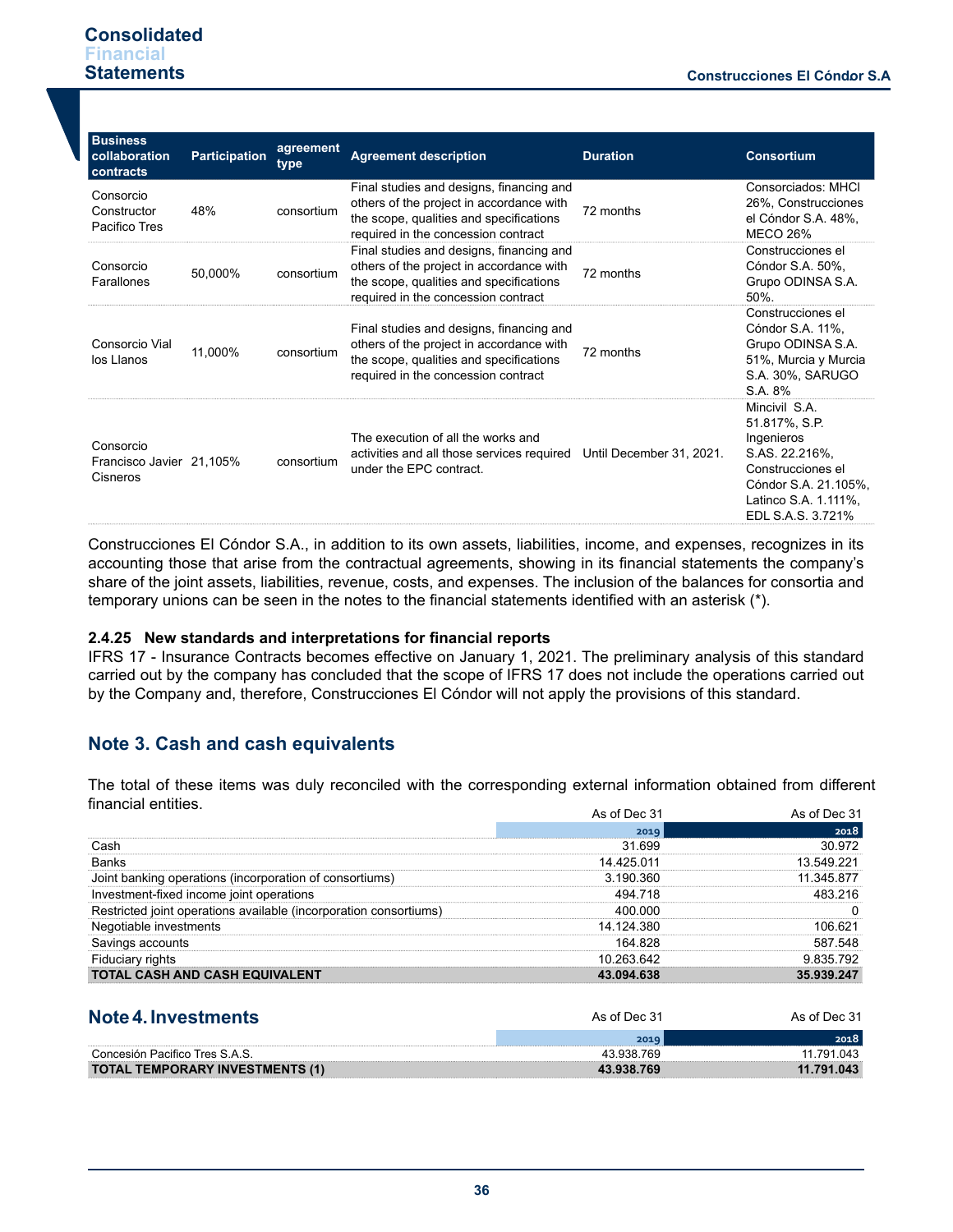# **Consolidated Financial Statements**

| <b>Business</b><br>collaboration<br>contracts     | <b>Participation</b> | agreement<br>type | <b>Agreement description</b>                                                                                                                                           | <b>Duration</b>          | <b>Consortium</b>                                                                                                                                        |
|---------------------------------------------------|----------------------|-------------------|------------------------------------------------------------------------------------------------------------------------------------------------------------------------|--------------------------|----------------------------------------------------------------------------------------------------------------------------------------------------------|
| Consorcio<br>Constructor<br>Pacifico Tres         | 48%                  | consortium        | Final studies and designs, financing and<br>others of the project in accordance with<br>the scope, qualities and specifications<br>required in the concession contract | 72 months                | Consorciados: MHCI<br>26%, Construcciones<br>el Cóndor S.A. 48%,<br><b>MECO 26%</b>                                                                      |
| Consorcio<br>Farallones                           | 50,000%              | consortium        | Final studies and designs, financing and<br>others of the project in accordance with<br>the scope, qualities and specifications<br>required in the concession contract | 72 months                | Construcciones el<br>Cóndor S.A. 50%,<br>Grupo ODINSA S.A.<br>50%.                                                                                       |
| Consorcio Vial<br>los Llanos                      | 11,000%              | consortium        | Final studies and designs, financing and<br>others of the project in accordance with<br>the scope, qualities and specifications<br>required in the concession contract | 72 months                | Construcciones el<br>Cóndor S.A. 11%,<br>Grupo ODINSA S.A.<br>51%, Murcia y Murcia<br>S.A. 30%, SARUGO<br>S.A. 8%                                        |
| Consorcio<br>Francisco Javier 21.105%<br>Cisneros |                      | consortium        | The execution of all the works and<br>activities and all those services required<br>under the EPC contract.                                                            | Until December 31, 2021. | Mincivil S.A.<br>51.817%, S.P.<br>Ingenieros<br>S.AS. 22.216%,<br>Construcciones el<br>Cóndor S.A. 21.105%,<br>Latinco S.A. 1.111%,<br>EDL S.A.S. 3.721% |

Construcciones El Cóndor S.A., in addition to its own assets, liabilities, income, and expenses, recognizes in its accounting those that arise from the contractual agreements, showing in its financial statements the company's share of the joint assets, liabilities, revenue, costs, and expenses. The inclusion of the balances for consortia and temporary unions can be seen in the notes to the financial statements identified with an asterisk (\*).

# **2.4.25 New standards and interpretations for financial reports**

IFRS 17 - Insurance Contracts becomes effective on January 1, 2021. The preliminary analysis of this standard carried out by the company has concluded that the scope of IFRS 17 does not include the operations carried out by the Company and, therefore, Construcciones El Cóndor will not apply the provisions of this standard.

# **Note 3. Cash and cash equivalents**

The total of these items was duly reconciled with the corresponding external information obtained from different financial entities.

|                                                                   | As of Dec 31 | As of Dec 31 |
|-------------------------------------------------------------------|--------------|--------------|
|                                                                   | 2019         | 2018         |
| Cash                                                              | 31.699       | 30.972       |
| Banks                                                             | 14.425.011   | 13.549.221   |
| Joint banking operations (incorporation of consortiums)           | 3.190.360    | 11.345.877   |
| Investment-fixed income joint operations                          | 494.718      | 483 216      |
| Restricted joint operations available (incorporation consortiums) | 400.000      |              |
| Negotiable investments                                            | 14.124.380   | 106.621      |
| Savings accounts                                                  | 164.828      | 587.548      |
| Fiduciary rights                                                  | 10.263.642   | 9.835.792    |
| <b>TOTAL CASH AND CASH EQUIVALENT</b>                             | 43.094.638   | 35.939.247   |
| Note 4. Investments                                               | As of Dec 31 | As of Dec 31 |
|                                                                   | 2019         | 2018         |
| Concesión Pacifico Tres S A S                                     | 43 938 769   | 11 791 043   |

|                                        | 2019       | ,,,,,,     |
|----------------------------------------|------------|------------|
| Concesión Pacifico Tres S.A.           | 43.938.769 | 043<br>791 |
| <b>TOTAL TEMPORARY INVESTMENTS (1)</b> |            |            |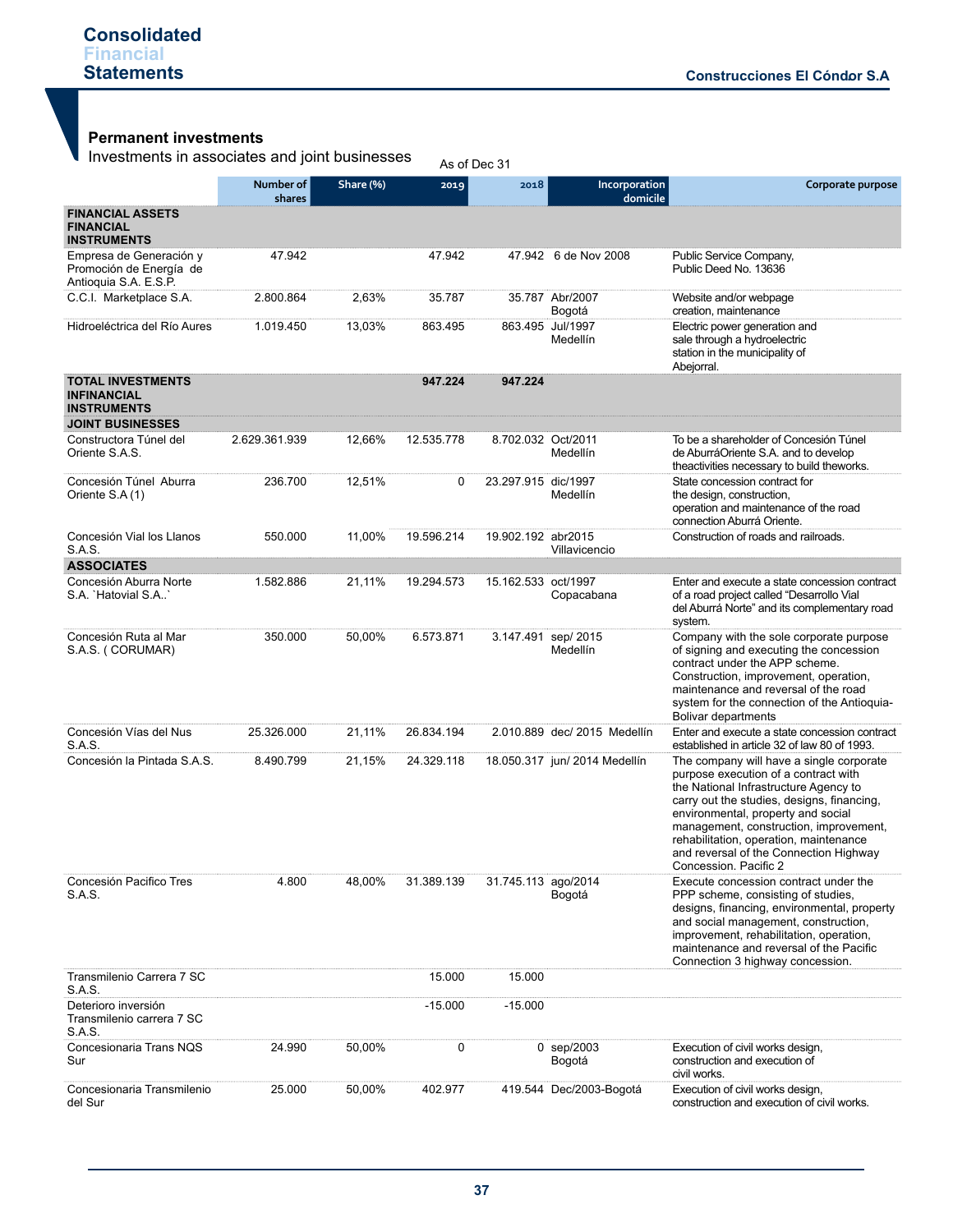# **Permanent investments**

Investments in associates and joint businesses As of Dec 31

|                                                                                                 | Number of<br>shares | Share (%) | 2019       | 2018                | Incorporation<br>domicile      | Corporate purpose                                                                                                                                                                                                                                                                                                                                                    |
|-------------------------------------------------------------------------------------------------|---------------------|-----------|------------|---------------------|--------------------------------|----------------------------------------------------------------------------------------------------------------------------------------------------------------------------------------------------------------------------------------------------------------------------------------------------------------------------------------------------------------------|
| <b>FINANCIAL ASSETS</b><br><b>FINANCIAL</b><br><b>INSTRUMENTS</b>                               |                     |           |            |                     |                                |                                                                                                                                                                                                                                                                                                                                                                      |
| Empresa de Generación y<br>Promoción de Energía de<br>Antioquia S.A. E.S.P.                     | 47.942              |           | 47.942     |                     | 47.942 6 de Nov 2008           | Public Service Company,<br>Public Deed No. 13636                                                                                                                                                                                                                                                                                                                     |
| C.C.I. Marketplace S.A.                                                                         | 2.800.864           | 2,63%     | 35.787     |                     | 35.787 Abr/2007<br>Bogotá      | Website and/or webpage<br>creation, maintenance                                                                                                                                                                                                                                                                                                                      |
| Hidroeléctrica del Río Aures                                                                    | 1.019.450           | 13,03%    | 863.495    |                     | 863.495 Jul/1997<br>Medellín   | Electric power generation and<br>sale through a hydroelectric<br>station in the municipality of<br>Abejorral.                                                                                                                                                                                                                                                        |
| <b>TOTAL INVESTMENTS</b><br><b>INFINANCIAL</b><br><b>INSTRUMENTS</b><br><b>JOINT BUSINESSES</b> |                     |           | 947.224    | 947.224             |                                |                                                                                                                                                                                                                                                                                                                                                                      |
| Constructora Túnel del<br>Oriente S.A.S.                                                        | 2.629.361.939       | 12,66%    | 12.535.778 | 8.702.032 Oct/2011  | Medellín                       | To be a shareholder of Concesión Túnel<br>de AburráOriente S.A. and to develop<br>theactivities necessary to build theworks.                                                                                                                                                                                                                                         |
| Concesión Túnel Aburra<br>Oriente S.A (1)                                                       | 236.700             | 12,51%    | 0          | 23.297.915 dic/1997 | Medellín                       | State concession contract for<br>the design, construction,<br>operation and maintenance of the road<br>connection Aburrá Oriente.                                                                                                                                                                                                                                    |
| Concesión Vial los Llanos<br>S.A.S.                                                             | 550.000             | 11,00%    | 19.596.214 | 19.902.192 abr2015  | Villavicencio                  | Construction of roads and railroads.                                                                                                                                                                                                                                                                                                                                 |
| <b>ASSOCIATES</b>                                                                               |                     |           |            |                     |                                |                                                                                                                                                                                                                                                                                                                                                                      |
| Concesión Aburra Norte<br>S.A. 'Hatovial S.A.'                                                  | 1.582.886           | 21,11%    | 19.294.573 | 15.162.533 oct/1997 | Copacabana                     | Enter and execute a state concession contract<br>of a road project called "Desarrollo Vial<br>del Aburrá Norte" and its complementary road<br>system.                                                                                                                                                                                                                |
| Concesión Ruta al Mar<br>S.A.S. (CORUMAR)                                                       | 350.000             | 50,00%    | 6.573.871  |                     | 3.147.491 sep/2015<br>Medellín | Company with the sole corporate purpose<br>of signing and executing the concession<br>contract under the APP scheme.<br>Construction, improvement, operation,<br>maintenance and reversal of the road<br>system for the connection of the Antioquia-<br><b>Bolivar departments</b>                                                                                   |
| Concesión Vías del Nus<br>S.A.S.                                                                | 25.326.000          | 21,11%    | 26.834.194 |                     | 2.010.889 dec/ 2015 Medellín   | Enter and execute a state concession contract<br>established in article 32 of law 80 of 1993.                                                                                                                                                                                                                                                                        |
| Concesión la Pintada S.A.S.                                                                     | 8.490.799           | 21,15%    | 24.329.118 |                     | 18.050.317 jun/ 2014 Medellín  | The company will have a single corporate<br>purpose execution of a contract with<br>the National Infrastructure Agency to<br>carry out the studies, designs, financing,<br>environmental, property and social<br>management, construction, improvement,<br>rehabilitation, operation, maintenance<br>and reversal of the Connection Highway<br>Concession. Pacific 2 |
| Concesión Pacifico Tres<br>S.A.S.                                                               | 4.800               | 48,00%    | 31.389.139 | 31.745.113 ago/2014 | Bogotá                         | Execute concession contract under the<br>PPP scheme, consisting of studies,<br>designs, financing, environmental, property<br>and social management, construction,<br>improvement, rehabilitation, operation,<br>maintenance and reversal of the Pacific<br>Connection 3 highway concession.                                                                         |
| Transmilenio Carrera 7 SC<br>S.A.S.                                                             |                     |           | 15.000     | 15.000              |                                |                                                                                                                                                                                                                                                                                                                                                                      |
| Deterioro inversión<br>Transmilenio carrera 7 SC<br>S.A.S.                                      |                     |           | $-15.000$  | $-15.000$           |                                |                                                                                                                                                                                                                                                                                                                                                                      |
| Concesionaria Trans NQS<br>Sur                                                                  | 24.990              | 50,00%    | 0          |                     | 0 sep/2003<br>Bogotá           | Execution of civil works design,<br>construction and execution of<br>civil works.                                                                                                                                                                                                                                                                                    |
| Concesionaria Transmilenio<br>del Sur                                                           | 25.000              | 50,00%    | 402.977    |                     | 419.544 Dec/2003-Bogotá        | Execution of civil works design,<br>construction and execution of civil works.                                                                                                                                                                                                                                                                                       |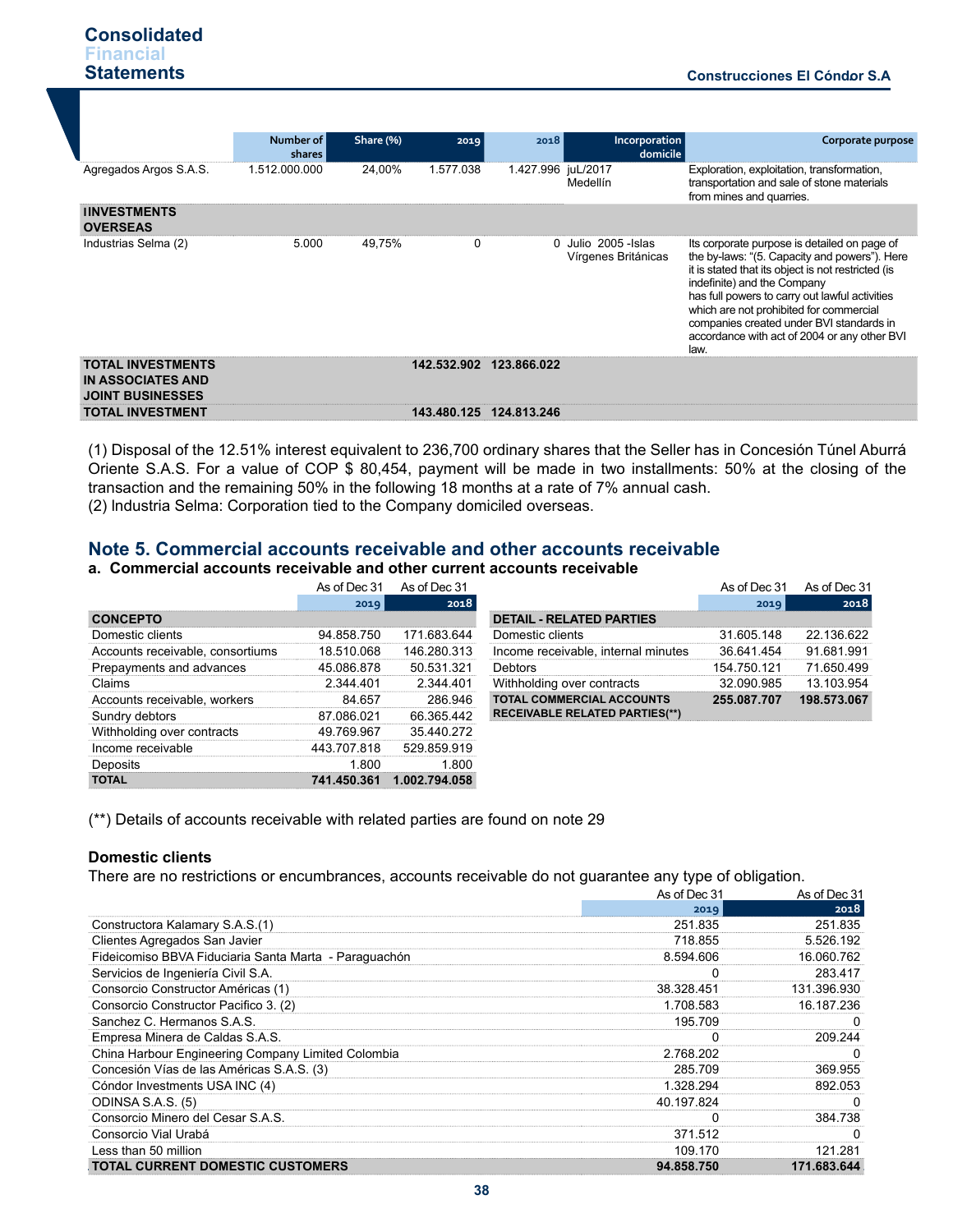|                                                                                 | Number of<br>shares | Share (%) | 2019        | 2018               | Incorporation<br>domicile                 | Corporate purpose                                                                                                                                                                                                                                                                                                                                                                   |
|---------------------------------------------------------------------------------|---------------------|-----------|-------------|--------------------|-------------------------------------------|-------------------------------------------------------------------------------------------------------------------------------------------------------------------------------------------------------------------------------------------------------------------------------------------------------------------------------------------------------------------------------------|
| Agregados Argos S.A.S.                                                          | 1.512.000.000       | 24.00%    | 1.577.038   | 1.427.996 juL/2017 | Medellín                                  | Exploration, exploitation, transformation,<br>transportation and sale of stone materials<br>from mines and quarries.                                                                                                                                                                                                                                                                |
| <b>IINVESTMENTS</b><br><b>OVERSEAS</b>                                          |                     |           |             |                    |                                           |                                                                                                                                                                                                                                                                                                                                                                                     |
| Industrias Selma (2)                                                            | 5.000               | 49,75%    | $\Omega$    | 0                  | Julio 2005 - Islas<br>Vírgenes Británicas | Its corporate purpose is detailed on page of<br>the by-laws: "(5. Capacity and powers"). Here<br>it is stated that its object is not restricted (is<br>indefinite) and the Company<br>has full powers to carry out lawful activities<br>which are not prohibited for commercial<br>companies created under BVI standards in<br>accordance with act of 2004 or any other BVI<br>law. |
| <b>TOTAL INVESTMENTS</b><br><b>IN ASSOCIATES AND</b><br><b>JOINT BUSINESSES</b> |                     |           | 142.532.902 | 123.866.022        |                                           |                                                                                                                                                                                                                                                                                                                                                                                     |
| <b>TOTAL INVESTMENT</b>                                                         |                     |           | 143.480.125 | 124.813.246        |                                           |                                                                                                                                                                                                                                                                                                                                                                                     |

(1) Disposal of the 12.51% interest equivalent to 236,700 ordinary shares that the Seller has in Concesión Túnel Aburrá Oriente S.A.S. For a value of COP \$ 80,454, payment will be made in two installments: 50% at the closing of the transaction and the remaining 50% in the following 18 months at a rate of 7% annual cash. (2) lndustria Selma: Corporation tied to the Company domiciled overseas.

# **Note 5. Commercial accounts receivable and other accounts receivable**

## **a. Commercial accounts receivable and other current accounts receivable**

|                                  | As of Dec 31 | As of Dec 31  |                                       | As of Dec 31 | As of Dec 31 |
|----------------------------------|--------------|---------------|---------------------------------------|--------------|--------------|
|                                  | 2019         | 2018          |                                       | 2019         | 2018         |
| <b>CONCEPTO</b>                  |              |               | <b>DETAIL - RELATED PARTIES</b>       |              |              |
| Domestic clients                 | 94.858.750   | 171.683.644   | Domestic clients                      | 31.605.148   | 22.136.622   |
| Accounts receivable, consortiums | 18.510.068   | 146.280.313   | Income receivable, internal minutes   | 36.641.454   | 91.681.991   |
| Prepayments and advances         | 45.086.878   | 50.531.321    | Debtors                               | 154.750.121  | 71.650.499   |
| Claims                           | 2.344.401    | 2.344.401     | Withholding over contracts            | 32.090.985   | 13.103.954   |
| Accounts receivable, workers     | 84.657       | 286.946       | <b>TOTAL COMMERCIAL ACCOUNTS</b>      | 255.087.707  | 198.573.067  |
| Sundry debtors                   | 87.086.021   | 66.365.442    | <b>RECEIVABLE RELATED PARTIES(**)</b> |              |              |
| Withholding over contracts       | 49.769.967   | 35.440.272    |                                       |              |              |
| Income receivable                | 443.707.818  | 529.859.919   |                                       |              |              |
| Deposits                         | 1.800        | 1.800         |                                       |              |              |
| <b>TOTAL</b>                     | 741.450.361  | 1.002.794.058 |                                       |              |              |

(\*\*) Details of accounts receivable with related parties are found on note 29

#### **Domestic clients**

There are no restrictions or encumbrances, accounts receivable do not guarantee any type of obligation.

|                                                       | As of Dec 31 | As of Dec 31 |
|-------------------------------------------------------|--------------|--------------|
|                                                       | 2019         | 2018         |
| Constructora Kalamary S.A.S.(1)                       | 251.835      | 251.835      |
| Clientes Agregados San Javier                         | 718.855      | 5.526.192    |
| Fideicomiso BBVA Fiduciaria Santa Marta - Paraguachón | 8.594.606    | 16.060.762   |
| Servicios de Ingeniería Civil S.A.                    |              | 283.417      |
| Consorcio Constructor Américas (1)                    | 38.328.451   | 131.396.930  |
| Consorcio Constructor Pacifico 3. (2)                 | 1.708.583    | 16.187.236   |
| Sanchez C. Hermanos S.A.S.                            | 195.709      |              |
| Empresa Minera de Caldas S.A.S.                       |              | 209.244      |
| China Harbour Engineering Company Limited Colombia    | 2.768.202    |              |
| Concesión Vías de las Américas S.A.S. (3)             | 285.709      | 369.955      |
| Cóndor Investments USA INC (4)                        | 1.328.294    | 892.053      |
| ODINSA S.A.S. (5)                                     | 40.197.824   |              |
| Consorcio Minero del Cesar S.A.S.                     |              | 384.738      |
| Consorcio Vial Urabá                                  | 371.512      |              |
| Less than 50 million                                  | 109.170      | 121.281      |
| <b>TOTAL CURRENT DOMESTIC CUSTOMERS</b>               | 94.858.750   | 171.683.644  |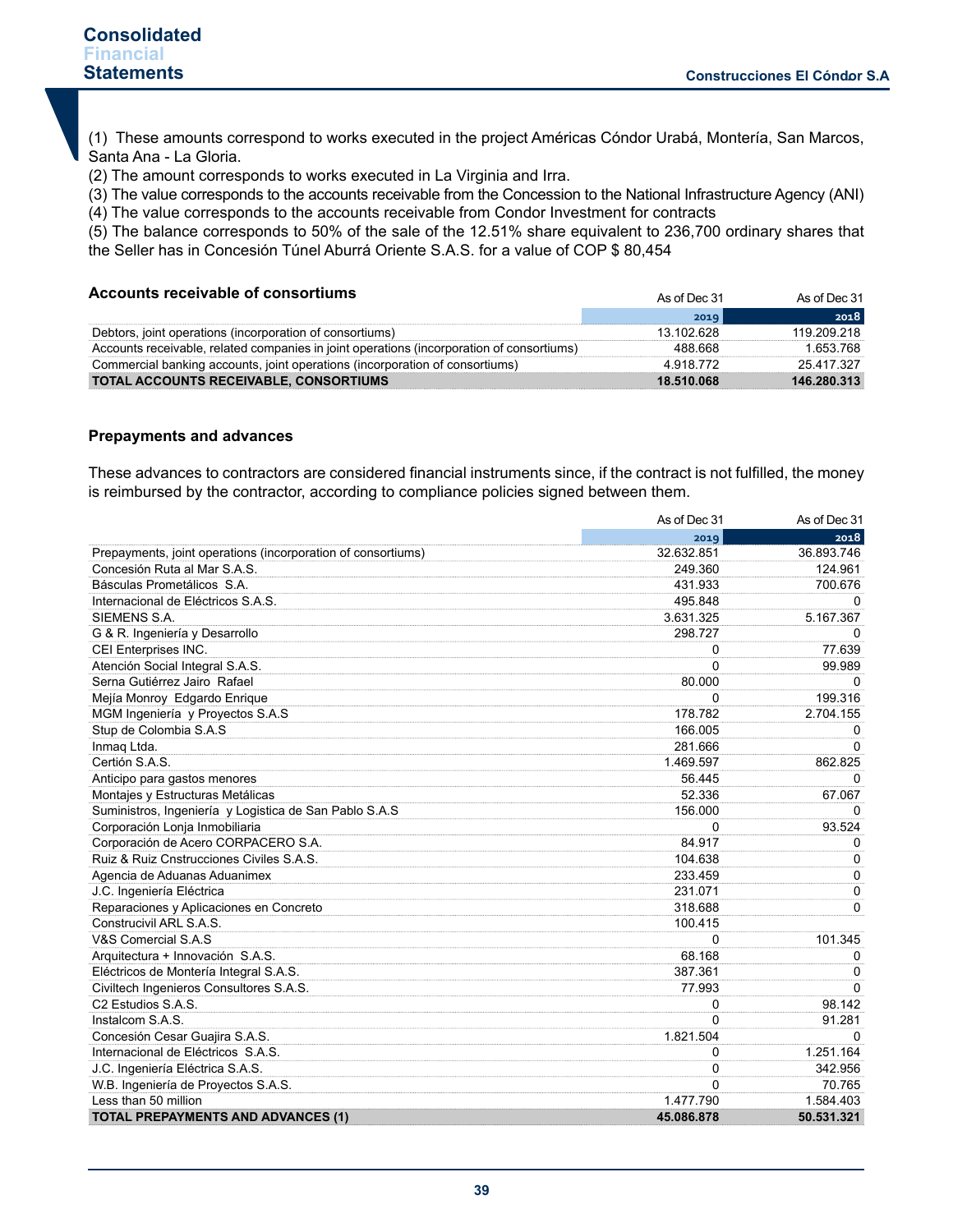(1) These amounts correspond to works executed in the project Américas Cóndor Urabá, Montería, San Marcos, Santa Ana - La Gloria.

(2) The amount corresponds to works executed in La Virginia and Irra.

(3) The value corresponds to the accounts receivable from the Concession to the National Infrastructure Agency (ANI)

(4) The value corresponds to the accounts receivable from Condor Investment for contracts

(5) The balance corresponds to 50% of the sale of the 12.51% share equivalent to 236,700 ordinary shares that the Seller has in Concesión Túnel Aburrá Oriente S.A.S. for a value of COP \$ 80,454

| Accounts receivable of consortiums                                                        | As of Dec 31 | As of Dec 31  |
|-------------------------------------------------------------------------------------------|--------------|---------------|
|                                                                                           | 2019         | 2018          |
| Debtors, joint operations (incorporation of consortiums)                                  | 13 102 628   | 119 209 218   |
| Accounts receivable, related companies in joint operations (incorporation of consortiums) | 488.668      | 1.653.768     |
| Commercial banking accounts, joint operations (incorporation of consortiums)              | 4 918 772    | 25 417 327    |
| TOTAL ACCOUNTS RECEIVABLE, CONSORTIUMS                                                    | 18.510.068   | 146, 280, 313 |

#### **Prepayments and advances**

These advances to contractors are considered financial instruments since, if the contract is not fulfilled, the money is reimbursed by the contractor, according to compliance policies signed between them.

|                                                              | As of Dec 31 | As of Dec 31 |
|--------------------------------------------------------------|--------------|--------------|
|                                                              | 2019         | 2018         |
| Prepayments, joint operations (incorporation of consortiums) | 32.632.851   | 36.893.746   |
| Concesión Ruta al Mar S.A.S.                                 | 249.360      | 124.961      |
| Básculas Prometálicos S.A.                                   | 431.933      | 700.676      |
| Internacional de Eléctricos S.A.S.                           | 495.848      | $\Omega$     |
| SIEMENS S.A.                                                 | 3.631.325    | 5.167.367    |
| G & R. Ingeniería y Desarrollo                               | 298.727      | $\Omega$     |
| CEI Enterprises INC.                                         | 0            | 77.639       |
| Atención Social Integral S.A.S.                              | $\Omega$     | 99.989       |
| Serna Gutiérrez Jairo Rafael                                 | 80.000       | $\Omega$     |
| Mejía Monroy Edgardo Enrique                                 | $\Omega$     | 199.316      |
| MGM Ingeniería y Proyectos S.A.S                             | 178.782      | 2.704.155    |
| Stup de Colombia S.A.S                                       | 166.005      | 0            |
| Inmaq Ltda.                                                  | 281.666      | $\Omega$     |
| Certión S.A.S.                                               | 1.469.597    | 862.825      |
| Anticipo para gastos menores                                 | 56.445       | 0            |
| Montajes y Estructuras Metálicas                             | 52.336       | 67.067       |
| Suministros, Ingeniería y Logistica de San Pablo S.A.S       | 156.000      | $\Omega$     |
| Corporación Lonja Inmobiliaria                               | 0            | 93.524       |
| Corporación de Acero CORPACERO S.A.                          | 84.917       | 0            |
| Ruiz & Ruiz Cnstrucciones Civiles S.A.S.                     | 104.638      | 0            |
| Agencia de Aduanas Aduanimex                                 | 233.459      | $\mathbf 0$  |
| J.C. Ingeniería Eléctrica                                    | 231.071      | 0            |
| Reparaciones y Aplicaciones en Concreto                      | 318.688      | 0            |
| Construcivil ARL S.A.S.                                      | 100.415      |              |
| V&S Comercial S.A.S                                          | 0            | 101.345      |
| Arquitectura + Innovación S.A.S.                             | 68.168       | 0            |
| Eléctricos de Montería Integral S.A.S.                       | 387.361      | 0            |
| Civiltech Ingenieros Consultores S.A.S.                      | 77.993       | $\Omega$     |
| C <sub>2</sub> Estudios S.A.S.                               | $\Omega$     | 98.142       |
| Instalcom S.A.S.                                             | $\Omega$     | 91.281       |
| Concesión Cesar Guajira S.A.S.                               | 1.821.504    | $\Omega$     |
| Internacional de Eléctricos S.A.S.                           | 0            | 1.251.164    |
| J.C. Ingeniería Eléctrica S.A.S.                             | $\Omega$     | 342.956      |
| W.B. Ingeniería de Proyectos S.A.S.                          | 0            | 70.765       |
| Less than 50 million                                         | 1.477.790    | 1.584.403    |
| <b>TOTAL PREPAYMENTS AND ADVANCES (1)</b>                    | 45.086.878   | 50.531.321   |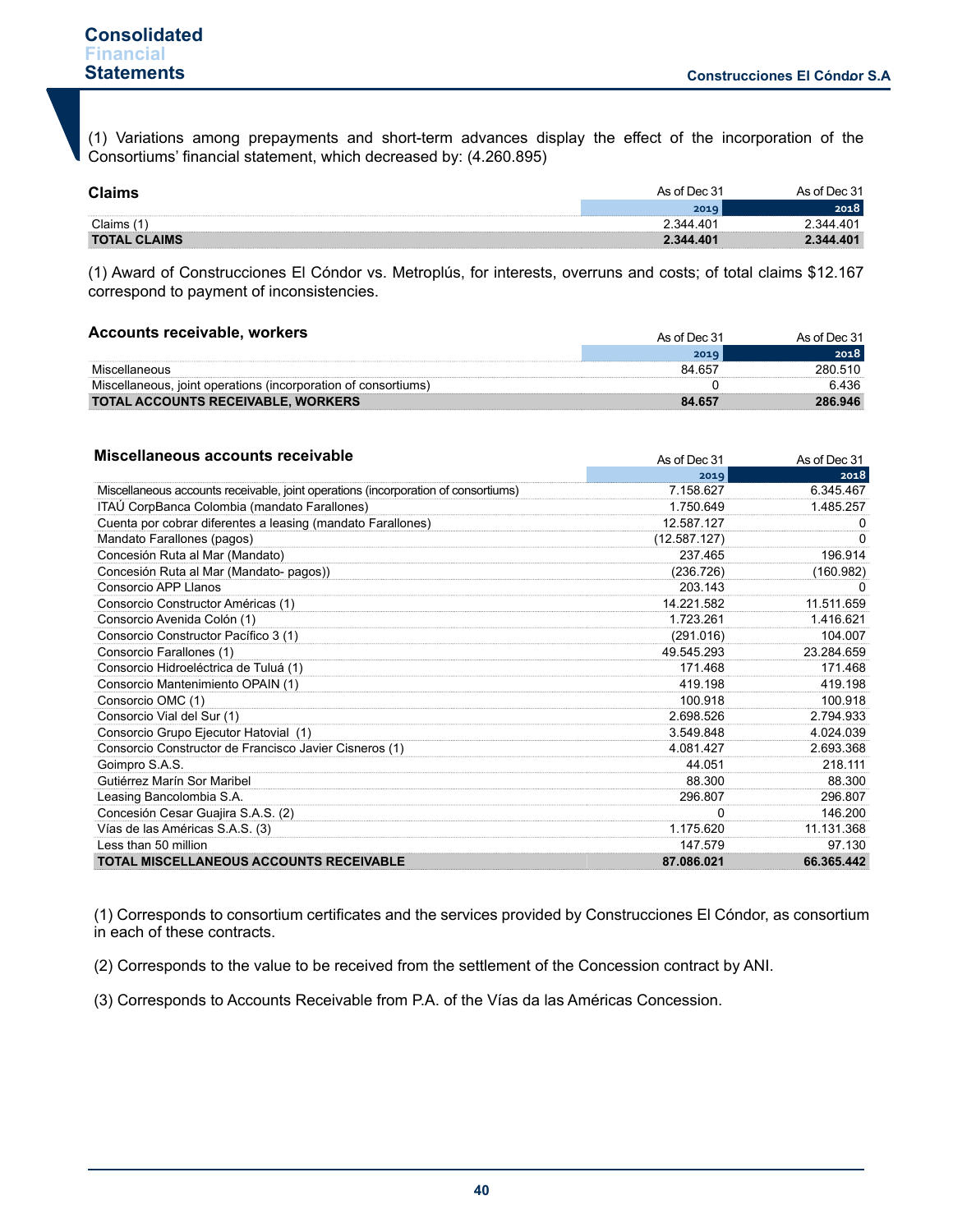(1) Variations among prepayments and short-term advances display the effect of the incorporation of the Consortiums' financial statement, which decreased by: (4.260.895)

| <b>Claims</b>       | As of Dec 31 | As of Dec 31 |
|---------------------|--------------|--------------|
|                     | 2019         | 2018         |
| Claims              | 2.344.401    | 34A          |
| <b>TOTAL CLAIMS</b> | 2.344.401    |              |

(1) Award of Construcciones El Cóndor vs. Metroplús, for interests, overruns and costs; of total claims \$12.167 correspond to payment of inconsistencies.

#### **Accounts receivable, workers**

| Accounts receivable, workers                                   | As of Dec 31 | As of Dec 31 |
|----------------------------------------------------------------|--------------|--------------|
|                                                                | 2019         | 2018         |
| Miscellaneous                                                  | 84 657       | 280 510      |
| Miscellaneous, joint operations (incorporation of consortiums) |              | 6.436        |
| <b>TOTAL ACCOUNTS RECEIVABLE, WORKERS</b>                      | 84 657       | 286.946      |

| Miscellaneous accounts receivable                                                  | As of Dec 31 | As of Dec 31 |
|------------------------------------------------------------------------------------|--------------|--------------|
|                                                                                    | 2019         | 2018         |
| Miscellaneous accounts receivable, joint operations (incorporation of consortiums) | 7.158.627    | 6.345.467    |
| ITAÚ CorpBanca Colombia (mandato Farallones)                                       | 1.750.649    | 1.485.257    |
| Cuenta por cobrar diferentes a leasing (mandato Farallones)                        | 12.587.127   | O            |
| Mandato Farallones (pagos)                                                         | (12.587.127) | 0            |
| Concesión Ruta al Mar (Mandato)                                                    | 237.465      | 196.914      |
| Concesión Ruta al Mar (Mandato- pagos))                                            | (236.726)    | (160.982)    |
| Consorcio APP Llanos                                                               | 203.143      | O            |
| Consorcio Constructor Américas (1)                                                 | 14.221.582   | 11.511.659   |
| Consorcio Avenida Colón (1)                                                        | 1.723.261    | 1.416.621    |
| Consorcio Constructor Pacífico 3 (1)                                               | (291.016)    | 104.007      |
| Consorcio Farallones (1)                                                           | 49.545.293   | 23.284.659   |
| Consorcio Hidroeléctrica de Tuluá (1)                                              | 171.468      | 171.468      |
| Consorcio Mantenimiento OPAIN (1)                                                  | 419.198      | 419.198      |
| Consorcio OMC (1)                                                                  | 100.918      | 100.918      |
| Consorcio Vial del Sur (1)                                                         | 2.698.526    | 2.794.933    |
| Consorcio Grupo Ejecutor Hatovial (1)                                              | 3.549.848    | 4.024.039    |
| Consorcio Constructor de Francisco Javier Cisneros (1)                             | 4.081.427    | 2.693.368    |
| Goimpro S.A.S.                                                                     | 44.051       | 218.111      |
| Gutiérrez Marín Sor Maribel                                                        | 88.300       | 88.300       |
| Leasing Bancolombia S.A.                                                           | 296.807      | 296.807      |
| Concesión Cesar Guajira S.A.S. (2)                                                 | $\Omega$     | 146.200      |
| Vías de las Américas S.A.S. (3)                                                    | 1.175.620    | 11.131.368   |
| Less than 50 million                                                               | 147.579      | 97.130       |
| <b>TOTAL MISCELLANEOUS ACCOUNTS RECEIVABLE</b>                                     | 87.086.021   | 66.365.442   |

(1) Corresponds to consortium certificates and the services provided by Construcciones El Cóndor, as consortium in each of these contracts.

(2) Corresponds to the value to be received from the settlement of the Concession contract by ANI.

(3) Corresponds to Accounts Receivable from P.A. of the Vías da las Américas Concession.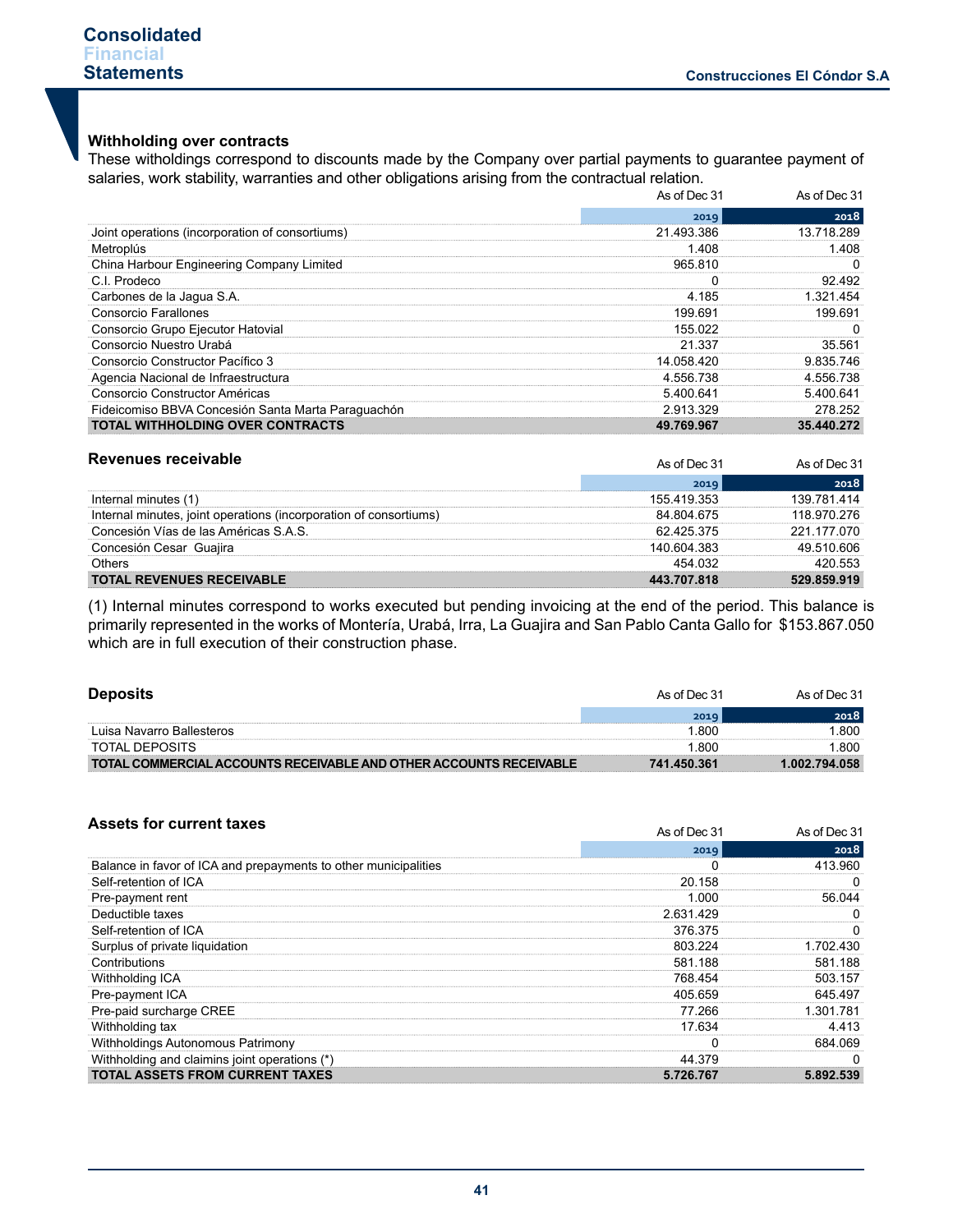# **Withholding over contracts**

These witholdings correspond to discounts made by the Company over partial payments to guarantee payment of salaries, work stability, warranties and other obligations arising from the contractual relation.

|                                                    | As of Dec 31 | As of Dec 31 |  |
|----------------------------------------------------|--------------|--------------|--|
|                                                    | 2019         | 2018         |  |
| Joint operations (incorporation of consortiums)    | 21.493.386   | 13.718.289   |  |
| Metroplús                                          | 1.408        | 1 408        |  |
| China Harbour Engineering Company Limited          | 965810       |              |  |
| C.I. Prodeco                                       |              | 92 492       |  |
| Carbones de la Jaqua S.A.                          | 4.185        | .321.454     |  |
| Consorcio Farallones                               | 199.691      | 199 691      |  |
| Consorcio Grupo Ejecutor Hatovial                  | 155.022      |              |  |
| Consorcio Nuestro Urabá                            | 21 337       | 35.561       |  |
| Consorcio Constructor Pacífico 3                   | 14.058.420   | 9.835.746    |  |
| Agencia Nacional de Infraestructura                | 4.556.738    | 4.556.738    |  |
| Consorcio Constructor Américas                     | 5.400.641    | 5.400.641    |  |
| Fideicomiso BBVA Concesión Santa Marta Paraguachón | 2.913.329    | 278 252      |  |
| <b>TOTAL WITHHOLDING OVER CONTRACTS</b>            | 49.769.967   | 35.440.272   |  |

| Revenues receivable                                               | As of Dec 31 | As of Dec 31 |
|-------------------------------------------------------------------|--------------|--------------|
|                                                                   | 2019         | 2018         |
| Internal minutes (1)                                              | 155 419 353  | 139 781 414  |
| Internal minutes, joint operations (incorporation of consortiums) | 84 804 675   | 118 970 276  |
| Concesión Vías de las Américas S.A.S.                             | 62 425 375   | 221 177 070  |
| Concesión Cesar Guaiira                                           | 140 604 383  | 49.510.606   |
| Others                                                            | 454 032      | 420 553      |
| <b>TOTAL REVENUES RECEIVABLE</b>                                  | 443.707.818  | 529 859 919  |

(1) Internal minutes correspond to works executed but pending invoicing at the end of the period. This balance is primarily represented in the works of Montería, Urabá, Irra, La Guajira and San Pablo Canta Gallo for \$153.867.050 which are in full execution of their construction phase.

| <b>Deposits</b>                                                    | As of Dec 31 | As of Dec 31  |
|--------------------------------------------------------------------|--------------|---------------|
|                                                                    | 2019         | 2018          |
| Luisa Navarro Ballesteros                                          | 1.800        | .800          |
| TOTAL DEPOSITS                                                     | -800         | .800          |
| TOTAL COMMERCIAL ACCOUNTS RECEIVABLE AND OTHER ACCOUNTS RECEIVABLE | 741 450 361  | 1.002.794.058 |

| <b>Assets for current taxes</b>                                 | As of Dec 31 | As of Dec 31 |
|-----------------------------------------------------------------|--------------|--------------|
|                                                                 | 2019         | 2018         |
| Balance in favor of ICA and prepayments to other municipalities |              | 413.960      |
| Self-retention of ICA                                           | 20.158       |              |
| Pre-payment rent                                                | 1.000        | 56.044       |
| Deductible taxes                                                | 2.631.429    |              |
| Self-retention of ICA                                           | 376.375      |              |
| Surplus of private liquidation                                  | 803.224      | 1.702.430    |
| Contributions                                                   | 581.188      | 581.188      |
| Withholding ICA                                                 | 768.454      | 503.157      |
| Pre-payment ICA                                                 | 405.659      | 645.497      |
| Pre-paid surcharge CREE                                         | 77.266       | 1.301.781    |
| Withholding tax                                                 | 17.634       | 4.413        |
| Withholdings Autonomous Patrimony                               |              | 684.069      |
| Withholding and claimins joint operations (*)                   | 44.379       |              |
| <b>TOTAL ASSETS FROM CURRENT TAXES</b>                          | 5.726.767    | 5.892.539    |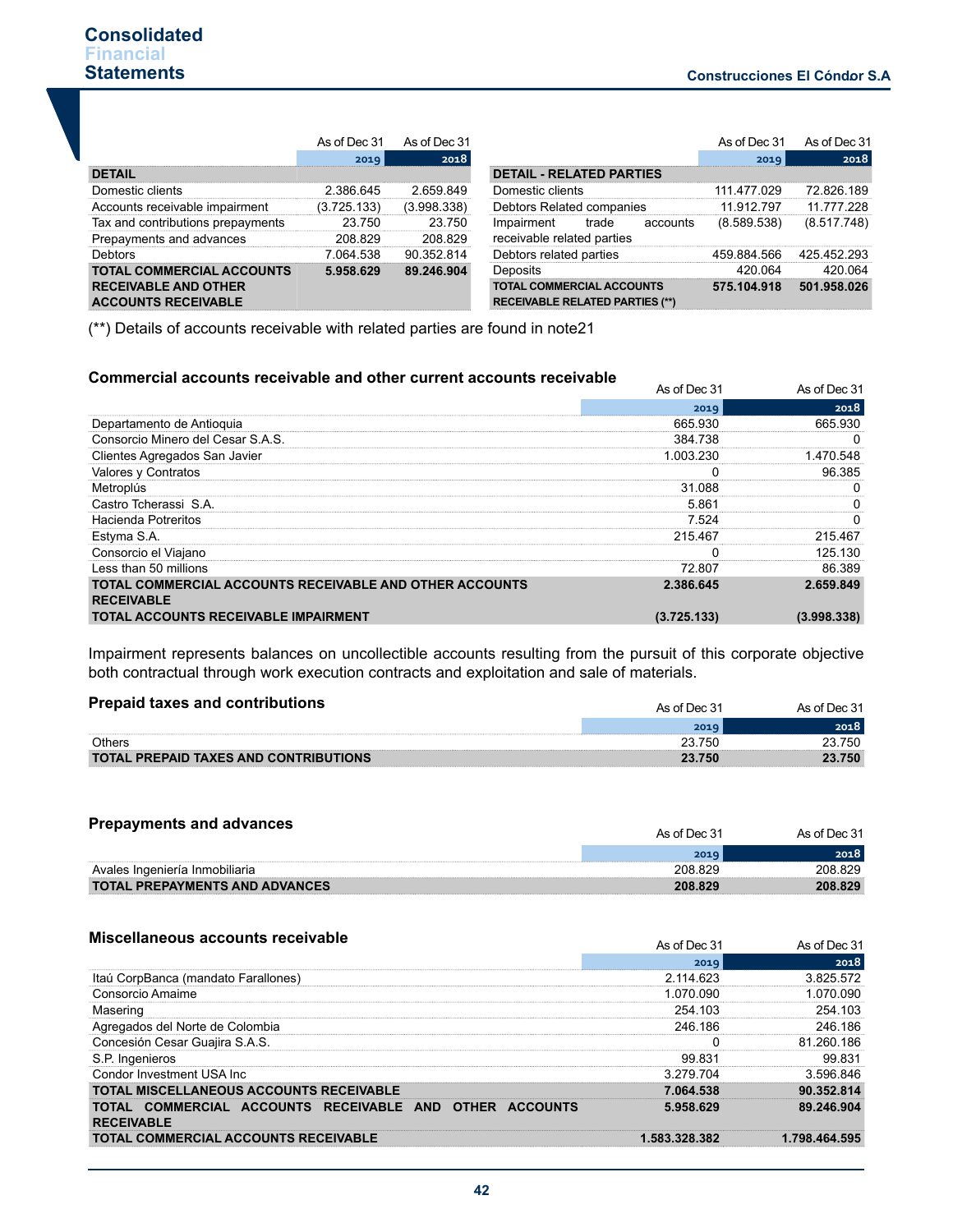|                                                                                               | As of Dec 31 | As of Dec 31 |
|-----------------------------------------------------------------------------------------------|--------------|--------------|
|                                                                                               | 2019         | 2018         |
| <b>DETAIL</b>                                                                                 |              |              |
| Domestic clients                                                                              | 2.386.645    | 2659849      |
| Accounts receivable impairment                                                                | (3.725.133)  | (3.998.338)  |
| Tax and contributions prepayments                                                             | 23 750       | 23 750       |
| Prepayments and advances                                                                      | 208829       | 208829       |
| Debtors                                                                                       | 7.064.538    | 90.352.814   |
| <b>TOTAL COMMERCIAL ACCOUNTS</b><br><b>RECEIVABLE AND OTHER</b><br><b>ACCOUNTS RECEIVABLE</b> | 5.958.629    | 89.246.904   |

|             | As of Dec 31   As of Dec 31 |                                                                            |             | As of Dec 31 As of Dec 31 |
|-------------|-----------------------------|----------------------------------------------------------------------------|-------------|---------------------------|
| 2019        | 2018                        |                                                                            | 2019        | 2018                      |
|             |                             | <b>DETAIL - RELATED PARTIES</b>                                            |             |                           |
| 2 386 645   | 2 659 849                   | Domestic clients                                                           | 111 477 029 | 72 826 189                |
| (3.725.133) | (3.998.338)                 | Debtors Related companies                                                  | 11 912 797  | 11 777 228                |
| 23.750      | 23 750                      | Impairment<br>trade<br>accounts                                            | (8.589.538) | (8.517.748)               |
| 208829      | 208 829                     | receivable related parties                                                 |             |                           |
| 7.064.538   | 90 352 814                  | Debtors related parties                                                    | 459.884.566 | 425 452 293               |
| 5.958.629   | 89.246.904                  | Deposits                                                                   | 420 064     | 420 064                   |
|             |                             | <b>TOTAL COMMERCIAL ACCOUNTS</b><br><b>RECEIVABLE RELATED PARTIES (**)</b> | 575 104 918 | 501.958.026               |

(\*\*) Details of accounts receivable with related parties are found in note21

## **Commercial accounts receivable and other current accounts receivable**

| Commercial accounts receivable and other current accounts receivable |              |              |
|----------------------------------------------------------------------|--------------|--------------|
|                                                                      | As of Dec 31 | As of Dec 31 |
|                                                                      | 2019         | 2018         |
| Departamento de Antioquia                                            | 665.930      | 665.930      |
| Consorcio Minero del Cesar S.A.S.                                    | 384.738      |              |
| Clientes Agregados San Javier                                        | 1.003.230    | 1.470.548    |
| Valores y Contratos                                                  |              | 96.385       |
| Metroplús                                                            | 31.088       |              |
| Castro Tcherassi S.A.                                                | 5.861        |              |
| Hacienda Potreritos                                                  | 7.524        |              |
| Estyma S.A.                                                          | 215.467      | 215.467      |
| Consorcio el Viajano                                                 |              | 125.130      |
| Less than 50 millions                                                | 72.807       | 86.389       |
| TOTAL COMMERCIAL ACCOUNTS RECEIVABLE AND OTHER ACCOUNTS              | 2.386.645    | 2.659.849    |
| <b>RECEIVABLE</b>                                                    |              |              |
| <b>TOTAL ACCOUNTS RECEIVABLE IMPAIRMENT</b>                          | (3.725.133)  | (3.998.338)  |

Impairment represents balances on uncollectible accounts resulting from the pursuit of this corporate objective both contractual through work execution contracts and exploitation and sale of materials.

| <b>Prepaid taxes and contributions</b>       | As of Dec 31 | As of Dec 31 |
|----------------------------------------------|--------------|--------------|
|                                              |              | 2018         |
| Others                                       | 23.750       | 23.750       |
| <b>TOTAL PREPAID TAXES AND CONTRIBUTIONS</b> | 23.750       | 23.750       |

| <b>Prepayments and advances</b>       | As of Dec 31 | As of Dec 31 |
|---------------------------------------|--------------|--------------|
|                                       | 2019         | 2018         |
| Avales Ingeniería Inmobiliaria        | 208829       | 208829       |
| <b>TOTAL PREPAYMENTS AND ADVANCES</b> | 208.829      | 208.829      |

#### **Miscellaneous accounts receivable**

| MISCELLANEOUS ACCOUNTS receivable                                            | As of Dec 31 | As of Dec 31  |  |
|------------------------------------------------------------------------------|--------------|---------------|--|
|                                                                              | 2019         | 2018          |  |
| Itaú CorpBanca (mandato Farallones)                                          | 2.114.623    | 3.825.572     |  |
| Consorcio Amaime                                                             | 1.070.090    | 1 070 090     |  |
| Masering                                                                     | 254.103      | 254 103       |  |
| Agregados del Norte de Colombia                                              | 246.186      | 246 186       |  |
| Concesión Cesar Guajira S.A.S.                                               |              | 81 260 186    |  |
| S.P. Ingenieros                                                              | 99 831       | 99 831        |  |
| Condor Investment USA Inc.                                                   | 3.279.704    | 3596846       |  |
| <b>TOTAL MISCELLANEOUS ACCOUNTS RECEIVABLE</b>                               | 7.064.538    | 90.352.814    |  |
| TOTAL COMMERCIAL ACCOUNTS RECEIVABLE AND OTHER ACCOUNTS<br><b>RECEIVABLE</b> | 5.958.629    | 89.246.904    |  |
| TOTAL COMMERCIAL ACCOUNTS RECEIVABLE                                         | 583 328 382  | 1 798 464 595 |  |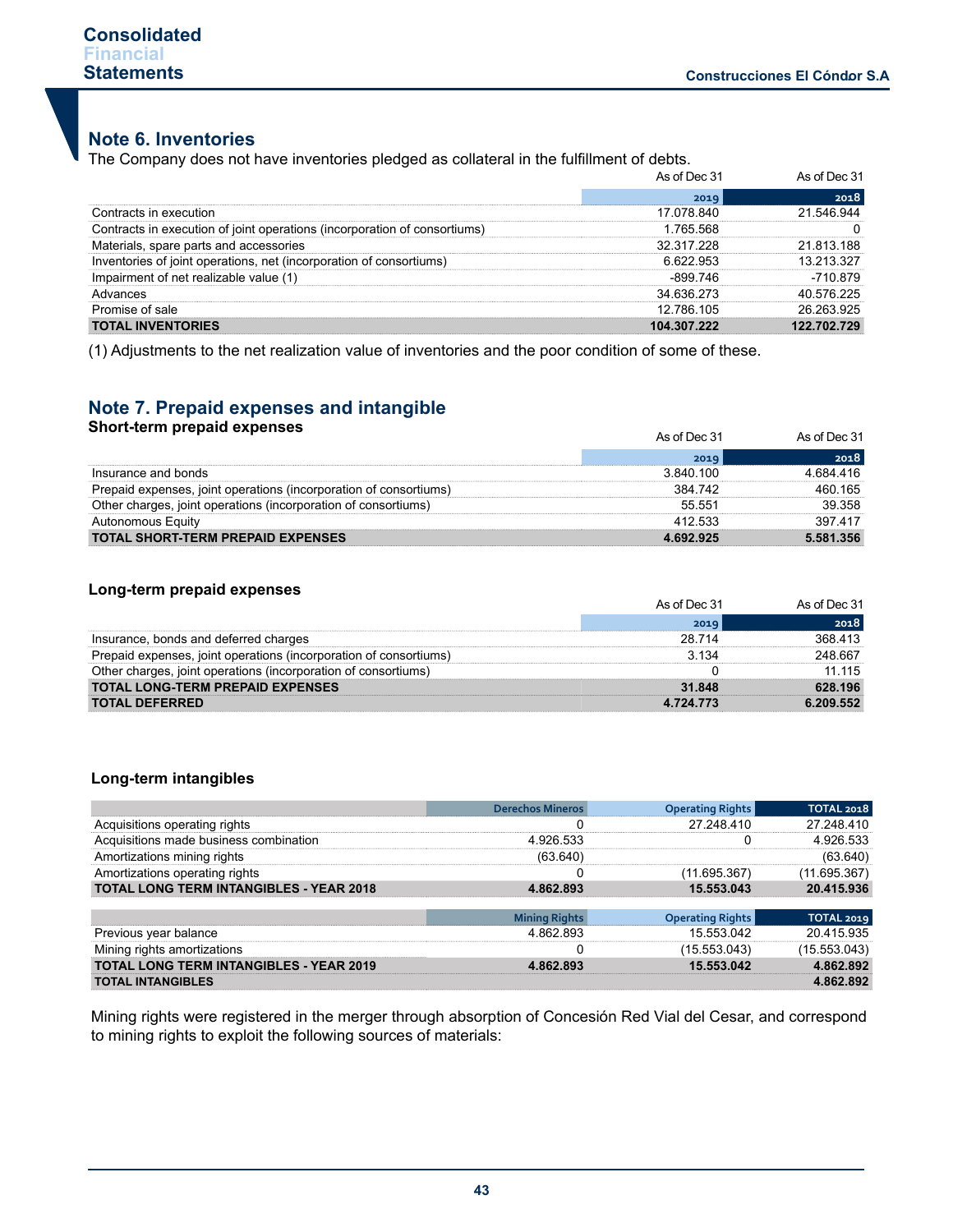# **Note 6. Inventories**

The Company does not have inventories pledged as collateral in the fulfillment of debts.

|                                                                           | As of Dec 31 | As of Dec 31 |
|---------------------------------------------------------------------------|--------------|--------------|
|                                                                           | 2019         | 2018         |
| Contracts in execution                                                    | 17.078.840   | 21.546.944   |
| Contracts in execution of ioint operations (incorporation of consortiums) | 1 765 568    |              |
| Materials, spare parts and accessories                                    | 32 317 228   | 21 813 188   |
| Inventories of joint operations, net (incorporation of consortiums)       |              | 13 213 327   |
| airment of net realizable value (1)                                       | -899 746     | -710 879     |
| Advances                                                                  | 34 636 273   | 40.576.225   |
| Promise of sale                                                           | 12.786.105   | 26 263 925   |
| <b>TOTAL INVENTORIES</b>                                                  | 104 307 222  | 122 702 729  |

(1) Adjustments to the net realization value of inventories and the poor condition of some of these.

# **Note 7. Prepaid expenses and intangible**

| <b>Short-term prepaid expenses</b>                                | As of Dec 31 | As of Dec 31 |
|-------------------------------------------------------------------|--------------|--------------|
|                                                                   | 2019         | 2018         |
| Insurance and bonds                                               | 3.840.100    | 4 684 416    |
| Prepaid expenses, joint operations (incorporation of consortiums) | 384 742      | 460 165      |
| Other charges, joint operations (incorporation of consortiums)    | 55 551       | 39.358       |
| Autonomous Equity                                                 | 412 533      | 397417       |
| <b>TOTAL SHORT-TERM PREPAID EXPENSES</b>                          | 4.692.925    | 5.581.356    |

## **Long-term prepaid expenses**

|                                                                   | As of Dec 31  | As of Dec 31 |
|-------------------------------------------------------------------|---------------|--------------|
|                                                                   | 2019          | 2018         |
| Insurance, bonds and deferred charges                             | 28 7 14       | 368 413      |
| Prepaid expenses, joint operations (incorporation of consortiums) | 3.134         | 248 667      |
| Other charges, joint operations (incorporation of consortiums)    |               | 11 115       |
| <b>TOTAL LONG-TERM PREPAID EXPENSES</b>                           | 31.848        | 628.196      |
| <b>TOTAL DEFERRED</b>                                             | 4 7 2 4 7 7 3 | 6.209.552    |

## **Long-term intangibles**

|                                                | <b>Derechos Mineros</b> | <b>Operating Rights</b> | <b>TOTAL 2018</b> |
|------------------------------------------------|-------------------------|-------------------------|-------------------|
| Acquisitions operating rights                  |                         | 27 248 410              | 27 248 410        |
| Acquisitions made business combination         | 4 926 533               |                         | 4 926 533         |
| Amortizations mining rights                    | (63.640)                |                         | (63.640)          |
| Amortizations operating rights                 |                         | (11.695.367)            | (11.695.367)      |
| <b>TOTAL LONG TERM INTANGIBLES - YEAR 2018</b> | 4.862.893               | 15.553.043              | 20.415.936        |
|                                                |                         |                         |                   |
|                                                | <b>Mining Rights</b>    | <b>Operating Rights</b> | TOTAL 2019        |
| Previous year balance                          | 4 862 893               | 15 553 042              | 20.415.935        |
| Mining rights amortizations                    |                         | (15.553.043)            | (15.553.043)      |
| <b>TOTAL LONG TERM INTANGIBLES - YEAR 2019</b> | 4 862 893               | 15 553 042              | 4862892           |
| <b>TOTAL INTANGIBLES</b>                       |                         |                         | 4.862.892         |

Mining rights were registered in the merger through absorption of Concesión Red Vial del Cesar, and correspond to mining rights to exploit the following sources of materials: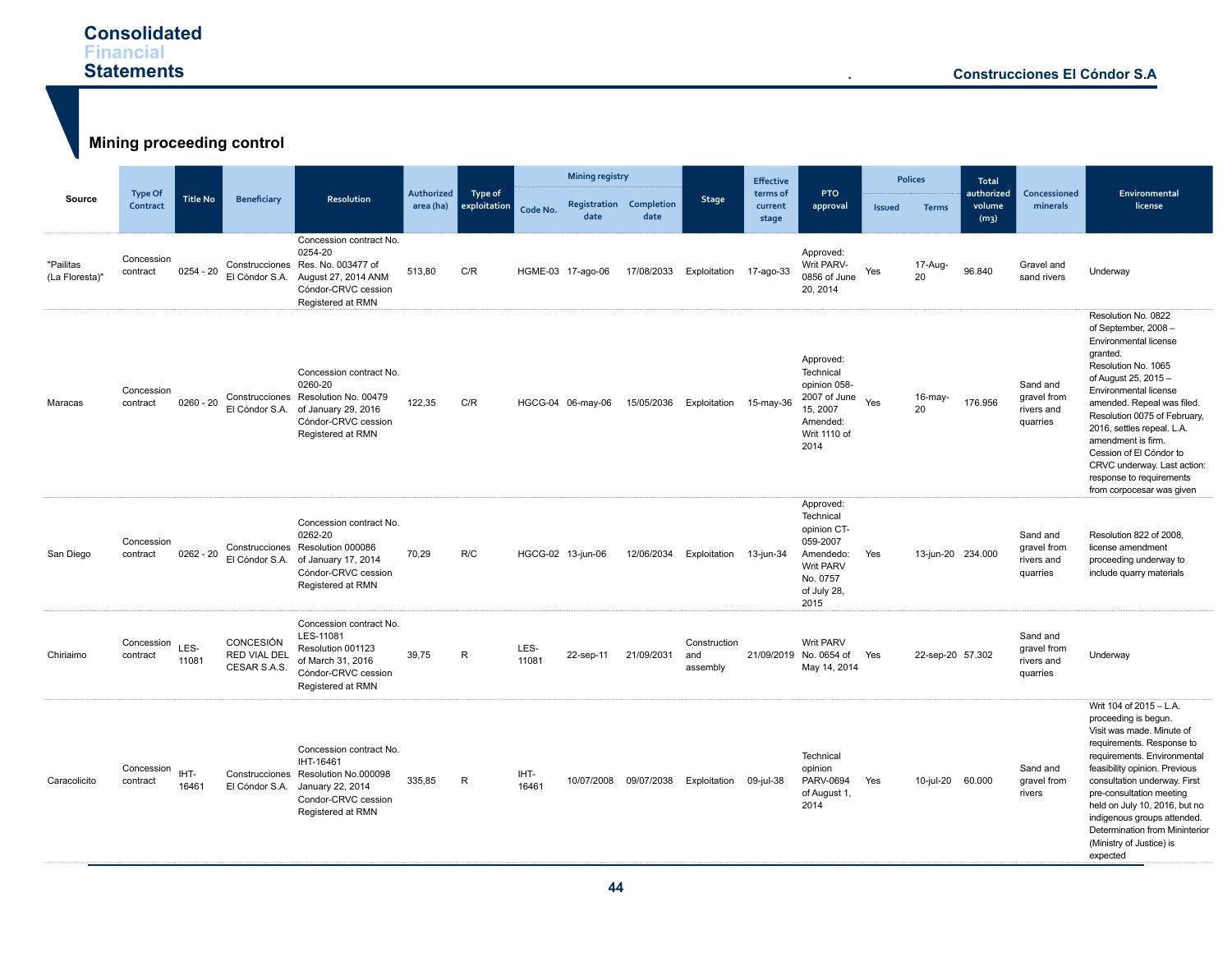# **Consolidated Financial Statements**

**Mining proceeding control Source Type Of Contract Contract Title No Beneficiary Resolution Authorized area (ha) Type of exploitation Mining registry Stage Effective terms of current stage PTO approval Polices Total authorized volume (m3) Concessioned minerals Environmental** Code No. Registration Completion and accurrent approval issued Terms volume minerals and license **date** npletion **Times current approval** Issued Terms<br>date **Internal Stage** "Pailitas (La Floresta)" Concession<br>contract contract 0254 - 20 Construcciones Res. No. 003477 of El Cóndor S.A. August 27, 2014 ANM Concession contract No. 0254-20 Cóndor-CRVC cession Registered at RMN 513,80 C/R HGME-03 17-ago-06 17/08/2033 Exploitation 17-ago-33 Approved: Writ PARV-0856 of June 20, 2014 Yes 17-Aug-<sup>20</sup> 96.840 Gravel and sand rivers Underway Maracas Concession  $control = 0260 - 20$ El Cóndor S.A. of January 29, 2016 Concession contract No. 0260-20 Construcciones Resolution No. 00479 Cóndor-CRVC cession Registered at RMN 122,35 C/R HGCG-04 06-may-06 15/05/2036 Exploitation 15-may-36 Approved: **Technical** opinion 058-  $2007$  of June  $Y_{\text{ess}}$ 15, 2007 Amended: Writ 1110 of 2014 16-may-<br>20 <sup>20</sup> 176.956 Sand and gravel from rivers and quarries Resolution No. 0822 of September, 2008 – Environmental license granted. Resolution No. 1065 of August 25, 2015 – Environmental license amended. Repeal was filed. Resolution 0075 of February, 2016, settles repeal. L.A. amendment is firm. Cession of El Cóndor to CRVC underway. Last action: response to requirements from corpocesar was given San Diego Concession contract 0262 - 20 Construcciones Resolution 000086 El Cóndor S.A. of January 17, 2014 Concession contract No. 0262-20 Cóndor-CRVC cession Registered at RMN 70,29 R/C HGCG-02 13-jun-06 12/06/2034 Exploitation 13-jun-34 Approved: **Technical** opinion CT-059-2007 Amendedo: Writ PARV No. 0757 of July 28, 2015 Yes 13-jun-20 234.000 Sand and gravel from rivers and quarries Resolution 822 of 2008, license amendment proceeding underway to include quarry materials Chiriaimo Concession **Concession** LES-11081 CONCESIÓN RED VIAL DEL CESAR S.A.S. Concession contract No. LES-11081 Resolution 001123 of March 31, 2016 Cóndor-CRVC cession Registered at RMN 39,75 R LES-<br>11081 22-sep-11 21/09/2031 Construction and assembly 21/09/2019 No. 0654 of Writ PARV May 14, 2014 Yes 22-sep-20 57.302 Sand and gravel from rivers and quarries Underway Caracolicito Concession concession IHT-16461 Construcciones Resolution No.000098 El Cóndor S.A. Concession contract No. IHT-16461 January 22, 2014 Condor-CRVC cession Registered at RMN 335,85 R IHT-<br>16461 <sup>16461</sup> 10/07/2008 09/07/2038 Exploitation 09-jul-38 **Technical** opinion PARV-0694 of August 1, 2014 Yes 10-jul-20 60.000 Sand and gravel from rivers Writ 104 of 2015 – L.A. proceeding is begun. Visit was made. Minute of requirements. Response to requirements. Environmental feasibility opinion. Previous consultation underway. First pre-consultation meeting held on July 10, 2016, but no indigenous groups attended. Determination from Mininterior (Ministry of Justice) is expected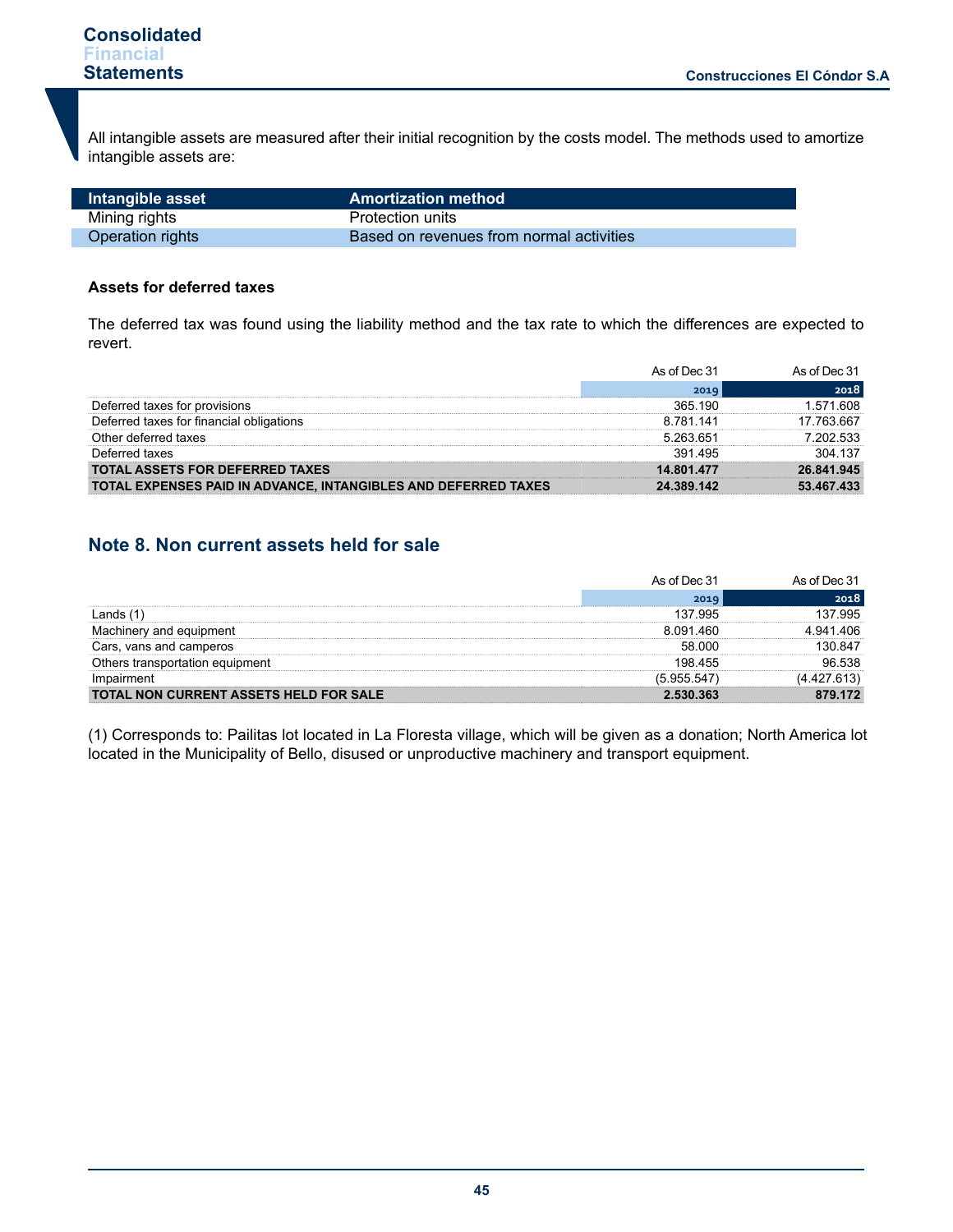Г

All intangible assets are measured after their initial recognition by the costs model. The methods used to amortize intangible assets are:

| Intangible asset | <b>Amortization method</b>               |
|------------------|------------------------------------------|
| Mining rights    | Protection units                         |
| Operation rights | Based on revenues from normal activities |

## **Assets for deferred taxes**

The deferred tax was found using the liability method and the tax rate to which the differences are expected to revert.

|                                                                | As of Dec 31  | As of Dec 31 |
|----------------------------------------------------------------|---------------|--------------|
|                                                                | 2019          | 2018         |
| Deferred taxes for provisions                                  | 365 190       | 608<br>571   |
| Deferred taxes for financial obligations                       | 8 7 8 1 1 4 1 | 7 763 667    |
| Other deferred taxes                                           | 5 263 651     | 202.533      |
| Deferred taxes                                                 | 391 495       | 304 137      |
| <b>TOTAL ASSETS FOR DEFERRED TAXES</b>                         | 14 801 477    | 26841945     |
| TOTAL EXPENSES PAID IN ADVANCE, INTANGIBLES AND DEFERRED TAXES | 24.389.142    | 53.467.433   |

# **Note 8. Non current assets held for sale**

|                                               | As of Dec 31  | As of Dec 31 |
|-----------------------------------------------|---------------|--------------|
|                                               | 2019          | 2018         |
|                                               | 137 995       | 995          |
| equipment<br>hinerv<br>and                    | 8 0 9 1 4 6 0 | 406          |
| Cars, vans and camperos                       | 58.000        | 847          |
| Others transportation equipment               | 198 455       | 96.538       |
| Impairment                                    | (5.955.547    | (4.427.613)  |
| <b>TOTAL NON CURRENT ASSETS HELD FOR SALE</b> | 2 530 363     | 79 172       |

(1) Corresponds to: Pailitas lot located in La Floresta village, which will be given as a donation; North America lot located in the Municipality of Bello, disused or unproductive machinery and transport equipment.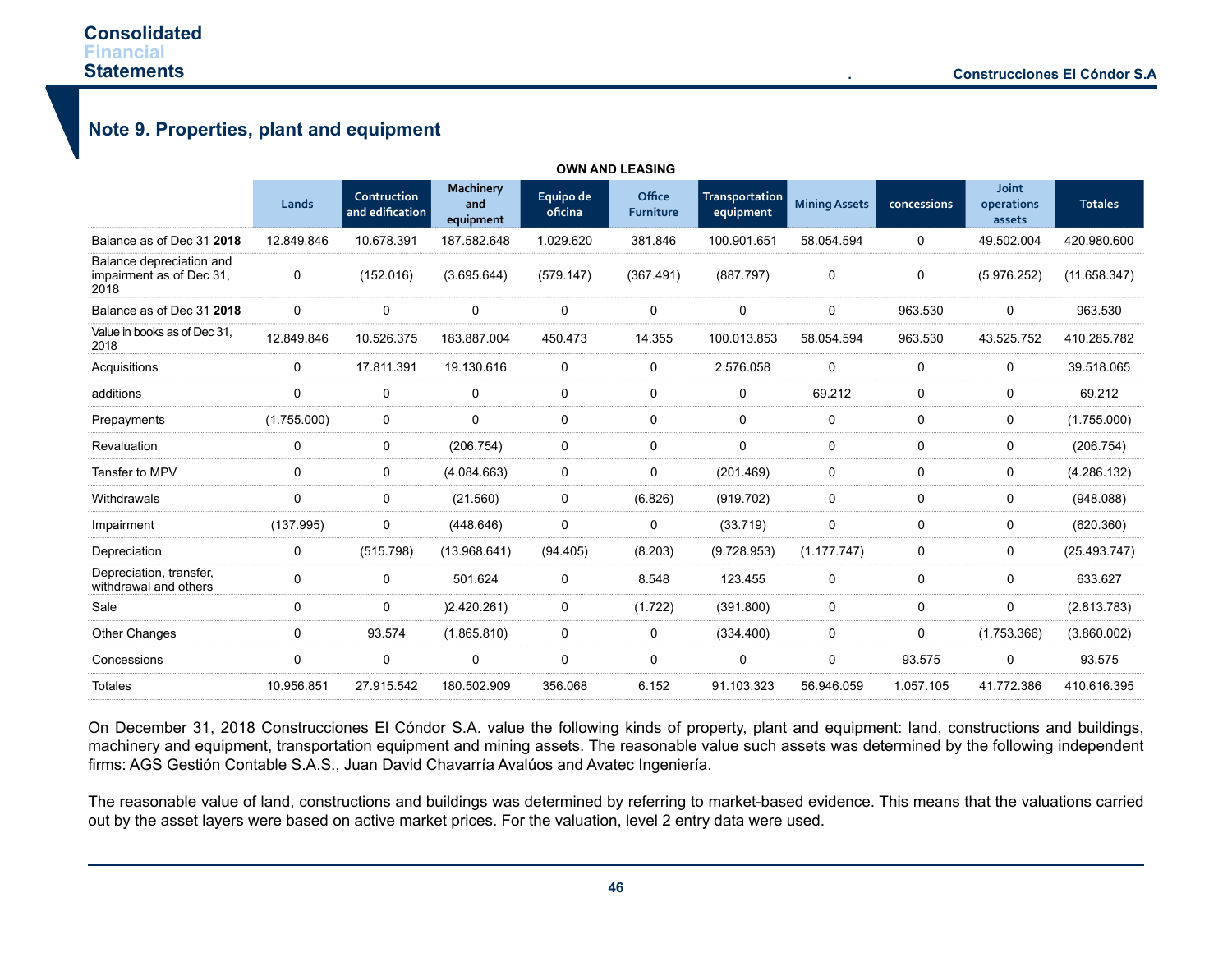$\overline{a}$ 

# **Note 9. Properties, plant and equipment**

|                                                              |             |                                |                                      |                      | <b>OWN AND LEASING</b>     |                                    |                      |             |                               |                |
|--------------------------------------------------------------|-------------|--------------------------------|--------------------------------------|----------------------|----------------------------|------------------------------------|----------------------|-------------|-------------------------------|----------------|
|                                                              | Lands       | Contruction<br>and edification | <b>Machinery</b><br>and<br>equipment | Equipo de<br>oficina | Office<br><b>Furniture</b> | <b>Transportation</b><br>equipment | <b>Mining Assets</b> | concessions | Joint<br>operations<br>assets | <b>Totales</b> |
| Balance as of Dec 31 2018                                    | 12.849.846  | 10.678.391                     | 187.582.648                          | 1.029.620            | 381.846                    | 100.901.651                        | 58.054.594           | 0           | 49.502.004                    | 420.980.600    |
| Balance depreciation and<br>impairment as of Dec 31.<br>2018 | 0           | (152.016)                      | (3.695.644)                          | (579.147)            | (367.491)                  | (887.797)                          | 0                    | 0           | (5.976.252)                   | (11.658.347)   |
| Balance as of Dec 31 2018                                    | 0           | $\mathbf 0$                    | 0                                    | $\Omega$             | 0                          | 0                                  | 0                    | 963.530     | 0                             | 963.530        |
| Value in books as of Dec 31,<br>2018                         | 12.849.846  | 10.526.375                     | 183.887.004                          | 450.473              | 14.355                     | 100.013.853                        | 58.054.594           | 963.530     | 43.525.752                    | 410.285.782    |
| Acquisitions                                                 | 0           | 17.811.391                     | 19.130.616                           | $\Omega$             | 0                          | 2.576.058                          | 0                    | 0           | 0                             | 39.518.065     |
| additions                                                    | 0           | $\mathbf 0$                    | 0                                    | $\mathbf 0$          | 0                          | 0                                  | 69.212               | 0           | 0                             | 69.212         |
| Prepayments                                                  | (1.755.000) | $\mathbf 0$                    | 0                                    | $\mathbf 0$          | 0                          | 0                                  | 0                    | 0           | 0                             | (1.755.000)    |
| Revaluation                                                  | 0           | 0                              | (206.754)                            | 0                    | 0                          | 0                                  | 0                    | 0           | 0                             | (206.754)      |
| Tansfer to MPV                                               | 0           | $\mathbf 0$                    | (4.084.663)                          | 0                    | 0                          | (201.469)                          | 0                    | $\Omega$    | 0                             | (4.286.132)    |
| Withdrawals                                                  | $\mathbf 0$ | 0                              | (21.560)                             | $\mathbf 0$          | (6.826)                    | (919.702)                          | 0                    | 0           | 0                             | (948.088)      |
| Impairment                                                   | (137.995)   | 0                              | (448.646)                            | $\Omega$             | 0                          | (33.719)                           | $\mathbf 0$          | 0           | 0                             | (620.360)      |
| Depreciation                                                 | 0           | (515.798)                      | (13.968.641)                         | (94.405)             | (8.203)                    | (9.728.953)                        | (1.177.747)          | 0           | 0                             | (25.493.747)   |
| Depreciation, transfer,<br>withdrawal and others             | 0           | 0                              | 501.624                              | 0                    | 8.548                      | 123.455                            | 0                    | 0           | 0                             | 633.627        |
| Sale                                                         | 0           | 0                              | (2.420.261)                          | 0                    | (1.722)                    | (391.800)                          | 0                    | 0           | 0                             | (2.813.783)    |
| Other Changes                                                | 0           | 93.574                         | (1.865.810)                          | $\mathbf 0$          | 0                          | (334.400)                          | 0                    | 0           | (1.753.366)                   | (3.860.002)    |
| Concessions                                                  | 0           | 0                              | 0                                    | 0                    | 0                          | 0                                  | 0                    | 93.575      | 0                             | 93.575         |
| <b>Totales</b>                                               | 10.956.851  | 27.915.542                     | 180.502.909                          | 356.068              | 6.152                      | 91.103.323                         | 56.946.059           | 1.057.105   | 41.772.386                    | 410.616.395    |

On December 31, 2018 Construcciones El Cóndor S.A. value the following kinds of property, plant and equipment: land, constructions and buildings, machinery and equipment, transportation equipment and mining assets. The reasonable value such assets was determined by the following independent firms: AGS Gestión Contable S.A.S., Juan David Chavarría Avalúos and Avatec Ingeniería.

The reasonable value of land, constructions and buildings was determined by referring to market-based evidence. This means that the valuations carried out by the asset layers were based on active market prices. For the valuation, level 2 entry data were used.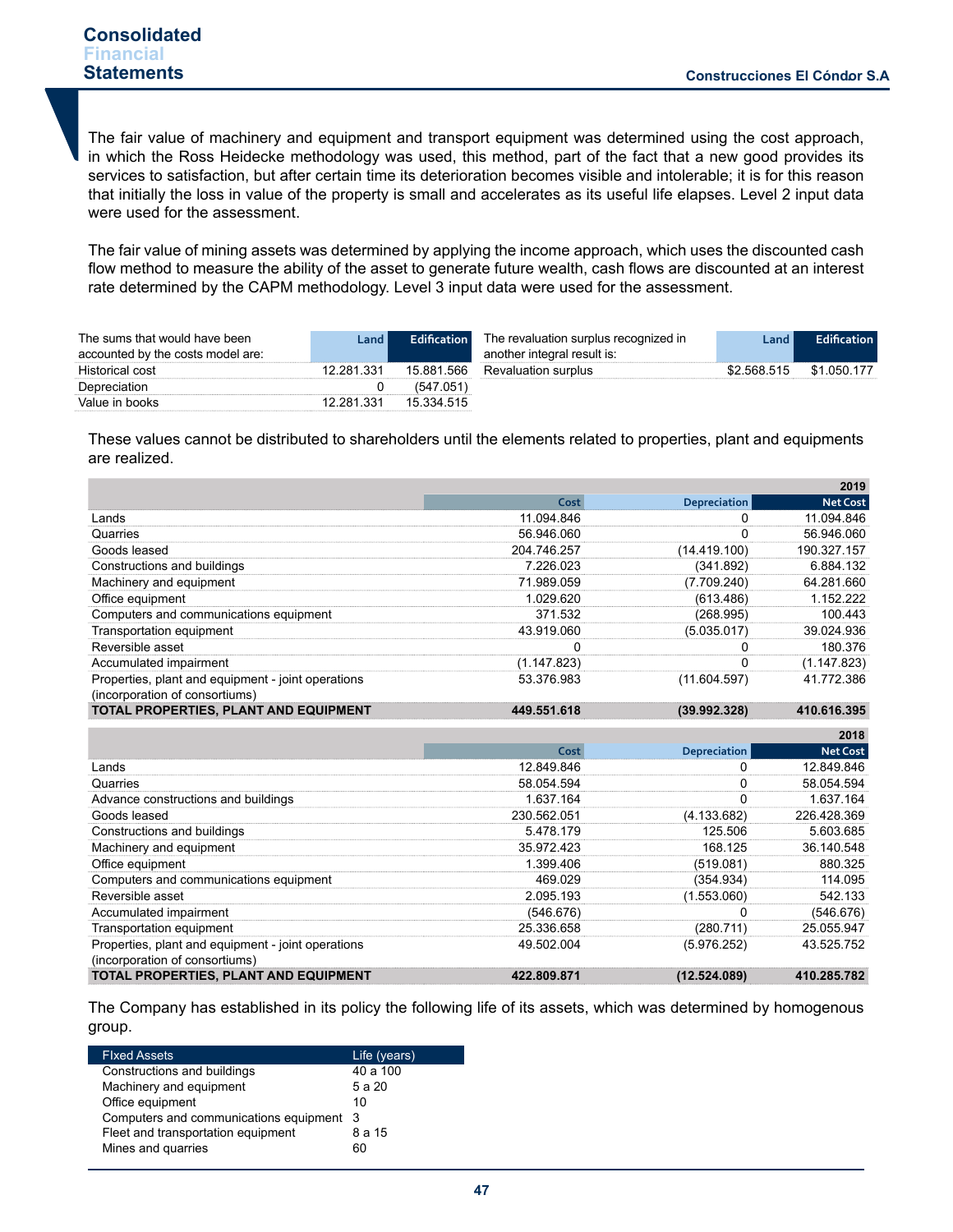The fair value of machinery and equipment and transport equipment was determined using the cost approach, in which the Ross Heidecke methodology was used, this method, part of the fact that a new good provides its services to satisfaction, but after certain time its deterioration becomes visible and intolerable; it is for this reason that initially the loss in value of the property is small and accelerates as its useful life elapses. Level 2 input data were used for the assessment.

The fair value of mining assets was determined by applying the income approach, which uses the discounted cash flow method to measure the ability of the asset to generate future wealth, cash flows are discounted at an interest rate determined by the CAPM methodology. Level 3 input data were used for the assessment.

| The sums that would have been<br>accounted by the costs model are: | Land I     | <b>Edification</b> | The revaluation surplus recognized in<br>another integral result is: | Land I      | <b>Edification</b> |
|--------------------------------------------------------------------|------------|--------------------|----------------------------------------------------------------------|-------------|--------------------|
| Historical cost                                                    | 12.281.331 | 15.881.566         | <b>Revaluation surplus</b>                                           | \$2.568.515 | \$1.050.177        |
| Depreciation                                                       |            | (547.051)          |                                                                      |             |                    |
| Value in books                                                     | 12.281.331 | 15 334 515         |                                                                      |             |                    |

These values cannot be distributed to shareholders until the elements related to properties, plant and equipments are realized.

|                                                                                      |             |              | 2019            |
|--------------------------------------------------------------------------------------|-------------|--------------|-----------------|
|                                                                                      | Cost        | Depreciation | <b>Net Cost</b> |
| Lands                                                                                | 11.094.846  |              | 11.094.846      |
| Quarries                                                                             | 56.946.060  |              | 56.946.060      |
| Goods leased                                                                         | 204.746.257 | (14.419.100) | 190.327.157     |
| Constructions and buildings                                                          | 7.226.023   | (341.892)    | 6.884.132       |
| Machinery and equipment                                                              | 71.989.059  | (7.709.240)  | 64.281.660      |
| Office equipment                                                                     | 1.029.620   | (613.486)    | 1.152.222       |
| Computers and communications equipment                                               | 371.532     | (268.995)    | 100.443         |
| Transportation equipment                                                             | 43.919.060  | (5.035.017)  | 39.024.936      |
| Reversible asset                                                                     |             |              | 180 376         |
| Accumulated impairment                                                               | (1.147.823) |              | (1.147.823)     |
| Properties, plant and equipment - joint operations<br>(incorporation of consortiums) | 53.376.983  | (11.604.597) | 41.772.386      |
| TOTAL PROPERTIES, PLANT AND EQUIPMENT                                                | 449.551.618 | (39.992.328) | 410.616.395     |

|                                                                                      |             |              | 2018            |
|--------------------------------------------------------------------------------------|-------------|--------------|-----------------|
|                                                                                      | Cost        | Depreciation | <b>Net Cost</b> |
| Lands                                                                                | 12.849.846  |              | 12.849.846      |
| Quarries                                                                             | 58.054.594  |              | 58.054.594      |
| Advance constructions and buildings                                                  | 1.637.164   |              | 1.637.164       |
| Goods leased                                                                         | 230.562.051 | (4.133.682)  | 226.428.369     |
| Constructions and buildings                                                          | 5.478.179   | 125.506      | 5.603.685       |
| Machinery and equipment                                                              | 35.972.423  | 168 125      | 36.140.548      |
| Office equipment                                                                     | 1.399.406   | (519.081)    | 880.325         |
| Computers and communications equipment                                               | 469.029     | (354.934)    | 114.095         |
| Reversible asset                                                                     | 2.095.193   | (1.553.060)  | 542.133         |
| Accumulated impairment                                                               | (546.676)   |              | (546.676)       |
| Transportation equipment                                                             | 25.336.658  | (280.711)    | 25.055.947      |
| Properties, plant and equipment - joint operations<br>(incorporation of consortiums) | 49.502.004  | (5.976.252)  | 43.525.752      |
| TOTAL PROPERTIES, PLANT AND EQUIPMENT                                                | 422.809.871 | (12.524.089) | 410.285.782     |

The Company has established in its policy the following life of its assets, which was determined by homogenous group.

| <b>Fixed Assets</b>                      | Life (years) |
|------------------------------------------|--------------|
| Constructions and buildings              | 40 a 100     |
| Machinery and equipment                  | 5 a 20       |
| Office equipment                         | 10           |
| Computers and communications equipment 3 |              |
| Fleet and transportation equipment       | 8 a 15       |
| Mines and quarries                       | 60           |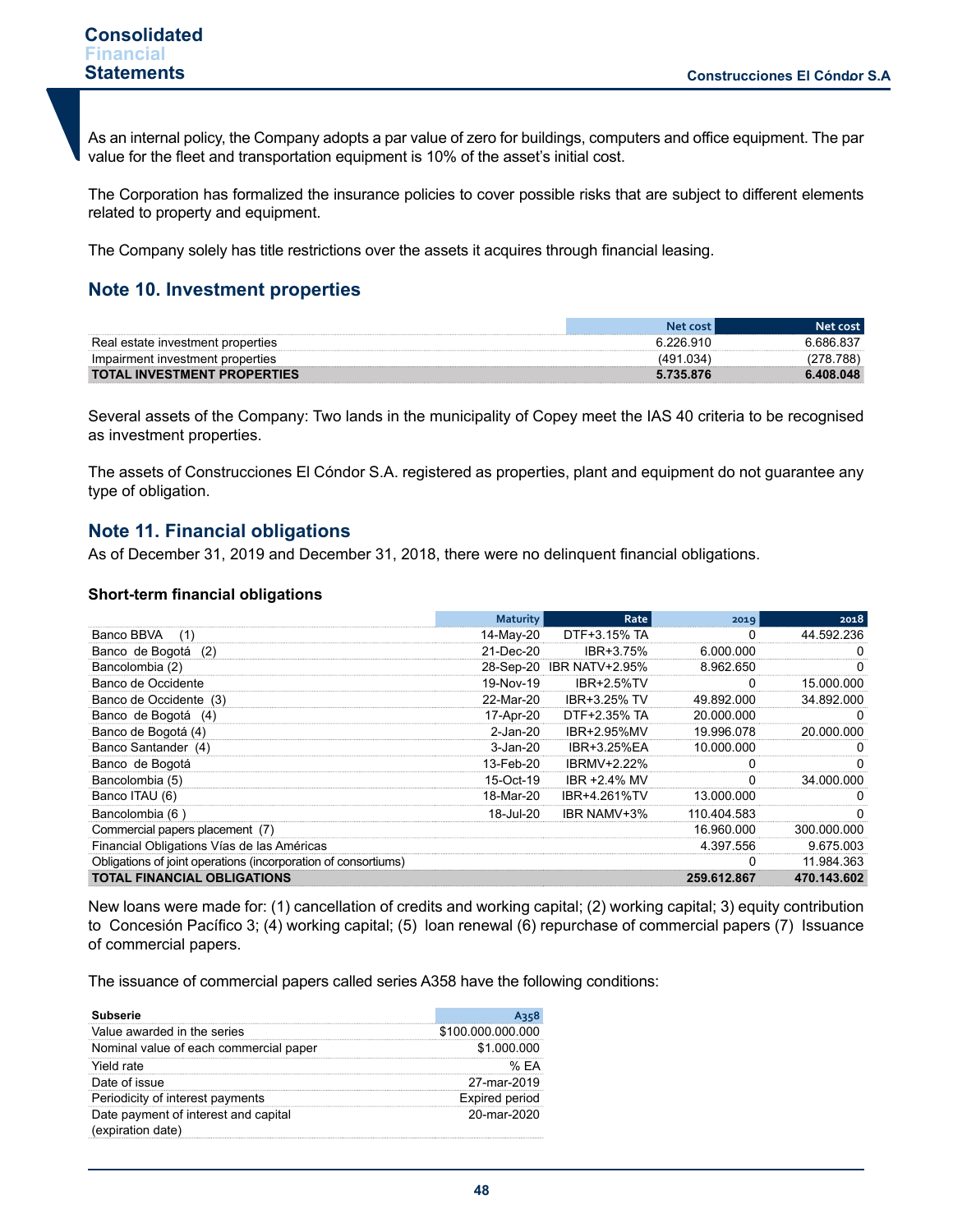As an internal policy, the Company adopts a par value of zero for buildings, computers and office equipment. The par value for the fleet and transportation equipment is 10% of the asset's initial cost.

The Corporation has formalized the insurance policies to cover possible risks that are subject to different elements related to property and equipment.

The Company solely has title restrictions over the assets it acquires through financial leasing.

# **Note 10. Investment properties**

| Real estate investment properties  |            | .686.83  |
|------------------------------------|------------|----------|
| Impairment investment properties   | <b>NSV</b> | രറ       |
| <b>TOTAL INVESTMENT PROPERTIES</b> |            | .408.048 |

Several assets of the Company: Two lands in the municipality of Copey meet the IAS 40 criteria to be recognised as investment properties.

The assets of Construcciones El Cóndor S.A. registered as properties, plant and equipment do not guarantee any type of obligation.

# **Note 11. Financial obligations**

As of December 31, 2019 and December 31, 2018, there were no delinquent financial obligations.

#### **Short-term financial obligations**

|                                                                | <b>Maturity</b> | Rate                     | 2019         | 2018         |
|----------------------------------------------------------------|-----------------|--------------------------|--------------|--------------|
| Banco BBVA<br>(1)                                              | 14-May-20       | DTF+3.15% TA             |              | 44.592.236   |
| Banco de Bogotá<br>(2)                                         | 21-Dec-20       | IBR+3.75%                | 6.000.000    |              |
| Bancolombia (2)                                                |                 | 28-Sep-20 IBR NATV+2.95% | 8.962.650    | $_{0}$       |
| Banco de Occidente                                             | 19-Nov-19       | <b>IBR+2 5%TV</b>        | 0            | 15.000.000   |
| Banco de Occidente (3)                                         | 22-Mar-20       | IBR+3.25% TV             | 49.892.000   | 34.892.000   |
| Banco de Bogotá<br>(4)                                         | 17-Apr-20       | DTF+2.35% TA             | 20.000.000   | $\Omega$     |
| Banco de Bogotá (4)                                            | $2$ -Jan- $20$  | IBR+2.95%MV              | 19.996.078   | 20.000.000   |
| Banco Santander (4)                                            | 3-Jan-20        | IBR+3.25%EA              | 10.000.000   |              |
| Banco de Bogotá                                                | 13-Feb-20       | <b>IBRMV+2.22%</b>       |              | 0            |
| Bancolombia (5)                                                | 15-Oct-19       | IBR +2.4% MV             |              | 34,000,000   |
| Banco ITAU (6)                                                 | 18-Mar-20       | IBR+4.261%TV             | 13.000.000   | $\mathbf{0}$ |
| Bancolombia (6                                                 | 18-Jul-20       | IBR NAMV+3%              | 110.404.583  |              |
| Commercial papers placement (7)                                |                 |                          | 16.960.000   | 300.000.000  |
| Financial Obligations Vías de las Américas                     |                 |                          | 4.397.556    | 9.675.003    |
| Obligations of joint operations (incorporation of consortiums) |                 |                          | <sup>0</sup> | 11.984.363   |
| <b>TOTAL FINANCIAL OBLIGATIONS</b>                             |                 |                          | 259.612.867  | 470.143.602  |

New loans were made for: (1) cancellation of credits and working capital; (2) working capital; 3) equity contribution to Concesión Pacífico 3; (4) working capital; (5) loan renewal (6) repurchase of commercial papers (7) Issuance of commercial papers.

The issuance of commercial papers called series A358 have the following conditions:

| Subserie                                                  |                       |
|-----------------------------------------------------------|-----------------------|
| Value awarded in the series                               | \$100,000,000,000     |
| Nominal value of each commercial paper                    | \$1,000,000           |
| Yield rate                                                | % FA                  |
| Date of issue                                             | 27-mar-2019           |
| Periodicity of interest payments                          | <b>Expired period</b> |
| Date payment of interest and capital<br>(expiration date) | 20-mar-2020           |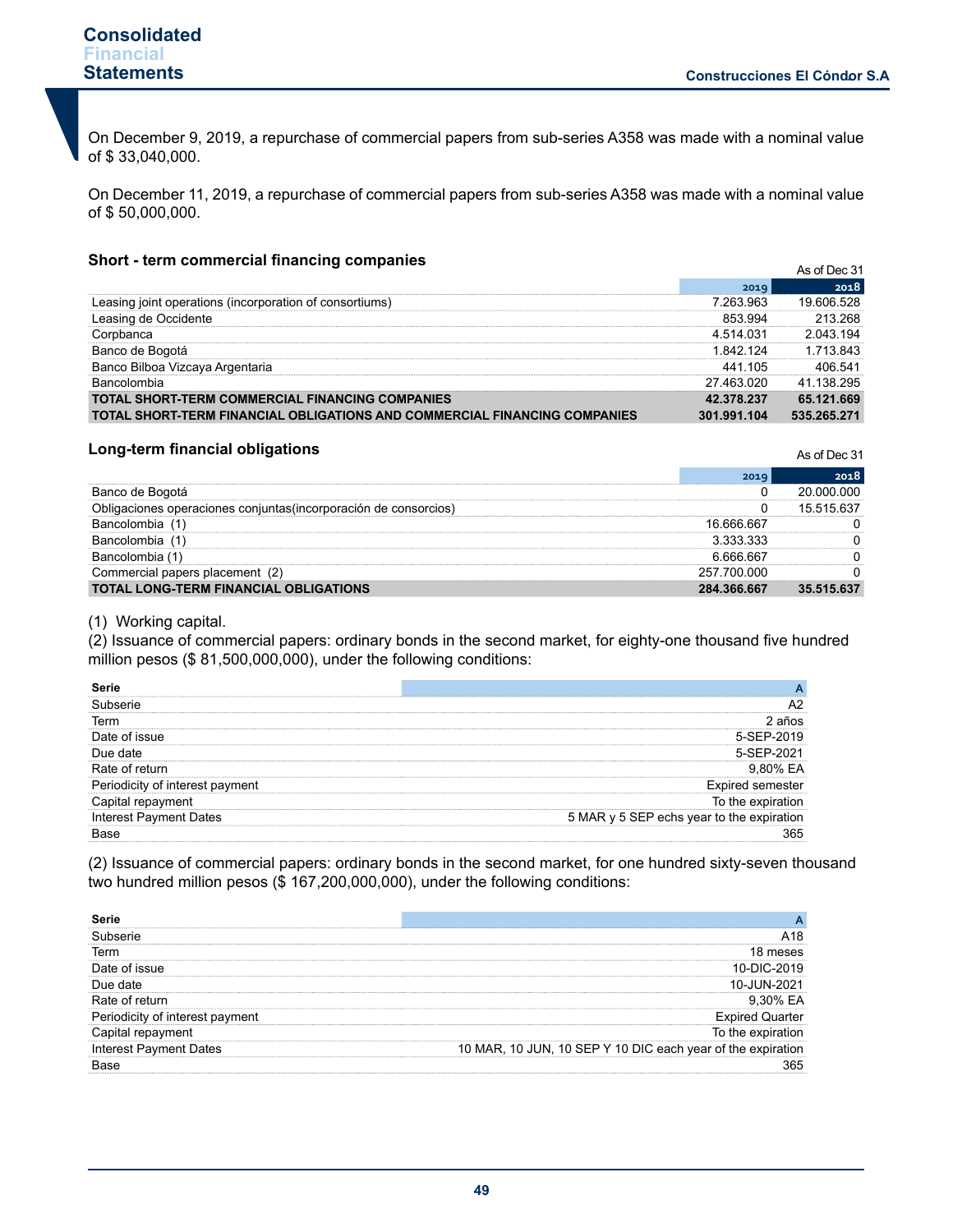On December 9, 2019, a repurchase of commercial papers from sub-series A358 was made with a nominal value of \$ 33,040,000.

On December 11, 2019, a repurchase of commercial papers from sub-series A358 was made with a nominal value of \$ 50,000,000.

#### **Short - term commercial financing companies**

| Snort - term commercial imancing companies                                |             | As of Dec 31 |  |  |
|---------------------------------------------------------------------------|-------------|--------------|--|--|
|                                                                           | 2019        | 2018         |  |  |
| Leasing joint operations (incorporation of consortiums)                   | 7 263 963   | 19.606.528   |  |  |
| Leasing de Occidente                                                      | 853 994     | 213 268      |  |  |
| Corpbanca                                                                 | 4 514 031   | 2 043 194    |  |  |
| Banco de Bogotá                                                           | 1 842 124   | 1 713 843    |  |  |
| Banco Bilboa Vizcaya Argentaria                                           | 441 105     | 406.541      |  |  |
| <b>Bancolombia</b>                                                        | 27 463 020  | 41 138 295   |  |  |
| <b>TOTAL SHORT-TERM COMMERCIAL FINANCING COMPANIES</b>                    | 42.378.237  | 65.121.669   |  |  |
| TOTAL SHORT-TERM FINANCIAL OBLIGATIONS AND COMMERCIAL FINANCING COMPANIES | 301.991.104 | 535.265.271  |  |  |

#### **Long-term financial obligations**

As of Dec 31

|                                                   | 2019        |            |
|---------------------------------------------------|-------------|------------|
| Banco de Bogotá                                   |             | റററ        |
| peraciones coniuntas(incorporación de consorcios) |             | 15 515 637 |
|                                                   | 16 666 667  |            |
| alombia.                                          | ३ ३३३ ३३३   |            |
| nlombia                                           | _ 6 666 667 |            |
| placement<br>าercial<br>papers                    | 257.700.000 |            |
| <b>TOTAL LONG-TERM FINANCIAL OBLIGATIONS</b>      | 284.366.667 | 35.515.637 |

#### (1) Working capital.

(2) Issuance of commercial papers: ordinary bonds in the second market, for eighty-one thousand five hundred million pesos (\$ 81,500,000,000), under the following conditions:

| Term        |        |
|-------------|--------|
| of issue    | 119    |
|             |        |
|             |        |
| ment<br>res |        |
|             | the ex |
|             | P ecns |
|             |        |

(2) Issuance of commercial papers: ordinary bonds in the second market, for one hundred sixty-seven thousand two hundred million pesos (\$167,200,000,000), under the following conditions:

| Term                |                                      |
|---------------------|--------------------------------------|
| of issue.           | 10-DIC-2<br>019                      |
| Due date            | 10-.II IN.<br>ገ21                    |
| of return           |                                      |
| pavment<br>interest |                                      |
| rei                 | 'he ex                               |
| est Pavment Dates   | 10 MAR, 10 JUN, 10 SEP Y 10 DIC each |
|                     |                                      |
|                     |                                      |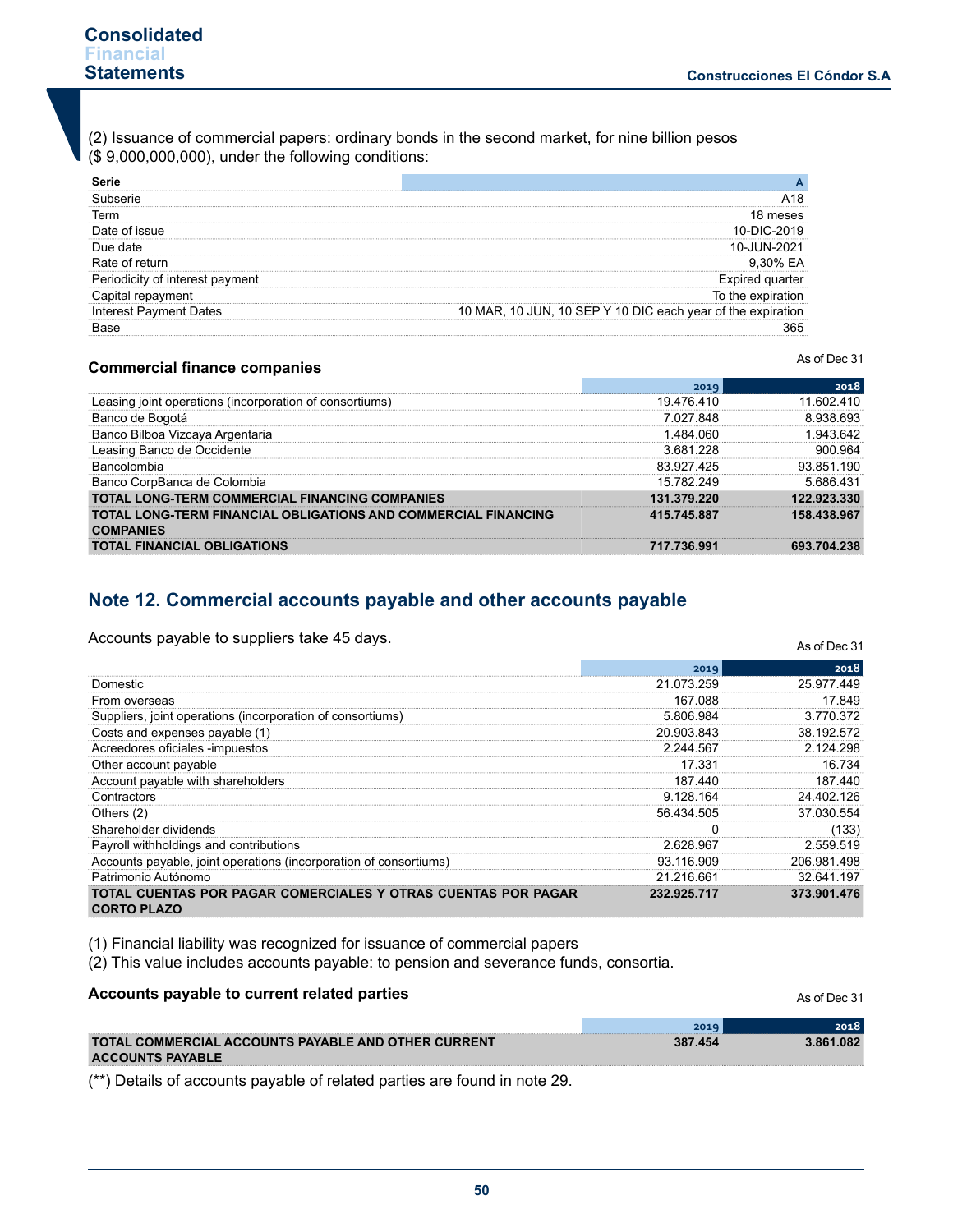(2) Issuance of commercial papers: ordinary bonds in the second market, for nine billion pesos (\$ 9,000,000,000), under the following conditions:

| Tern     |                                      |
|----------|--------------------------------------|
| of issue | 19                                   |
|          |                                      |
|          |                                      |
| interest |                                      |
|          | ne e                                 |
| Dates    | 10 MAR, 10 JUN, 10 SEP Y 10 DIC each |
|          |                                      |

## **Commercial finance companies**

As of Dec 31

As of Dec 31

|                                                                                    |             | 2018        |
|------------------------------------------------------------------------------------|-------------|-------------|
| Leasing joint operations (incorporation of consortiums)                            | 19.476.410  | 11 602 410  |
| Banco de Bogotá                                                                    | 7 027 848   | 8 938 693   |
| Banco Bilboa Vizcaya Argentaria                                                    | 1 484 060   | 1 943 642   |
| Leasing Banco de Occidente                                                         | 3681228     | 900.964     |
| <b>Bancolombia</b>                                                                 | 83 927 425  | 93 851 190  |
| Banco CorpBanca de Colombia                                                        | 15 782 249  | 5 686 431   |
| <b>TOTAL LONG-TERM COMMERCIAL FINANCING COMPANIES</b>                              | 131.379.220 | 122 923 330 |
| TOTAL LONG-TERM FINANCIAL OBLIGATIONS AND COMMERCIAL FINANCING<br><b>COMPANIES</b> | 415.745.887 | 158.438.967 |
| <b>TOTAL FINANCIAL OBLIGATIONS</b>                                                 | 717.736.991 | 693 704 238 |

# **Note 12. Commercial accounts payable and other accounts payable**

Accounts payable to suppliers take 45 days.

|                                                                                     | 2019        | 2018        |
|-------------------------------------------------------------------------------------|-------------|-------------|
| Domestic                                                                            | 21.073.259  | 25.977.449  |
| From overseas                                                                       | 167.088     | 17.849      |
| Suppliers, joint operations (incorporation of consortiums)                          | 5.806.984   | 3.770.372   |
| Costs and expenses payable (1)                                                      | 20.903.843  | 38.192.572  |
| Acreedores oficiales -impuestos                                                     | 2.244.567   | 2.124.298   |
| Other account payable                                                               | 17.331      | 16.734      |
| Account payable with shareholders                                                   | 187.440     | 187.440     |
| Contractors                                                                         | 9.128.164   | 24.402.126  |
| Others (2)                                                                          | 56.434.505  | 37.030.554  |
| Shareholder dividends                                                               |             | (133)       |
| Payroll withholdings and contributions                                              | 2.628.967   | 2.559.519   |
| Accounts payable, joint operations (incorporation of consortiums)                   | 93.116.909  | 206.981.498 |
| Patrimonio Autónomo                                                                 | 21.216.661  | 32.641.197  |
| TOTAL CUENTAS POR PAGAR COMERCIALES Y OTRAS CUENTAS POR PAGAR<br><b>CORTO PLAZO</b> | 232.925.717 | 373.901.476 |

(1) Financial liability was recognized for issuance of commercial papers

(2) This value includes accounts payable: to pension and severance funds, consortia.

| Accounts payable to current related parties         |         | As of Dec 31 |
|-----------------------------------------------------|---------|--------------|
|                                                     | 2019    | 2018         |
| TOTAL COMMERCIAL ACCOUNTS PAYABLE AND OTHER CURRENT | 387.454 | 3.861.082    |
| <b>ACCOUNTS PAYABLE</b>                             |         |              |

(\*\*) Details of accounts payable of related parties are found in note 29.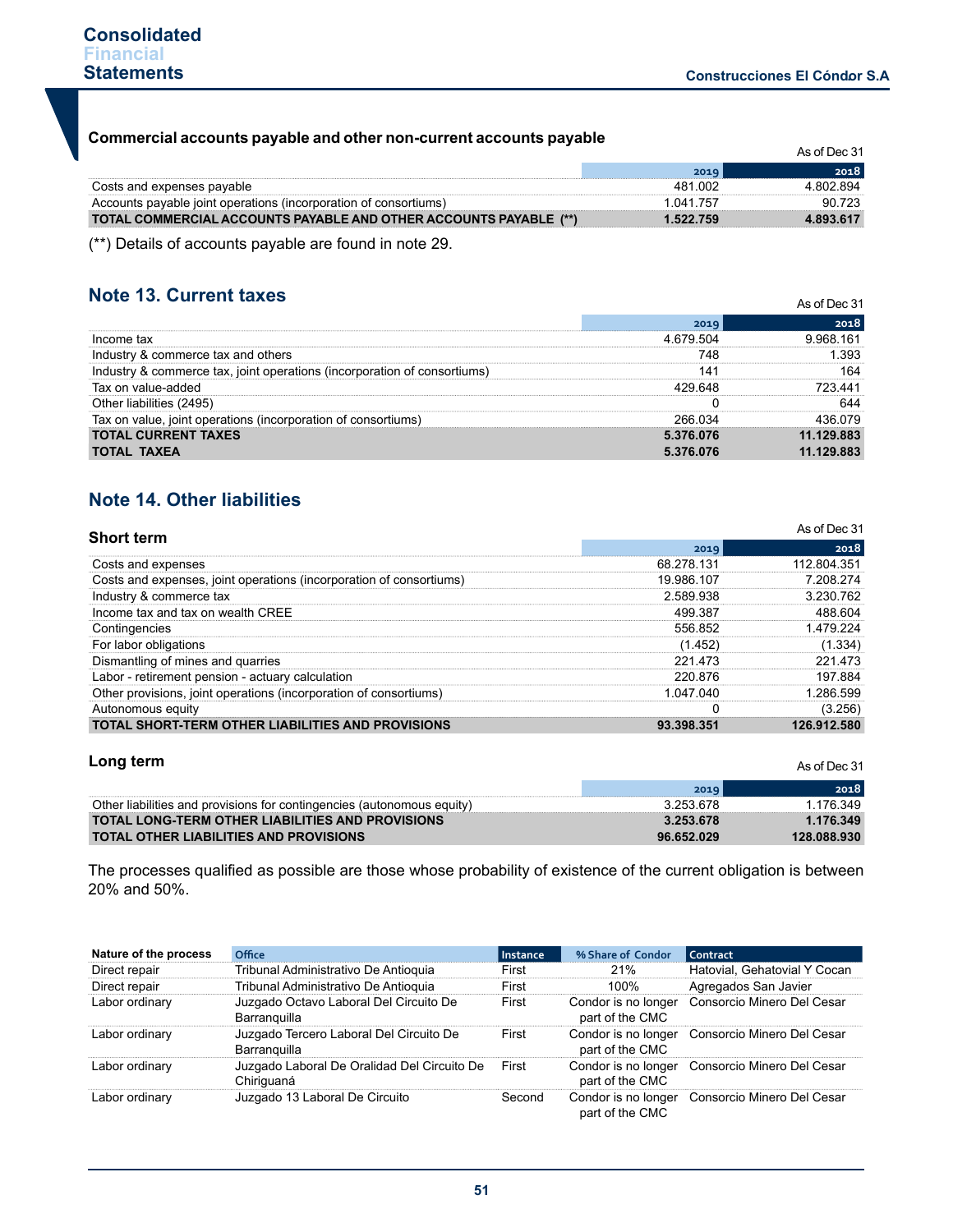As of Dec 31

# **Commercial accounts payable and other non-current accounts payable**

| <u>oommercial accounts payable and other holl-current accounts payable</u> |           | As of Dec 31 |
|----------------------------------------------------------------------------|-----------|--------------|
|                                                                            | 2019      | 2018.        |
| Costs and expenses payable                                                 | 481 002   | 4 802 894    |
| Accounts payable joint operations (incorporation of consortiums)           | 1 041 757 | 90723        |
| TOTAL COMMERCIAL ACCOUNTS PAYABLE AND OTHER ACCOUNTS PAYABLE (**)          | 1.522.759 | 4.893.617    |

(\*\*) Details of accounts payable are found in note 29.

# **Note 13. Current taxes**

| NOTE 13. GUITENT TAXES                                                   | As of Dec 31 |            |  |
|--------------------------------------------------------------------------|--------------|------------|--|
|                                                                          | 2019         | 2018       |  |
| Income tax                                                               | 4 679 504    | 9968161    |  |
| Industry & commerce tax and others                                       | 748          | .393       |  |
| Industry & commerce tax, joint operations (incorporation of consortiums) |              | 164        |  |
| Tax on value-added                                                       | 429.648      | 441        |  |
| Other liabilities (2495)                                                 |              |            |  |
| Tax on value, joint operations (incorporation of consortiums)            | 266 034      | 136 በ79    |  |
| <b>TOTAL CURRENT TAXES</b>                                               | 5.376.076    | 11.129.883 |  |
| <b>TOTAL TAXEA</b>                                                       | 5.376.076    | 11.129.883 |  |

# **Note 14. Other liabilities**

| <b>Short term</b>                                                   |            | As of Dec 31 |
|---------------------------------------------------------------------|------------|--------------|
|                                                                     | 2019       | 2018         |
| Costs and expenses                                                  | 68.278.131 | 112.804.351  |
| Costs and expenses, joint operations (incorporation of consortiums) | 19.986.107 | 7 208 274    |
| Industry & commerce tax                                             | 2 589 938  | 3 230 762    |
| Income tax and tax on wealth CREE                                   | 499387     | 488 604      |
| Contingencies                                                       | 556 852    | 1479224      |
| For labor obligations                                               | (1.452)    | (1.334)      |
| Dismantling of mines and quarries                                   | 221 473    | 221 473      |
| Labor - retirement pension - actuary calculation                    | 220.876    | 197 884      |
| Other provisions, joint operations (incorporation of consortiums)   | 1 047 040  | 1 286 599    |
| Autonomous equity                                                   |            | (3.256)      |
| <b>TOTAL SHORT-TERM OTHER LIABILITIES AND PROVISIONS</b>            | 93.398.351 | 126.912.580  |

## **Long term**

|                                                                        |            | .           |
|------------------------------------------------------------------------|------------|-------------|
|                                                                        | 2019       | 2018        |
| Other liabilities and provisions for contingencies (autonomous equity) | 3.253.678  | 1.176.349   |
| <b>TOTAL LONG-TERM OTHER LIABILITIES AND PROVISIONS</b>                | 3.253.678  | 1.176.349   |
| <b>TOTAL OTHER LIABILITIES AND PROVISIONS</b>                          | 96.652.029 | 128.088.930 |

The processes qualified as possible are those whose probability of existence of the current obligation is between 20% and 50%.

| Nature of the process | Office                                                    | Instance | % Share of Condor                      | Contract                                       |
|-----------------------|-----------------------------------------------------------|----------|----------------------------------------|------------------------------------------------|
| Direct repair         | Tribunal Administrativo De Antioquia                      | First    | 21%                                    | Hatovial, Gehatovial Y Cocan                   |
| Direct repair         | Tribunal Administrativo De Antioquia                      | First    | 100%                                   | Agregados San Javier                           |
| Labor ordinary        | Juzgado Octavo Laboral Del Circuito De<br>Barranguilla    | First    | Condor is no longer<br>part of the CMC | Consorcio Minero Del Cesar                     |
| Labor ordinary        | Juzgado Tercero Laboral Del Circuito De<br>Barranguilla   | First    | part of the CMC                        | Condor is no longer Consorcio Minero Del Cesar |
| Labor ordinary        | Juzgado Laboral De Oralidad Del Circuito De<br>Chiriguaná | First    | part of the CMC                        | Condor is no longer Consorcio Minero Del Cesar |
| Labor ordinary        | Juzgado 13 Laboral De Circuito                            | Second   | part of the CMC                        | Condor is no longer Consorcio Minero Del Cesar |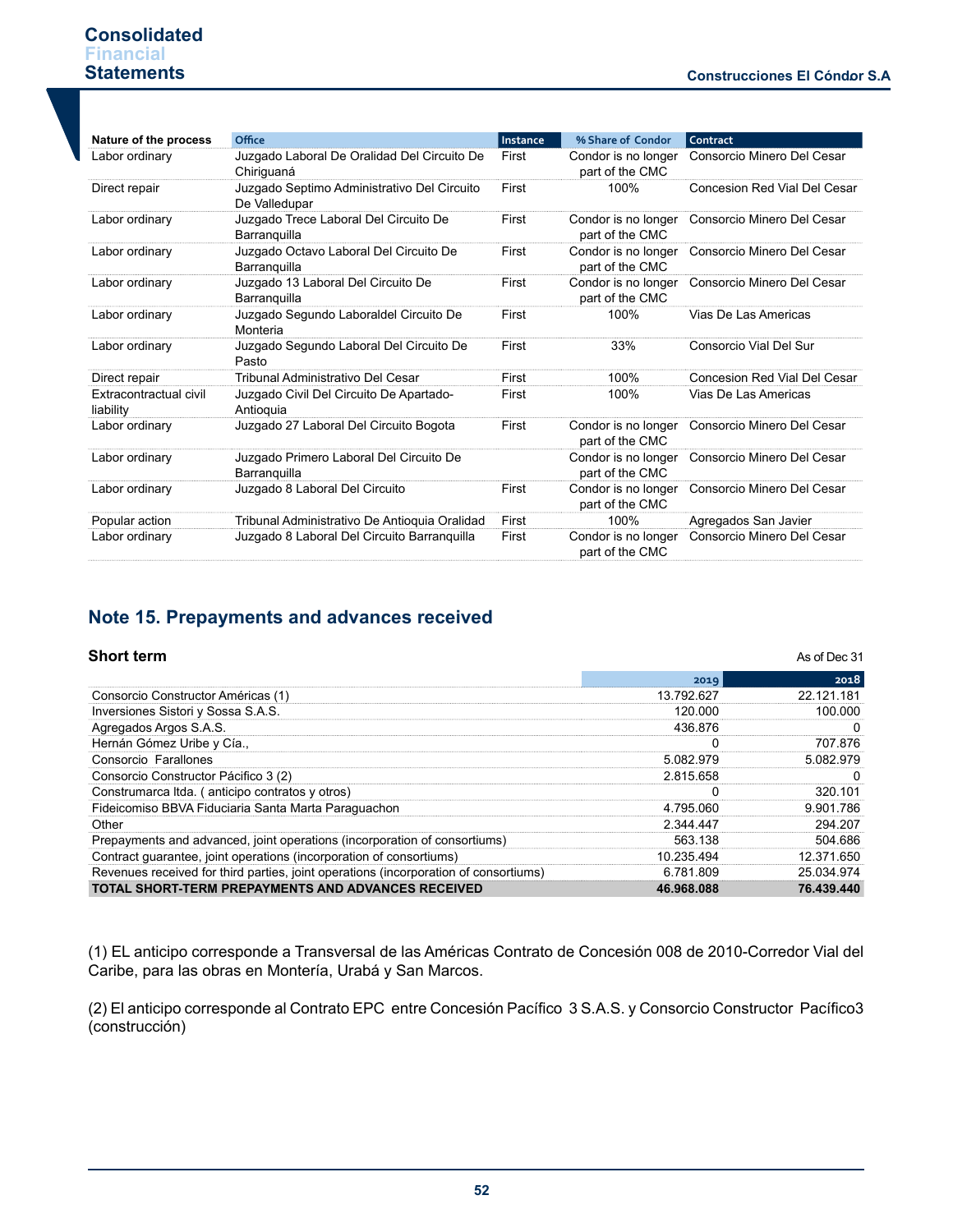#### **Construcciones El Cóndor S.A .**

As of Dec 31

# **Consolidated Financial Statements**

| Nature of the process               | Office                                                       | Instance | % Share of Condor                      | Contract                     |
|-------------------------------------|--------------------------------------------------------------|----------|----------------------------------------|------------------------------|
| Labor ordinary                      | Juzgado Laboral De Oralidad Del Circuito De<br>Chiriguaná    | First    | Condor is no longer<br>part of the CMC | Consorcio Minero Del Cesar   |
| Direct repair                       | Juzgado Septimo Administrativo Del Circuito<br>De Valledupar | First    | 100%                                   | Concesion Red Vial Del Cesar |
| Labor ordinary                      | Juzgado Trece Laboral Del Circuito De<br>Barranguilla        | First    | Condor is no longer<br>part of the CMC | Consorcio Minero Del Cesar   |
| Labor ordinary                      | Juzgado Octavo Laboral Del Circuito De<br>Barranguilla       | First    | Condor is no longer<br>part of the CMC | Consorcio Minero Del Cesar   |
| Labor ordinary                      | Juzgado 13 Laboral Del Circuito De<br>Barranquilla           | First    | Condor is no longer<br>part of the CMC | Consorcio Minero Del Cesar   |
| Labor ordinary                      | Juzgado Segundo Laboraldel Circuito De<br>Monteria           | First    | 100%                                   | Vias De Las Americas         |
| Labor ordinary                      | Juzgado Segundo Laboral Del Circuito De<br>Pasto             | First    | 33%                                    | Consorcio Vial Del Sur       |
| Direct repair                       | Tribunal Administrativo Del Cesar                            | First    | 100%                                   | Concesion Red Vial Del Cesar |
| Extracontractual civil<br>liability | Juzgado Civil Del Circuito De Apartado-<br>Antioquia         | First    | 100%                                   | Vias De Las Americas         |
| Labor ordinary                      | Juzgado 27 Laboral Del Circuito Bogota                       | First    | Condor is no longer<br>part of the CMC | Consorcio Minero Del Cesar   |
| Labor ordinary                      | Juzgado Primero Laboral Del Circuito De<br>Barranquilla      |          | Condor is no longer<br>part of the CMC | Consorcio Minero Del Cesar   |
| Labor ordinary                      | Juzgado 8 Laboral Del Circuito                               | First    | Condor is no longer<br>part of the CMC | Consorcio Minero Del Cesar   |
| Popular action                      | Tribunal Administrativo De Antioquia Oralidad                | First    | 100%                                   | Agregados San Javier         |
| Labor ordinary                      | Juzgado 8 Laboral Del Circuito Barranquilla                  | First    | Condor is no longer<br>part of the CMC | Consorcio Minero Del Cesar   |

# **Note 15. Prepayments and advances received**

## **Short term**

|                                                                                      | 2019       | 2018       |
|--------------------------------------------------------------------------------------|------------|------------|
| Consorcio Constructor Américas (1)                                                   | 13.792.627 | 22.121.181 |
| Inversiones Sistori y Sossa S.A.S.                                                   | 120,000    | 100.000    |
| Agregados Argos S.A.S.                                                               | 436876     |            |
| Hernán Gómez Uribe y Cía.,                                                           |            | 707 876    |
| Consorcio Farallones                                                                 | 5.082.979  | 5 082 979  |
| Consorcio Constructor Pácifico 3 (2)                                                 | 2.815.658  |            |
| Construmarca Itda. (anticipo contratos y otros)                                      |            | 320 101    |
| Fideicomiso BBVA Fiduciaria Santa Marta Paraguachon                                  | 4.795.060  | 9 901 786  |
| Other                                                                                | 2 344 447  | 294 207    |
| Prepayments and advanced, joint operations (incorporation of consortiums)            | 563.138    | 504.686    |
| Contract guarantee, joint operations (incorporation of consortiums)                  | 10.235.494 | 12.371.650 |
| Revenues received for third parties, joint operations (incorporation of consortiums) | 6 781 809  | 25.034.974 |
| <b>TOTAL SHORT-TERM PREPAYMENTS AND ADVANCES RECEIVED</b>                            | 46.968.088 | 76.439.440 |

(1) EL anticipo corresponde a Transversal de las Américas Contrato de Concesión 008 de 2010-Corredor Vial del Caribe, para las obras en Montería, Urabá y San Marcos.

(2) El anticipo corresponde al Contrato EPC entre Concesión Pacífico 3 S.A.S. y Consorcio Constructor Pacífico3 (construcción)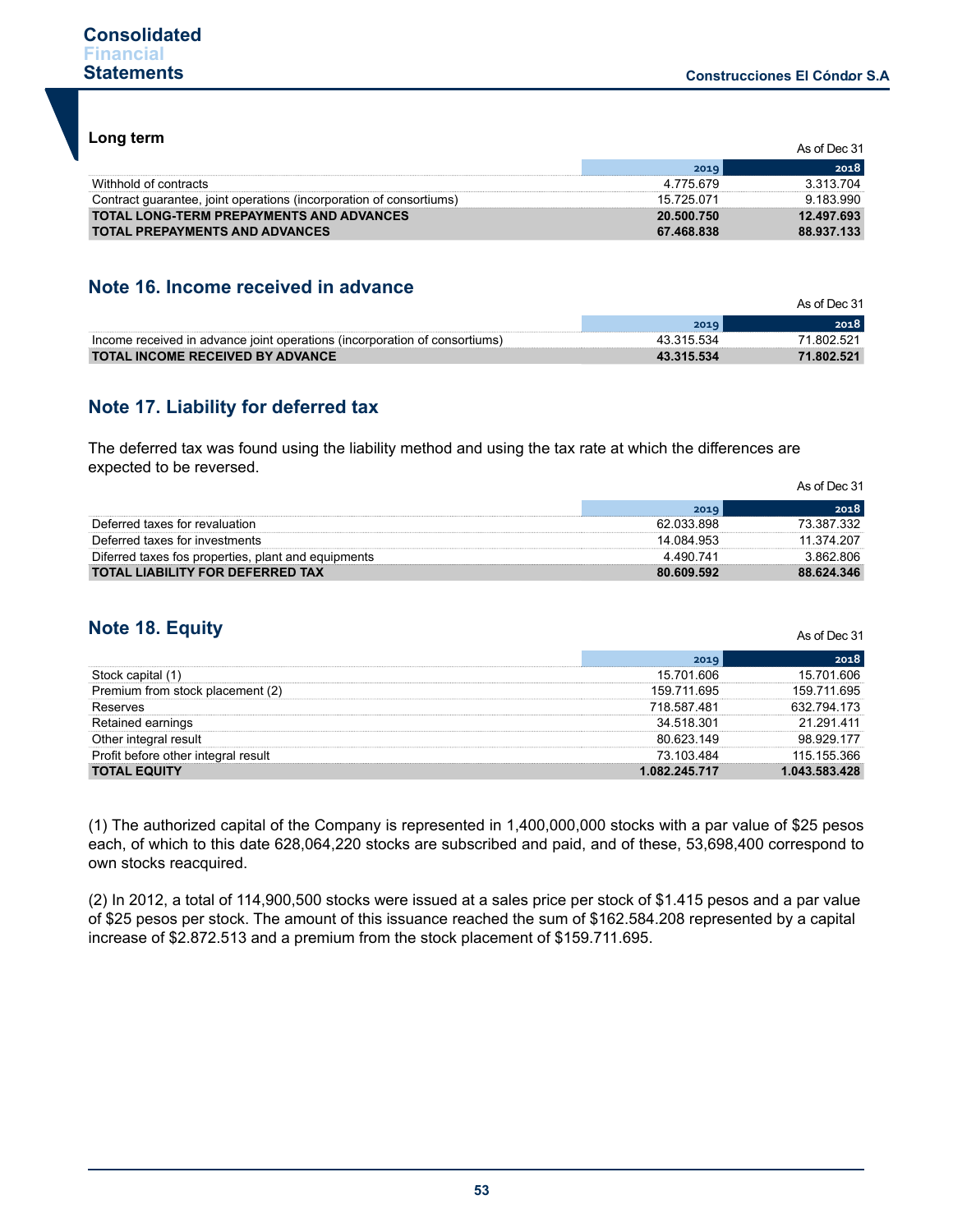**Long term**

|                                                                     |            | As of Dec 31 |
|---------------------------------------------------------------------|------------|--------------|
|                                                                     | 2019       | 2018         |
| Withhold of contracts                                               | 4.775.679  | 3 313 704    |
| Contract quarantee, joint operations (incorporation of consortiums) | 15 725 071 | 9 183 990    |
| <b>TOTAL LONG-TERM PREPAYMENTS AND ADVANCES</b>                     | 20.500.750 | 12.497.693   |
| <b>TOTAL PREPAYMENTS AND ADVANCES</b>                               | 67.468.838 | 88.937.133   |

# **Note 16. Income received in advance**

|                                                                            |            | As of Dec 31 |
|----------------------------------------------------------------------------|------------|--------------|
|                                                                            |            | วกาห         |
| Income received in advance joint operations (incorporation of consortiums) |            | 802.521      |
| <b>TOTAL INCOME RECEIVED BY ADVANCE</b>                                    | 43.315.534 | 71.802.521   |

# **Note 17. Liability for deferred tax**

The deferred tax was found using the liability method and using the tax rate at which the differences are expected to be reversed.

|                                                     |            | As of Dec 31 |
|-----------------------------------------------------|------------|--------------|
|                                                     | 2019       | 2018         |
| Deferred taxes for revaluation                      | 62 033 898 | 73 387 332   |
| Deferred taxes for investments                      | 14.084.953 | 11 374 207   |
| Diferred taxes fos properties, plant and equipments | 4 490 741  | 3.862.806    |
| <b>TOTAL LIABILITY FOR DEFERRED TAX</b>             | 80.609.592 | 88.624.346   |

# **Note 18. Equity**

|                                     | 2019          | 2018          |
|-------------------------------------|---------------|---------------|
| Stock capital                       | 15.701.606    | 15 701 606    |
| Premium from stock placement (2)    | 159.711.695   | 159 711 695   |
| Reserves                            | 718 587 481   | 632 794 173   |
| Retained earnings                   | 34.518.301    | 21 291 411    |
| Other integral result               | 80 623 149    | 98 929 177    |
| Profit before other integral result | 73 103 484    | 115 155 366   |
| <b>TOTAL EQUITY</b>                 | 1.082.245.717 | 1.043.583.428 |

(1) The authorized capital of the Company is represented in 1,400,000,000 stocks with a par value of \$25 pesos each, of which to this date 628,064,220 stocks are subscribed and paid, and of these, 53,698,400 correspond to own stocks reacquired.

(2) In 2012, a total of 114,900,500 stocks were issued at a sales price per stock of \$1.415 pesos and a par value of \$25 pesos per stock. The amount of this issuance reached the sum of \$162.584.208 represented by a capital increase of \$2.872.513 and a premium from the stock placement of \$159.711.695.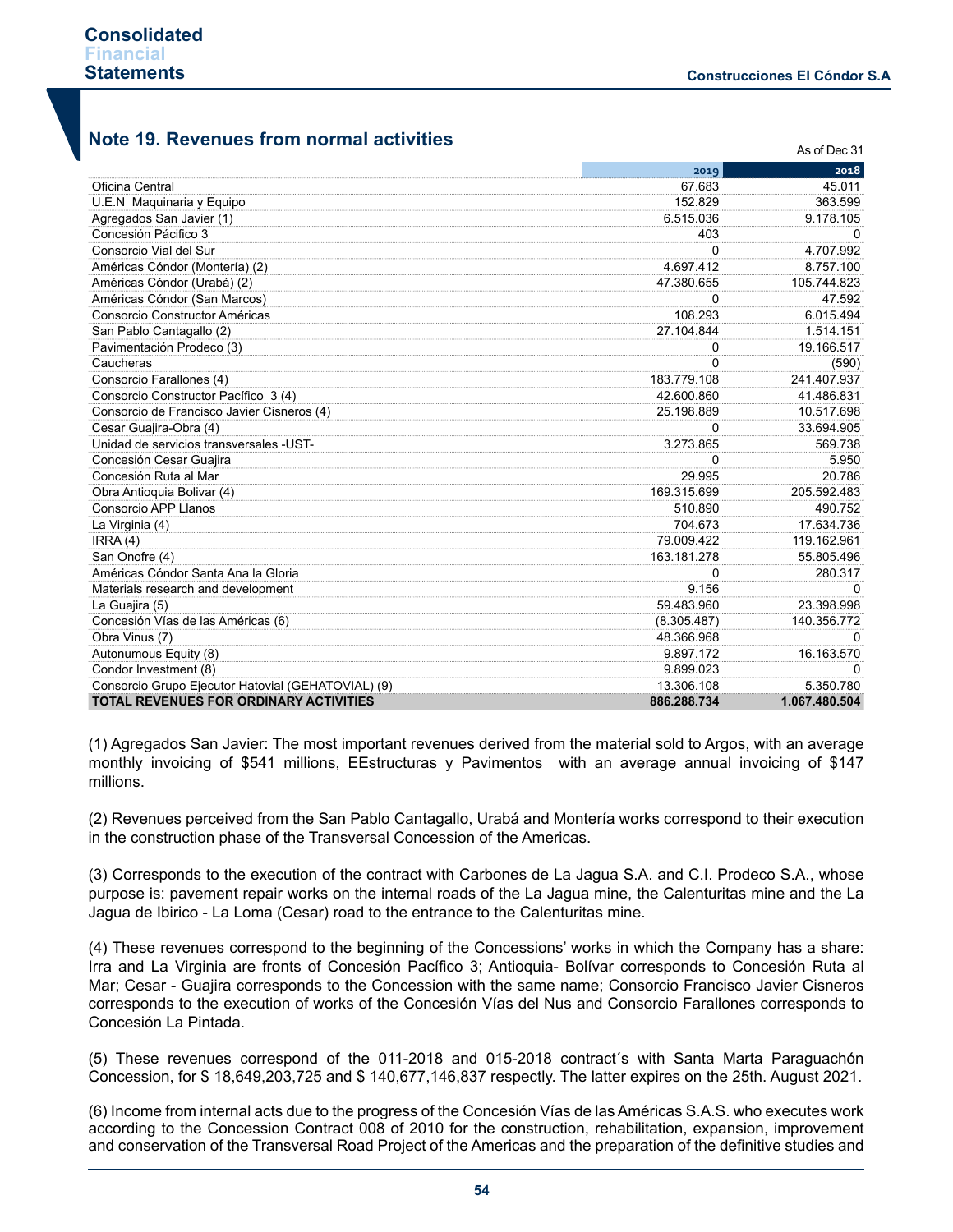As of Dec 31

# **Note 19. Revenues from normal activities**

|                                                    | 2019        | 2018          |
|----------------------------------------------------|-------------|---------------|
| Oficina Central                                    | 67.683      | 45.011        |
| U.E.N Maquinaria y Equipo                          | 152.829     | 363.599       |
| Agregados San Javier (1)                           | 6.515.036   | 9.178.105     |
| Concesión Pácifico 3                               | 403         | 0             |
| Consorcio Vial del Sur                             | $\Omega$    | 4.707.992     |
| Américas Cóndor (Montería) (2)                     | 4.697.412   | 8.757.100     |
| Américas Cóndor (Urabá) (2)                        | 47.380.655  | 105.744.823   |
| Américas Cóndor (San Marcos)                       | $\Omega$    | 47.592        |
| Consorcio Constructor Américas                     | 108.293     | 6.015.494     |
| San Pablo Cantagallo (2)                           | 27.104.844  | 1.514.151     |
| Pavimentación Prodeco (3)                          | 0           | 19.166.517    |
| Caucheras                                          | 0           | (590)         |
| Consorcio Farallones (4)                           | 183.779.108 | 241.407.937   |
| Consorcio Constructor Pacífico 3 (4)               | 42.600.860  | 41.486.831    |
| Consorcio de Francisco Javier Cisneros (4)         | 25.198.889  | 10.517.698    |
| Cesar Guajira-Obra (4)                             | O           | 33.694.905    |
| Unidad de servicios transversales -UST-            | 3.273.865   | 569.738       |
| Concesión Cesar Guajira                            | 0           | 5.950         |
| Concesión Ruta al Mar                              | 29.995      | 20.786        |
| Obra Antioquia Bolivar (4)                         | 169.315.699 | 205.592.483   |
| Consorcio APP Llanos                               | 510.890     | 490.752       |
| La Virginia (4)                                    | 704.673     | 17.634.736    |
| IRRA(4)                                            | 79.009.422  | 119.162.961   |
| San Onofre (4)                                     | 163.181.278 | 55.805.496    |
| Américas Cóndor Santa Ana la Gloria                | 0           | 280.317       |
| Materials research and development                 | 9.156       | 0             |
| La Guajira (5)                                     | 59.483.960  | 23.398.998    |
| Concesión Vías de las Américas (6)                 | (8.305.487) | 140.356.772   |
| Obra Vinus (7)                                     | 48.366.968  | <sup>0</sup>  |
| Autonumous Equity (8)                              | 9.897.172   | 16.163.570    |
| Condor Investment (8)                              | 9.899.023   | 0             |
| Consorcio Grupo Ejecutor Hatovial (GEHATOVIAL) (9) | 13.306.108  | 5.350.780     |
| <b>TOTAL REVENUES FOR ORDINARY ACTIVITIES</b>      | 886.288.734 | 1.067.480.504 |

(1) Agregados San Javier: The most important revenues derived from the material sold to Argos, with an average monthly invoicing of \$541 millions, EEstructuras y Pavimentos with an average annual invoicing of \$147 millions.

(2) Revenues perceived from the San Pablo Cantagallo, Urabá and Montería works correspond to their execution in the construction phase of the Transversal Concession of the Americas.

(3) Corresponds to the execution of the contract with Carbones de La Jagua S.A. and C.I. Prodeco S.A., whose purpose is: pavement repair works on the internal roads of the La Jagua mine, the Calenturitas mine and the La Jagua de Ibirico - La Loma (Cesar) road to the entrance to the Calenturitas mine.

(4) These revenues correspond to the beginning of the Concessions' works in which the Company has a share: Irra and La Virginia are fronts of Concesión Pacífico 3; Antioquia- Bolívar corresponds to Concesión Ruta al Mar; Cesar - Guajira corresponds to the Concession with the same name; Consorcio Francisco Javier Cisneros corresponds to the execution of works of the Concesión Vías del Nus and Consorcio Farallones corresponds to Concesión La Pintada.

(5) These revenues correspond of the 011-2018 and 015-2018 contract´s with Santa Marta Paraguachón Concession, for \$ 18,649,203,725 and \$ 140,677,146,837 respectly. The latter expires on the 25th. August 2021.

(6) Income from internal acts due to the progress of the Concesión Vías de las Américas S.A.S. who executes work according to the Concession Contract 008 of 2010 for the construction, rehabilitation, expansion, improvement and conservation of the Transversal Road Project of the Americas and the preparation of the definitive studies and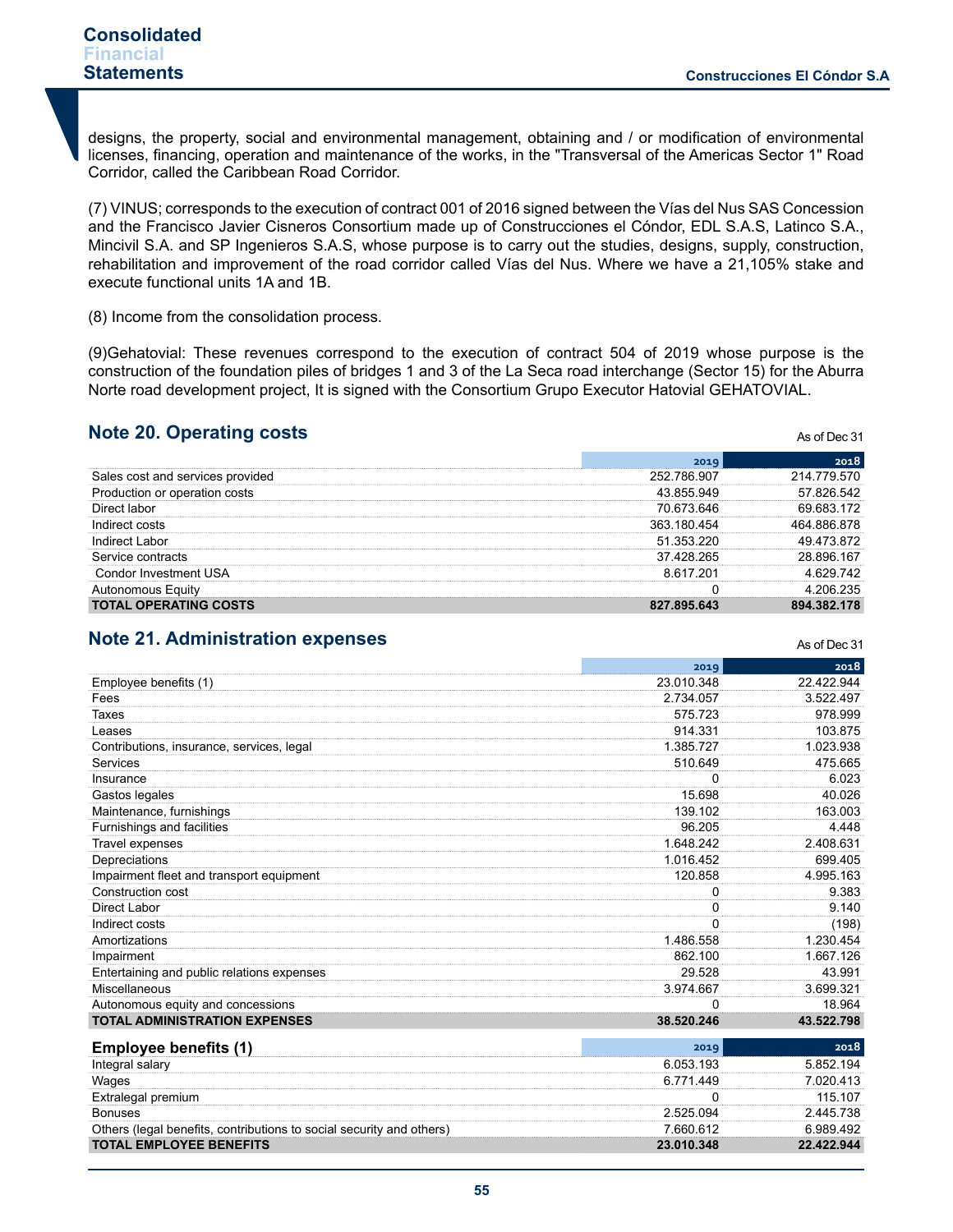As of Dec 31

As of Dec 31

designs, the property, social and environmental management, obtaining and / or modification of environmental licenses, financing, operation and maintenance of the works, in the "Transversal of the Americas Sector 1" Road Corridor, called the Caribbean Road Corridor.

(7) VINUS; corresponds to the execution of contract 001 of 2016 signed between the Vías del Nus SAS Concession and the Francisco Javier Cisneros Consortium made up of Construcciones el Cóndor, EDL S.A.S, Latinco S.A., Mincivil S.A. and SP Ingenieros S.A.S, whose purpose is to carry out the studies, designs, supply, construction, rehabilitation and improvement of the road corridor called Vías del Nus. Where we have a 21,105% stake and execute functional units 1A and 1B.

(8) Income from the consolidation process.

(9)Gehatovial: These revenues correspond to the execution of contract 504 of 2019 whose purpose is the construction of the foundation piles of bridges 1 and 3 of the La Seca road interchange (Sector 15) for the Aburra Norte road development project, It is signed with the Consortium Grupo Executor Hatovial GEHATOVIAL.

# **Note 20. Operating costs**

|                              | 201 Q       | 2018            |
|------------------------------|-------------|-----------------|
| cost and services provided   | 252 786 907 | 214 779<br>.570 |
| luction or operation costs   | 43.855.949  | 57 826 542      |
| Direct labor                 | 70.673.646  | 69 683 172      |
| Indirect costs               | 363 180 454 | 464 886 878     |
| Indirect Labor               | 51.353.220  | 872             |
| Service contracts            | 37 428 265  | 28.896.167      |
| าdor Investment USA          | 8617201     | 4 629 742       |
| งnomous Eauitv               |             | 4 206 235       |
| <b>TOTAL OPERATING COSTS</b> | 827 895 643 | 178<br>894.382  |

# **Note 21. Administration expenses**

|                                                                      | 2019       | 2018       |
|----------------------------------------------------------------------|------------|------------|
| Employee benefits (1)                                                | 23.010.348 | 22.422.944 |
| Fees                                                                 | 2.734.057  | 3.522.497  |
| Taxes                                                                | 575.723    | 978.999    |
| Leases                                                               | 914.331    | 103.875    |
| Contributions, insurance, services, legal                            | 1.385.727  | 1.023.938  |
| Services                                                             | 510.649    | 475.665    |
| Insurance                                                            | 0          | 6.023      |
| Gastos legales                                                       | 15.698     | 40.026     |
| Maintenance, furnishings                                             | 139.102    | 163.003    |
| Furnishings and facilities                                           | 96.205     | 4.448      |
| <b>Travel expenses</b>                                               | 1.648.242  | 2.408.631  |
| Depreciations                                                        | 1.016.452  | 699.405    |
| Impairment fleet and transport equipment                             | 120.858    | 4.995.163  |
| Construction cost                                                    | 0          | 9.383      |
| Direct Labor                                                         | $\Omega$   | 9.140      |
| Indirect costs                                                       | 0          | (198)      |
| Amortizations                                                        | 1.486.558  | 1.230.454  |
| Impairment                                                           | 862.100    | 1.667.126  |
| Entertaining and public relations expenses                           | 29.528     | 43.991     |
| Miscellaneous                                                        | 3.974.667  | 3.699.321  |
| Autonomous equity and concessions                                    | 0          | 18.964     |
| <b>TOTAL ADMINISTRATION EXPENSES</b>                                 | 38.520.246 | 43.522.798 |
| <b>Employee benefits (1)</b>                                         | 2019       | 2018       |
| Integral salary                                                      | 6.053.193  | 5.852.194  |
| Wages                                                                | 6.771.449  | 7.020.413  |
| Extralegal premium                                                   | 0          | 115.107    |
| <b>Bonuses</b>                                                       | 2.525.094  | 2.445.738  |
| Others (legal benefits, contributions to social security and others) | 7.660.612  | 6.989.492  |
| <b>TOTAL EMPLOYEE BENEFITS</b>                                       | 23.010.348 | 22.422.944 |
|                                                                      |            |            |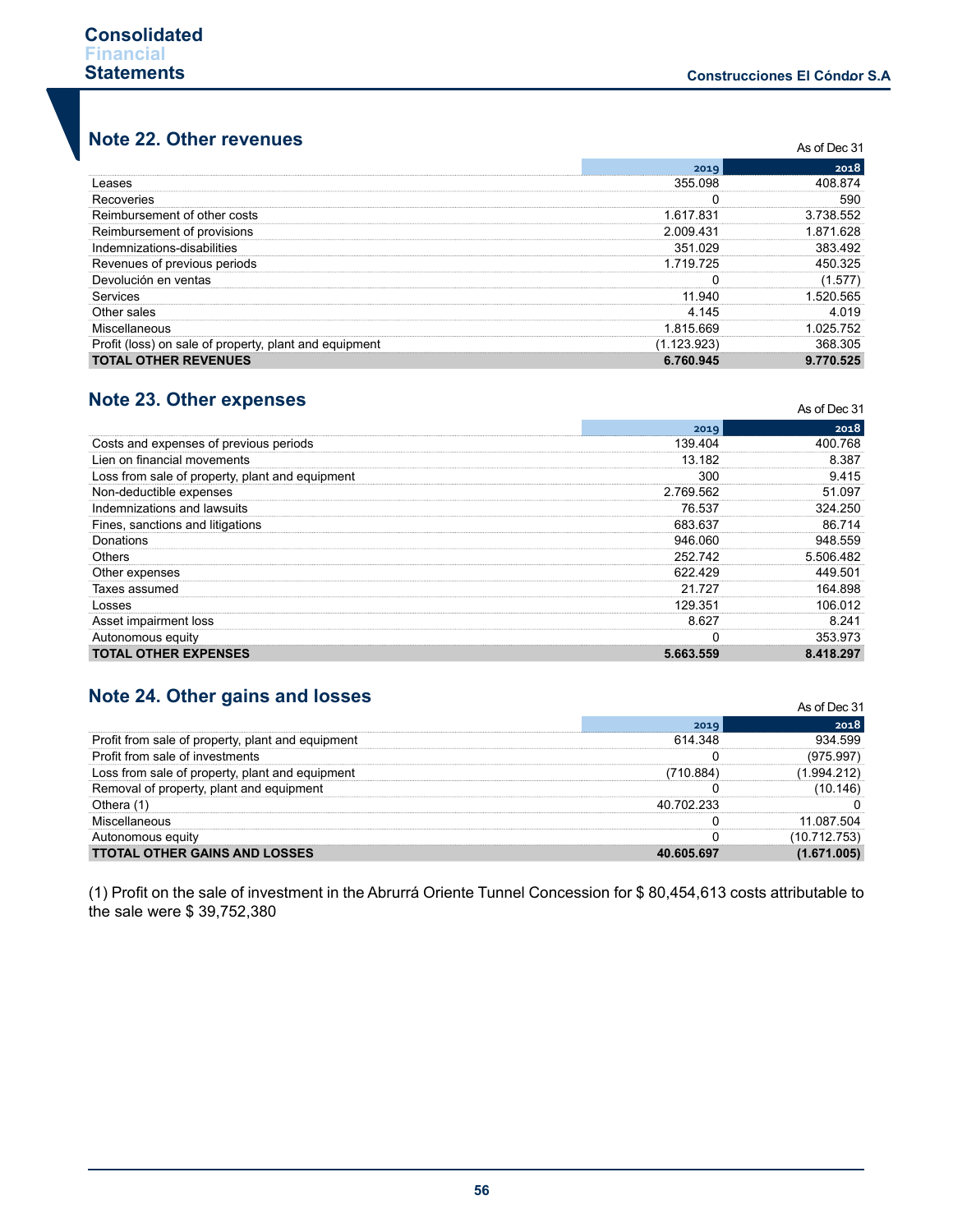# **Note 22. Other revenues**

| NOLE ZZ. OTHER TEVERIUSS                               |             | As of Dec 31 |
|--------------------------------------------------------|-------------|--------------|
|                                                        | 2019        | 2018         |
| Leases                                                 | 355.098     | 408 874      |
| Recoveries                                             |             | 590          |
| Reimbursement of other costs                           | 1.617.831   | 3 738 552    |
| Reimbursement of provisions                            | 2.009.431   | 1871628      |
| Indemnizations-disabilities                            | 351 029     | 383.492      |
| Revenues of previous periods                           | 1.719.725   | 450 325      |
| Devolución en ventas                                   |             | (1.577)      |
| Services                                               | 11 940      | 520 565      |
| Other sales                                            | 4 145       | 4 0 1 9      |
| Miscellaneous                                          | 1.815.669   | 025 752      |
| Profit (loss) on sale of property, plant and equipment | (1.123.923) | 368 305      |
| <b>TOTAL OTHER REVENUES</b>                            | 6.760.945   | 9.770.525    |

# **Note 23. Other expenses**

| NOTE Z2. OTHER EXPENSES                         |           | As of Dec 31 |  |
|-------------------------------------------------|-----------|--------------|--|
|                                                 | 2019      | 2018         |  |
| Costs and expenses of previous periods          | 139.404   | 400.768      |  |
| Lien on financial movements                     | 13.182    | 8.387        |  |
| Loss from sale of property, plant and equipment | 300       | 9.415        |  |
| Non-deductible expenses                         | 2.769.562 | 51.097       |  |
| Indemnizations and lawsuits                     | 76.537    | 324.250      |  |
| Fines, sanctions and litigations                | 683.637   | 86.714       |  |
| Donations                                       | 946.060   | 948.559      |  |
| Others                                          | 252.742   | 5.506.482    |  |
| Other expenses                                  | 622.429   | 449.501      |  |
| Taxes assumed                                   | 21 727    | 164.898      |  |
| Losses                                          | 129.351   | 106.012      |  |
| Asset impairment loss                           | 8.627     | 8.241        |  |
| Autonomous equity                               |           | 353.973      |  |
| <b>TOTAL OTHER EXPENSES</b>                     | 5.663.559 | 8.418.297    |  |

# **Note 24. Other gains and losses**

| NULE 24. ULTER GAINS AND IUSSES                   | As of Dec 31 |            |
|---------------------------------------------------|--------------|------------|
|                                                   | 2019         | 2018       |
| Profit from sale of property, plant and equipment | 614 348      | 934 599    |
| Profit from sale of investments                   |              | (975.997)  |
| Loss from sale of property, plant and equipment   | '710.884     | 1.994.212  |
| Removal of property, plant and equipment          |              | (10.146)   |
| Othera (1                                         | 40 702 233   |            |
| Miscellaneous                                     |              | 11 087 504 |
| Autonomous equity                                 |              | '53'       |
| <b>TTOTAL OTHER GAINS AND LOSSES</b>              | 40 605 697   |            |

(1) Profit on the sale of investment in the Abrurrá Oriente Tunnel Concession for \$ 80,454,613 costs attributable to the sale were \$ 39,752,380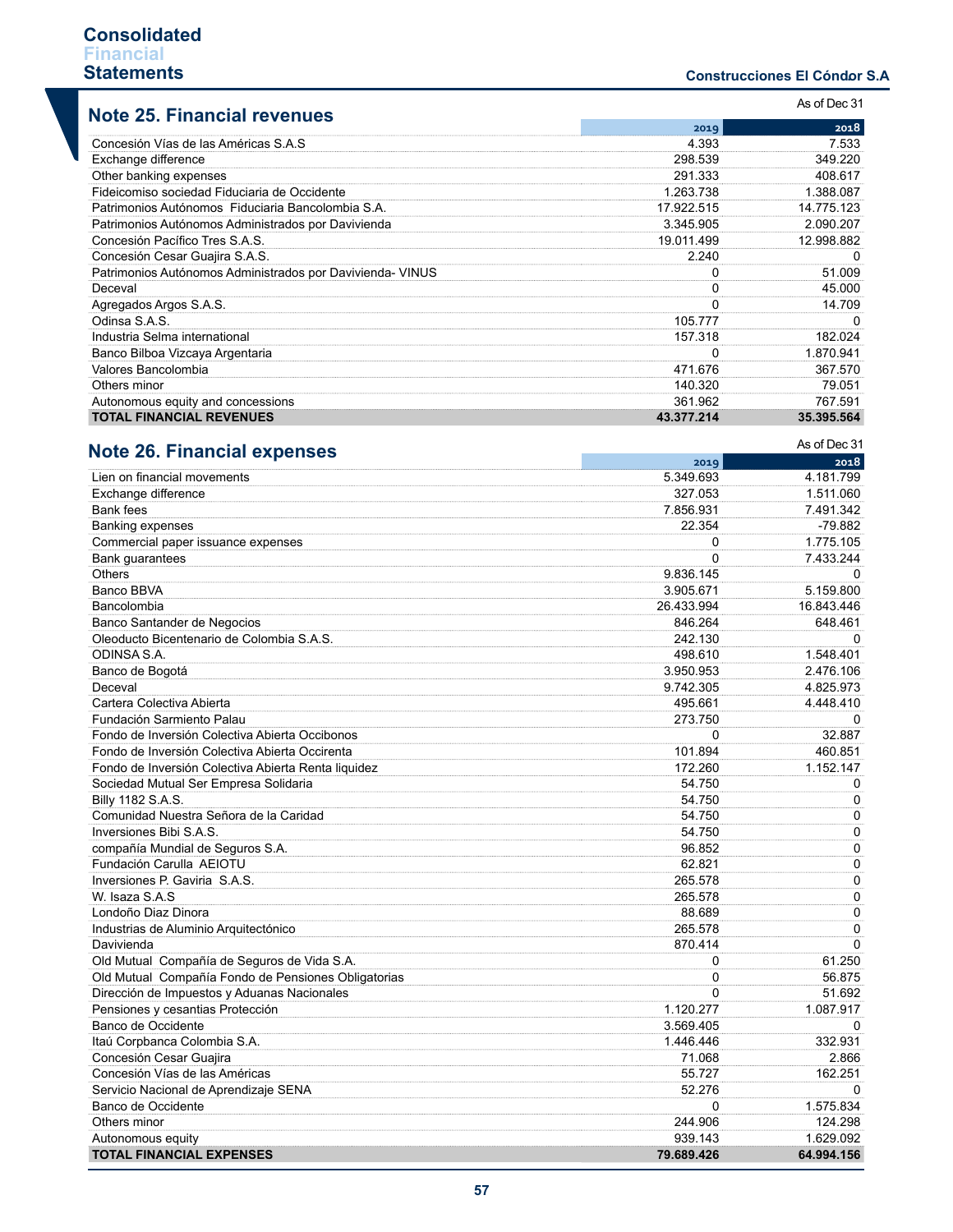## **Construcciones El Cóndor S.A .**

| <b>Note 25. Financial revenues</b>                        | As of Dec 31 |            |
|-----------------------------------------------------------|--------------|------------|
|                                                           | 2019         | 2018       |
| Concesión Vías de las Américas S.A.S                      | 4.393        | 7.533      |
| Exchange difference                                       | 298.539      | 349.220    |
| Other banking expenses                                    | 291.333      | 408.617    |
| Fideicomiso sociedad Fiduciaria de Occidente              | 1.263.738    | 1.388.087  |
| Patrimonios Autónomos Fiduciaria Bancolombia S.A.         | 17.922.515   | 14.775.123 |
| Patrimonios Autónomos Administrados por Davivienda        | 3.345.905    | 2.090.207  |
| Concesión Pacífico Tres S.A.S.                            | 19.011.499   | 12.998.882 |
| Concesión Cesar Guajira S.A.S.                            | 2.240        | 0          |
| Patrimonios Autónomos Administrados por Davivienda- VINUS | 0            | 51.009     |
| Deceval                                                   | 0            | 45.000     |
| Agregados Argos S.A.S.                                    | 0            | 14.709     |
| Odinsa S.A.S.                                             | 105.777      | 0          |
| Industria Selma international                             | 157.318      | 182.024    |
| Banco Bilboa Vizcaya Argentaria                           | $\Omega$     | 1.870.941  |
| Valores Bancolombia                                       | 471.676      | 367.570    |
| Others minor                                              | 140.320      | 79.051     |
| Autonomous equity and concessions                         | 361.962      | 767.591    |
| <b>TOTAL FINANCIAL REVENUES</b>                           | 43.377.214   | 35.395.564 |

| <b>Note 26. Financial expenses</b>                  |            | As of Dec 31 |
|-----------------------------------------------------|------------|--------------|
|                                                     | 2019       | 2018         |
| Lien on financial movements                         | 5.349.693  | 4.181.799    |
| Exchange difference                                 | 327.053    | 1.511.060    |
| <b>Bank fees</b>                                    | 7.856.931  | 7.491.342    |
| <b>Banking expenses</b>                             | 22.354     | $-79.882$    |
| Commercial paper issuance expenses                  | 0          | 1.775.105    |
| Bank guarantees                                     | $\Omega$   | 7.433.244    |
| <b>Others</b>                                       | 9.836.145  | $\Omega$     |
| Banco BBVA                                          | 3.905.671  | 5.159.800    |
| Bancolombia                                         | 26.433.994 | 16.843.446   |
| Banco Santander de Negocios                         | 846.264    | 648.461      |
| Oleoducto Bicentenario de Colombia S.A.S.           | 242.130    | $\Omega$     |
| ODINSA S.A.                                         | 498.610    | 1.548.401    |
| Banco de Bogotá                                     | 3.950.953  | 2.476.106    |
| Deceval                                             | 9.742.305  | 4.825.973    |
| Cartera Colectiva Abierta                           | 495.661    | 4.448.410    |
| Fundación Sarmiento Palau                           | 273.750    | $\Omega$     |
| Fondo de Inversión Colectiva Abierta Occibonos      | $\Omega$   | 32.887       |
| Fondo de Inversión Colectiva Abierta Occirenta      | 101.894    | 460.851      |
| Fondo de Inversión Colectiva Abierta Renta liquidez | 172.260    | 1.152.147    |
| Sociedad Mutual Ser Empresa Solidaria               | 54.750     | 0            |
| Billy 1182 S.A.S.                                   | 54.750     | $\mathbf 0$  |
| Comunidad Nuestra Señora de la Caridad              | 54.750     | $\Omega$     |
| Inversiones Bibi S.A.S.                             | 54.750     | 0            |
| compañía Mundial de Seguros S.A.                    | 96.852     | 0            |
| Fundación Carulla AEIOTU                            | 62.821     | $\mathbf 0$  |
| Inversiones P. Gaviria S.A.S.                       | 265.578    | 0            |
| W. Isaza S.A.S                                      | 265.578    | 0            |
| Londoño Diaz Dinora                                 | 88.689     | $\Omega$     |
| Industrias de Aluminio Arquitectónico               | 265.578    | 0            |
| Davivienda                                          | 870.414    | $\Omega$     |
| Old Mutual Compañía de Seguros de Vida S.A.         | 0          | 61.250       |
| Old Mutual Compañía Fondo de Pensiones Obligatorias | 0          | 56.875       |
| Dirección de Impuestos y Aduanas Nacionales         | $\Omega$   | 51.692       |
| Pensiones y cesantias Protección                    | 1.120.277  | 1.087.917    |
| Banco de Occidente                                  | 3.569.405  | $\Omega$     |
| Itaú Corpbanca Colombia S.A.                        | 1.446.446  | 332.931      |
| Concesión Cesar Guajira                             | 71.068     | 2.866        |
| Concesión Vías de las Américas                      | 55.727     | 162.251      |
| Servicio Nacional de Aprendizaje SENA               | 52.276     | 0            |
| Banco de Occidente                                  | 0          | 1.575.834    |
| Others minor                                        | 244.906    | 124.298      |
| Autonomous equity                                   | 939.143    | 1.629.092    |
| <b>TOTAL FINANCIAL EXPENSES</b>                     | 79.689.426 | 64.994.156   |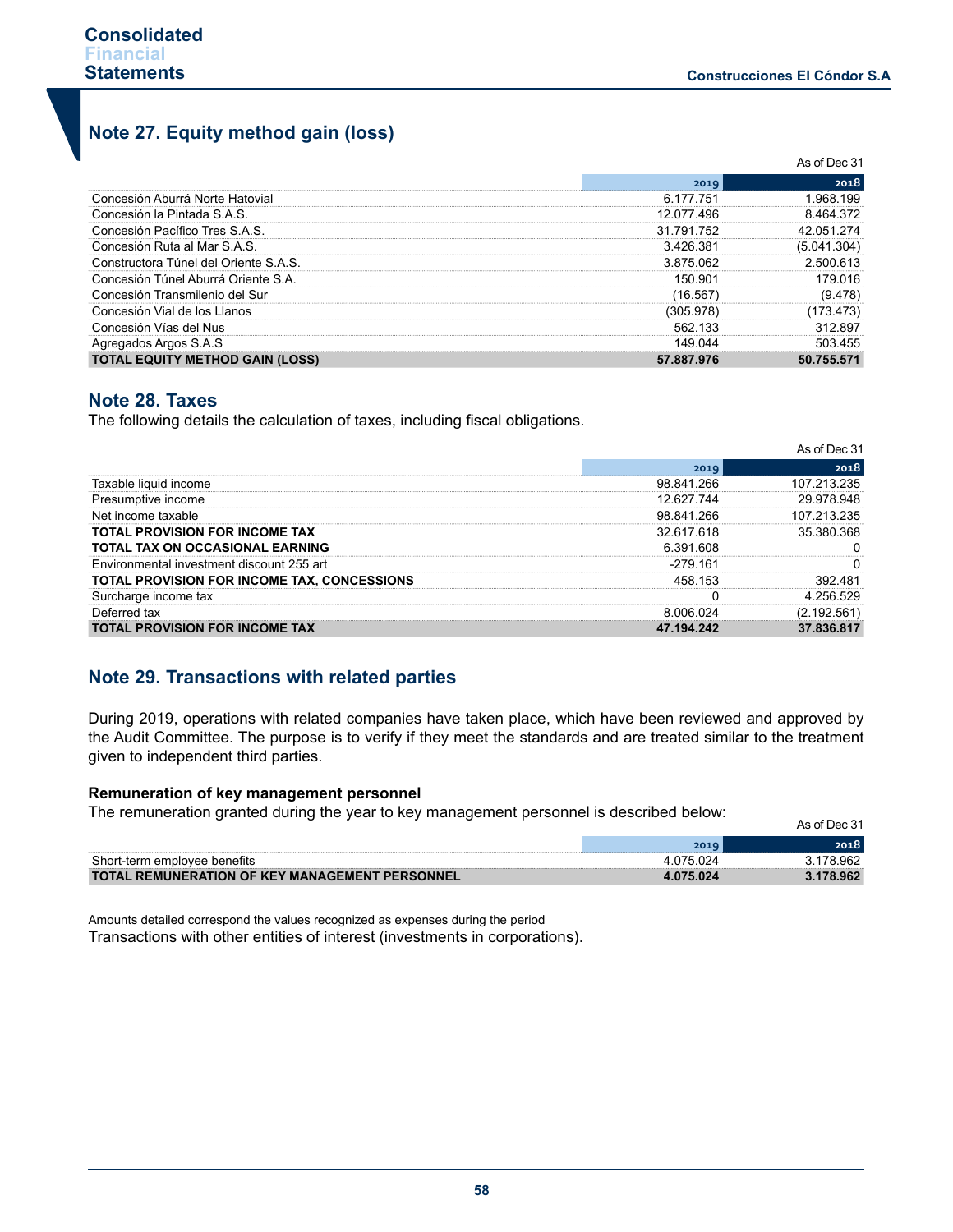# **Note 27. Equity method gain (loss)**

|                                        | As of Dec 31 |             |
|----------------------------------------|--------------|-------------|
|                                        | 2019         | 2018        |
| Concesión Aburrá Norte Hatovial        | 6 177 751    | 968 199     |
| Concesión la Pintada S.A.S.            | 12 077 496   | 8 464 372   |
| Concesión Pacífico Tres S.A.S.         | 31.791.752   | 42 051 274  |
| Concesión Ruta al Mar S.A.S.           | 3426381      | (5.041.304) |
| Constructora Túnel del Oriente S.A.S.  | 3875062      | 2.500.613   |
| Concesión Túnel Aburrá Oriente S.A.    | 150.901      | 179 በ16     |
| Concesión Transmilenio del Sur         | 16.567       | (9.478)     |
| Concesión Vial de los Llanos           | (305.978)    | (173.473)   |
| Concesión Vías del Nus                 | 562 133      | 312897      |
| Agregados Argos S.A.S                  | 149 044      | 503 455     |
| <b>TOTAL EQUITY METHOD GAIN (LOSS)</b> | 57.887.976   | 50.755.571  |

# **Note 28. Taxes**

The following details the calculation of taxes, including fiscal obligations.

|                                             |            | As of Dec 31 |
|---------------------------------------------|------------|--------------|
|                                             | 2019       | 2018         |
| Taxable liquid income                       | 98.841.266 | 107 213 235  |
| Presumptive income                          | 12 627 744 | 29.978.948   |
| Net income taxable                          | 98.841.266 | 107 213 235  |
| <b>TOTAL PROVISION FOR INCOME TAX</b>       | 32.617.618 | 35 380 368   |
| <b>TOTAL TAX ON OCCASIONAL EARNING</b>      | 6.391.608  |              |
| Environmental investment discount 255 art   | -279 161   |              |
| TOTAL PROVISION FOR INCOME TAX. CONCESSIONS | 458 153    | 392 481      |
| Surcharge income tax                        |            | 4 256 529    |
| Deferred tax                                | 8 006 024  | (2.192.561   |
| <b>TOTAL PROVISION FOR INCOME TAX</b>       | 47.194.242 | 37.836.817   |

# **Note 29. Transactions with related parties**

During 2019, operations with related companies have taken place, which have been reviewed and approved by the Audit Committee. The purpose is to verify if they meet the standards and are treated similar to the treatment given to independent third parties.

#### **Remuneration of key management personnel**

The remuneration granted during the year to key management personnel is described below:

| The remaindance granted damig are your to Key management personnel is accomped below. |           | As of Dec 31 |
|---------------------------------------------------------------------------------------|-----------|--------------|
|                                                                                       | 2019      | 2018         |
| Short-term emplovee benefits                                                          | 4 075 024 | 3.178.962    |
| <b>TOTAL REMUNERATION OF KEY MANAGEMENT PERSONNEL</b>                                 | 4.075.024 | 3.178.962    |

Amounts detailed correspond the values recognized as expenses during the period Transactions with other entities of interest (investments in corporations).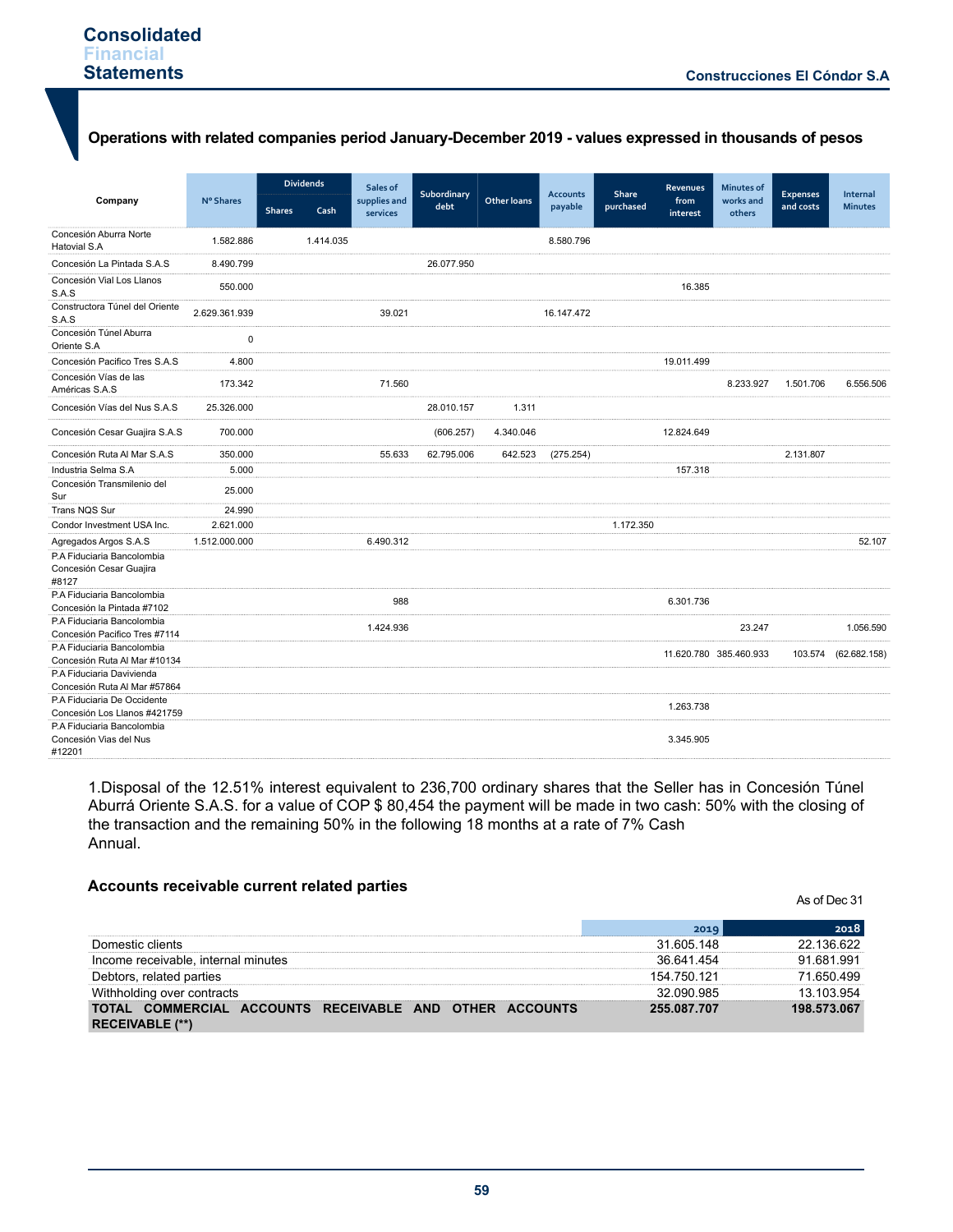# **Operations with related companies period January-December 2019 - values expressed in thousands of pesos**

|                                                                |               |               | <b>Dividends</b> | Sales of                 | Subordinary |                    | <b>Accounts</b> | Share     | <b>Revenues</b>  | <b>Minutes of</b>      | <b>Expenses</b> | Internal       |
|----------------------------------------------------------------|---------------|---------------|------------------|--------------------------|-------------|--------------------|-----------------|-----------|------------------|------------------------|-----------------|----------------|
| Company                                                        | N° Shares     | <b>Shares</b> | Cash             | supplies and<br>services | debt        | <b>Other loans</b> | payable         | purchased | from<br>interest | works and<br>others    | and costs       | <b>Minutes</b> |
| Concesión Aburra Norte<br><b>Hatovial S.A</b>                  | 1.582.886     |               | 1.414.035        |                          |             |                    | 8.580.796       |           |                  |                        |                 |                |
| Concesión La Pintada S.A.S                                     | 8.490.799     |               |                  |                          | 26.077.950  |                    |                 |           |                  |                        |                 |                |
| Concesión Vial Los Llanos<br>S.A.S                             | 550.000       |               |                  |                          |             |                    |                 |           | 16.385           |                        |                 |                |
| Constructora Túnel del Oriente<br>S.A.S                        | 2.629.361.939 |               |                  | 39.021                   |             |                    | 16.147.472      |           |                  |                        |                 |                |
| Concesión Túnel Aburra<br>Oriente S.A                          | 0             |               |                  |                          |             |                    |                 |           |                  |                        |                 |                |
| Concesión Pacifico Tres S.A.S                                  | 4.800         |               |                  |                          |             |                    |                 |           | 19.011.499       |                        |                 |                |
| Concesión Vías de las<br>Américas S.A.S                        | 173.342       |               |                  | 71.560                   |             |                    |                 |           |                  | 8.233.927              | 1.501.706       | 6.556.506      |
| Concesión Vías del Nus S.A.S                                   | 25.326.000    |               |                  |                          | 28.010.157  | 1.311              |                 |           |                  |                        |                 |                |
| Concesión Cesar Guajira S.A.S                                  | 700.000       |               |                  |                          | (606.257)   | 4.340.046          |                 |           | 12.824.649       |                        |                 |                |
| Concesión Ruta Al Mar S.A.S                                    | 350.000       |               |                  | 55.633                   | 62.795.006  | 642.523            | (275.254)       |           |                  |                        | 2.131.807       |                |
| Industria Selma S.A                                            | 5.000         |               |                  |                          |             |                    |                 |           | 157.318          |                        |                 |                |
| Concesión Transmilenio del<br>Sur                              | 25.000        |               |                  |                          |             |                    |                 |           |                  |                        |                 |                |
| Trans NQS Sur                                                  | 24.990        |               |                  |                          |             |                    |                 |           |                  |                        |                 |                |
| Condor Investment USA Inc.                                     | 2.621.000     |               |                  |                          |             |                    |                 | 1.172.350 |                  |                        |                 |                |
| Agregados Argos S.A.S                                          | 1.512.000.000 |               |                  | 6.490.312                |             |                    |                 |           |                  |                        |                 | 52.107         |
| P.A Fiduciaria Bancolombia<br>Concesión Cesar Guajira<br>#8127 |               |               |                  |                          |             |                    |                 |           |                  |                        |                 |                |
| P.A Fiduciaria Bancolombia<br>Concesión la Pintada #7102       |               |               |                  | 988                      |             |                    |                 |           | 6.301.736        |                        |                 |                |
| P.A Fiduciaria Bancolombia<br>Concesión Pacifico Tres #7114    |               |               |                  | 1.424.936                |             |                    |                 |           |                  | 23.247                 |                 | 1.056.590      |
| P.A Fiduciaria Bancolombia                                     |               |               |                  |                          |             |                    |                 |           |                  | 11.620.780 385.460.933 | 103.574         | (62.682.158)   |
| Concesión Ruta Al Mar #10134                                   |               |               |                  |                          |             |                    |                 |           |                  |                        |                 |                |
| P.A Fiduciaria Davivienda<br>Concesión Ruta Al Mar #57864      |               |               |                  |                          |             |                    |                 |           |                  |                        |                 |                |
| P.A Fiduciaria De Occidente                                    |               |               |                  |                          |             |                    |                 |           |                  |                        |                 |                |
| Concesión Los Llanos #421759                                   |               |               |                  |                          |             |                    |                 |           | 1.263.738        |                        |                 |                |
| P.A Fiduciaria Bancolombia                                     |               |               |                  |                          |             |                    |                 |           |                  |                        |                 |                |
| Concesión Vias del Nus<br>#12201                               |               |               |                  |                          |             |                    |                 |           | 3.345.905        |                        |                 |                |

1.Disposal of the 12.51% interest equivalent to 236,700 ordinary shares that the Seller has in Concesión Túnel Aburrá Oriente S.A.S. for a value of COP \$ 80,454 the payment will be made in two cash: 50% with the closing of the transaction and the remaining 50% in the following 18 months at a rate of 7% Cash Annual.

#### **Accounts receivable current related parties**

As of Dec 31

|                                                                                                       | 2019        | 2018        |
|-------------------------------------------------------------------------------------------------------|-------------|-------------|
| Domestic clients                                                                                      | 31 605 148  | 22 136 622  |
| Income receivable, internal minutes                                                                   | 36 641 454  | 91 681 991  |
| Debtors, related parties                                                                              | 154 750 121 | 71 650 499  |
| Withholding over contracts                                                                            | 32 090 985  | 13 103 954  |
| ACCOUNTS RECEIVABLE AND OTHER ACCOUNTS<br><b>COMMERCIAL</b><br><b>TOTAL</b><br><b>RECEIVABLE (**)</b> | 255.087.707 | 198.573.067 |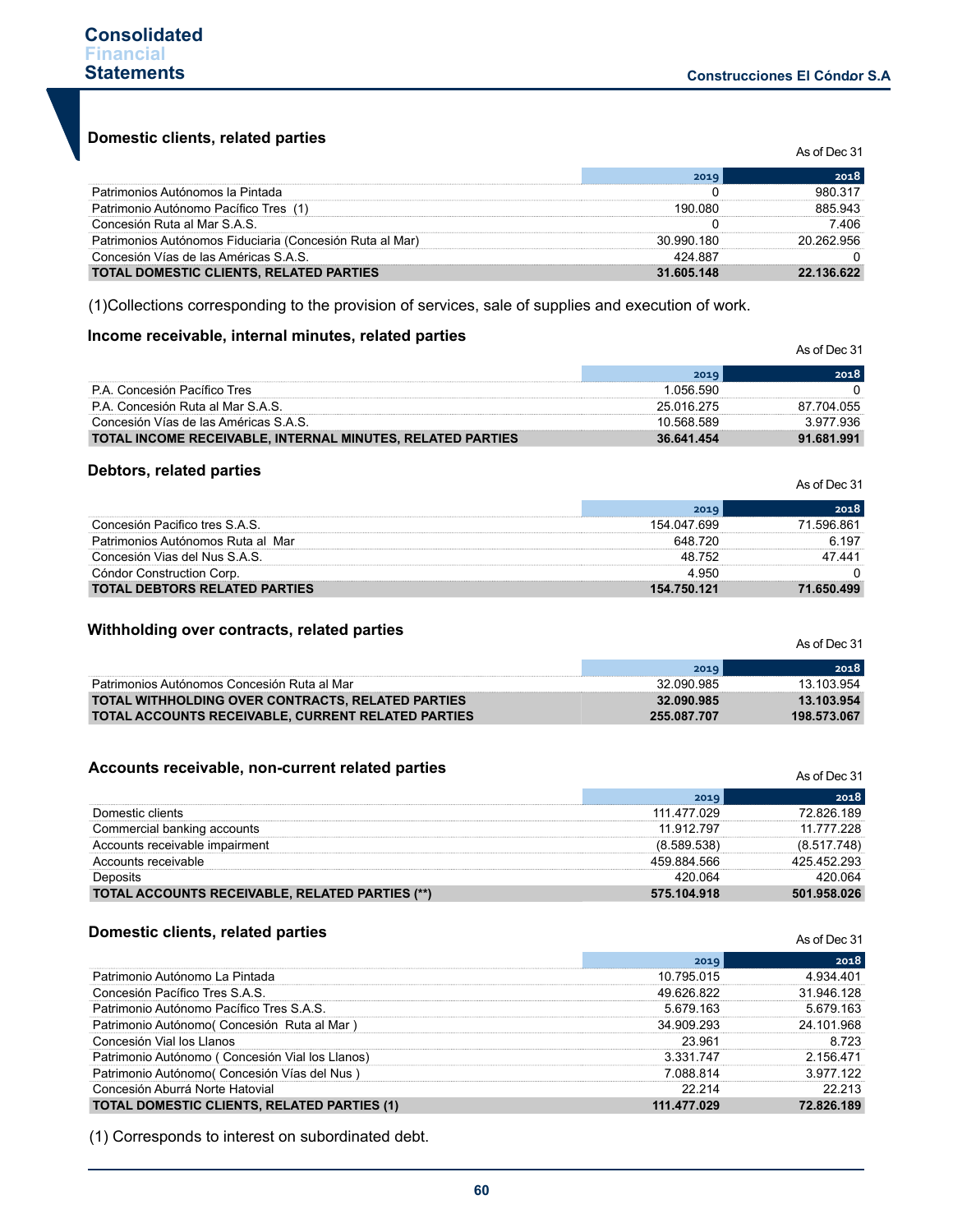As of Dec 31

**Domestic clients, related parties**

|                                                          | 2019       | 2018       |
|----------------------------------------------------------|------------|------------|
| Patrimonios Autónomos la Pintada                         |            |            |
| Patrimonio Autónomo Pacífico Tres (1)                    |            |            |
| Concesión Ruta al Mar S.A.S.                             |            | 406        |
| Patrimonios Autónomos Fiduciaria (Concesión Ruta al Mar) | 30.990.180 | 20 262 956 |
| Concesión Vías de las Américas S.A.S.                    | 424 887    |            |
| TOTAL DOMESTIC CLIENTS, RELATED PARTIES                  | 31.605.148 | 22 136 622 |

(1)Collections corresponding to the provision of services, sale of supplies and execution of work.

## **Income receivable, internal minutes, related parties**

|                                                            |            | 2018       |
|------------------------------------------------------------|------------|------------|
| P.A. Concesión Pacífico Tres                               | 056 590    |            |
| P.A. Concesión Ruta al Mar S.A.S.                          | 25 016 275 | 87 704 055 |
| Concesión Vías de las Américas S.A.S.                      | 10.568.589 |            |
| TOTAL INCOME RECEIVABLE, INTERNAL MINUTES, RELATED PARTIES | 36.641.454 | 91.681.991 |

#### **Debtors, related parties**

|                                      | 2019        | 2018       |
|--------------------------------------|-------------|------------|
| Concesión Pacifico tres S.A.S.       | 154 047 699 | 71 596 861 |
| Patrimonios Autónomos Ruta al Mar    | 648 720     | 6.197      |
| Concesión Vias del Nus S.A.S.        | 48 752      | 47441      |
| Cóndor Construction Corp.            | 4 ዓ50       |            |
| <b>TOTAL DEBTORS RELATED PARTIES</b> | 154.750.121 | 71.650.499 |

#### **Withholding over contracts, related parties**

|                                                           | 2019        | 2018        |
|-----------------------------------------------------------|-------------|-------------|
| Patrimonios Autónomos Concesión Ruta al Mar               | 32.090.985  | 13.103.954  |
| <b>TOTAL WITHHOLDING OVER CONTRACTS, RELATED PARTIES</b>  | 32.090.985  | 13.103.954  |
| <b>TOTAL ACCOUNTS RECEIVABLE. CURRENT RELATED PARTIES</b> | 255.087.707 | 198 573 067 |

#### **Accounts receivable, non-current related parties**

| Accounts receivable, non-current related parties |             | As of Dec 31 |
|--------------------------------------------------|-------------|--------------|
|                                                  | 2019        | 2018         |
| Domestic clients                                 | 111 477 029 | 72826189     |
| Commercial banking accounts                      | 11 912 797  | 11 777 228   |
| Accounts receivable impairment                   | (8.589.538) | (8.517.748)  |
| Accounts receivable                              | 459 884 566 | 425 452 293  |
| Deposits                                         | 420 064     | 420 064      |
| TOTAL ACCOUNTS RECEIVABLE, RELATED PARTIES (**)  | 575.104.918 | 501.958.026  |

#### **Domestic clients, related parties**

|                                                    | 2019        | 2018       |
|----------------------------------------------------|-------------|------------|
| Patrimonio Autónomo La Pintada                     | 10 795 015  | 934 401    |
| Concesión Pacífico Tres S.A.S.                     | 49 626 822  | 31 946 128 |
| Patrimonio Autónomo Pacífico Tres S.A.S.           | 5.679.163   | 5 679 163  |
| Patrimonio Autónomo/ Concesión Ruta al Mar         | 34 909 293  | 24 101 968 |
| Concesión Vial los Hanos                           | 23.961      | 8.723      |
| Patrimonio Autónomo (Concesión Vial los Llanos)    | 3 331 747   | 2 156 471  |
| Patrimonio Autónomo (Concesión Vías del Nus)       | 7 088 814   | 3977122    |
| Concesión Aburrá Norte Hatovial                    | 22 214      | 22.213     |
| <b>TOTAL DOMESTIC CLIENTS, RELATED PARTIES (1)</b> | 111.477.029 | 72.826.189 |

(1) Corresponds to interest on subordinated debt.

As of Dec 31

As of Dec 31

As of Dec 31

As of Dec 31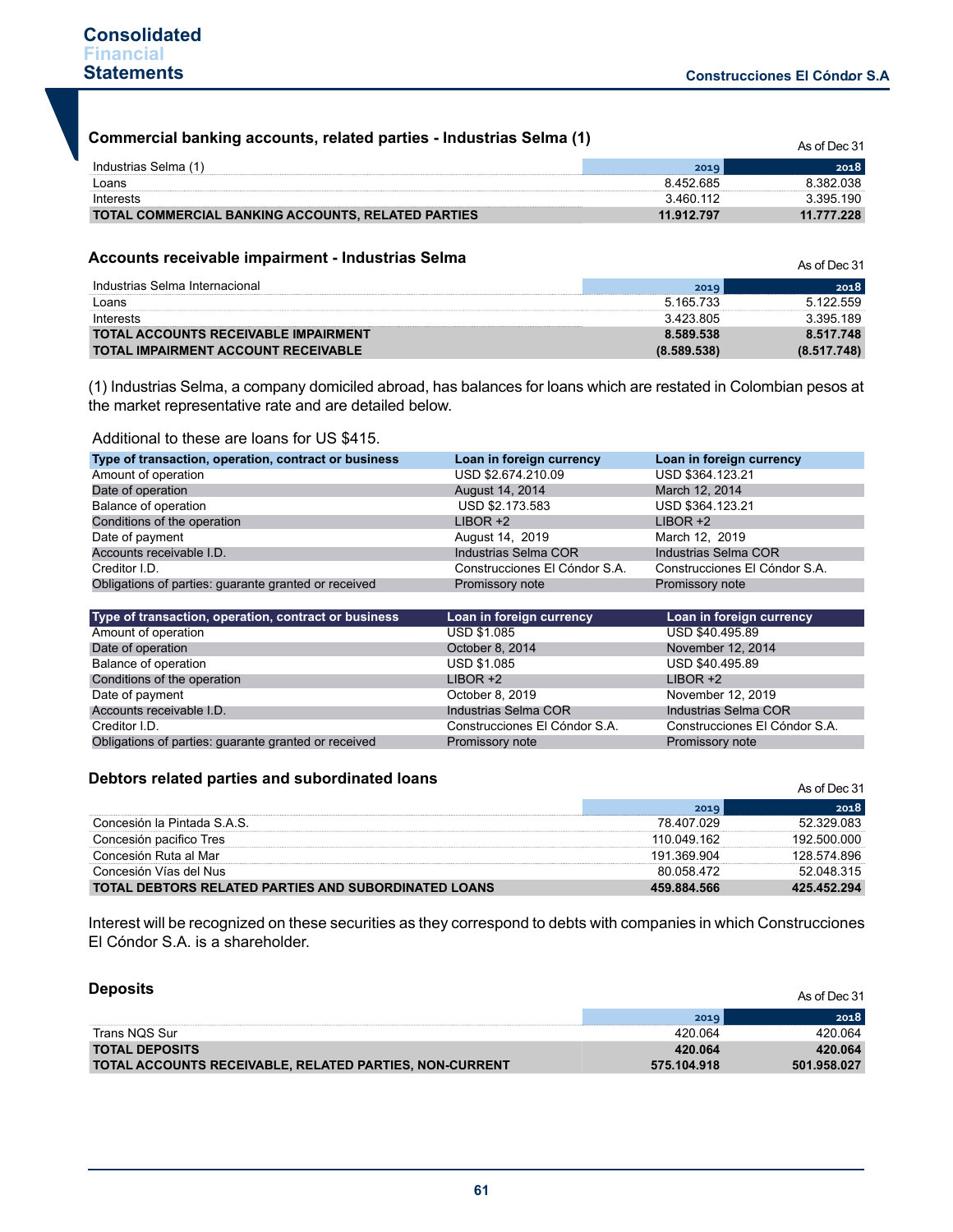| Commercial banking accounts, related parties - Industrias Selma (1) |            |            |
|---------------------------------------------------------------------|------------|------------|
| Industrias Selma (1)                                                | 2019       | 2018       |
| Loans                                                               | 8 452 685  | 8 382 038  |
| Interests                                                           | 3.460.112  | 3 395 190  |
| <b>TOTAL COMMERCIAL BANKING ACCOUNTS, RELATED PARTIES</b>           | 11.912.797 | 11.777.228 |

#### **Accounts receivable impairment - Industrias Selma**

| Accounts receivable impairment - industrias Seima |             | As of Dec 31 |
|---------------------------------------------------|-------------|--------------|
| Industrias Selma Internacional                    | 2019        | 2018         |
| Loans                                             | 5.165.733   | 5.122.559    |
| Interests                                         | 3423805     | 3 395 189    |
| <b>TOTAL ACCOUNTS RECEIVABLE IMPAIRMENT</b>       | 8.589.538   | 8.517.748    |
| <b>TOTAL IMPAIRMENT ACCOUNT RECEIVABLE</b>        | (8.589.538) | (8.517.748)  |

(1) Industrias Selma, a company domiciled abroad, has balances for loans which are restated in Colombian pesos at the market representative rate and are detailed below.

#### Additional to these are loans for US \$415.

| Type of transaction, operation, contract or business | Loan in foreign currency      | Loan in foreign currency      |
|------------------------------------------------------|-------------------------------|-------------------------------|
| Amount of operation                                  | USD \$2.674.210.09            | USD \$364.123.21              |
| Date of operation                                    | August 14, 2014               | March 12, 2014                |
| Balance of operation                                 | USD \$2.173.583               | USD \$364.123.21              |
| Conditions of the operation                          | $LIBOR +2$                    | $LIBOR +2$                    |
| Date of payment                                      | August 14, 2019               | March 12, 2019                |
| Accounts receivable I.D.                             | Industrias Selma COR          | Industrias Selma COR          |
| Creditor I.D.                                        | Construcciones El Cóndor S.A. | Construcciones El Cóndor S.A. |
| Obligations of parties: guarante granted or received | Promissory note               | Promissory note               |

| Type of transaction, operation, contract or business | Loan in foreign currency      | Loan in foreign currency      |
|------------------------------------------------------|-------------------------------|-------------------------------|
| Amount of operation                                  | <b>USD \$1.085</b>            | USD \$40.495.89               |
| Date of operation                                    | October 8, 2014               | November 12, 2014             |
| Balance of operation                                 | <b>USD \$1.085</b>            | USD \$40.495.89               |
| Conditions of the operation                          | $LIBOR +2$                    | $LIBOR +2$                    |
| Date of payment                                      | October 8, 2019               | November 12, 2019             |
| Accounts receivable I.D.                             | Industrias Selma COR          | Industrias Selma COR          |
| Creditor I.D.                                        | Construcciones El Cóndor S.A. | Construcciones El Cóndor S.A. |
| Obligations of parties: guarante granted or received | Promissory note               | Promissory note               |

## **Debtors related parties and subordinated loans**

| Deptors related parties and subordinated loans              |             | As of Dec 31 |  |  |
|-------------------------------------------------------------|-------------|--------------|--|--|
|                                                             | 2019        | 2018         |  |  |
| Concesión la Pintada S.A.S.                                 | 78 407 029  | 52 329 083   |  |  |
| Concesión pacifico Tres                                     | 110 049 162 | 192.500.000  |  |  |
| Concesión Ruta al Mar                                       | 191 369 904 | 128 574 896  |  |  |
| Concesión Vías del Nus                                      | 80 058 472  | 52 048 315   |  |  |
| <b>TOTAL DEBTORS RELATED PARTIES AND SUBORDINATED LOANS</b> | 459.884.566 | 425.452.294  |  |  |

Interest will be recognized on these securities as they correspond to debts with companies in which Construcciones El Cóndor S.A. is a shareholder.

| <b>Deposits</b>                                         |             | As of Dec 31 |
|---------------------------------------------------------|-------------|--------------|
|                                                         | 2019        | 2018         |
| Trans NQS Sur                                           | 420.064     | 420.064      |
| <b>TOTAL DEPOSITS</b>                                   | 420.064     | 420.064      |
| TOTAL ACCOUNTS RECEIVABLE, RELATED PARTIES, NON-CURRENT | 575.104.918 | 501.958.027  |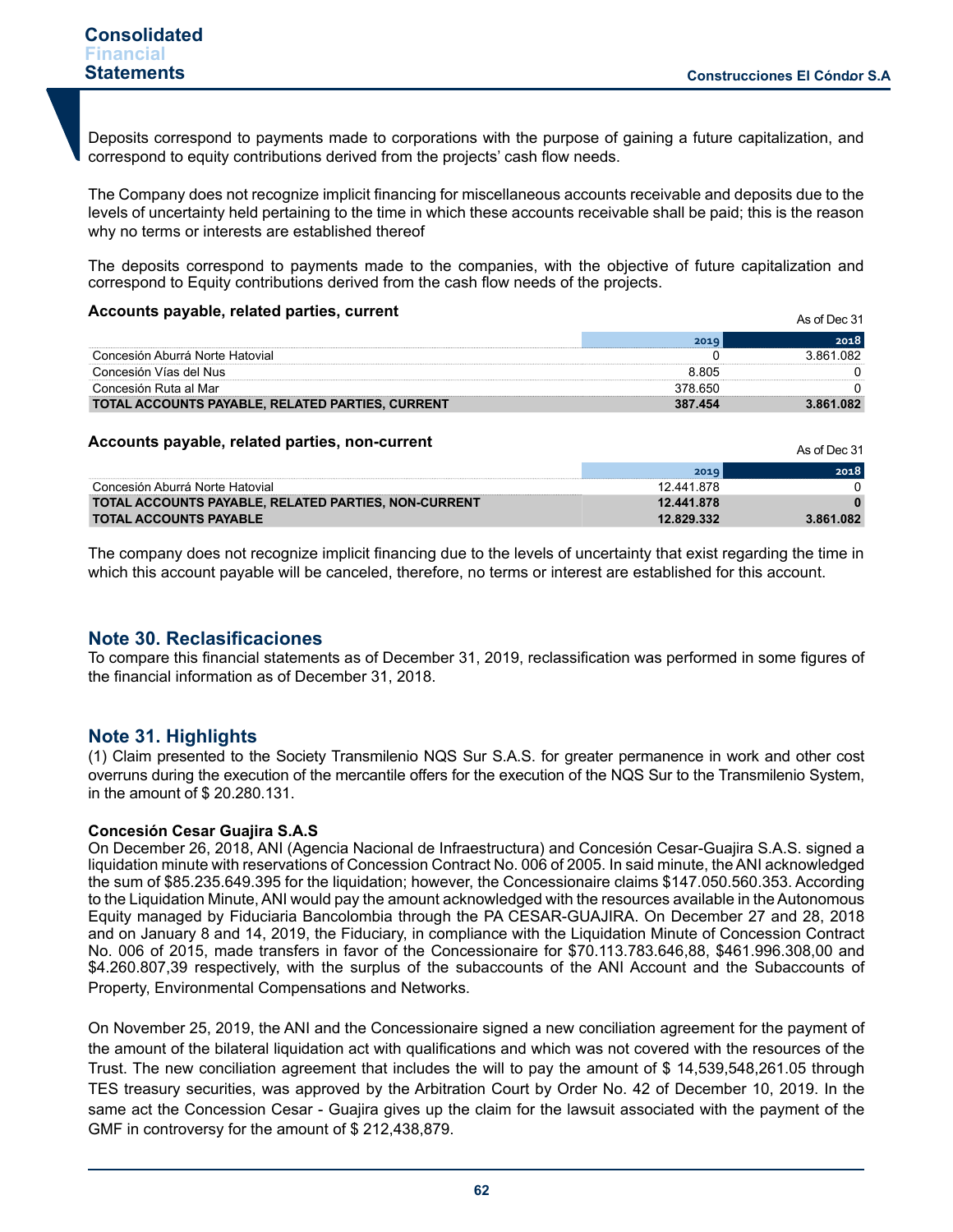As of Dec 31

 $AD = 21$ 

Deposits correspond to payments made to corporations with the purpose of gaining a future capitalization, and correspond to equity contributions derived from the projects' cash flow needs.

The Company does not recognize implicit financing for miscellaneous accounts receivable and deposits due to the levels of uncertainty held pertaining to the time in which these accounts receivable shall be paid; this is the reason why no terms or interests are established thereof

The deposits correspond to payments made to the companies, with the objective of future capitalization and correspond to Equity contributions derived from the cash flow needs of the projects.

#### **Accounts payable, related parties, current**

|                                                  |         | 2018         |
|--------------------------------------------------|---------|--------------|
| Concesión Aburrá Norte Hatovial                  |         | በጸ2<br>3 861 |
| Concesión Vías del Nus                           | 8 805   |              |
| Concesión Ruta al Mar                            |         |              |
| TOTAL ACCOUNTS PAYABLE, RELATED PARTIES, CURRENT | 387 454 | 3.861.082    |

#### **Accounts payable, related parties, non-current**

|                                                      |            | AS OI DEC 31 |
|------------------------------------------------------|------------|--------------|
|                                                      | 2019       | 2018         |
| Concesión Aburrá Norte Hatovial                      | 12.441.878 |              |
| TOTAL ACCOUNTS PAYABLE, RELATED PARTIES, NON-CURRENT | 12.441.878 |              |
| <b>TOTAL ACCOUNTS PAYABLE</b>                        | 12.829.332 | 3.861.082    |

The company does not recognize implicit financing due to the levels of uncertainty that exist regarding the time in which this account payable will be canceled, therefore, no terms or interest are established for this account.

# **Note 30. Reclasificaciones**

To compare this financial statements as of December 31, 2019, reclassification was performed in some figures of the financial information as of December 31, 2018.

# **Note 31. Highlights**

(1) Claim presented to the Society Transmilenio NQS Sur S.A.S. for greater permanence in work and other cost overruns during the execution of the mercantile offers for the execution of the NQS Sur to the Transmilenio System, in the amount of \$ 20.280.131.

#### **Concesión Cesar Guajira S.A.S**

On December 26, 2018, ANI (Agencia Nacional de Infraestructura) and Concesión Cesar-Guajira S.A.S. signed a liquidation minute with reservations of Concession Contract No. 006 of 2005. In said minute, the ANI acknowledged the sum of \$85.235.649.395 for the liquidation; however, the Concessionaire claims \$147.050.560.353. According to the Liquidation Minute, ANI would pay the amount acknowledged with the resources available in the Autonomous Equity managed by Fiduciaria Bancolombia through the PA CESAR-GUAJIRA. On December 27 and 28, 2018 and on January 8 and 14, 2019, the Fiduciary, in compliance with the Liquidation Minute of Concession Contract No. 006 of 2015, made transfers in favor of the Concessionaire for \$70.113.783.646,88, \$461.996.308,00 and \$4.260.807,39 respectively, with the surplus of the subaccounts of the ANI Account and the Subaccounts of Property, Environmental Compensations and Networks.

On November 25, 2019, the ANI and the Concessionaire signed a new conciliation agreement for the payment of the amount of the bilateral liquidation act with qualifications and which was not covered with the resources of the Trust. The new conciliation agreement that includes the will to pay the amount of \$ 14,539,548,261.05 through TES treasury securities, was approved by the Arbitration Court by Order No. 42 of December 10, 2019. In the same act the Concession Cesar - Guajira gives up the claim for the lawsuit associated with the payment of the GMF in controversy for the amount of \$ 212,438,879.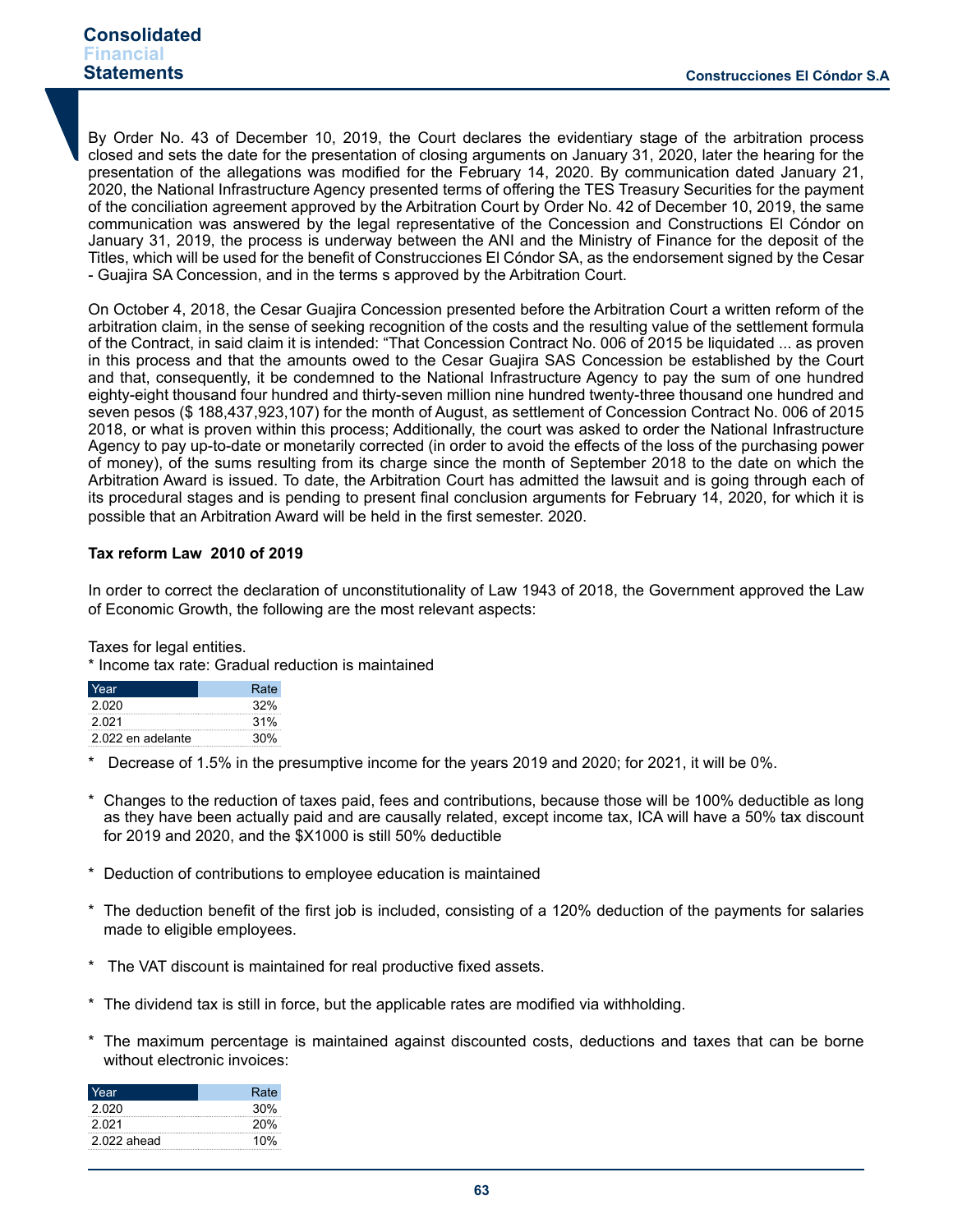# **Consolidated Financial Statements**

By Order No. 43 of December 10, 2019, the Court declares the evidentiary stage of the arbitration process closed and sets the date for the presentation of closing arguments on January 31, 2020, later the hearing for the presentation of the allegations was modified for the February 14, 2020. By communication dated January 21, 2020, the National Infrastructure Agency presented terms of offering the TES Treasury Securities for the payment of the conciliation agreement approved by the Arbitration Court by Order No. 42 of December 10, 2019, the same communication was answered by the legal representative of the Concession and Constructions El Cóndor on January 31, 2019, the process is underway between the ANI and the Ministry of Finance for the deposit of the Titles, which will be used for the benefit of Construcciones El Cóndor SA, as the endorsement signed by the Cesar - Guajira SA Concession, and in the terms s approved by the Arbitration Court.

On October 4, 2018, the Cesar Guajira Concession presented before the Arbitration Court a written reform of the arbitration claim, in the sense of seeking recognition of the costs and the resulting value of the settlement formula of the Contract, in said claim it is intended: "That Concession Contract No. 006 of 2015 be liquidated ... as proven in this process and that the amounts owed to the Cesar Guajira SAS Concession be established by the Court and that, consequently, it be condemned to the National Infrastructure Agency to pay the sum of one hundred eighty-eight thousand four hundred and thirty-seven million nine hundred twenty-three thousand one hundred and seven pesos (\$ 188,437,923,107) for the month of August, as settlement of Concession Contract No. 006 of 2015 2018, or what is proven within this process; Additionally, the court was asked to order the National Infrastructure Agency to pay up-to-date or monetarily corrected (in order to avoid the effects of the loss of the purchasing power of money), of the sums resulting from its charge since the month of September 2018 to the date on which the Arbitration Award is issued. To date, the Arbitration Court has admitted the lawsuit and is going through each of its procedural stages and is pending to present final conclusion arguments for February 14, 2020, for which it is possible that an Arbitration Award will be held in the first semester. 2020.

# **Tax reform Law 2010 of 2019**

In order to correct the declaration of unconstitutionality of Law 1943 of 2018, the Government approved the Law of Economic Growth, the following are the most relevant aspects:

Taxes for legal entities.

\* Income tax rate: Gradual reduction is maintained

| Year              | Rate |
|-------------------|------|
| 2.020             | 32%  |
| 2021              | 31%  |
| 2.022 en adelante | 30%  |

Decrease of 1.5% in the presumptive income for the years 2019 and 2020; for 2021, it will be 0%.

- Changes to the reduction of taxes paid, fees and contributions, because those will be 100% deductible as long as they have been actually paid and are causally related, except income tax, ICA will have a 50% tax discount for 2019 and 2020, and the \$X1000 is still 50% deductible
- Deduction of contributions to employee education is maintained
- \* The deduction benefit of the first job is included, consisting of a 120% deduction of the payments for salaries made to eligible employees.
- The VAT discount is maintained for real productive fixed assets.
- \* The dividend tax is still in force, but the applicable rates are modified via withholding.
- \* The maximum percentage is maintained against discounted costs, deductions and taxes that can be borne without electronic invoices:

| Year        | Rate |
|-------------|------|
| 2.020       | 30%  |
| 2021        | 20%  |
| 2.022 ahead | 10%  |